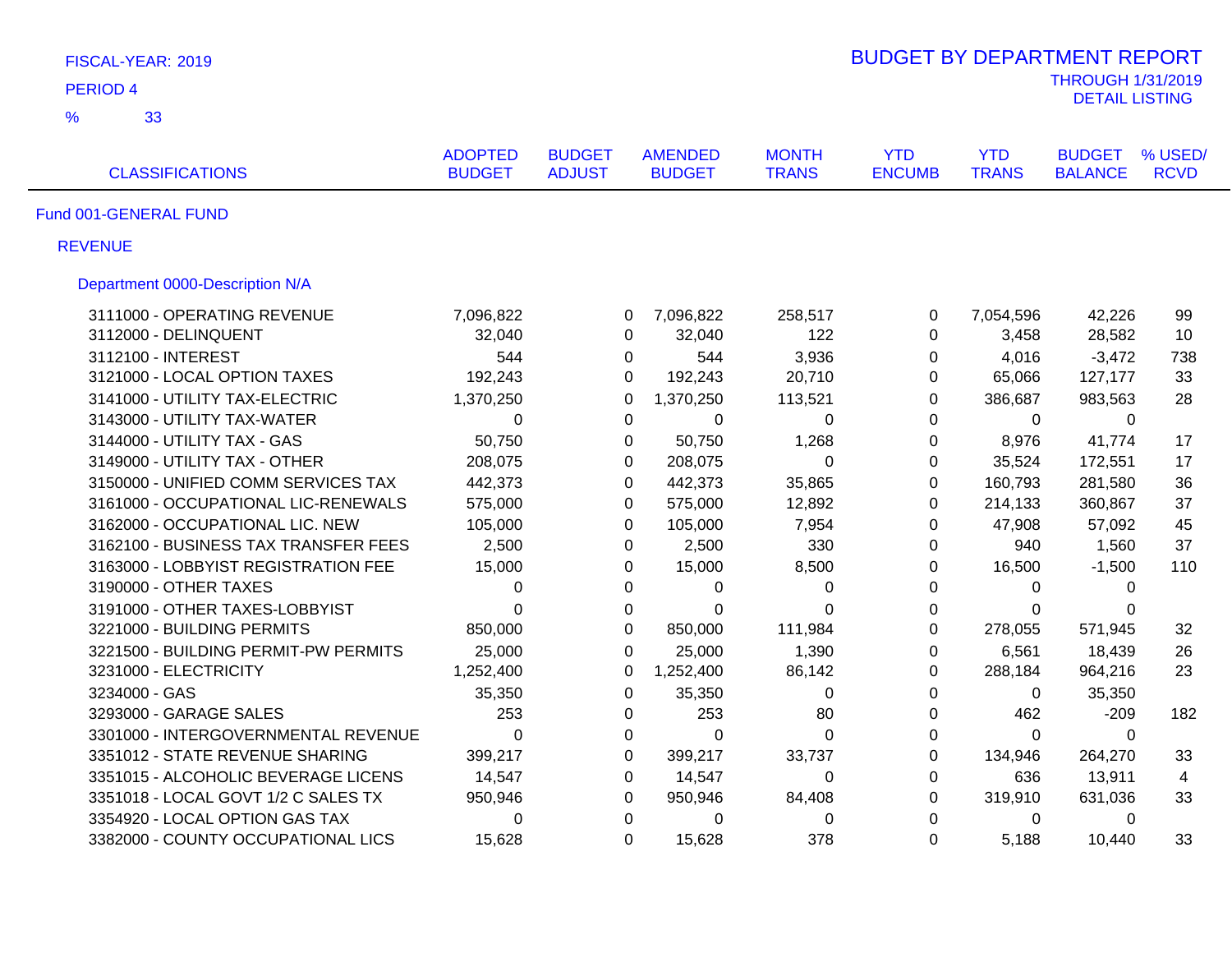| FISCAL-YEAR: 2019                    |                                 |                                |                                 |                              | <b>BUDGET BY DEPARTMENT REPORT</b> |                            |                                                   |                        |
|--------------------------------------|---------------------------------|--------------------------------|---------------------------------|------------------------------|------------------------------------|----------------------------|---------------------------------------------------|------------------------|
| <b>PERIOD 4</b>                      |                                 |                                |                                 |                              |                                    |                            | <b>THROUGH 1/31/2019</b><br><b>DETAIL LISTING</b> |                        |
| $\frac{9}{6}$<br>33                  |                                 |                                |                                 |                              |                                    |                            |                                                   |                        |
| <b>CLASSIFICATIONS</b>               | <b>ADOPTED</b><br><b>BUDGET</b> | <b>BUDGET</b><br><b>ADJUST</b> | <b>AMENDED</b><br><b>BUDGET</b> | <b>MONTH</b><br><b>TRANS</b> | <b>YTD</b><br><b>ENCUMB</b>        | <b>YTD</b><br><b>TRANS</b> | <b>BUDGET</b><br><b>BALANCE</b>                   | % USED/<br><b>RCVD</b> |
|                                      |                                 |                                |                                 |                              |                                    |                            |                                                   |                        |
| Fund 001-GENERAL FUND                |                                 |                                |                                 |                              |                                    |                            |                                                   |                        |
| <b>REVENUE</b>                       |                                 |                                |                                 |                              |                                    |                            |                                                   |                        |
| Department 0000-Description N/A      |                                 |                                |                                 |                              |                                    |                            |                                                   |                        |
| 3111000 - OPERATING REVENUE          | 7,096,822                       | 0                              | 7,096,822                       | 258,517                      | $\pmb{0}$                          | 7,054,596                  | 42,226                                            | 99                     |
| 3112000 - DELINQUENT                 | 32,040                          | $\Omega$                       | 32,040                          | 122                          | 0                                  | 3,458                      | 28,582                                            | 10                     |
| 3112100 - INTEREST                   | 544                             | 0                              | 544                             | 3,936                        | $\mathbf 0$                        | 4,016                      | $-3,472$                                          | 738                    |
| 3121000 - LOCAL OPTION TAXES         | 192,243                         | $\Omega$                       | 192,243                         | 20,710                       | $\Omega$                           | 65,066                     | 127,177                                           | 33                     |
| 3141000 - UTILITY TAX-ELECTRIC       | 1,370,250                       | $\Omega$                       | 1,370,250                       | 113,521                      | $\Omega$                           | 386,687                    | 983,563                                           | 28                     |
| 3143000 - UTILITY TAX-WATER          | 0                               | 0                              | 0                               | 0                            | 0                                  | 0                          | 0                                                 |                        |
| 3144000 - UTILITY TAX - GAS          | 50,750                          | 0                              | 50,750                          | 1,268                        | 0                                  | 8,976                      | 41,774                                            | 17                     |
| 3149000 - UTILITY TAX - OTHER        | 208,075                         | 0                              | 208,075                         | 0                            | $\mathbf 0$                        | 35,524                     | 172,551                                           | 17                     |
| 3150000 - UNIFIED COMM SERVICES TAX  | 442,373                         | $\Omega$                       | 442,373                         | 35,865                       | $\mathbf 0$                        | 160,793                    | 281,580                                           | 36                     |
| 3161000 - OCCUPATIONAL LIC-RENEWALS  | 575,000                         | 0                              | 575,000                         | 12,892                       | $\mathbf 0$                        | 214,133                    | 360,867                                           | 37                     |
| 3162000 - OCCUPATIONAL LIC. NEW      | 105,000                         | 0                              | 105,000                         | 7,954                        | $\mathbf 0$                        | 47,908                     | 57,092                                            | 45                     |
| 3162100 - BUSINESS TAX TRANSFER FEES | 2,500                           | 0                              | 2,500                           | 330                          | 0                                  | 940                        | 1,560                                             | 37                     |
| 3163000 - LOBBYIST REGISTRATION FEE  | 15,000                          | 0                              | 15,000                          | 8,500                        | 0                                  | 16,500                     | $-1,500$                                          | 110                    |
| 3190000 - OTHER TAXES                | 0                               | $\Omega$                       | 0                               | 0                            | $\Omega$                           | $\Omega$                   | $\Omega$                                          |                        |
| 3191000 - OTHER TAXES-LOBBYIST       | $\Omega$                        | 0                              | 0                               | 0                            | $\mathbf 0$                        | $\Omega$                   | 0                                                 |                        |
| 3221000 - BUILDING PERMITS           | 850,000                         | $\Omega$                       | 850,000                         | 111,984                      | $\Omega$                           | 278,055                    | 571,945                                           | 32                     |
| 3221500 - BUILDING PERMIT-PW PERMITS | 25,000                          | $\Omega$                       | 25,000                          | 1,390                        | 0                                  | 6,561                      | 18,439                                            | 26                     |
| 3231000 - ELECTRICITY                | 1,252,400                       | 0                              | 1,252,400                       | 86,142                       | $\pmb{0}$                          | 288,184                    | 964,216                                           | 23                     |
| 3234000 - GAS                        | 35,350                          | 0                              | 35,350                          | $\pmb{0}$                    | 0                                  | $\Omega$                   | 35,350                                            |                        |
| 3293000 - GARAGE SALES               | 253                             | $\mathbf 0$                    | 253                             | 80                           | $\pmb{0}$                          | 462                        | $-209$                                            | 182                    |
| 3301000 - INTERGOVERNMENTAL REVENUE  | $\mathbf 0$                     | $\mathbf 0$                    | $\mathbf 0$                     | $\pmb{0}$                    | $\pmb{0}$                          | $\Omega$                   | $\Omega$                                          |                        |
| 3351012 - STATE REVENUE SHARING      | 399,217                         | $\mathbf 0$                    | 399,217                         | 33,737                       | $\pmb{0}$                          | 134,946                    | 264,270                                           | 33                     |
| 3351015 - ALCOHOLIC BEVERAGE LICENS  | 14,547                          | $\mathbf 0$                    | 14,547                          | 0                            | $\pmb{0}$                          | 636                        | 13,911                                            | 4                      |
| 3351018 - LOCAL GOVT 1/2 C SALES TX  | 950,946                         | 0                              | 950,946                         | 84,408                       | $\pmb{0}$                          | 319,910                    | 631,036                                           | 33                     |
| 3354920 - LOCAL OPTION GAS TAX       | 0                               | 0                              | 0                               | 0                            | $\pmb{0}$                          | 0                          | 0                                                 |                        |
| 3382000 - COUNTY OCCUPATIONAL LICS   | 15,628                          | $\Omega$                       | 15,628                          | 378                          | $\Omega$                           | 5,188                      | 10,440                                            | 33                     |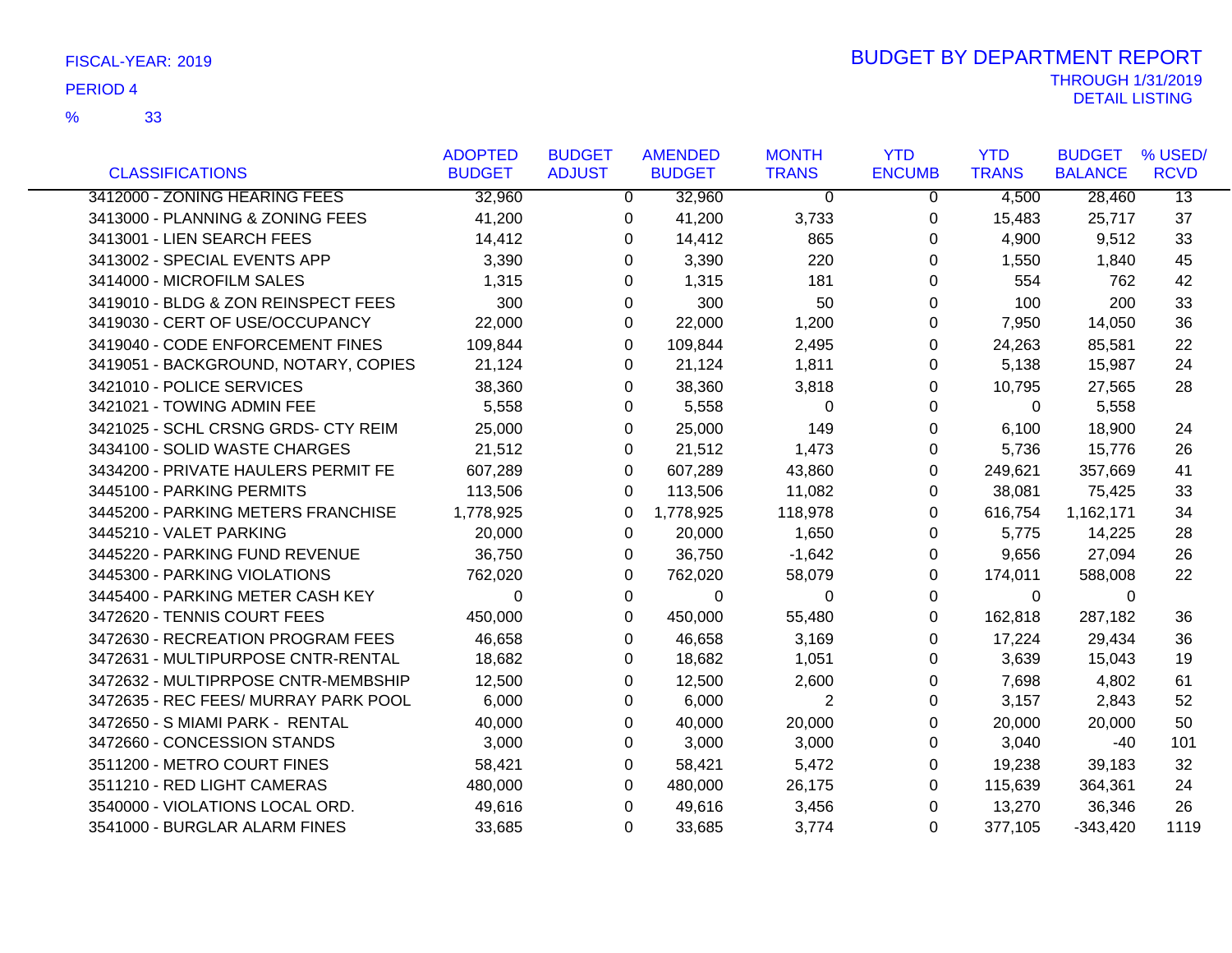|                                      | <b>ADOPTED</b> | <b>BUDGET</b> | <b>AMENDED</b> | <b>MONTH</b> | <b>YTD</b>    | <b>YTD</b>   | <b>BUDGET</b>  | % USED/         |
|--------------------------------------|----------------|---------------|----------------|--------------|---------------|--------------|----------------|-----------------|
| <b>CLASSIFICATIONS</b>               | <b>BUDGET</b>  | <b>ADJUST</b> | <b>BUDGET</b>  | <b>TRANS</b> | <b>ENCUMB</b> | <b>TRANS</b> | <b>BALANCE</b> | <b>RCVD</b>     |
| 3412000 - ZONING HEARING FEES        | 32,960         | $\Omega$      | 32,960         | $\Omega$     | 0             | 4,500        | 28,460         | $\overline{13}$ |
| 3413000 - PLANNING & ZONING FEES     | 41,200         | 0             | 41,200         | 3,733        | 0             | 15,483       | 25,717         | 37              |
| 3413001 - LIEN SEARCH FEES           | 14,412         | 0             | 14,412         | 865          | 0             | 4,900        | 9,512          | 33              |
| 3413002 - SPECIAL EVENTS APP         | 3,390          | $\Omega$      | 3,390          | 220          | 0             | 1,550        | 1,840          | 45              |
| 3414000 - MICROFILM SALES            | 1,315          | 0             | 1,315          | 181          | 0             | 554          | 762            | 42              |
| 3419010 - BLDG & ZON REINSPECT FEES  | 300            | $\Omega$      | 300            | 50           | 0             | 100          | 200            | 33              |
| 3419030 - CERT OF USE/OCCUPANCY      | 22,000         | 0             | 22,000         | 1,200        | 0             | 7,950        | 14,050         | 36              |
| 3419040 - CODE ENFORCEMENT FINES     | 109,844        | 0             | 109,844        | 2,495        | 0             | 24,263       | 85,581         | 22              |
| 3419051 - BACKGROUND, NOTARY, COPIES | 21,124         | 0             | 21,124         | 1,811        | 0             | 5,138        | 15,987         | 24              |
| 3421010 - POLICE SERVICES            | 38,360         | 0             | 38,360         | 3,818        | 0             | 10,795       | 27,565         | 28              |
| 3421021 - TOWING ADMIN FEE           | 5,558          | 0             | 5,558          | $\Omega$     | 0             | 0            | 5,558          |                 |
| 3421025 - SCHL CRSNG GRDS- CTY REIM  | 25,000         | 0             | 25,000         | 149          | 0             | 6,100        | 18,900         | 24              |
| 3434100 - SOLID WASTE CHARGES        | 21,512         | 0             | 21,512         | 1,473        | 0             | 5,736        | 15,776         | 26              |
| 3434200 - PRIVATE HAULERS PERMIT FE  | 607,289        | $\Omega$      | 607,289        | 43,860       | 0             | 249,621      | 357,669        | 41              |
| 3445100 - PARKING PERMITS            | 113,506        | 0             | 113,506        | 11,082       | 0             | 38,081       | 75,425         | 33              |
| 3445200 - PARKING METERS FRANCHISE   | 1,778,925      | 0             | 1,778,925      | 118,978      | 0             | 616,754      | 1,162,171      | 34              |
| 3445210 - VALET PARKING              | 20,000         | 0             | 20,000         | 1,650        | 0             | 5,775        | 14,225         | 28              |
| 3445220 - PARKING FUND REVENUE       | 36,750         | 0             | 36,750         | $-1,642$     | 0             | 9,656        | 27,094         | 26              |
| 3445300 - PARKING VIOLATIONS         | 762,020        | 0             | 762,020        | 58,079       | 0             | 174,011      | 588,008        | 22              |
| 3445400 - PARKING METER CASH KEY     | $\Omega$       | 0             | 0              | 0            | 0             | $\mathbf 0$  | $\overline{0}$ |                 |
| 3472620 - TENNIS COURT FEES          | 450,000        | 0             | 450,000        | 55,480       | 0             | 162,818      | 287,182        | 36              |
| 3472630 - RECREATION PROGRAM FEES    | 46,658         | 0             | 46,658         | 3,169        | 0             | 17,224       | 29,434         | 36              |
| 3472631 - MULTIPURPOSE CNTR-RENTAL   | 18,682         | 0             | 18,682         | 1,051        | 0             | 3,639        | 15,043         | 19              |
| 3472632 - MULTIPRPOSE CNTR-MEMBSHIP  | 12,500         | 0             | 12,500         | 2,600        | 0             | 7,698        | 4,802          | 61              |
| 3472635 - REC FEES/ MURRAY PARK POOL | 6,000          | 0             | 6,000          | 2            | 0             | 3,157        | 2,843          | 52              |
| 3472650 - S MIAMI PARK - RENTAL      | 40,000         | 0             | 40,000         | 20,000       | 0             | 20,000       | 20,000         | 50              |
| 3472660 - CONCESSION STANDS          | 3,000          | 0             | 3,000          | 3,000        | 0             | 3,040        | $-40$          | 101             |
| 3511200 - METRO COURT FINES          | 58,421         | 0             | 58,421         | 5,472        | 0             | 19,238       | 39,183         | 32              |
| 3511210 - RED LIGHT CAMERAS          | 480,000        | 0             | 480,000        | 26,175       | 0             | 115,639      | 364,361        | 24              |
| 3540000 - VIOLATIONS LOCAL ORD.      | 49,616         | 0             | 49,616         | 3,456        | 0             | 13,270       | 36,346         | 26              |
| 3541000 - BURGLAR ALARM FINES        | 33,685         | 0             | 33,685         | 3,774        | $\Omega$      | 377,105      | $-343,420$     | 1119            |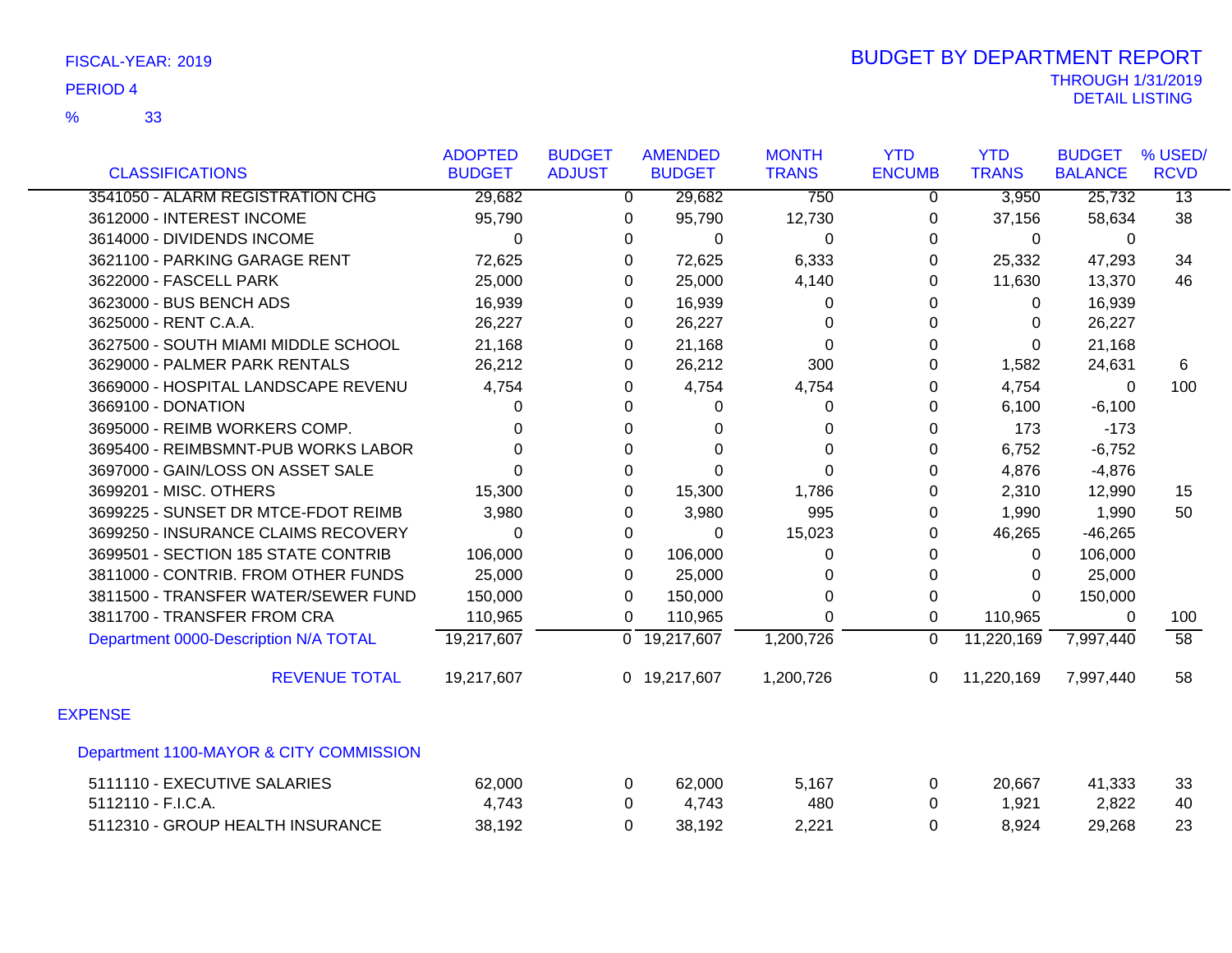|                                         | <b>ADOPTED</b> | <b>BUDGET</b>  | <b>AMENDED</b>            | <b>MONTH</b> | <b>YTD</b>     | <b>YTD</b>   | <b>BUDGET</b>  | % USED/         |
|-----------------------------------------|----------------|----------------|---------------------------|--------------|----------------|--------------|----------------|-----------------|
| <b>CLASSIFICATIONS</b>                  | <b>BUDGET</b>  | <b>ADJUST</b>  | <b>BUDGET</b>             | <b>TRANS</b> | <b>ENCUMB</b>  | <b>TRANS</b> | <b>BALANCE</b> | <b>RCVD</b>     |
| 3541050 - ALARM REGISTRATION CHG        | 29,682         | $\overline{0}$ | 29,682                    | 750          | $\overline{0}$ | 3,950        | 25,732         | $\overline{13}$ |
| 3612000 - INTEREST INCOME               | 95,790         | 0              | 95,790                    | 12,730       | 0              | 37,156       | 58,634         | 38              |
| 3614000 - DIVIDENDS INCOME              | 0              | 0              | 0                         | 0            | 0              | 0            | 0              |                 |
| 3621100 - PARKING GARAGE RENT           | 72,625         | 0              | 72,625                    | 6,333        | 0              | 25,332       | 47,293         | 34              |
| 3622000 - FASCELL PARK                  | 25,000         | 0              | 25,000                    | 4,140        | 0              | 11,630       | 13,370         | 46              |
| 3623000 - BUS BENCH ADS                 | 16,939         | 0              | 16,939                    | 0            | 0              | 0            | 16,939         |                 |
| 3625000 - RENT C.A.A.                   | 26,227         | 0              | 26,227                    | 0            | $\Omega$       | $\Omega$     | 26,227         |                 |
| 3627500 - SOUTH MIAMI MIDDLE SCHOOL     | 21,168         | 0              | 21,168                    | 0            | 0              | $\mathbf 0$  | 21,168         |                 |
| 3629000 - PALMER PARK RENTALS           | 26,212         | 0              | 26,212                    | 300          | 0              | 1,582        | 24,631         | 6               |
| 3669000 - HOSPITAL LANDSCAPE REVENU     | 4,754          | 0              | 4,754                     | 4,754        | 0              | 4,754        | $\Omega$       | 100             |
| 3669100 - DONATION                      | 0              | 0              | 0                         | 0            | 0              | 6,100        | $-6,100$       |                 |
| 3695000 - REIMB WORKERS COMP.           | 0              | 0              | 0                         | 0            | 0              | 173          | $-173$         |                 |
| 3695400 - REIMBSMNT-PUB WORKS LABOR     | $\Omega$       | 0              | $\Omega$                  | 0            | 0              | 6,752        | $-6,752$       |                 |
| 3697000 - GAIN/LOSS ON ASSET SALE       | $\Omega$       | $\Omega$       | $\Omega$                  | $\Omega$     | 0              | 4,876        | $-4,876$       |                 |
| 3699201 - MISC. OTHERS                  | 15,300         | 0              | 15,300                    | 1,786        | 0              | 2,310        | 12,990         | 15              |
| 3699225 - SUNSET DR MTCE-FDOT REIMB     | 3,980          | 0              | 3,980                     | 995          | 0              | 1,990        | 1,990          | 50              |
| 3699250 - INSURANCE CLAIMS RECOVERY     | $\Omega$       | 0              | 0                         | 15,023       | 0              | 46,265       | $-46,265$      |                 |
| 3699501 - SECTION 185 STATE CONTRIB     | 106,000        | $\Omega$       | 106,000                   | 0            | 0              | $\Omega$     | 106,000        |                 |
| 3811000 - CONTRIB. FROM OTHER FUNDS     | 25,000         | 0              | 25,000                    | 0            | 0              | 0            | 25,000         |                 |
| 3811500 - TRANSFER WATER/SEWER FUND     | 150,000        | 0              | 150,000                   | 0            | 0              | 0            | 150,000        |                 |
| 3811700 - TRANSFER FROM CRA             | 110,965        | 0              | 110,965                   | $\Omega$     | 0              | 110,965      | 0              | 100             |
| Department 0000-Description N/A TOTAL   | 19,217,607     |                | $\overline{0}$ 19,217,607 | 1,200,726    | $\mathbf 0$    | 11,220,169   | 7,997,440      | $\overline{58}$ |
| <b>REVENUE TOTAL</b>                    | 19,217,607     |                | 0 19,217,607              | 1,200,726    | $\mathbf{0}$   | 11,220,169   | 7,997,440      | 58              |
| <b>EXPENSE</b>                          |                |                |                           |              |                |              |                |                 |
| Department 1100-MAYOR & CITY COMMISSION |                |                |                           |              |                |              |                |                 |
| 5111110 - EXECUTIVE SALARIES            | 62,000         | 0              | 62,000                    | 5,167        | 0              | 20,667       | 41,333         | 33              |
| 5112110 - F.I.C.A.                      | 4,743          | 0              | 4,743                     | 480          | $\Omega$       | 1,921        | 2,822          | 40              |
| 5112310 - GROUP HEALTH INSURANCE        | 38,192         | 0              | 38,192                    | 2,221        | 0              | 8,924        | 29,268         | 23              |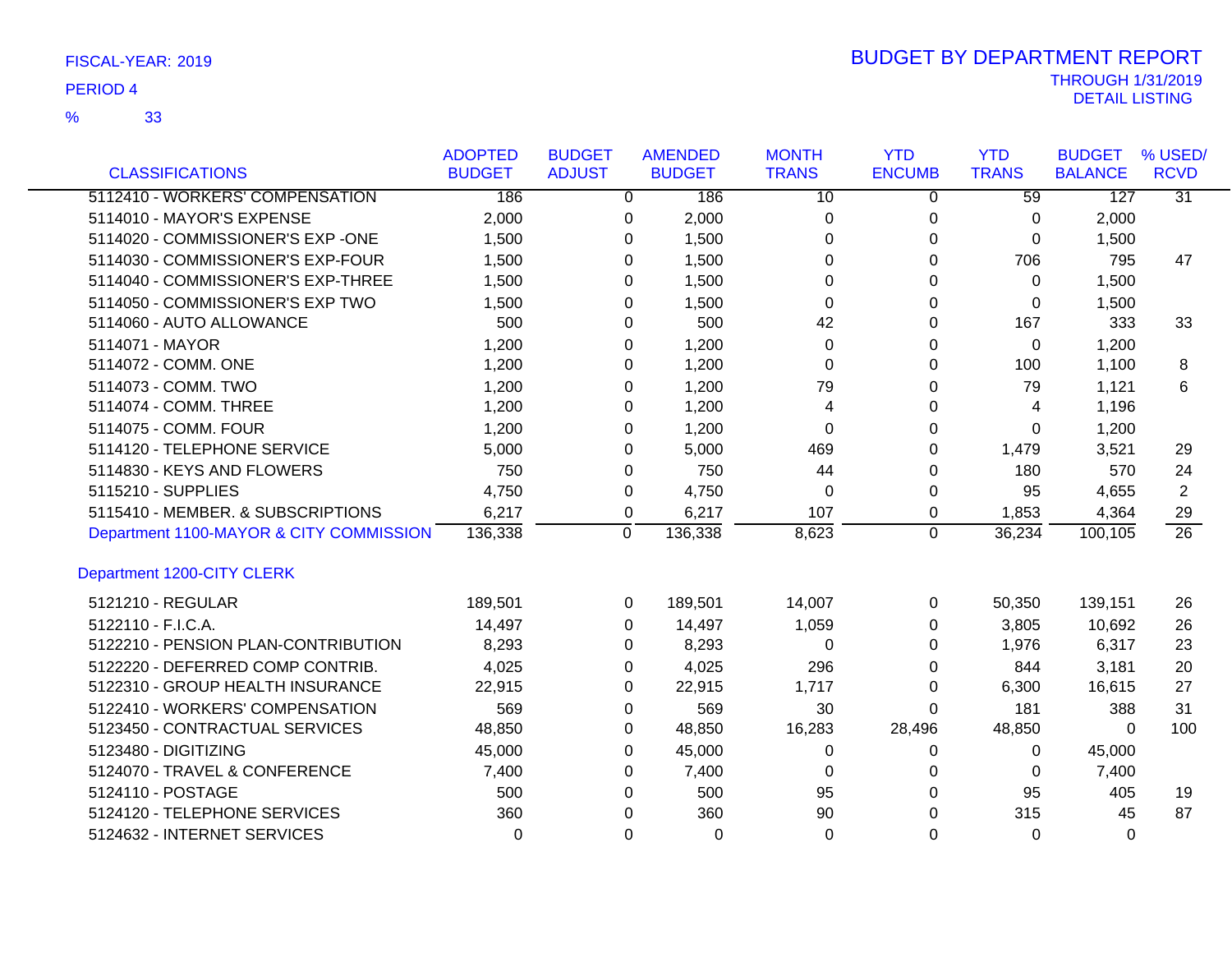|                                         | <b>ADOPTED</b> | <b>BUDGET</b> | <b>AMENDED</b> | <b>MONTH</b>    | <b>YTD</b>    | <b>YTD</b>      | <b>BUDGET</b>  | % USED/         |
|-----------------------------------------|----------------|---------------|----------------|-----------------|---------------|-----------------|----------------|-----------------|
| <b>CLASSIFICATIONS</b>                  | <b>BUDGET</b>  | <b>ADJUST</b> | <b>BUDGET</b>  | <b>TRANS</b>    | <b>ENCUMB</b> | <b>TRANS</b>    | <b>BALANCE</b> | <b>RCVD</b>     |
| 5112410 - WORKERS' COMPENSATION         | 186            | 0             | 186            | $\overline{10}$ | 0             | $\overline{59}$ | 127            | $\overline{31}$ |
| 5114010 - MAYOR'S EXPENSE               | 2,000          | 0             | 2,000          | 0               | 0             | 0               | 2,000          |                 |
| 5114020 - COMMISSIONER'S EXP -ONE       | 1,500          | 0             | 1,500          | 0               | 0             | 0               | 1,500          |                 |
| 5114030 - COMMISSIONER'S EXP-FOUR       | 1,500          | $\Omega$      | 1,500          | 0               | 0             | 706             | 795            | 47              |
| 5114040 - COMMISSIONER'S EXP-THREE      | 1,500          | 0             | 1,500          | 0               | 0             | 0               | 1,500          |                 |
| 5114050 - COMMISSIONER'S EXP TWO        | 1,500          | $\Omega$      | 1,500          | 0               | 0             | 0               | 1,500          |                 |
| 5114060 - AUTO ALLOWANCE                | 500            | $\Omega$      | 500            | 42              | 0             | 167             | 333            | 33              |
| 5114071 - MAYOR                         | 1,200          | $\Omega$      | 1,200          | 0               | 0             | 0               | 1,200          |                 |
| 5114072 - COMM. ONE                     | 1,200          | 0             | 1,200          | 0               | 0             | 100             | 1,100          | 8               |
| 5114073 - COMM. TWO                     | 1,200          | $\Omega$      | 1,200          | 79              | 0             | 79              | 1,121          | 6               |
| 5114074 - COMM. THREE                   | 1,200          | $\Omega$      | 1,200          | 4               | 0             | 4               | 1,196          |                 |
| 5114075 - COMM. FOUR                    | 1,200          | $\Omega$      | 1,200          | $\Omega$        | 0             | $\Omega$        | 1,200          |                 |
| 5114120 - TELEPHONE SERVICE             | 5,000          | 0             | 5,000          | 469             | 0             | 1,479           | 3,521          | 29              |
| 5114830 - KEYS AND FLOWERS              | 750            | $\Omega$      | 750            | 44              | 0             | 180             | 570            | 24              |
| 5115210 - SUPPLIES                      | 4,750          | $\mathbf 0$   | 4,750          | 0               | 0             | 95              | 4,655          | $\overline{2}$  |
| 5115410 - MEMBER. & SUBSCRIPTIONS       | 6,217          | 0             | 6,217          | 107             | 0             | 1,853           | 4,364          | 29              |
| Department 1100-MAYOR & CITY COMMISSION | 136,338        | 0             | 136,338        | 8,623           | 0             | 36,234          | 100,105        | $\overline{26}$ |
| Department 1200-CITY CLERK              |                |               |                |                 |               |                 |                |                 |
| 5121210 - REGULAR                       | 189,501        | 0             | 189,501        | 14,007          | 0             | 50,350          | 139,151        | 26              |
| 5122110 - F.I.C.A.                      | 14,497         | $\Omega$      | 14,497         | 1,059           | 0             | 3,805           | 10,692         | 26              |
| 5122210 - PENSION PLAN-CONTRIBUTION     | 8,293          | 0             | 8,293          | 0               | 0             | 1,976           | 6,317          | 23              |
| 5122220 - DEFERRED COMP CONTRIB.        | 4,025          | 0             | 4,025          | 296             | 0             | 844             | 3,181          | 20              |
| 5122310 - GROUP HEALTH INSURANCE        | 22,915         | $\Omega$      | 22,915         | 1,717           | 0             | 6,300           | 16,615         | 27              |
| 5122410 - WORKERS' COMPENSATION         | 569            | 0             | 569            | 30              | 0             | 181             | 388            | 31              |
| 5123450 - CONTRACTUAL SERVICES          | 48,850         | 0             | 48,850         | 16,283          | 28,496        | 48,850          | $\mathbf{0}$   | 100             |
| 5123480 - DIGITIZING                    | 45,000         | $\Omega$      | 45,000         | 0               | 0             | 0               | 45,000         |                 |
| 5124070 - TRAVEL & CONFERENCE           | 7,400          | $\Omega$      | 7,400          | 0               | 0             | 0               | 7,400          |                 |
| 5124110 - POSTAGE                       | 500            | $\Omega$      | 500            | 95              | $\Omega$      | 95              | 405            | 19              |
| 5124120 - TELEPHONE SERVICES            | 360            | $\Omega$      | 360            | 90              | $\Omega$      | 315             | 45             | 87              |
| 5124632 - INTERNET SERVICES             | $\Omega$       | $\Omega$      | $\Omega$       | $\Omega$        | $\Omega$      | $\Omega$        | $\Omega$       |                 |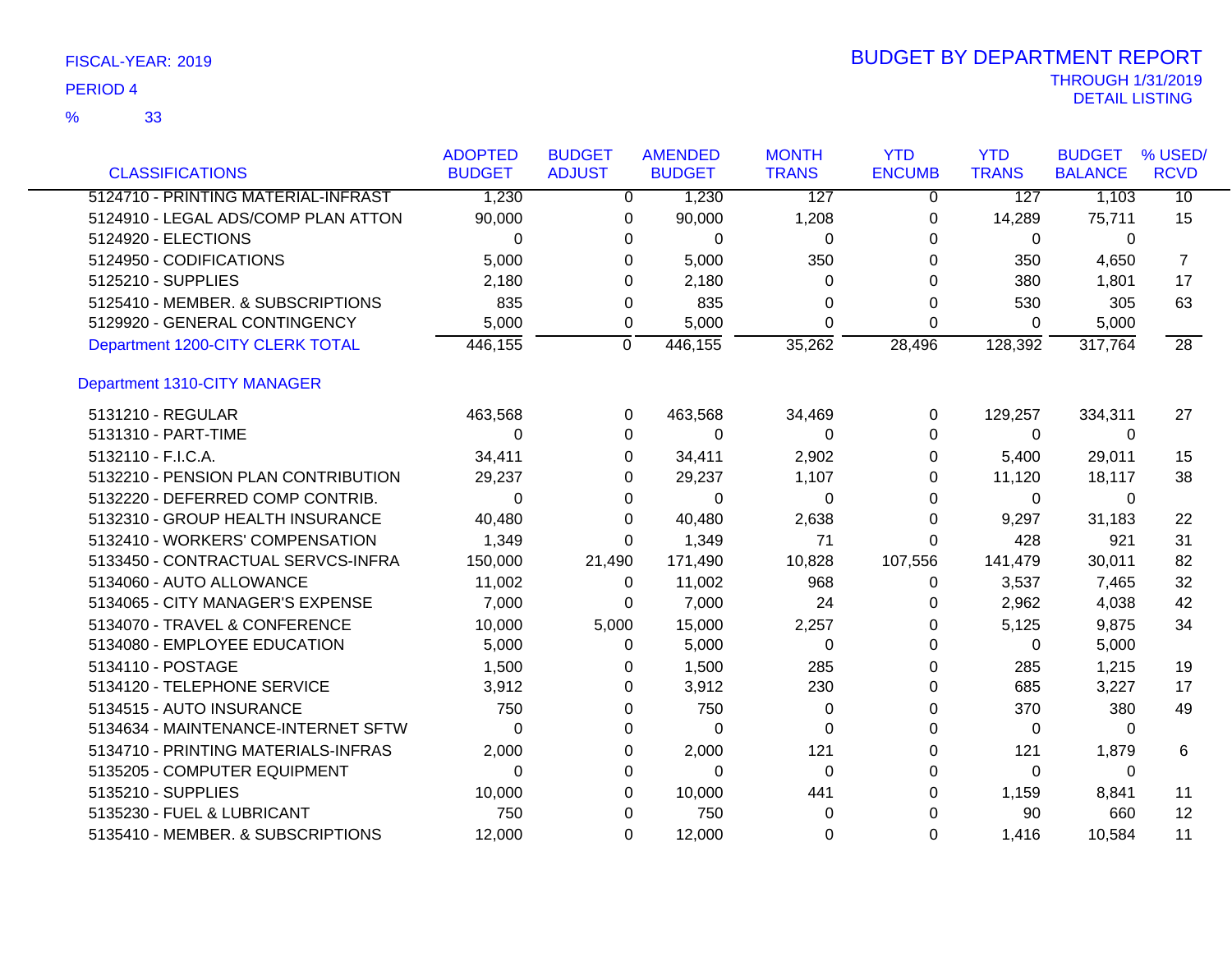33 %

| <b>CLASSIFICATIONS</b>              | <b>ADOPTED</b><br><b>BUDGET</b> | <b>BUDGET</b><br><b>ADJUST</b> | <b>AMENDED</b><br><b>BUDGET</b> | <b>MONTH</b><br><b>TRANS</b> | <b>YTD</b><br><b>ENCUMB</b> | <b>YTD</b><br><b>TRANS</b> | <b>BUDGET</b><br><b>BALANCE</b> | % USED/<br><b>RCVD</b> |
|-------------------------------------|---------------------------------|--------------------------------|---------------------------------|------------------------------|-----------------------------|----------------------------|---------------------------------|------------------------|
| 5124710 - PRINTING MATERIAL-INFRAST | 1,230                           | $\overline{0}$                 | 1,230                           | 127                          | $\mathbf{0}$                | 127                        | 1,103                           | $\overline{10}$        |
| 5124910 - LEGAL ADS/COMP PLAN ATTON | 90,000                          | $\Omega$                       | 90,000                          | 1,208                        | 0                           | 14,289                     | 75,711                          | 15                     |
| 5124920 - ELECTIONS                 | $\Omega$                        | 0                              | 0                               | $\Omega$                     | 0                           | 0                          | $\mathbf{0}$                    |                        |
| 5124950 - CODIFICATIONS             | 5,000                           | 0                              | 5,000                           | 350                          | 0                           | 350                        | 4,650                           | $\overline{7}$         |
| 5125210 - SUPPLIES                  | 2,180                           | 0                              | 2,180                           | $\Omega$                     | 0                           | 380                        | 1,801                           | 17                     |
| 5125410 - MEMBER. & SUBSCRIPTIONS   | 835                             | 0                              | 835                             | $\Omega$                     | 0                           | 530                        | 305                             | 63                     |
| 5129920 - GENERAL CONTINGENCY       | 5,000                           | 0                              | 5,000                           | $\Omega$                     | 0                           | 0                          | 5,000                           |                        |
| Department 1200-CITY CLERK TOTAL    | 446,155                         | $\mathbf 0$                    | 446,155                         | 35,262                       | 28,496                      | 128,392                    | 317,764                         | $\overline{28}$        |
| Department 1310-CITY MANAGER        |                                 |                                |                                 |                              |                             |                            |                                 |                        |
| 5131210 - REGULAR                   | 463,568                         | 0                              | 463,568                         | 34,469                       | 0                           | 129,257                    | 334,311                         | 27                     |
| 5131310 - PART-TIME                 | 0                               | 0                              | 0                               | $\Omega$                     | 0                           | 0                          | $\Omega$                        |                        |
| 5132110 - F.I.C.A.                  | 34,411                          | 0                              | 34,411                          | 2,902                        | 0                           | 5,400                      | 29,011                          | 15                     |
| 5132210 - PENSION PLAN CONTRIBUTION | 29,237                          | 0                              | 29,237                          | 1,107                        | 0                           | 11,120                     | 18,117                          | 38                     |
| 5132220 - DEFERRED COMP CONTRIB.    | 0                               | 0                              | 0                               | $\Omega$                     | 0                           | $\Omega$                   | $\Omega$                        |                        |
| 5132310 - GROUP HEALTH INSURANCE    | 40,480                          | 0                              | 40,480                          | 2,638                        | 0                           | 9,297                      | 31,183                          | 22                     |
| 5132410 - WORKERS' COMPENSATION     | 1,349                           | $\Omega$                       | 1,349                           | 71                           | 0                           | 428                        | 921                             | 31                     |
| 5133450 - CONTRACTUAL SERVCS-INFRA  | 150,000                         | 21,490                         | 171,490                         | 10,828                       | 107,556                     | 141,479                    | 30,011                          | 82                     |
| 5134060 - AUTO ALLOWANCE            | 11,002                          | 0                              | 11,002                          | 968                          | 0                           | 3,537                      | 7,465                           | 32                     |
| 5134065 - CITY MANAGER'S EXPENSE    | 7,000                           | 0                              | 7,000                           | 24                           | 0                           | 2,962                      | 4,038                           | 42                     |
| 5134070 - TRAVEL & CONFERENCE       | 10,000                          | 5,000                          | 15,000                          | 2,257                        | 0                           | 5,125                      | 9,875                           | 34                     |
| 5134080 - EMPLOYEE EDUCATION        | 5,000                           | $\Omega$                       | 5,000                           | 0                            | 0                           | 0                          | 5,000                           |                        |
| 5134110 - POSTAGE                   | 1,500                           | 0                              | 1,500                           | 285                          | 0                           | 285                        | 1,215                           | 19                     |
| 5134120 - TELEPHONE SERVICE         | 3,912                           | 0                              | 3,912                           | 230                          | 0                           | 685                        | 3,227                           | 17                     |
| 5134515 - AUTO INSURANCE            | 750                             | 0                              | 750                             | 0                            | 0                           | 370                        | 380                             | 49                     |
| 5134634 - MAINTENANCE-INTERNET SFTW | $\Omega$                        | 0                              | $\Omega$                        | $\Omega$                     | 0                           | 0                          | 0                               |                        |
| 5134710 - PRINTING MATERIALS-INFRAS | 2,000                           | 0                              | 2,000                           | 121                          | 0                           | 121                        | 1,879                           | 6                      |
| 5135205 - COMPUTER EQUIPMENT        | 0                               | 0                              | 0                               | 0                            | 0                           | 0                          | 0                               |                        |
| 5135210 - SUPPLIES                  | 10,000                          | 0                              | 10,000                          | 441                          | 0                           | 1,159                      | 8,841                           | 11                     |
| 5135230 - FUEL & LUBRICANT          | 750                             | 0                              | 750                             | 0                            | 0                           | 90                         | 660                             | $12 \overline{ }$      |
| 5135410 - MEMBER. & SUBSCRIPTIONS   | 12,000                          | 0                              | 12,000                          | 0                            | 0                           | 1,416                      | 10,584                          | 11                     |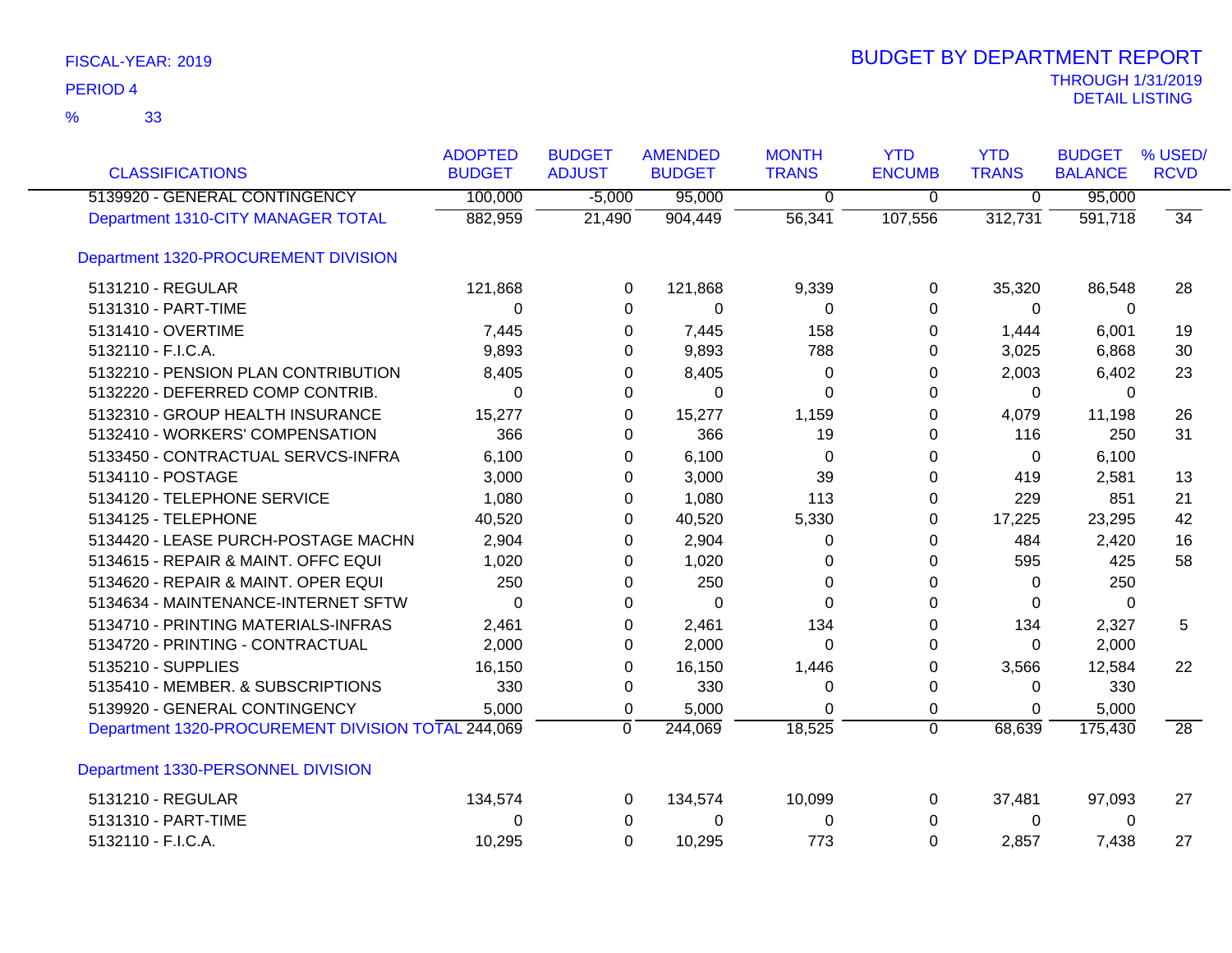| <b>CLASSIFICATIONS</b>                             | <b>ADOPTED</b><br><b>BUDGET</b> | <b>BUDGET</b><br><b>ADJUST</b> | <b>AMENDED</b><br><b>BUDGET</b> | <b>MONTH</b><br><b>TRANS</b> | <b>YTD</b><br><b>ENCUMB</b> | <b>YTD</b><br><b>TRANS</b> | <b>BUDGET</b><br><b>BALANCE</b> | % USED/<br><b>RCVD</b> |
|----------------------------------------------------|---------------------------------|--------------------------------|---------------------------------|------------------------------|-----------------------------|----------------------------|---------------------------------|------------------------|
| 5139920 - GENERAL CONTINGENCY                      | 100,000                         | $-5,000$                       | 95,000                          | $\overline{0}$               | $\overline{0}$              | $\overline{0}$             | 95,000                          |                        |
| Department 1310-CITY MANAGER TOTAL                 | 882,959                         | 21,490                         | 904,449                         | 56,341                       | 107,556                     | 312,731                    | 591,718                         | $\overline{34}$        |
| Department 1320-PROCUREMENT DIVISION               |                                 |                                |                                 |                              |                             |                            |                                 |                        |
| 5131210 - REGULAR                                  | 121,868                         | 0                              | 121,868                         | 9,339                        | 0                           | 35,320                     | 86,548                          | 28                     |
| 5131310 - PART-TIME                                | 0                               | 0                              | 0                               | 0                            | $\Omega$                    | 0                          | 0                               |                        |
| 5131410 - OVERTIME                                 | 7,445                           | 0                              | 7,445                           | 158                          | 0                           | 1,444                      | 6,001                           | 19                     |
| 5132110 - F.I.C.A.                                 | 9,893                           | 0                              | 9,893                           | 788                          | 0                           | 3,025                      | 6,868                           | 30                     |
| 5132210 - PENSION PLAN CONTRIBUTION                | 8,405                           | 0                              | 8,405                           | 0                            | 0                           | 2,003                      | 6,402                           | 23                     |
| 5132220 - DEFERRED COMP CONTRIB.                   | 0                               | 0                              | $\Omega$                        | 0                            | 0                           | $\Omega$                   | 0                               |                        |
| 5132310 - GROUP HEALTH INSURANCE                   | 15,277                          | 0                              | 15,277                          | 1,159                        | 0                           | 4,079                      | 11,198                          | 26                     |
| 5132410 - WORKERS' COMPENSATION                    | 366                             | 0                              | 366                             | 19                           | 0                           | 116                        | 250                             | 31                     |
| 5133450 - CONTRACTUAL SERVCS-INFRA                 | 6,100                           | 0                              | 6,100                           | 0                            | 0                           | 0                          | 6,100                           |                        |
| 5134110 - POSTAGE                                  | 3,000                           | 0                              | 3,000                           | 39                           | $\Omega$                    | 419                        | 2,581                           | 13                     |
| 5134120 - TELEPHONE SERVICE                        | 1,080                           | 0                              | 1,080                           | 113                          | 0                           | 229                        | 851                             | 21                     |
| 5134125 - TELEPHONE                                | 40,520                          | 0                              | 40,520                          | 5,330                        | 0                           | 17,225                     | 23,295                          | 42                     |
| 5134420 - LEASE PURCH-POSTAGE MACHN                | 2,904                           | 0                              | 2,904                           | 0                            | 0                           | 484                        | 2,420                           | 16                     |
| 5134615 - REPAIR & MAINT. OFFC EQUI                | 1,020                           | 0                              | 1,020                           | 0                            | 0                           | 595                        | 425                             | 58                     |
| 5134620 - REPAIR & MAINT. OPER EQUI                | 250                             | 0                              | 250                             | 0                            | 0                           | 0                          | 250                             |                        |
| 5134634 - MAINTENANCE-INTERNET SFTW                | 0                               | 0                              | 0                               | 0                            | 0                           | 0                          | 0                               |                        |
| 5134710 - PRINTING MATERIALS-INFRAS                | 2,461                           | 0                              | 2,461                           | 134                          | 0                           | 134                        | 2,327                           | 5                      |
| 5134720 - PRINTING - CONTRACTUAL                   | 2,000                           | 0                              | 2,000                           | $\Omega$                     | 0                           | $\Omega$                   | 2,000                           |                        |
| 5135210 - SUPPLIES                                 | 16,150                          | 0                              | 16,150                          | 1,446                        | $\Omega$                    | 3,566                      | 12,584                          | 22                     |
| 5135410 - MEMBER. & SUBSCRIPTIONS                  | 330                             | 0                              | 330                             | 0                            | 0                           | 0                          | 330                             |                        |
| 5139920 - GENERAL CONTINGENCY                      | 5,000                           | 0                              | 5,000                           | 0                            | 0                           | $\Omega$                   | 5,000                           |                        |
| Department 1320-PROCUREMENT DIVISION TOTAL 244,069 |                                 | 0                              | 244,069                         | 18,525                       | $\mathbf 0$                 | 68,639                     | 175,430                         | $\overline{28}$        |
| Department 1330-PERSONNEL DIVISION                 |                                 |                                |                                 |                              |                             |                            |                                 |                        |
| 5131210 - REGULAR                                  | 134,574                         | 0                              | 134,574                         | 10,099                       | 0                           | 37,481                     | 97,093                          | 27                     |
| 5131310 - PART-TIME                                | 0                               | 0                              | 0                               | 0                            | 0                           | 0                          | 0                               |                        |
| 5132110 - F.I.C.A.                                 | 10,295                          | $\Omega$                       | 10,295                          | 773                          | $\Omega$                    | 2,857                      | 7,438                           | 27                     |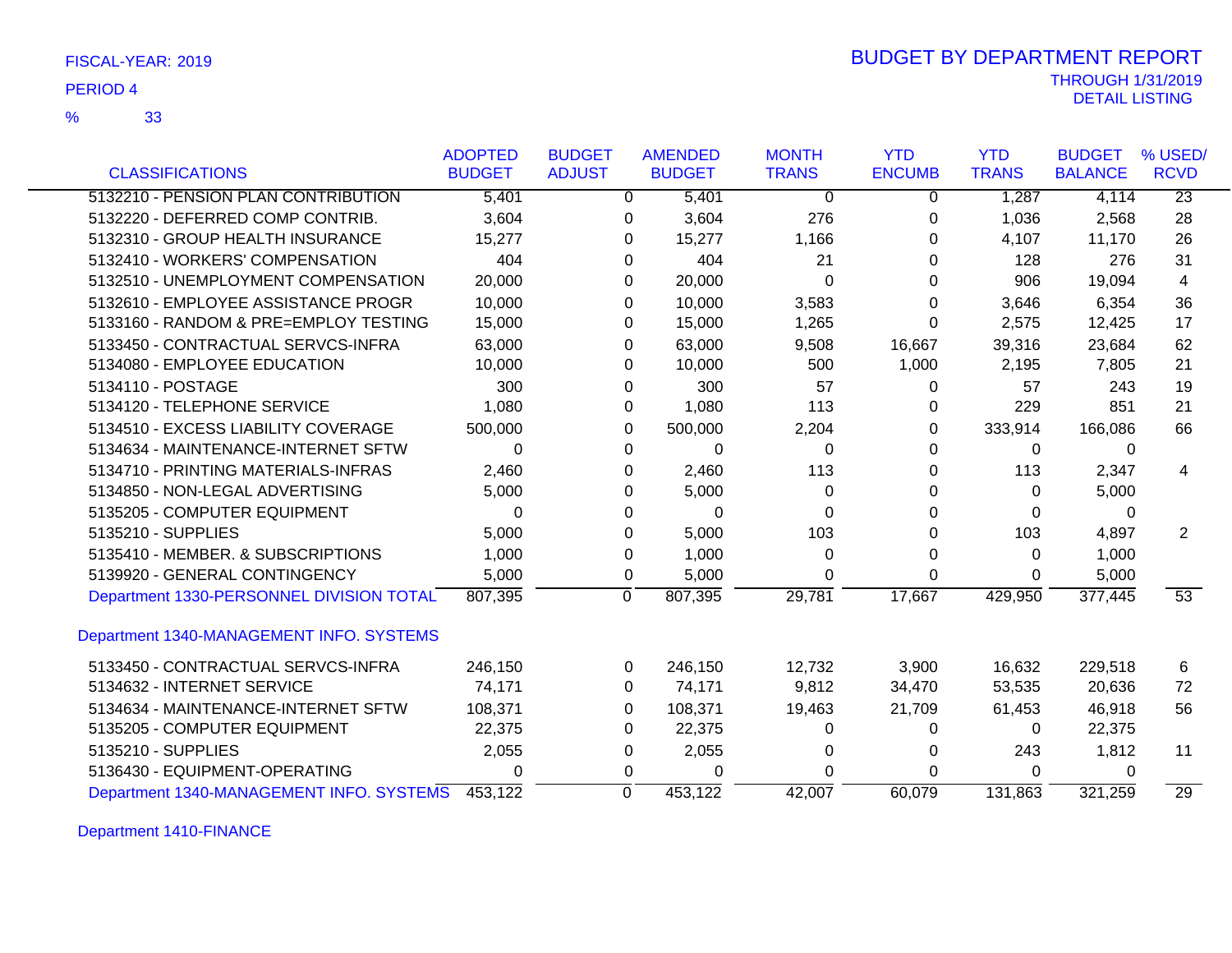| FISCAL-YEAR: 2019 |  |  |
|-------------------|--|--|
|-------------------|--|--|

### THROUGH 1/31/2019<br>DETAIL LISTING DETAIL LISTING PERIOD <sup>4</sup> BUDGET BY DEPARTMENT REPORT

|                                          | <b>ADOPTED</b> | <b>BUDGET</b> | <b>AMENDED</b>            | <b>MONTH</b> | <b>YTD</b>    | <b>YTD</b>   | <b>BUDGET</b>  | % USED/         |
|------------------------------------------|----------------|---------------|---------------------------|--------------|---------------|--------------|----------------|-----------------|
| <b>CLASSIFICATIONS</b>                   | <b>BUDGET</b>  | <b>ADJUST</b> | <b>BUDGET</b>             | <b>TRANS</b> | <b>ENCUMB</b> | <b>TRANS</b> | <b>BALANCE</b> | <b>RCVD</b>     |
| 5132210 - PENSION PLAN CONTRIBUTION      | 5,401          |               | 5,401<br>0                | $\Omega$     | $\Omega$      | 1,287        | 4,114          | $\overline{23}$ |
| 5132220 - DEFERRED COMP CONTRIB.         | 3,604          |               | 3,604<br>0                | 276          | 0             | 1,036        | 2,568          | 28              |
| 5132310 - GROUP HEALTH INSURANCE         | 15,277         |               | 0<br>15,277               | 1,166        | 0             | 4,107        | 11,170         | 26              |
| 5132410 - WORKERS' COMPENSATION          | 404            |               | 404<br>0                  | 21           | 0             | 128          | 276            | 31              |
| 5132510 - UNEMPLOYMENT COMPENSATION      | 20,000         |               | 20,000<br>0               | 0            | 0             | 906          | 19,094         | 4               |
| 5132610 - EMPLOYEE ASSISTANCE PROGR      | 10,000         |               | 10,000<br>0               | 3,583        | 0             | 3,646        | 6,354          | 36              |
| 5133160 - RANDOM & PRE=EMPLOY TESTING    | 15,000         |               | 15,000<br>0               | 1,265        | 0             | 2,575        | 12,425         | 17              |
| 5133450 - CONTRACTUAL SERVCS-INFRA       | 63,000         |               | 63,000<br>0               | 9,508        | 16,667        | 39,316       | 23,684         | 62              |
| 5134080 - EMPLOYEE EDUCATION             | 10,000         |               | 10,000<br>0               | 500          | 1,000         | 2,195        | 7,805          | 21              |
| 5134110 - POSTAGE                        | 300            |               | 300<br>0                  | 57           | 0             | 57           | 243            | 19              |
| 5134120 - TELEPHONE SERVICE              | 1,080          |               | 1,080<br>0                | 113          | 0             | 229          | 851            | 21              |
| 5134510 - EXCESS LIABILITY COVERAGE      | 500,000        |               | 500,000<br>0              | 2,204        | 0             | 333,914      | 166,086        | 66              |
| 5134634 - MAINTENANCE-INTERNET SFTW      | $\Omega$       |               | 0<br>$\Omega$             | 0            | $\Omega$      | 0            | 0              |                 |
| 5134710 - PRINTING MATERIALS-INFRAS      | 2,460          |               | 2,460<br>0                | 113          | 0             | 113          | 2,347          | 4               |
| 5134850 - NON-LEGAL ADVERTISING          | 5,000          |               | 5,000<br>0                | 0            | 0             | 0            | 5,000          |                 |
| 5135205 - COMPUTER EQUIPMENT             | 0              |               | 0<br>$\Omega$             | 0            | 0             | 0            | 0              |                 |
| 5135210 - SUPPLIES                       | 5,000          |               | 5,000<br>0                | 103          | 0             | 103          | 4,897          | $\overline{2}$  |
| 5135410 - MEMBER, & SUBSCRIPTIONS        | 1,000          |               | 1,000<br>0                | 0            | 0             | 0            | 1,000          |                 |
| 5139920 - GENERAL CONTINGENCY            | 5,000          |               | 5,000<br>0                | 0            | $\Omega$      | 0            | 5,000          |                 |
| Department 1330-PERSONNEL DIVISION TOTAL | 807,395        |               | $\overline{0}$<br>807,395 | 29,781       | 17,667        | 429,950      | 377,445        | 53              |
| Department 1340-MANAGEMENT INFO. SYSTEMS |                |               |                           |              |               |              |                |                 |
| 5133450 - CONTRACTUAL SERVCS-INFRA       | 246,150        |               | 246,150<br>0              | 12,732       | 3,900         | 16,632       | 229,518        | 6               |
| 5134632 - INTERNET SERVICE               | 74,171         |               | 74,171<br>0               | 9,812        | 34,470        | 53,535       | 20,636         | 72              |
| 5134634 - MAINTENANCE-INTERNET SFTW      | 108,371        |               | 108,371<br>0              | 19,463       | 21,709        | 61,453       | 46,918         | 56              |
| 5135205 - COMPUTER EQUIPMENT             | 22,375         |               | 22,375<br>0               | 0            | 0             | $\Omega$     | 22,375         |                 |
| 5135210 - SUPPLIES                       | 2,055          |               | 2,055<br>0                | 0            | 0             | 243          | 1,812          | 11              |
| 5136430 - EQUIPMENT-OPERATING            | 0              |               | 0<br>0                    | $\Omega$     | 0             | 0            | 0              |                 |
| Department 1340-MANAGEMENT INFO. SYSTEMS | 453,122        |               | $\mathbf 0$<br>453,122    | 42,007       | 60,079        | 131,863      | 321,259        | $\overline{29}$ |

Department 1410-FINANCE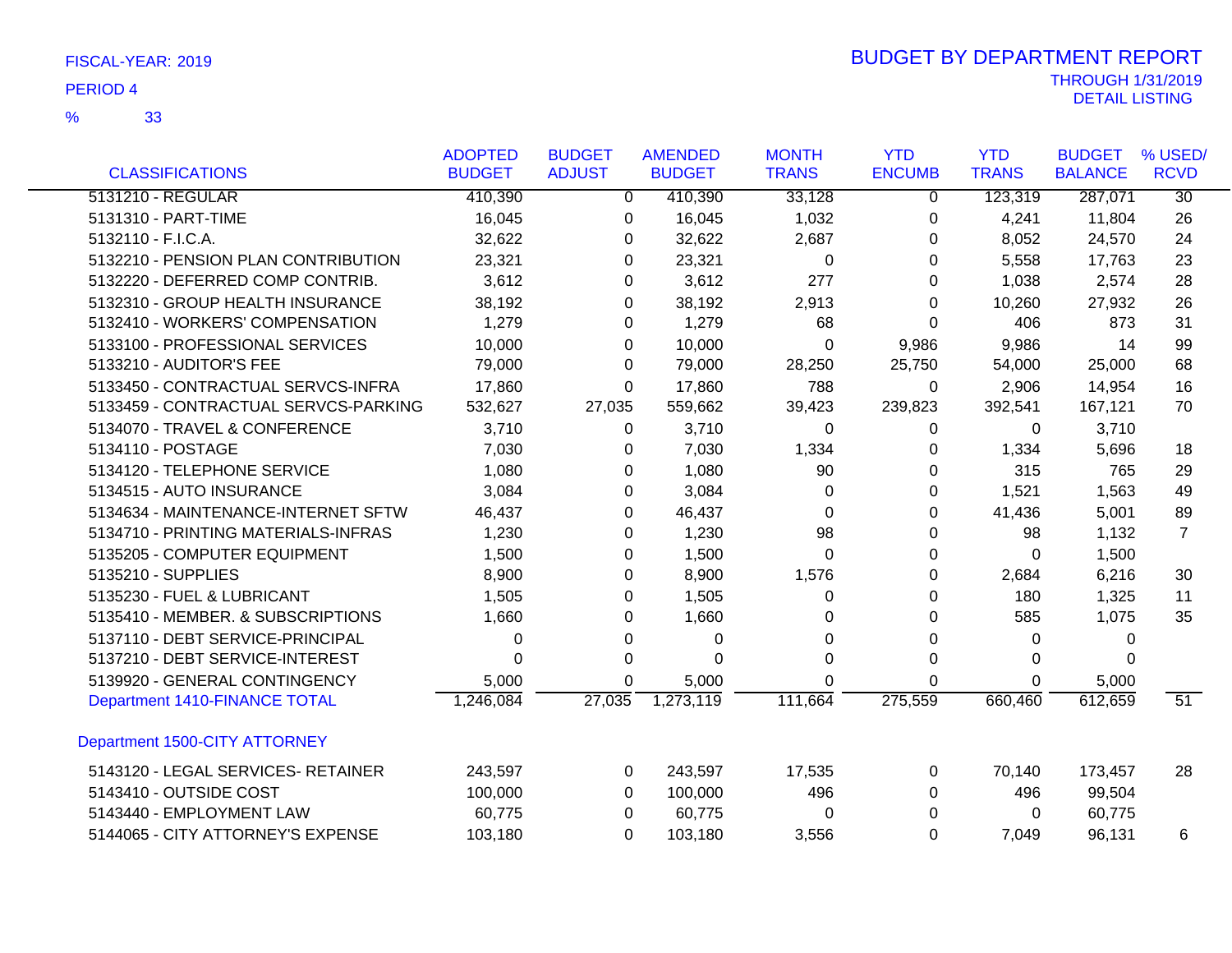33 %

|                                      | <b>ADOPTED</b> | <b>BUDGET</b>  | <b>AMENDED</b> | <b>MONTH</b> | <b>YTD</b>     | <b>YTD</b>   | <b>BUDGET</b>  | % USED/         |
|--------------------------------------|----------------|----------------|----------------|--------------|----------------|--------------|----------------|-----------------|
| <b>CLASSIFICATIONS</b>               | <b>BUDGET</b>  | <b>ADJUST</b>  | <b>BUDGET</b>  | <b>TRANS</b> | <b>ENCUMB</b>  | <b>TRANS</b> | <b>BALANCE</b> | <b>RCVD</b>     |
| 5131210 - REGULAR                    | 410,390        | $\overline{0}$ | 410,390        | 33,128       | $\overline{0}$ | 123,319      | 287,071        | $\overline{30}$ |
| 5131310 - PART-TIME                  | 16,045         | 0              | 16,045         | 1,032        | 0              | 4,241        | 11,804         | 26              |
| 5132110 - F.I.C.A.                   | 32,622         | 0              | 32,622         | 2,687        | 0              | 8,052        | 24,570         | 24              |
| 5132210 - PENSION PLAN CONTRIBUTION  | 23,321         | 0              | 23,321         | 0            | 0              | 5,558        | 17,763         | 23              |
| 5132220 - DEFERRED COMP CONTRIB.     | 3,612          | 0              | 3,612          | 277          | 0              | 1,038        | 2,574          | 28              |
| 5132310 - GROUP HEALTH INSURANCE     | 38,192         | 0              | 38,192         | 2,913        | 0              | 10,260       | 27,932         | 26              |
| 5132410 - WORKERS' COMPENSATION      | 1,279          | 0              | 1,279          | 68           | $\Omega$       | 406          | 873            | 31              |
| 5133100 - PROFESSIONAL SERVICES      | 10,000         | 0              | 10,000         | 0            | 9,986          | 9,986        | 14             | 99              |
| 5133210 - AUDITOR'S FEE              | 79,000         | 0              | 79,000         | 28,250       | 25,750         | 54,000       | 25,000         | 68              |
| 5133450 - CONTRACTUAL SERVCS-INFRA   | 17,860         | 0              | 17,860         | 788          | 0              | 2,906        | 14,954         | 16              |
| 5133459 - CONTRACTUAL SERVCS-PARKING | 532,627        | 27,035         | 559,662        | 39,423       | 239,823        | 392,541      | 167,121        | 70              |
| 5134070 - TRAVEL & CONFERENCE        | 3,710          | 0              | 3,710          | 0            | 0              | 0            | 3,710          |                 |
| 5134110 - POSTAGE                    | 7,030          | 0              | 7,030          | 1,334        | 0              | 1,334        | 5,696          | 18              |
| 5134120 - TELEPHONE SERVICE          | 1,080          | 0              | 1,080          | 90           | 0              | 315          | 765            | 29              |
| 5134515 - AUTO INSURANCE             | 3,084          | 0              | 3,084          | 0            | 0              | 1,521        | 1,563          | 49              |
| 5134634 - MAINTENANCE-INTERNET SFTW  | 46,437         | 0              | 46,437         | $\Omega$     | 0              | 41,436       | 5,001          | 89              |
| 5134710 - PRINTING MATERIALS-INFRAS  | 1,230          | 0              | 1,230          | 98           | 0              | 98           | 1,132          | $\overline{7}$  |
| 5135205 - COMPUTER EQUIPMENT         | 1,500          | 0              | 1,500          | $\Omega$     | 0              | $\Omega$     | 1,500          |                 |
| 5135210 - SUPPLIES                   | 8,900          | 0              | 8,900          | 1,576        | 0              | 2,684        | 6,216          | 30              |
| 5135230 - FUEL & LUBRICANT           | 1,505          | 0              | 1,505          | 0            | 0              | 180          | 1,325          | 11              |
| 5135410 - MEMBER. & SUBSCRIPTIONS    | 1,660          | 0              | 1,660          | 0            | 0              | 585          | 1,075          | 35              |
| 5137110 - DEBT SERVICE-PRINCIPAL     | 0              | 0              | 0              | $\Omega$     | 0              | $\Omega$     | 0              |                 |
| 5137210 - DEBT SERVICE-INTEREST      | 0              | 0              | $\Omega$       | $\Omega$     | 0              | 0            | $\Omega$       |                 |
| 5139920 - GENERAL CONTINGENCY        | 5,000          | 0              | 5,000          | 0            | 0              | 0            | 5,000          |                 |
| Department 1410-FINANCE TOTAL        | 1,246,084      | 27,035         | 1,273,119      | 111,664      | 275,559        | 660,460      | 612,659        | $\overline{51}$ |
| Department 1500-CITY ATTORNEY        |                |                |                |              |                |              |                |                 |
| 5143120 - LEGAL SERVICES- RETAINER   | 243,597        | 0              | 243,597        | 17,535       | 0              | 70,140       | 173,457        | 28              |
| 5143410 - OUTSIDE COST               | 100,000        | 0              | 100,000        | 496          | 0              | 496          | 99,504         |                 |
| 5143440 - EMPLOYMENT LAW             | 60,775         | 0              | 60,775         | 0            | 0              | 0            | 60,775         |                 |
| 5144065 - CITY ATTORNEY'S EXPENSE    | 103,180        | 0              | 103,180        | 3,556        | 0              | 7,049        | 96,131         | 6               |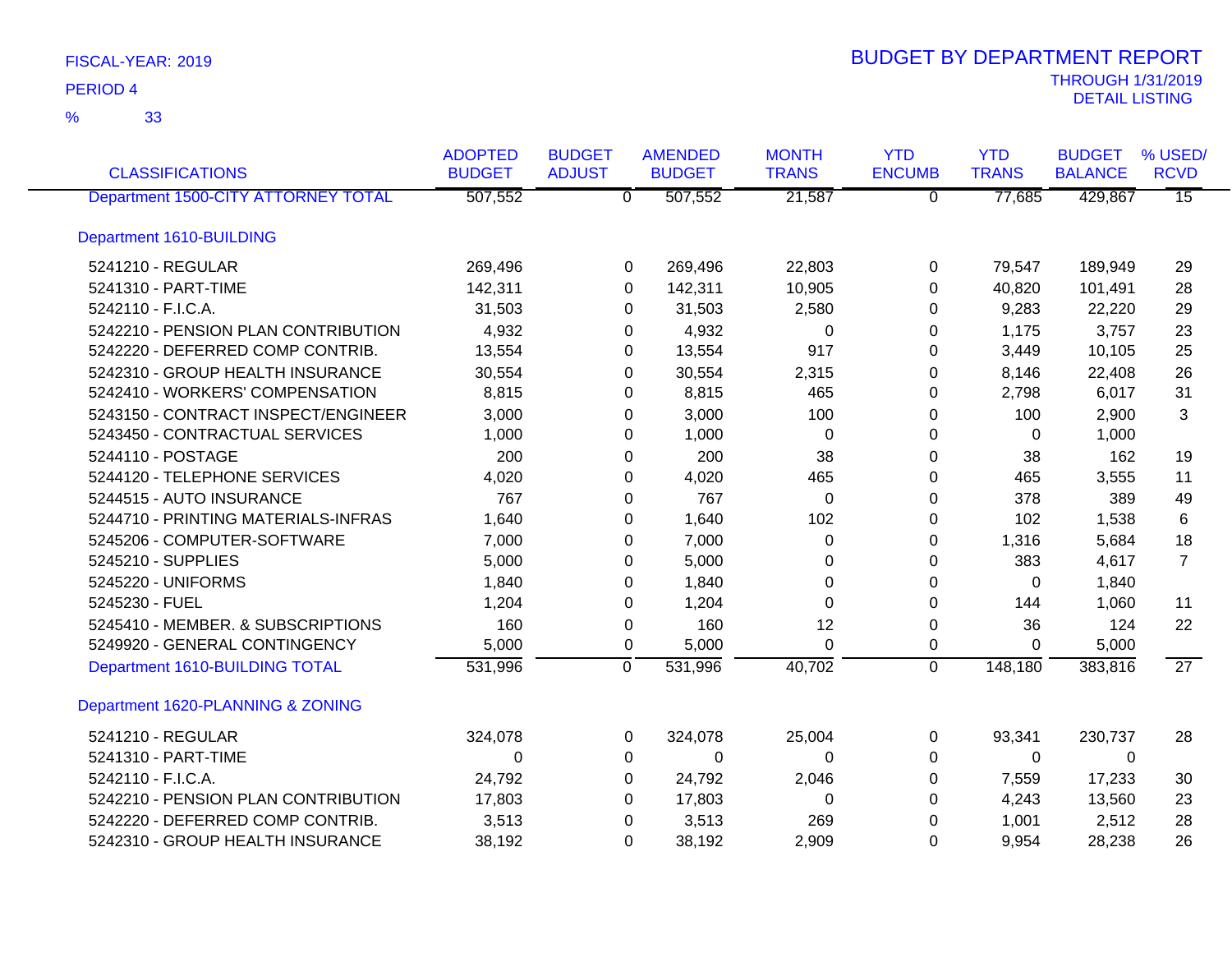| <b>CLASSIFICATIONS</b>              | <b>ADOPTED</b><br><b>BUDGET</b> | <b>BUDGET</b><br><b>ADJUST</b> | <b>AMENDED</b><br><b>BUDGET</b>        | <b>MONTH</b><br><b>TRANS</b> | <b>YTD</b><br><b>ENCUMB</b> | <b>YTD</b><br><b>TRANS</b> | <b>BUDGET</b><br><b>BALANCE</b> | % USED/<br><b>RCVD</b> |
|-------------------------------------|---------------------------------|--------------------------------|----------------------------------------|------------------------------|-----------------------------|----------------------------|---------------------------------|------------------------|
| Department 1500-CITY ATTORNEY TOTAL | 507,552                         |                                | 507,552<br>$\overline{\mathfrak{0}}^-$ | 21,587                       | $\overline{0}$              | 77,685                     | 429,867                         | $\overline{15}$        |
| Department 1610-BUILDING            |                                 |                                |                                        |                              |                             |                            |                                 |                        |
| 5241210 - REGULAR                   | 269,496                         |                                | 269,496<br>0                           | 22,803                       | 0                           | 79,547                     | 189,949                         | 29                     |
| 5241310 - PART-TIME                 | 142,311                         |                                | 142,311<br>$\Omega$                    | 10,905                       | $\Omega$                    | 40,820                     | 101,491                         | 28                     |
| 5242110 - F.I.C.A.                  | 31,503                          |                                | 31,503<br>0                            | 2,580                        | 0                           | 9,283                      | 22,220                          | 29                     |
| 5242210 - PENSION PLAN CONTRIBUTION | 4,932                           |                                | 4,932<br>0                             | 0                            | 0                           | 1,175                      | 3,757                           | 23                     |
| 5242220 - DEFERRED COMP CONTRIB.    | 13,554                          |                                | 13,554<br>0                            | 917                          | 0                           | 3,449                      | 10,105                          | 25                     |
| 5242310 - GROUP HEALTH INSURANCE    | 30,554                          |                                | 30,554<br>0                            | 2,315                        | 0                           | 8,146                      | 22,408                          | 26                     |
| 5242410 - WORKERS' COMPENSATION     | 8,815                           |                                | 8,815<br>0                             | 465                          | 0                           | 2,798                      | 6,017                           | 31                     |
| 5243150 - CONTRACT INSPECT/ENGINEER | 3,000                           |                                | 3,000<br>0                             | 100                          | 0                           | 100                        | 2,900                           | 3                      |
| 5243450 - CONTRACTUAL SERVICES      | 1,000                           |                                | 1,000<br>0                             | 0                            | 0                           | 0                          | 1,000                           |                        |
| 5244110 - POSTAGE                   | 200                             |                                | 200<br>0                               | 38                           | 0                           | 38                         | 162                             | 19                     |
| 5244120 - TELEPHONE SERVICES        | 4,020                           |                                | 4,020<br>0                             | 465                          | $\Omega$                    | 465                        | 3,555                           | 11                     |
| 5244515 - AUTO INSURANCE            | 767                             |                                | 767<br>0                               | $\mathbf 0$                  | 0                           | 378                        | 389                             | 49                     |
| 5244710 - PRINTING MATERIALS-INFRAS | 1,640                           |                                | 1,640<br>0                             | 102                          | 0                           | 102                        | 1,538                           | 6                      |
| 5245206 - COMPUTER-SOFTWARE         | 7,000                           |                                | 7,000<br>0                             | 0                            | 0                           | 1,316                      | 5,684                           | 18                     |
| 5245210 - SUPPLIES                  | 5,000                           |                                | 5,000<br>0                             | 0                            | $\Omega$                    | 383                        | 4,617                           | $\overline{7}$         |
| 5245220 - UNIFORMS                  | 1,840                           |                                | 1,840<br>0                             | 0                            | 0                           | 0                          | 1,840                           |                        |
| 5245230 - FUEL                      | 1,204                           |                                | 1,204<br>0                             | $\Omega$                     | 0                           | 144                        | 1,060                           | 11                     |
| 5245410 - MEMBER, & SUBSCRIPTIONS   | 160                             |                                | 160<br>$\mathbf 0$                     | 12                           | 0                           | 36                         | 124                             | 22                     |
| 5249920 - GENERAL CONTINGENCY       | 5,000                           |                                | 5,000<br>0                             | 0                            | 0                           | 0                          | 5,000                           |                        |
| Department 1610-BUILDING TOTAL      | 531,996                         |                                | $\overline{0}$<br>531,996              | 40,702                       | $\mathbf 0$                 | 148,180                    | 383,816                         | 27                     |
| Department 1620-PLANNING & ZONING   |                                 |                                |                                        |                              |                             |                            |                                 |                        |
| 5241210 - REGULAR                   | 324,078                         |                                | 324,078<br>0                           | 25,004                       | 0                           | 93,341                     | 230,737                         | 28                     |
| 5241310 - PART-TIME                 | $\Omega$                        |                                | $\mathbf 0$<br>0                       | 0                            | 0                           | $\Omega$                   | 0                               |                        |
| 5242110 - F.I.C.A.                  | 24,792                          |                                | 24,792<br>0                            | 2,046                        | 0                           | 7,559                      | 17,233                          | 30                     |
| 5242210 - PENSION PLAN CONTRIBUTION | 17,803                          |                                | 17,803<br>0                            | 0                            | 0                           | 4,243                      | 13,560                          | 23                     |
| 5242220 - DEFERRED COMP CONTRIB.    | 3,513                           |                                | 3,513<br>0                             | 269                          | 0                           | 1,001                      | 2,512                           | 28                     |
| 5242310 - GROUP HEALTH INSURANCE    | 38,192                          |                                | $\Omega$<br>38,192                     | 2,909                        | $\Omega$                    | 9,954                      | 28,238                          | 26                     |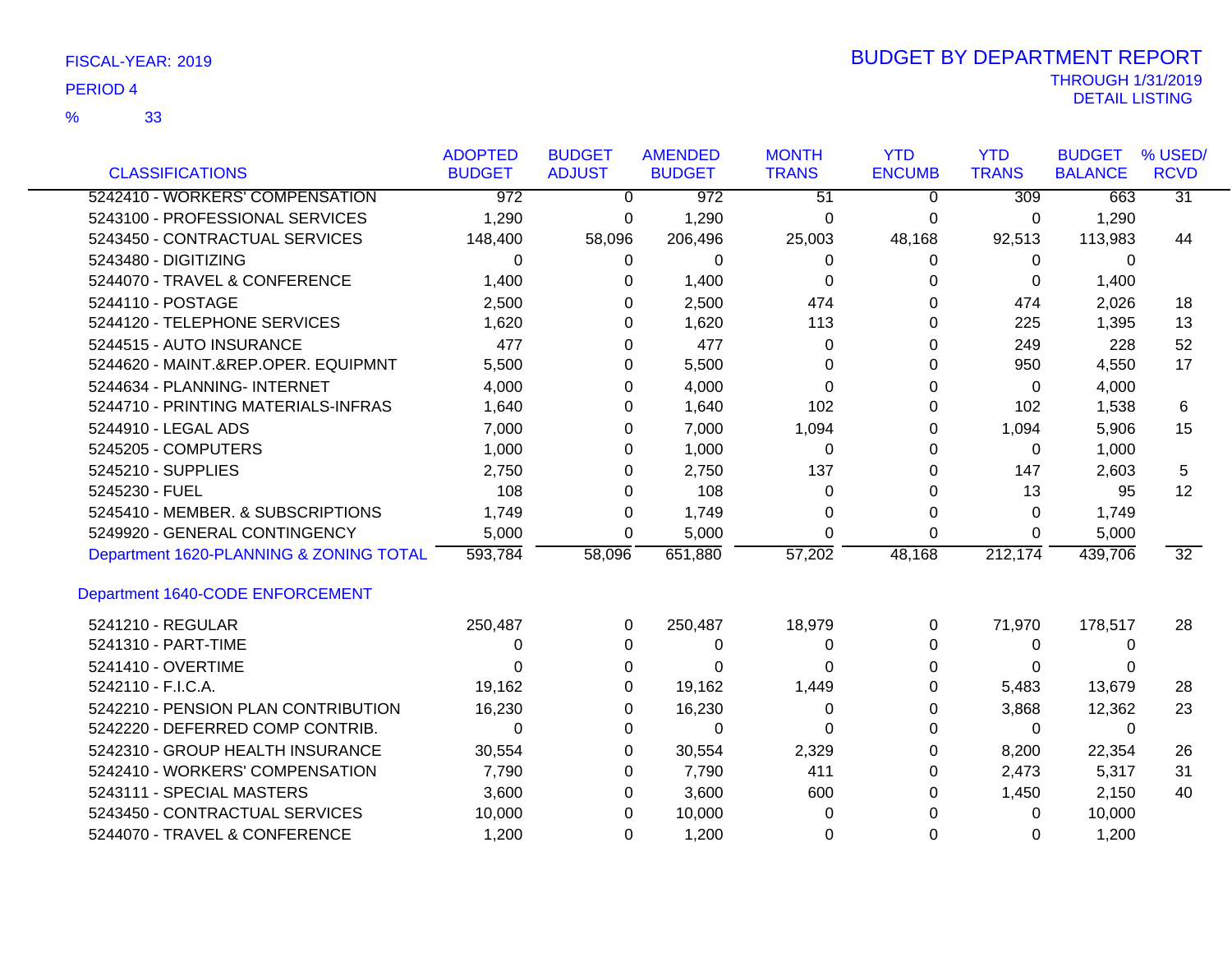| FISCAL-YEAR: 2019 |  |  |
|-------------------|--|--|
|-------------------|--|--|

|                                         | <b>ADOPTED</b>   | <b>BUDGET</b>  | <b>AMENDED</b>   | <b>MONTH</b>    | <b>YTD</b>    | <b>YTD</b>   | <b>BUDGET</b>  | % USED/         |
|-----------------------------------------|------------------|----------------|------------------|-----------------|---------------|--------------|----------------|-----------------|
| <b>CLASSIFICATIONS</b>                  | <b>BUDGET</b>    | <b>ADJUST</b>  | <b>BUDGET</b>    | <b>TRANS</b>    | <b>ENCUMB</b> | <b>TRANS</b> | <b>BALANCE</b> | <b>RCVD</b>     |
| 5242410 - WORKERS' COMPENSATION         | $\overline{972}$ | $\overline{0}$ | $\overline{972}$ | $\overline{51}$ | $\Omega$      | 309          | 663            | $\overline{31}$ |
| 5243100 - PROFESSIONAL SERVICES         | 1,290            | 0              | 1,290            | $\mathbf 0$     | 0             | 0            | 1,290          |                 |
| 5243450 - CONTRACTUAL SERVICES          | 148,400          | 58,096         | 206,496          | 25,003          | 48,168        | 92,513       | 113,983        | 44              |
| 5243480 - DIGITIZING                    | 0                | $\Omega$       | 0                | $\Omega$        | 0             | 0            | 0              |                 |
| 5244070 - TRAVEL & CONFERENCE           | 1,400            | 0              | 1,400            | 0               | 0             | 0            | 1,400          |                 |
| 5244110 - POSTAGE                       | 2,500            | $\Omega$       | 2,500            | 474             | 0             | 474          | 2,026          | 18              |
| 5244120 - TELEPHONE SERVICES            | 1,620            | 0              | 1,620            | 113             | 0             | 225          | 1,395          | 13              |
| 5244515 - AUTO INSURANCE                | 477              | 0              | 477              | $\Omega$        | 0             | 249          | 228            | 52              |
| 5244620 - MAINT.&REP.OPER. EQUIPMNT     | 5,500            | 0              | 5,500            | $\Omega$        | 0             | 950          | 4,550          | 17              |
| 5244634 - PLANNING- INTERNET            | 4,000            | 0              | 4,000            | 0               | 0             | 0            | 4,000          |                 |
| 5244710 - PRINTING MATERIALS-INFRAS     | 1,640            | 0              | 1,640            | 102             | 0             | 102          | 1,538          | 6               |
| 5244910 - LEGAL ADS                     | 7,000            | 0              | 7,000            | 1,094           | 0             | 1,094        | 5,906          | 15              |
| 5245205 - COMPUTERS                     | 1,000            | 0              | 1,000            | 0               | 0             | 0            | 1,000          |                 |
| 5245210 - SUPPLIES                      | 2,750            | 0              | 2,750            | 137             | 0             | 147          | 2,603          | 5               |
| 5245230 - FUEL                          | 108              | 0              | 108              | $\Omega$        | 0             | 13           | 95             | 12              |
| 5245410 - MEMBER. & SUBSCRIPTIONS       | 1,749            | $\Omega$       | 1,749            | $\Omega$        | 0             | $\Omega$     | 1,749          |                 |
| 5249920 - GENERAL CONTINGENCY           | 5,000            | $\Omega$       | 5,000            | $\Omega$        | $\Omega$      | $\Omega$     | 5,000          |                 |
| Department 1620-PLANNING & ZONING TOTAL | 593,784          | 58,096         | 651,880          | 57,202          | 48,168        | 212,174      | 439,706        | 32              |
| Department 1640-CODE ENFORCEMENT        |                  |                |                  |                 |               |              |                |                 |
| 5241210 - REGULAR                       | 250,487          | $\Omega$       | 250,487          | 18,979          | 0             | 71,970       | 178,517        | 28              |
| 5241310 - PART-TIME                     | 0                | 0              | 0                | 0               | 0             | 0            | 0              |                 |
| 5241410 - OVERTIME                      | $\Omega$         | 0              | $\Omega$         | 0               | 0             | 0            |                |                 |
| 5242110 - F.I.C.A.                      | 19,162           | 0              | 19,162           | 1,449           | 0             | 5,483        | 13,679         | 28              |
| 5242210 - PENSION PLAN CONTRIBUTION     | 16,230           | 0              | 16,230           | 0               | 0             | 3,868        | 12,362         | 23              |
| 5242220 - DEFERRED COMP CONTRIB.        | 0                | 0              | $\Omega$         | $\Omega$        | 0             | 0            | $\Omega$       |                 |
| 5242310 - GROUP HEALTH INSURANCE        | 30,554           | 0              | 30,554           | 2,329           | 0             | 8,200        | 22,354         | 26              |
| 5242410 - WORKERS' COMPENSATION         | 7,790            | 0              | 7,790            | 411             | 0             | 2,473        | 5,317          | 31              |
| 5243111 - SPECIAL MASTERS               | 3,600            | 0              | 3,600            | 600             | 0             | 1,450        | 2,150          | 40              |
| 5243450 - CONTRACTUAL SERVICES          | 10,000           | 0              | 10,000           | 0               | 0             | 0            | 10,000         |                 |
| 5244070 - TRAVEL & CONFERENCE           | 1,200            | $\Omega$       | 1,200            | 0               | 0             | 0            | 1,200          |                 |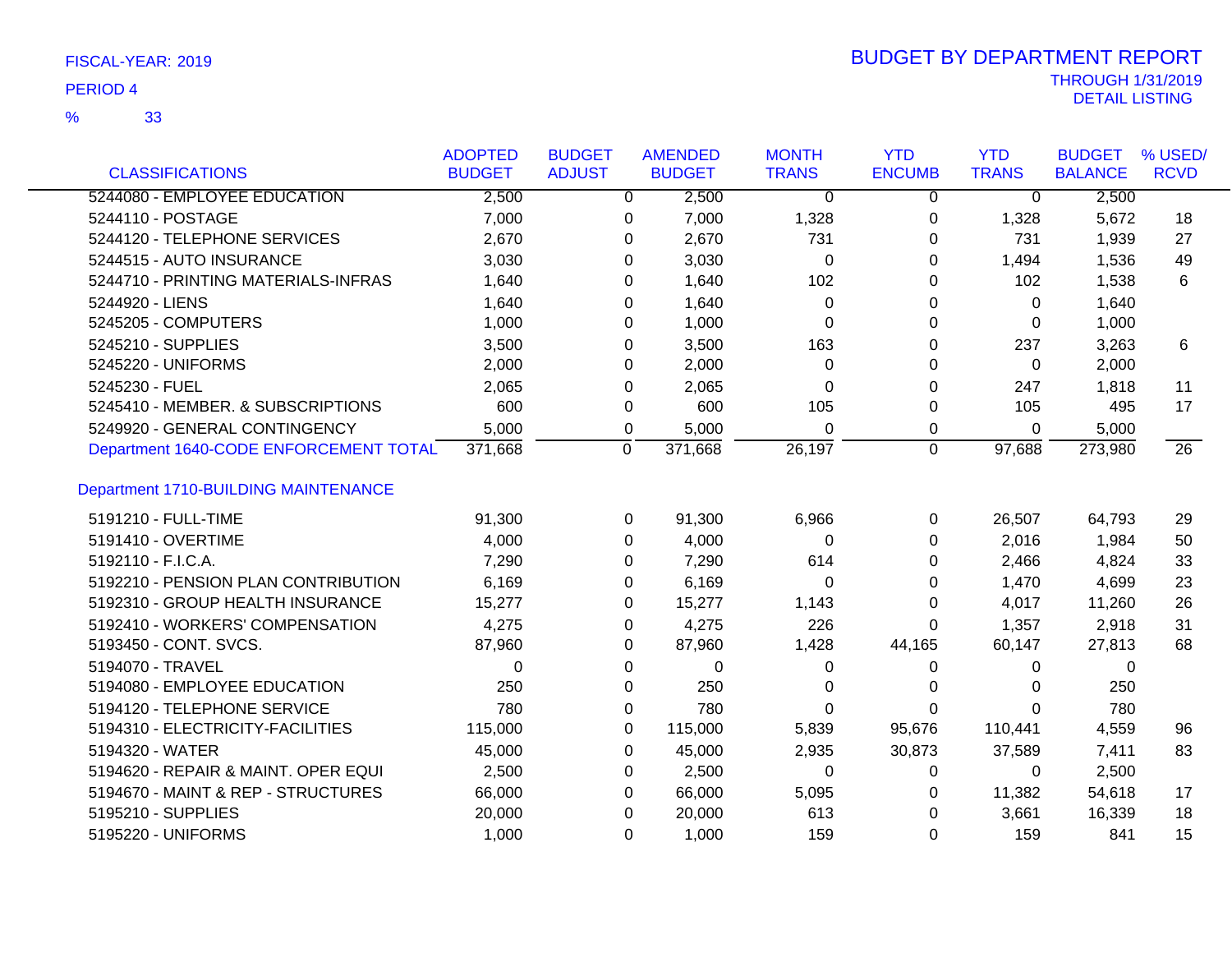33 %

|                                        | <b>ADOPTED</b> | <b>BUDGET</b>  |                | <b>AMENDED</b> | <b>MONTH</b>   | <b>YTD</b>     | <b>YTD</b>     | <b>BUDGET</b>  | % USED/         |
|----------------------------------------|----------------|----------------|----------------|----------------|----------------|----------------|----------------|----------------|-----------------|
| <b>CLASSIFICATIONS</b>                 | <b>BUDGET</b>  | <b>ADJUST</b>  |                | <b>BUDGET</b>  | <b>TRANS</b>   | <b>ENCUMB</b>  | <b>TRANS</b>   | <b>BALANCE</b> | <b>RCVD</b>     |
| 5244080 - EMPLOYEE EDUCATION           | 2,500          |                | $\overline{0}$ | 2,500          | $\overline{0}$ | $\overline{0}$ | $\overline{0}$ | 2,500          |                 |
| 5244110 - POSTAGE                      | 7,000          |                | 0              | 7,000          | 1,328          | 0              | 1,328          | 5,672          | 18              |
| 5244120 - TELEPHONE SERVICES           | 2,670          |                | 0              | 2,670          | 731            | 0              | 731            | 1,939          | 27              |
| 5244515 - AUTO INSURANCE               | 3,030          |                | 0              | 3,030          | 0              | 0              | 1,494          | 1,536          | 49              |
| 5244710 - PRINTING MATERIALS-INFRAS    | 1,640          |                | 0              | 1,640          | 102            | 0              | 102            | 1,538          | 6               |
| 5244920 - LIENS                        | 1,640          |                | 0              | 1,640          | 0              | 0              | 0              | 1,640          |                 |
| 5245205 - COMPUTERS                    | 1,000          |                | 0              | 1,000          | 0              | 0              | 0              | 1,000          |                 |
| 5245210 - SUPPLIES                     | 3,500          |                | 0              | 3,500          | 163            | 0              | 237            | 3,263          | 6               |
| 5245220 - UNIFORMS                     | 2,000          |                | 0              | 2,000          | 0              | 0              | 0              | 2,000          |                 |
| 5245230 - FUEL                         | 2,065          |                | 0              | 2,065          | $\Omega$       | 0              | 247            | 1,818          | 11              |
| 5245410 - MEMBER. & SUBSCRIPTIONS      | 600            |                | 0              | 600            | 105            | 0              | 105            | 495            | 17              |
| 5249920 - GENERAL CONTINGENCY          | 5,000          |                | 0              | 5,000          | $\Omega$       | 0              | $\Omega$       | 5,000          |                 |
| Department 1640-CODE ENFORCEMENT TOTAL | 371,668        | $\overline{0}$ |                | 371,668        | 26,197         | $\overline{0}$ | 97,688         | 273,980        | $\overline{26}$ |
| Department 1710-BUILDING MAINTENANCE   |                |                |                |                |                |                |                |                |                 |
| 5191210 - FULL-TIME                    | 91,300         |                | 0              | 91,300         | 6,966          | 0              | 26,507         | 64,793         | 29              |
| 5191410 - OVERTIME                     | 4,000          |                | 0              | 4,000          | 0              | 0              | 2,016          | 1,984          | 50              |
| 5192110 - F.I.C.A.                     | 7,290          |                | 0              | 7,290          | 614            | 0              | 2,466          | 4,824          | 33              |
| 5192210 - PENSION PLAN CONTRIBUTION    | 6,169          |                | 0              | 6,169          | 0              | 0              | 1,470          | 4,699          | 23              |
| 5192310 - GROUP HEALTH INSURANCE       | 15,277         |                | 0              | 15,277         | 1,143          | 0              | 4,017          | 11,260         | 26              |
| 5192410 - WORKERS' COMPENSATION        | 4,275          |                | 0              | 4,275          | 226            | 0              | 1,357          | 2,918          | 31              |
| 5193450 - CONT. SVCS.                  | 87,960         |                | 0              | 87,960         | 1,428          | 44,165         | 60,147         | 27,813         | 68              |
| 5194070 - TRAVEL                       | $\Omega$       |                | 0              | $\mathbf 0$    | 0              | 0              | 0              | 0              |                 |
| 5194080 - EMPLOYEE EDUCATION           | 250            |                | 0              | 250            | 0              | 0              | 0              | 250            |                 |
| 5194120 - TELEPHONE SERVICE            | 780            |                | 0              | 780            | $\Omega$       | 0              | $\Omega$       | 780            |                 |
| 5194310 - ELECTRICITY-FACILITIES       | 115,000        |                | 0              | 115,000        | 5,839          | 95,676         | 110,441        | 4,559          | 96              |
| 5194320 - WATER                        | 45,000         |                | 0              | 45,000         | 2,935          | 30,873         | 37,589         | 7,411          | 83              |
| 5194620 - REPAIR & MAINT. OPER EQUI    | 2,500          |                | 0              | 2,500          | 0              | 0              | 0              | 2,500          |                 |
| 5194670 - MAINT & REP - STRUCTURES     | 66,000         |                | 0              | 66,000         | 5,095          | 0              | 11,382         | 54,618         | 17              |
| 5195210 - SUPPLIES                     | 20,000         |                | 0              | 20,000         | 613            | 0              | 3,661          | 16,339         | 18              |
| 5195220 - UNIFORMS                     | 1,000          |                | $\Omega$       | 1,000          | 159            | 0              | 159            | 841            | 15              |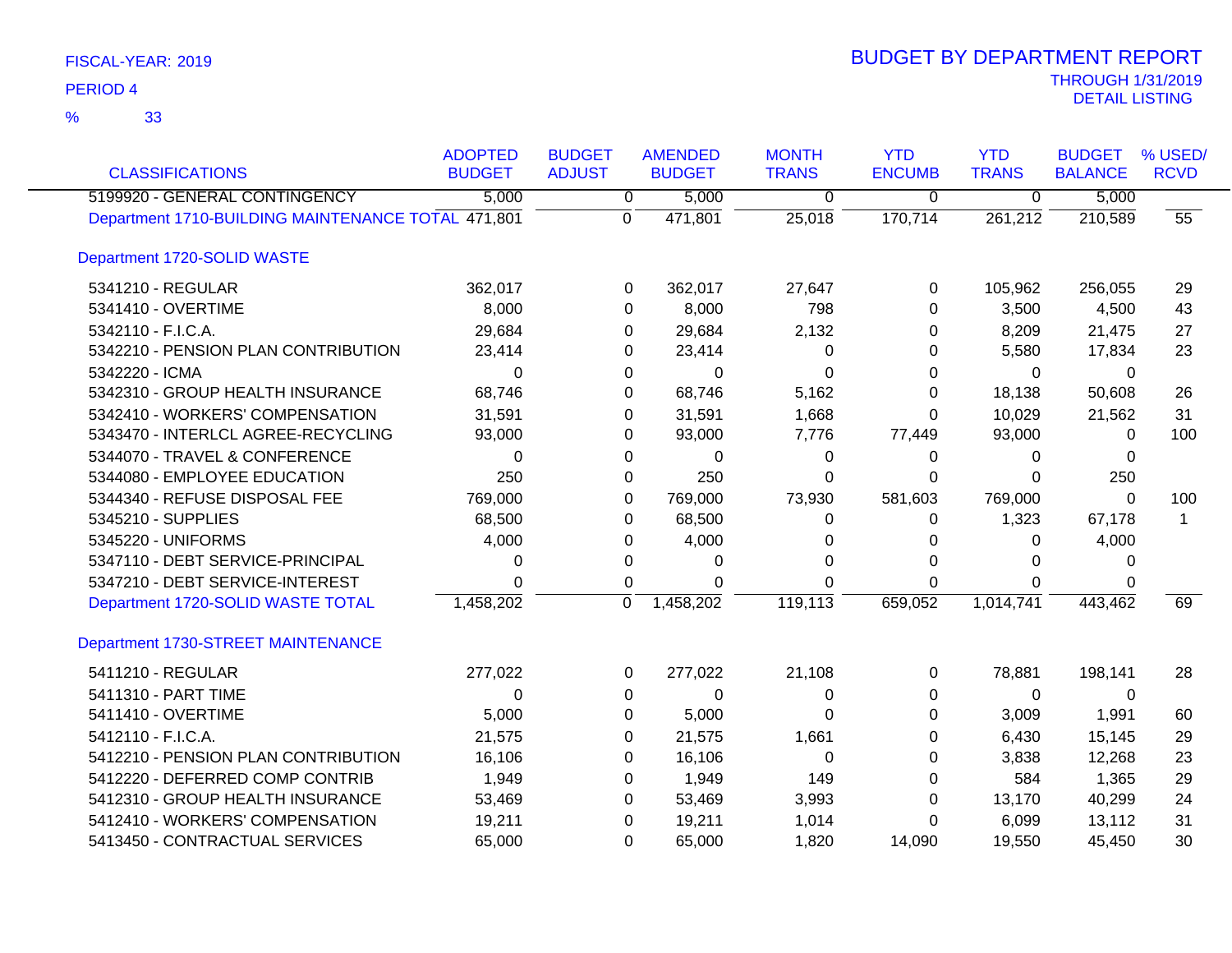| <b>CLASSIFICATIONS</b>                             | <b>ADOPTED</b><br><b>BUDGET</b> | <b>BUDGET</b><br><b>ADJUST</b> | <b>AMENDED</b><br><b>BUDGET</b> | <b>MONTH</b><br><b>TRANS</b> | <b>YTD</b><br><b>ENCUMB</b> | <b>YTD</b><br><b>TRANS</b> | <b>BUDGET</b><br><b>BALANCE</b> | % USED/<br><b>RCVD</b> |
|----------------------------------------------------|---------------------------------|--------------------------------|---------------------------------|------------------------------|-----------------------------|----------------------------|---------------------------------|------------------------|
| 5199920 - GENERAL CONTINGENCY                      | 5,000                           | $\overline{0}$                 | 5,000                           | 0                            | 0                           | $\overline{0}$             | 5,000                           |                        |
| Department 1710-BUILDING MAINTENANCE TOTAL 471,801 |                                 | $\Omega$                       | 471,801                         | 25,018                       | 170,714                     | 261,212                    | 210,589                         | 55                     |
| Department 1720-SOLID WASTE                        |                                 |                                |                                 |                              |                             |                            |                                 |                        |
| 5341210 - REGULAR                                  | 362,017                         | 0                              | 362,017                         | 27,647                       | 0                           | 105,962                    | 256,055                         | 29                     |
| 5341410 - OVERTIME                                 | 8,000                           | 0                              | 8,000                           | 798                          | 0                           | 3,500                      | 4,500                           | 43                     |
| 5342110 - F.I.C.A.                                 | 29,684                          | 0                              | 29,684                          | 2,132                        | 0                           | 8,209                      | 21,475                          | 27                     |
| 5342210 - PENSION PLAN CONTRIBUTION                | 23,414                          | 0                              | 23,414                          | 0                            | 0                           | 5,580                      | 17,834                          | 23                     |
| 5342220 - ICMA                                     | 0                               | 0                              | 0                               | 0                            | 0                           | 0                          | $\Omega$                        |                        |
| 5342310 - GROUP HEALTH INSURANCE                   | 68,746                          | 0                              | 68,746                          | 5,162                        | 0                           | 18,138                     | 50,608                          | 26                     |
| 5342410 - WORKERS' COMPENSATION                    | 31,591                          | 0                              | 31,591                          | 1,668                        | 0                           | 10,029                     | 21,562                          | 31                     |
| 5343470 - INTERLCL AGREE-RECYCLING                 | 93,000                          | 0                              | 93,000                          | 7,776                        | 77,449                      | 93,000                     | 0                               | 100                    |
| 5344070 - TRAVEL & CONFERENCE                      | $\Omega$                        | 0                              | 0                               | 0                            | 0                           | 0                          | $\Omega$                        |                        |
| 5344080 - EMPLOYEE EDUCATION                       | 250                             | 0                              | 250                             | 0                            | 0                           | $\Omega$                   | 250                             |                        |
| 5344340 - REFUSE DISPOSAL FEE                      | 769,000                         | 0                              | 769,000                         | 73,930                       | 581,603                     | 769,000                    | $\Omega$                        | 100                    |
| 5345210 - SUPPLIES                                 | 68,500                          | 0                              | 68,500                          | 0                            | 0                           | 1,323                      | 67,178                          | $\mathbf 1$            |
| 5345220 - UNIFORMS                                 | 4,000                           | 0                              | 4,000                           | 0                            | 0                           | 0                          | 4,000                           |                        |
| 5347110 - DEBT SERVICE-PRINCIPAL                   | 0                               | 0                              | 0                               | 0                            | 0                           | 0                          | $\Omega$                        |                        |
| 5347210 - DEBT SERVICE-INTEREST                    | 0                               | 0                              | 0                               | $\Omega$                     | 0                           | $\Omega$                   | 0                               |                        |
| Department 1720-SOLID WASTE TOTAL                  | 1,458,202                       | $\Omega$                       | 1,458,202                       | 119, 113                     | 659,052                     | 1,014,741                  | 443,462                         | 69                     |
| Department 1730-STREET MAINTENANCE                 |                                 |                                |                                 |                              |                             |                            |                                 |                        |
| 5411210 - REGULAR                                  | 277,022                         | 0                              | 277,022                         | 21,108                       | 0                           | 78,881                     | 198,141                         | 28                     |
| 5411310 - PART TIME                                | $\Omega$                        | 0                              | 0                               | 0                            | 0                           | $\mathbf 0$                | $\Omega$                        |                        |
| 5411410 - OVERTIME                                 | 5,000                           | 0                              | 5,000                           | 0                            | 0                           | 3,009                      | 1,991                           | 60                     |
| 5412110 - F.I.C.A.                                 | 21,575                          | 0                              | 21,575                          | 1,661                        | 0                           | 6,430                      | 15,145                          | 29                     |
| 5412210 - PENSION PLAN CONTRIBUTION                | 16,106                          | 0                              | 16,106                          | $\Omega$                     | 0                           | 3,838                      | 12,268                          | 23                     |
| 5412220 - DEFERRED COMP CONTRIB                    | 1,949                           | 0                              | 1,949                           | 149                          | 0                           | 584                        | 1,365                           | 29                     |
| 5412310 - GROUP HEALTH INSURANCE                   | 53,469                          | 0                              | 53,469                          | 3,993                        | 0                           | 13,170                     | 40,299                          | 24                     |
| 5412410 - WORKERS' COMPENSATION                    | 19,211                          | 0                              | 19,211                          | 1,014                        | 0                           | 6,099                      | 13,112                          | 31                     |
| 5413450 - CONTRACTUAL SERVICES                     | 65,000                          | $\Omega$                       | 65,000                          | 1,820                        | 14,090                      | 19,550                     | 45,450                          | 30                     |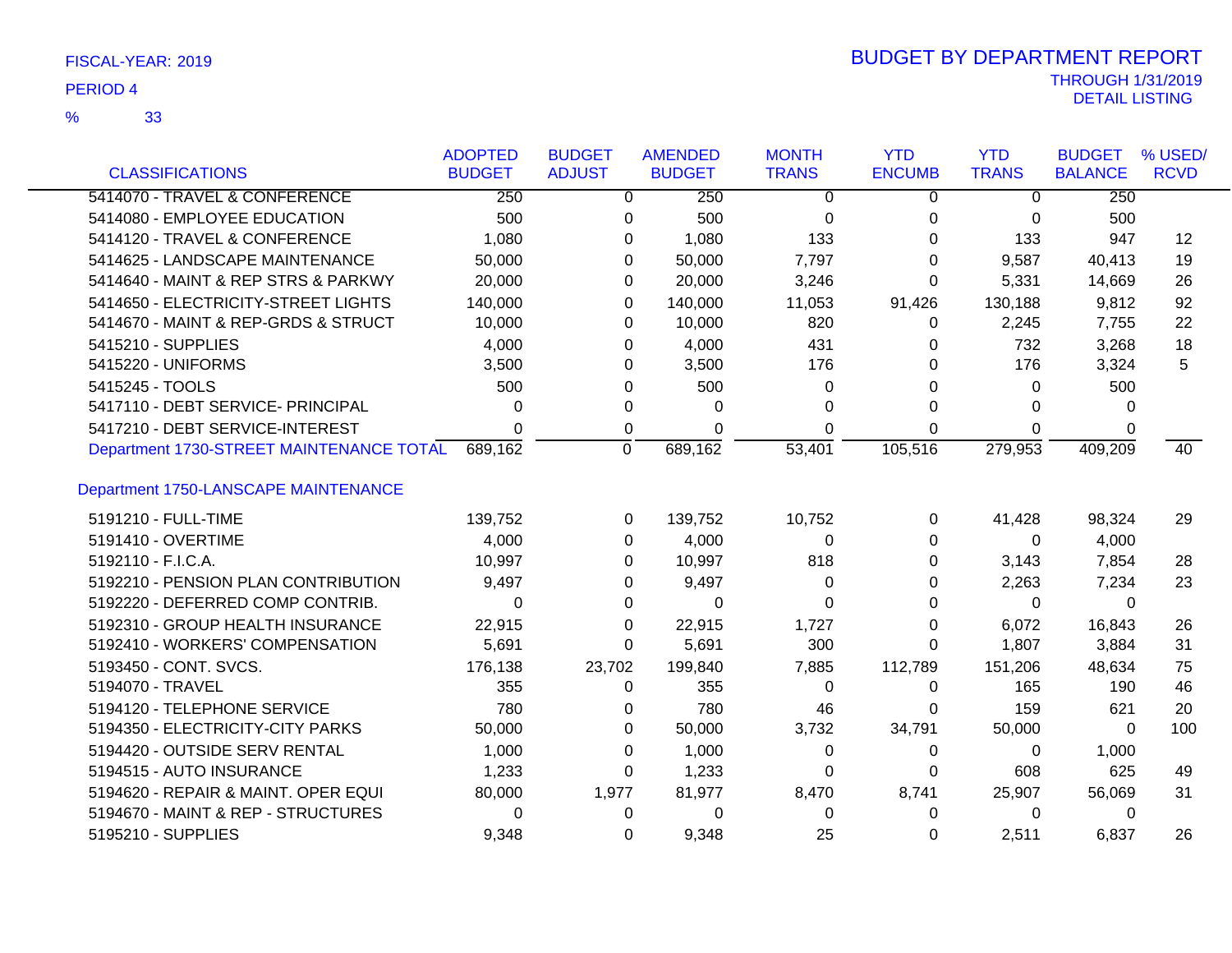| FISCAL-YEAR: 2019 |  |
|-------------------|--|
|-------------------|--|

| <b>CLASSIFICATIONS</b>                   | <b>ADOPTED</b><br><b>BUDGET</b> | <b>BUDGET</b><br><b>ADJUST</b> | <b>AMENDED</b><br><b>BUDGET</b> | <b>MONTH</b><br><b>TRANS</b> | <b>YTD</b><br><b>ENCUMB</b> | <b>YTD</b><br><b>TRANS</b> | <b>BUDGET</b><br><b>BALANCE</b> | % USED/<br><b>RCVD</b> |
|------------------------------------------|---------------------------------|--------------------------------|---------------------------------|------------------------------|-----------------------------|----------------------------|---------------------------------|------------------------|
| 5414070 - TRAVEL & CONFERENCE            | 250                             |                                | 0<br>250                        | 0                            | 0                           | $\overline{0}$             | 250                             |                        |
| 5414080 - EMPLOYEE EDUCATION             | 500                             |                                | 500<br>0                        | 0                            | 0                           | 0                          | 500                             |                        |
| 5414120 - TRAVEL & CONFERENCE            | 1,080                           |                                | 1,080<br>0                      | 133                          | 0                           | 133                        | 947                             | 12                     |
| 5414625 - LANDSCAPE MAINTENANCE          | 50,000                          |                                | 50,000<br>0                     | 7,797                        | 0                           | 9,587                      | 40,413                          | 19                     |
| 5414640 - MAINT & REP STRS & PARKWY      | 20,000                          |                                | 20,000<br>0                     | 3,246                        | $\Omega$                    | 5,331                      | 14,669                          | 26                     |
| 5414650 - ELECTRICITY-STREET LIGHTS      | 140,000                         |                                | 140,000<br>0                    | 11,053                       | 91,426                      | 130,188                    | 9,812                           | 92                     |
| 5414670 - MAINT & REP-GRDS & STRUCT      | 10,000                          |                                | 10,000<br>0                     | 820                          | 0                           | 2,245                      | 7,755                           | 22                     |
| 5415210 - SUPPLIES                       | 4,000                           |                                | 4,000<br>0                      | 431                          | 0                           | 732                        | 3,268                           | 18                     |
| 5415220 - UNIFORMS                       | 3,500                           |                                | 3,500<br>0                      | 176                          | $\Omega$                    | 176                        | 3,324                           | 5                      |
| 5415245 - TOOLS                          | 500                             |                                | 500<br>0                        | 0                            | 0                           | $\mathbf{0}$               | 500                             |                        |
| 5417110 - DEBT SERVICE- PRINCIPAL        | 0                               |                                | 0<br>0                          | 0                            | $\Omega$                    | $\Omega$                   | 0                               |                        |
| 5417210 - DEBT SERVICE-INTEREST          | 0                               | 0                              | $\Omega$                        | $\Omega$                     | $\Omega$                    | $\Omega$                   | 0                               |                        |
| Department 1730-STREET MAINTENANCE TOTAL | 689,162                         | $\Omega$                       | 689,162                         | 53,401                       | 105,516                     | 279,953                    | 409,209                         | 40                     |
| Department 1750-LANSCAPE MAINTENANCE     |                                 |                                |                                 |                              |                             |                            |                                 |                        |
| 5191210 - FULL-TIME                      | 139,752                         |                                | 139,752<br>0                    | 10,752                       | 0                           | 41,428                     | 98,324                          | 29                     |
| 5191410 - OVERTIME                       | 4,000                           |                                | 4,000<br>0                      | 0                            | 0                           | $\Omega$                   | 4,000                           |                        |
| 5192110 - F.I.C.A.                       | 10,997                          |                                | 10,997<br>0                     | 818                          | 0                           | 3,143                      | 7,854                           | 28                     |
| 5192210 - PENSION PLAN CONTRIBUTION      | 9,497                           |                                | 9,497<br>0                      | 0                            | 0                           | 2,263                      | 7,234                           | 23                     |
| 5192220 - DEFERRED COMP CONTRIB.         | 0                               |                                | 0<br>0                          | $\Omega$                     | 0                           | $\Omega$                   | $\Omega$                        |                        |
| 5192310 - GROUP HEALTH INSURANCE         | 22,915                          |                                | 0<br>22,915                     | 1,727                        | $\Omega$                    | 6,072                      | 16,843                          | 26                     |
| 5192410 - WORKERS' COMPENSATION          | 5,691                           |                                | 5,691<br>0                      | 300                          | $\Omega$                    | 1,807                      | 3,884                           | 31                     |
| 5193450 - CONT. SVCS.                    | 176,138                         | 23,702                         | 199,840                         | 7,885                        | 112,789                     | 151,206                    | 48,634                          | 75                     |
| 5194070 - TRAVEL                         | 355                             | 0                              | 355                             | 0                            | $\Omega$                    | 165                        | 190                             | 46                     |
| 5194120 - TELEPHONE SERVICE              | 780                             |                                | 780<br>0                        | 46                           | 0                           | 159                        | 621                             | 20                     |
| 5194350 - ELECTRICITY-CITY PARKS         | 50,000                          |                                | 50,000<br>0                     | 3,732                        | 34,791                      | 50,000                     | 0                               | 100                    |
| 5194420 - OUTSIDE SERV RENTAL            | 1,000                           |                                | 1,000<br>0                      | 0                            | 0                           | $\mathbf 0$                | 1,000                           |                        |
| 5194515 - AUTO INSURANCE                 | 1,233                           |                                | 1,233<br>0                      | $\Omega$                     | $\Omega$                    | 608                        | 625                             | 49                     |
| 5194620 - REPAIR & MAINT. OPER EQUI      | 80,000                          | 1,977                          | 81,977                          | 8,470                        | 8,741                       | 25,907                     | 56,069                          | 31                     |
| 5194670 - MAINT & REP - STRUCTURES       | 0                               | 0                              | 0                               | $\Omega$                     | $\Omega$                    | $\mathbf{0}$               | $\Omega$                        |                        |
| 5195210 - SUPPLIES                       | 9,348                           | $\Omega$                       | 9,348                           | 25                           | 0                           | 2,511                      | 6.837                           | 26                     |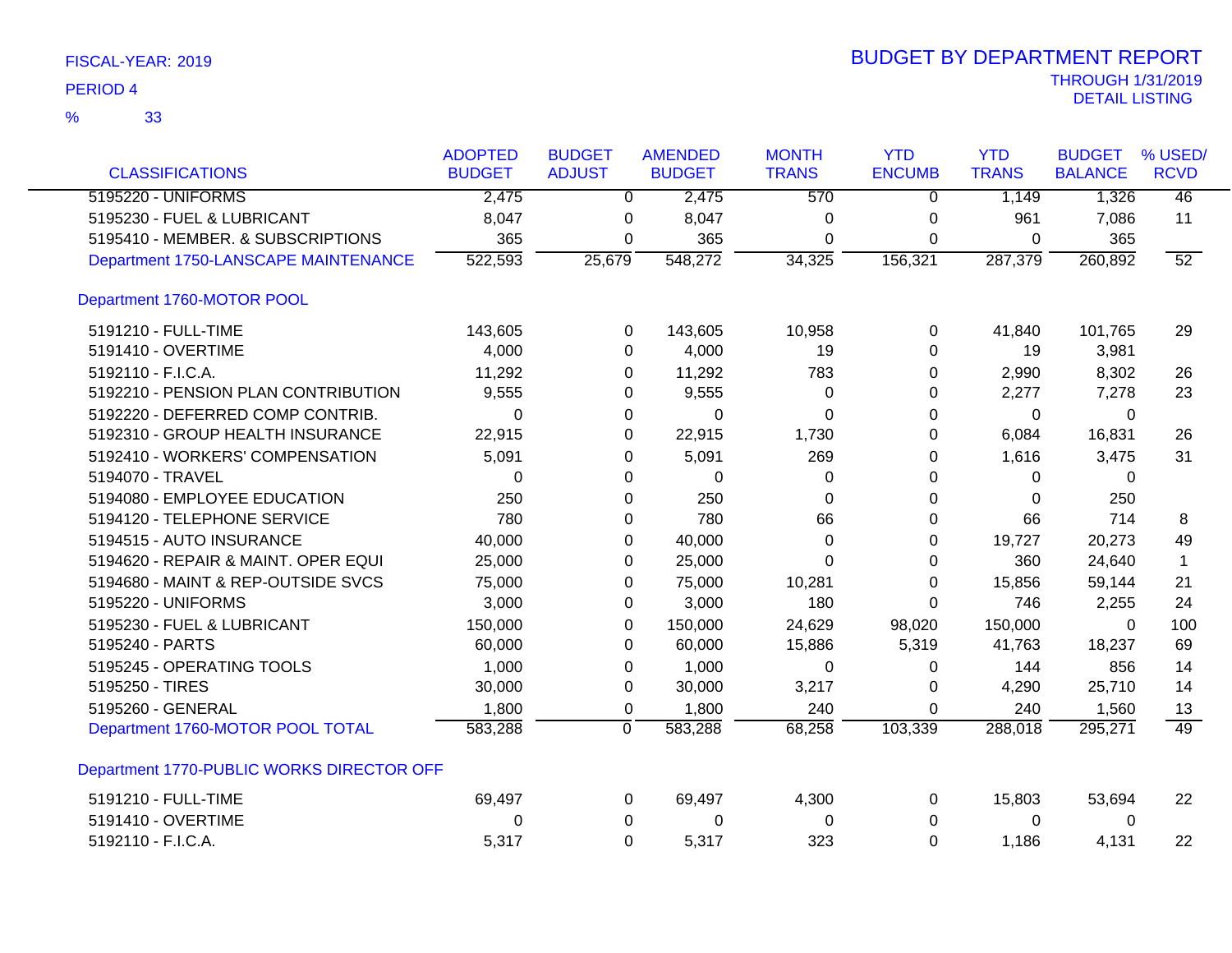|                                           | <b>ADOPTED</b> | <b>BUDGET</b> | <b>AMENDED</b> | <b>MONTH</b> | <b>YTD</b>    | <b>YTD</b>   | <b>BUDGET</b>  | % USED/     |
|-------------------------------------------|----------------|---------------|----------------|--------------|---------------|--------------|----------------|-------------|
| <b>CLASSIFICATIONS</b>                    | <b>BUDGET</b>  | <b>ADJUST</b> | <b>BUDGET</b>  | <b>TRANS</b> | <b>ENCUMB</b> | <b>TRANS</b> | <b>BALANCE</b> | <b>RCVD</b> |
| 5195220 - UNIFORMS                        | 2,475          | $\Omega$      | 2,475          | 570          | 0             | 1,149        | 1,326          | 46          |
| 5195230 - FUEL & LUBRICANT                | 8,047          | 0             | 8,047          | 0            | 0             | 961          | 7,086          | 11          |
| 5195410 - MEMBER. & SUBSCRIPTIONS         | 365            | 0             | 365            | 0            | 0             | 0            | 365            |             |
| Department 1750-LANSCAPE MAINTENANCE      | 522,593        | 25,679        | 548,272        | 34,325       | 156,321       | 287,379      | 260,892        | 52          |
| Department 1760-MOTOR POOL                |                |               |                |              |               |              |                |             |
| 5191210 - FULL-TIME                       | 143,605        | 0             | 143,605        | 10,958       | 0             | 41,840       | 101,765        | 29          |
| 5191410 - OVERTIME                        | 4,000          | 0             | 4,000          | 19           | 0             | 19           | 3,981          |             |
| 5192110 - F.I.C.A.                        | 11,292         | 0             | 11,292         | 783          | 0             | 2,990        | 8,302          | 26          |
| 5192210 - PENSION PLAN CONTRIBUTION       | 9,555          | 0             | 9,555          | 0            | 0             | 2,277        | 7,278          | 23          |
| 5192220 - DEFERRED COMP CONTRIB.          | $\Omega$       | 0             | $\Omega$       | $\Omega$     | 0             | $\Omega$     | $\Omega$       |             |
| 5192310 - GROUP HEALTH INSURANCE          | 22,915         | 0             | 22,915         | 1,730        | 0             | 6,084        | 16,831         | 26          |
| 5192410 - WORKERS' COMPENSATION           | 5,091          | 0             | 5,091          | 269          | 0             | 1,616        | 3,475          | 31          |
| 5194070 - TRAVEL                          | 0              | 0             | 0              | 0            | 0             | 0            | 0              |             |
| 5194080 - EMPLOYEE EDUCATION              | 250            | 0             | 250            | $\Omega$     | 0             | $\Omega$     | 250            |             |
| 5194120 - TELEPHONE SERVICE               | 780            | 0             | 780            | 66           | 0             | 66           | 714            | 8           |
| 5194515 - AUTO INSURANCE                  | 40,000         | 0             | 40,000         | 0            | 0             | 19,727       | 20,273         | 49          |
| 5194620 - REPAIR & MAINT. OPER EQUI       | 25,000         | 0             | 25,000         | $\Omega$     | 0             | 360          | 24,640         | 1           |
| 5194680 - MAINT & REP-OUTSIDE SVCS        | 75,000         | 0             | 75,000         | 10,281       | 0             | 15,856       | 59,144         | 21          |
| 5195220 - UNIFORMS                        | 3,000          | 0             | 3,000          | 180          | $\Omega$      | 746          | 2,255          | 24          |
| 5195230 - FUEL & LUBRICANT                | 150,000        | 0             | 150,000        | 24,629       | 98,020        | 150,000      | $\Omega$       | 100         |
| 5195240 - PARTS                           | 60,000         | 0             | 60,000         | 15,886       | 5,319         | 41,763       | 18,237         | 69          |
| 5195245 - OPERATING TOOLS                 | 1,000          | 0             | 1,000          | $\Omega$     | 0             | 144          | 856            | 14          |
| 5195250 - TIRES                           | 30,000         | 0             | 30,000         | 3,217        | $\Omega$      | 4,290        | 25,710         | 14          |
| 5195260 - GENERAL                         | 1,800          | 0             | 1,800          | 240          | $\Omega$      | 240          | 1,560          | 13          |
| Department 1760-MOTOR POOL TOTAL          | 583,288        | $\mathbf 0$   | 583,288        | 68,258       | 103,339       | 288,018      | 295,271        | 49          |
| Department 1770-PUBLIC WORKS DIRECTOR OFF |                |               |                |              |               |              |                |             |
| 5191210 - FULL-TIME                       | 69,497         | 0             | 69,497         | 4,300        | 0             | 15,803       | 53,694         | 22          |
| 5191410 - OVERTIME                        | 0              | 0             | 0              | 0            | 0             | 0            | 0              |             |
| 5192110 - F.I.C.A.                        | 5,317          | 0             | 5,317          | 323          | 0             | 1,186        | 4,131          | 22          |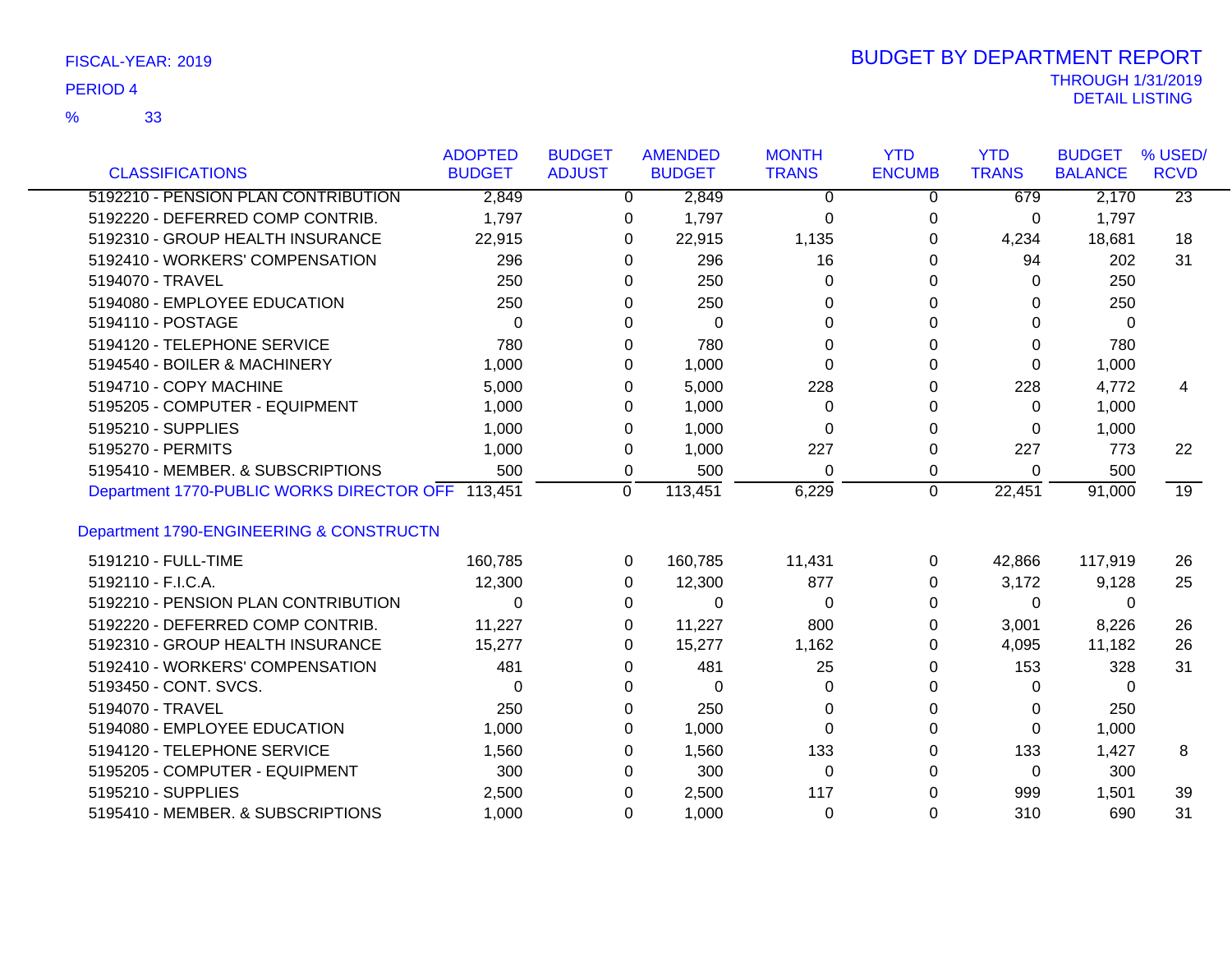| <b>CLASSIFICATIONS</b>                            | <b>ADOPTED</b><br><b>BUDGET</b> | <b>BUDGET</b><br><b>ADJUST</b> | <b>AMENDED</b><br><b>BUDGET</b> | <b>MONTH</b><br><b>TRANS</b> | <b>YTD</b><br><b>ENCUMB</b> | <b>YTD</b><br><b>TRANS</b> | <b>BUDGET</b><br><b>BALANCE</b> | % USED/<br><b>RCVD</b> |
|---------------------------------------------------|---------------------------------|--------------------------------|---------------------------------|------------------------------|-----------------------------|----------------------------|---------------------------------|------------------------|
| 5192210 - PENSION PLAN CONTRIBUTION               | 2,849                           |                                | $\mathbf 0$<br>2,849            | $\Omega$                     | $\mathbf 0$                 | 679                        | 2,170                           | $\overline{23}$        |
| 5192220 - DEFERRED COMP CONTRIB.                  | 1,797                           |                                | 1,797<br>0                      | $\Omega$                     | 0                           | 0                          | 1,797                           |                        |
| 5192310 - GROUP HEALTH INSURANCE                  | 22,915                          |                                | 22,915<br>0                     | 1,135                        | $\Omega$                    | 4,234                      | 18,681                          | 18                     |
| 5192410 - WORKERS' COMPENSATION                   | 296                             |                                | 296<br>0                        | 16                           | $\Omega$                    | 94                         | 202                             | 31                     |
| 5194070 - TRAVEL                                  | 250                             |                                | 250<br>0                        | 0                            | 0                           | 0                          | 250                             |                        |
| 5194080 - EMPLOYEE EDUCATION                      | 250                             |                                | 250<br>0                        | 0                            | 0                           | 0                          | 250                             |                        |
| 5194110 - POSTAGE                                 | $\Omega$                        |                                | 0<br>$\Omega$                   | $\Omega$                     | $\Omega$                    | $\Omega$                   | $\Omega$                        |                        |
| 5194120 - TELEPHONE SERVICE                       | 780                             |                                | 780<br>0                        | 0                            | 0                           | $\Omega$                   | 780                             |                        |
| 5194540 - BOILER & MACHINERY                      | 1,000                           |                                | 1,000<br>0                      | 0                            | 0                           | $\Omega$                   | 1,000                           |                        |
| 5194710 - COPY MACHINE                            | 5,000                           |                                | 5,000<br>0                      | 228                          | $\Omega$                    | 228                        | 4,772                           | 4                      |
| 5195205 - COMPUTER - EQUIPMENT                    | 1,000                           |                                | 1,000<br>0                      | 0                            | 0                           | $\mathbf{0}$               | 1,000                           |                        |
| 5195210 - SUPPLIES                                | 1,000                           |                                | 1,000<br>0                      | $\Omega$                     | 0                           | $\Omega$                   | 1,000                           |                        |
| 5195270 - PERMITS                                 | 1,000                           |                                | 1,000<br>0                      | 227                          | 0                           | 227                        | 773                             | 22                     |
| 5195410 - MEMBER. & SUBSCRIPTIONS                 | 500                             |                                | 500<br>0                        | $\Omega$                     | 0                           | $\Omega$                   | 500                             |                        |
| Department 1770-PUBLIC WORKS DIRECTOR OFF 113,451 |                                 |                                | 113,451<br>$\Omega$             | 6,229                        | $\mathbf 0$                 | 22,451                     | 91,000                          | 19                     |
|                                                   |                                 |                                |                                 |                              |                             |                            |                                 |                        |
| Department 1790-ENGINEERING & CONSTRUCTN          |                                 |                                |                                 |                              |                             |                            |                                 |                        |
| 5191210 - FULL-TIME                               | 160,785                         |                                | 160,785<br>$\Omega$             | 11,431                       | 0                           | 42,866                     | 117,919                         | 26                     |
| 5192110 - F.I.C.A.                                | 12,300                          |                                | 12,300<br>$\Omega$              | 877                          | $\Omega$                    | 3,172                      | 9,128                           | 25                     |
| 5192210 - PENSION PLAN CONTRIBUTION               | 0                               |                                | $\Omega$<br>0                   | $\Omega$                     | $\Omega$                    | $\mathbf{0}$               | 0                               |                        |
| 5192220 - DEFERRED COMP CONTRIB.                  | 11,227                          |                                | 11,227<br>0                     | 800                          | 0                           | 3,001                      | 8,226                           | 26                     |
| 5192310 - GROUP HEALTH INSURANCE                  | 15,277                          |                                | 15,277<br>0                     | 1,162                        | 0                           | 4,095                      | 11,182                          | 26                     |
| 5192410 - WORKERS' COMPENSATION                   | 481                             |                                | 481<br>0                        | 25                           | 0                           | 153                        | 328                             | 31                     |
| 5193450 - CONT. SVCS.                             | 0                               |                                | 0<br>0                          | 0                            | 0                           | 0                          | 0                               |                        |
| 5194070 - TRAVEL                                  | 250                             |                                | 250<br>0                        | 0                            | 0                           | 0                          | 250                             |                        |
| 5194080 - EMPLOYEE EDUCATION                      | 1,000                           |                                | 1,000<br>0                      | $\Omega$                     | $\Omega$                    | $\Omega$                   | 1,000                           |                        |
| 5194120 - TELEPHONE SERVICE                       | 1,560                           |                                | 1,560<br>0                      | 133                          | 0                           | 133                        | 1,427                           | 8                      |
| 5195205 - COMPUTER - EQUIPMENT                    | 300                             |                                | 300<br>0                        | 0                            | 0                           | $\mathbf{0}$               | 300                             |                        |
| 5195210 - SUPPLIES                                | 2,500                           |                                | 2,500<br>0                      | 117                          | 0                           | 999                        | 1,501                           | 39                     |
| 5195410 - MEMBER. & SUBSCRIPTIONS                 | 1,000                           |                                | 1,000<br>0                      | $\Omega$                     | $\Omega$                    | 310                        | 690                             | 31                     |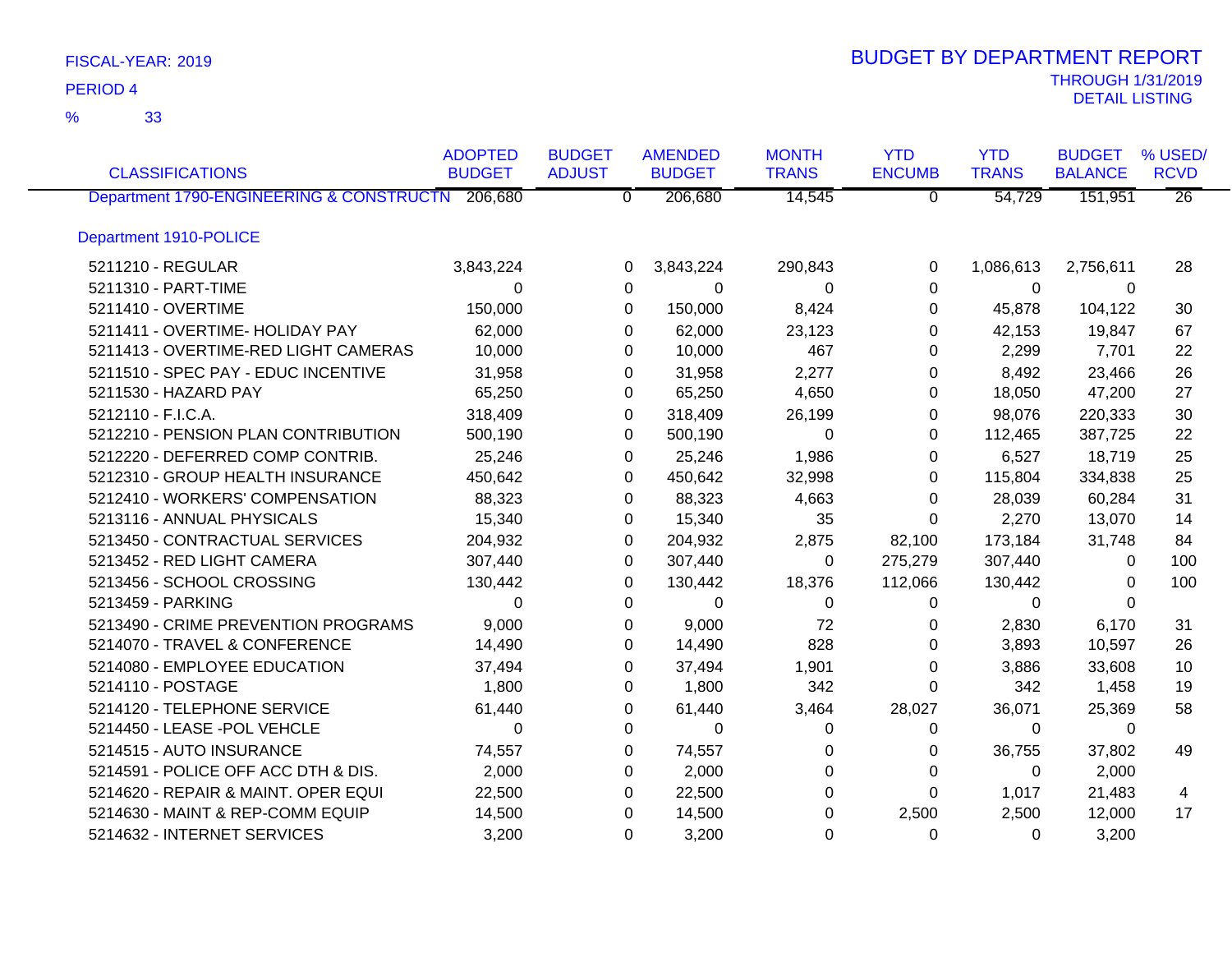33 %

| <b>CLASSIFICATIONS</b>                           | <b>ADOPTED</b><br><b>BUDGET</b> | <b>BUDGET</b><br><b>ADJUST</b> | <b>AMENDED</b><br><b>BUDGET</b> | <b>MONTH</b><br><b>TRANS</b> | <b>YTD</b><br><b>ENCUMB</b> | <b>YTD</b><br><b>TRANS</b> | <b>BUDGET</b><br><b>BALANCE</b> | % USED/<br><b>RCVD</b> |
|--------------------------------------------------|---------------------------------|--------------------------------|---------------------------------|------------------------------|-----------------------------|----------------------------|---------------------------------|------------------------|
| Department 1790-ENGINEERING & CONSTRUCTN 206,680 |                                 | $\overline{0}$                 | 206,680                         | 14,545                       | $\overline{0}$              | 54,729                     | 151,951                         | $\overline{26}$        |
|                                                  |                                 |                                |                                 |                              |                             |                            |                                 |                        |
| Department 1910-POLICE                           |                                 |                                |                                 |                              |                             |                            |                                 |                        |
| 5211210 - REGULAR                                | 3,843,224                       | 0                              | 3,843,224                       | 290,843                      | $\Omega$                    | 1,086,613                  | 2,756,611                       | 28                     |
| 5211310 - PART-TIME                              | $\Omega$                        | 0                              | 0                               | 0                            | $\Omega$                    | 0                          | 0                               |                        |
| 5211410 - OVERTIME                               | 150,000                         | $\Omega$                       | 150,000                         | 8,424                        | 0                           | 45,878                     | 104,122                         | 30                     |
| 5211411 - OVERTIME- HOLIDAY PAY                  | 62,000                          | $\Omega$                       | 62,000                          | 23,123                       | 0                           | 42,153                     | 19,847                          | 67                     |
| 5211413 - OVERTIME-RED LIGHT CAMERAS             | 10,000                          | 0                              | 10,000                          | 467                          | 0                           | 2,299                      | 7,701                           | 22                     |
| 5211510 - SPEC PAY - EDUC INCENTIVE              | 31,958                          | 0                              | 31,958                          | 2,277                        | 0                           | 8,492                      | 23,466                          | 26                     |
| 5211530 - HAZARD PAY                             | 65,250                          | $\Omega$                       | 65,250                          | 4,650                        | 0                           | 18,050                     | 47,200                          | 27                     |
| 5212110 - F.I.C.A.                               | 318,409                         | 0                              | 318,409                         | 26,199                       | 0                           | 98,076                     | 220,333                         | 30                     |
| 5212210 - PENSION PLAN CONTRIBUTION              | 500,190                         | $\Omega$                       | 500,190                         | $\Omega$                     | 0                           | 112,465                    | 387,725                         | 22                     |
| 5212220 - DEFERRED COMP CONTRIB.                 | 25,246                          | 0                              | 25,246                          | 1,986                        | 0                           | 6,527                      | 18,719                          | 25                     |
| 5212310 - GROUP HEALTH INSURANCE                 | 450,642                         | 0                              | 450,642                         | 32,998                       | 0                           | 115,804                    | 334,838                         | 25                     |
| 5212410 - WORKERS' COMPENSATION                  | 88,323                          | 0                              | 88,323                          | 4,663                        | 0                           | 28,039                     | 60,284                          | 31                     |
| 5213116 - ANNUAL PHYSICALS                       | 15,340                          | 0                              | 15,340                          | 35                           | 0                           | 2,270                      | 13,070                          | 14                     |
| 5213450 - CONTRACTUAL SERVICES                   | 204,932                         | 0                              | 204,932                         | 2,875                        | 82,100                      | 173,184                    | 31,748                          | 84                     |
| 5213452 - RED LIGHT CAMERA                       | 307,440                         | 0                              | 307,440                         | 0                            | 275,279                     | 307,440                    | 0                               | 100                    |
| 5213456 - SCHOOL CROSSING                        | 130,442                         | 0                              | 130,442                         | 18,376                       | 112,066                     | 130,442                    | 0                               | 100                    |
| 5213459 - PARKING                                | $\Omega$                        | 0                              | 0                               | $\Omega$                     | 0                           | 0                          | $\Omega$                        |                        |
| 5213490 - CRIME PREVENTION PROGRAMS              | 9,000                           | $\Omega$                       | 9,000                           | 72                           | $\Omega$                    | 2,830                      | 6,170                           | 31                     |
| 5214070 - TRAVEL & CONFERENCE                    | 14,490                          | 0                              | 14,490                          | 828                          | $\Omega$                    | 3,893                      | 10,597                          | 26                     |
| 5214080 - EMPLOYEE EDUCATION                     | 37,494                          | 0                              | 37,494                          | 1,901                        | 0                           | 3,886                      | 33,608                          | 10                     |
| 5214110 - POSTAGE                                | 1,800                           | 0                              | 1,800                           | 342                          | 0                           | 342                        | 1,458                           | 19                     |
| 5214120 - TELEPHONE SERVICE                      | 61,440                          | 0                              | 61,440                          | 3,464                        | 28,027                      | 36,071                     | 25,369                          | 58                     |
| 5214450 - LEASE -POL VEHCLE                      | $\Omega$                        | $\Omega$                       | $\Omega$                        | $\Omega$                     | $\Omega$                    | $\Omega$                   | $\Omega$                        |                        |
| 5214515 - AUTO INSURANCE                         | 74,557                          | 0                              | 74,557                          | 0                            | 0                           | 36,755                     | 37,802                          | 49                     |
| 5214591 - POLICE OFF ACC DTH & DIS.              | 2,000                           | 0                              | 2,000                           | 0                            | 0                           | 0                          | 2,000                           |                        |
| 5214620 - REPAIR & MAINT. OPER EQUI              | 22,500                          | 0                              | 22,500                          | 0                            | $\Omega$                    | 1,017                      | 21,483                          | 4                      |
| 5214630 - MAINT & REP-COMM EQUIP                 | 14,500                          | $\Omega$                       | 14,500                          | $\Omega$                     | 2,500                       | 2,500                      | 12,000                          | 17                     |
| 5214632 - INTERNET SERVICES                      | 3,200                           | $\Omega$                       | 3,200                           | $\Omega$                     | $\Omega$                    | $\Omega$                   | 3,200                           |                        |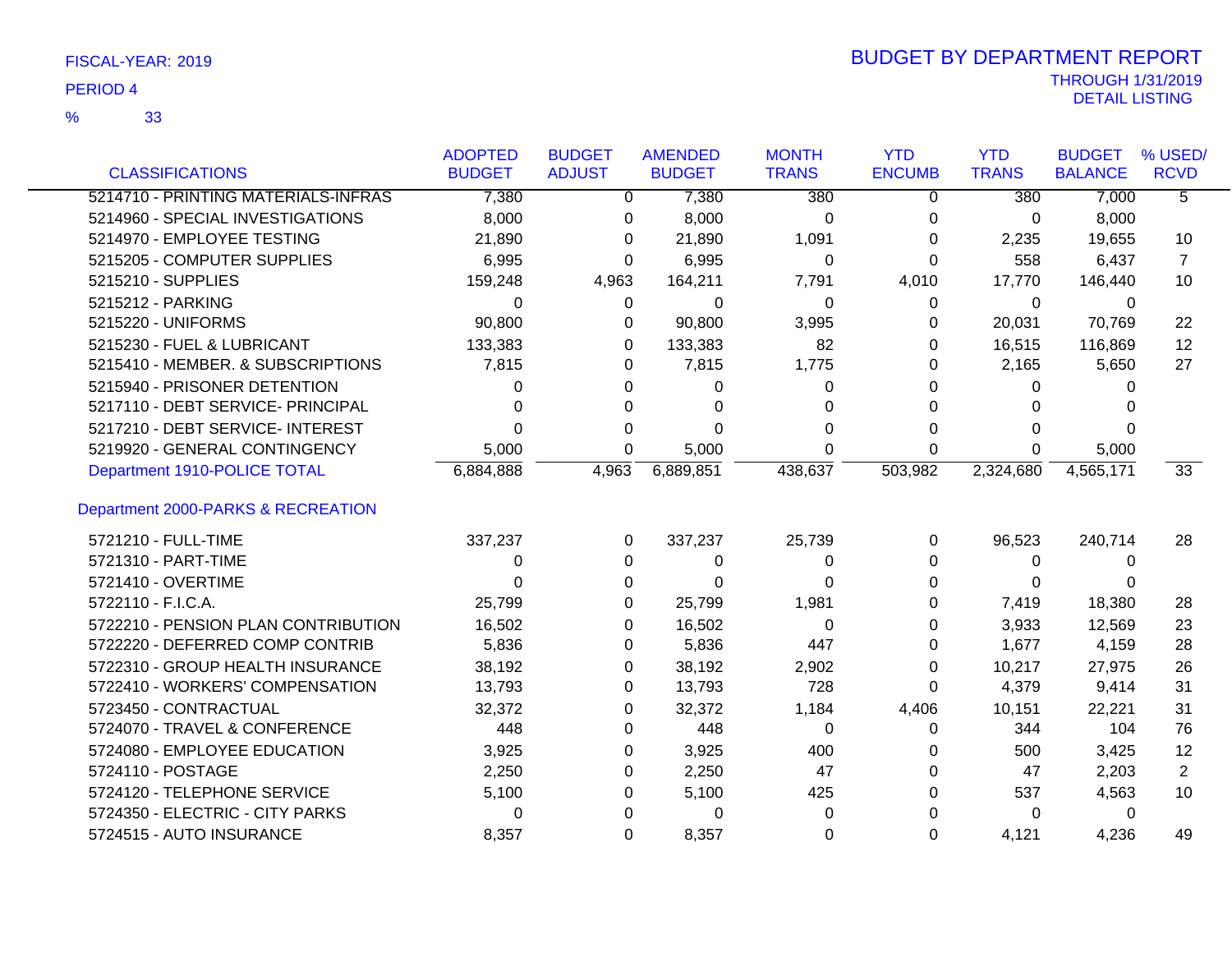33 %

|                                     | <b>ADOPTED</b> | <b>BUDGET</b> | <b>AMENDED</b> | <b>MONTH</b> | <b>YTD</b>    | <b>YTD</b>   | <b>BUDGET</b>  | % USED/           |
|-------------------------------------|----------------|---------------|----------------|--------------|---------------|--------------|----------------|-------------------|
| <b>CLASSIFICATIONS</b>              | <b>BUDGET</b>  | <b>ADJUST</b> | <b>BUDGET</b>  | <b>TRANS</b> | <b>ENCUMB</b> | <b>TRANS</b> | <b>BALANCE</b> | <b>RCVD</b>       |
| 5214710 - PRINTING MATERIALS-INFRAS | 7,380          | $\Omega$      | 7,380          | 380          | $\Omega$      | 380          | 7,000          | $\overline{5}$    |
| 5214960 - SPECIAL INVESTIGATIONS    | 8,000          | 0             | 8,000          | 0            | 0             | 0            | 8,000          |                   |
| 5214970 - EMPLOYEE TESTING          | 21,890         | $\Omega$      | 21,890         | 1,091        | 0             | 2,235        | 19,655         | 10                |
| 5215205 - COMPUTER SUPPLIES         | 6,995          | $\Omega$      | 6,995          | 0            | 0             | 558          | 6,437          | $\overline{7}$    |
| 5215210 - SUPPLIES                  | 159,248        | 4,963         | 164,211        | 7,791        | 4,010         | 17,770       | 146,440        | 10                |
| 5215212 - PARKING                   | 0              | 0             | 0              | 0            | 0             | 0            | 0              |                   |
| 5215220 - UNIFORMS                  | 90,800         | 0             | 90,800         | 3,995        | 0             | 20,031       | 70,769         | 22                |
| 5215230 - FUEL & LUBRICANT          | 133,383        | 0             | 133,383        | 82           | 0             | 16,515       | 116,869        | $12 \overline{ }$ |
| 5215410 - MEMBER. & SUBSCRIPTIONS   | 7,815          | 0             | 7,815          | 1,775        | 0             | 2,165        | 5,650          | 27                |
| 5215940 - PRISONER DETENTION        | 0              | 0             | 0              | 0            | 0             | 0            | $\Omega$       |                   |
| 5217110 - DEBT SERVICE- PRINCIPAL   | 0              | 0             |                | 0            | 0             | 0            |                |                   |
| 5217210 - DEBT SERVICE- INTEREST    | 0              | 0             | 0              | <sup>0</sup> | 0             | 0            |                |                   |
| 5219920 - GENERAL CONTINGENCY       | 5,000          | 0             | 5,000          | 0            | 0             | 0            | 5,000          |                   |
| Department 1910-POLICE TOTAL        | 6,884,888      | 4,963         | 6,889,851      | 438,637      | 503,982       | 2,324,680    | 4,565,171      | 33 <sup>7</sup>   |
| Department 2000-PARKS & RECREATION  |                |               |                |              |               |              |                |                   |
| 5721210 - FULL-TIME                 | 337,237        | $\Omega$      | 337,237        | 25,739       | 0             | 96,523       | 240,714        | 28                |
| 5721310 - PART-TIME                 | 0              | $\Omega$      | 0              | 0            | $\Omega$      | $\Omega$     | 0              |                   |
| 5721410 - OVERTIME                  | $\Omega$       | 0             | $\Omega$       | 0            | 0             | 0            |                |                   |
| 5722110 - F.I.C.A.                  | 25,799         | 0             | 25,799         | 1,981        | 0             | 7,419        | 18,380         | 28                |
| 5722210 - PENSION PLAN CONTRIBUTION | 16,502         | 0             | 16,502         | 0            | 0             | 3,933        | 12,569         | 23                |
| 5722220 - DEFERRED COMP CONTRIB     | 5,836          | 0             | 5,836          | 447          | 0             | 1,677        | 4,159          | 28                |
| 5722310 - GROUP HEALTH INSURANCE    | 38,192         | 0             | 38,192         | 2,902        | 0             | 10,217       | 27,975         | 26                |
| 5722410 - WORKERS' COMPENSATION     | 13,793         | 0             | 13,793         | 728          | 0             | 4,379        | 9,414          | 31                |
| 5723450 - CONTRACTUAL               | 32,372         | 0             | 32,372         | 1,184        | 4,406         | 10,151       | 22,221         | 31                |
| 5724070 - TRAVEL & CONFERENCE       | 448            | 0             | 448            | 0            | 0             | 344          | 104            | 76                |
| 5724080 - EMPLOYEE EDUCATION        | 3,925          | 0             | 3,925          | 400          | 0             | 500          | 3,425          | 12                |
| 5724110 - POSTAGE                   | 2,250          | 0             | 2,250          | 47           | 0             | 47           | 2,203          | $\overline{2}$    |
| 5724120 - TELEPHONE SERVICE         | 5,100          | 0             | 5,100          | 425          | 0             | 537          | 4,563          | 10                |
| 5724350 - ELECTRIC - CITY PARKS     | 0              | 0             | 0              | 0            | O             | 0            | 0              |                   |
| 5724515 - AUTO INSURANCE            | 8,357          | 0             | 8,357          | 0            | 0             | 4,121        | 4,236          | 49                |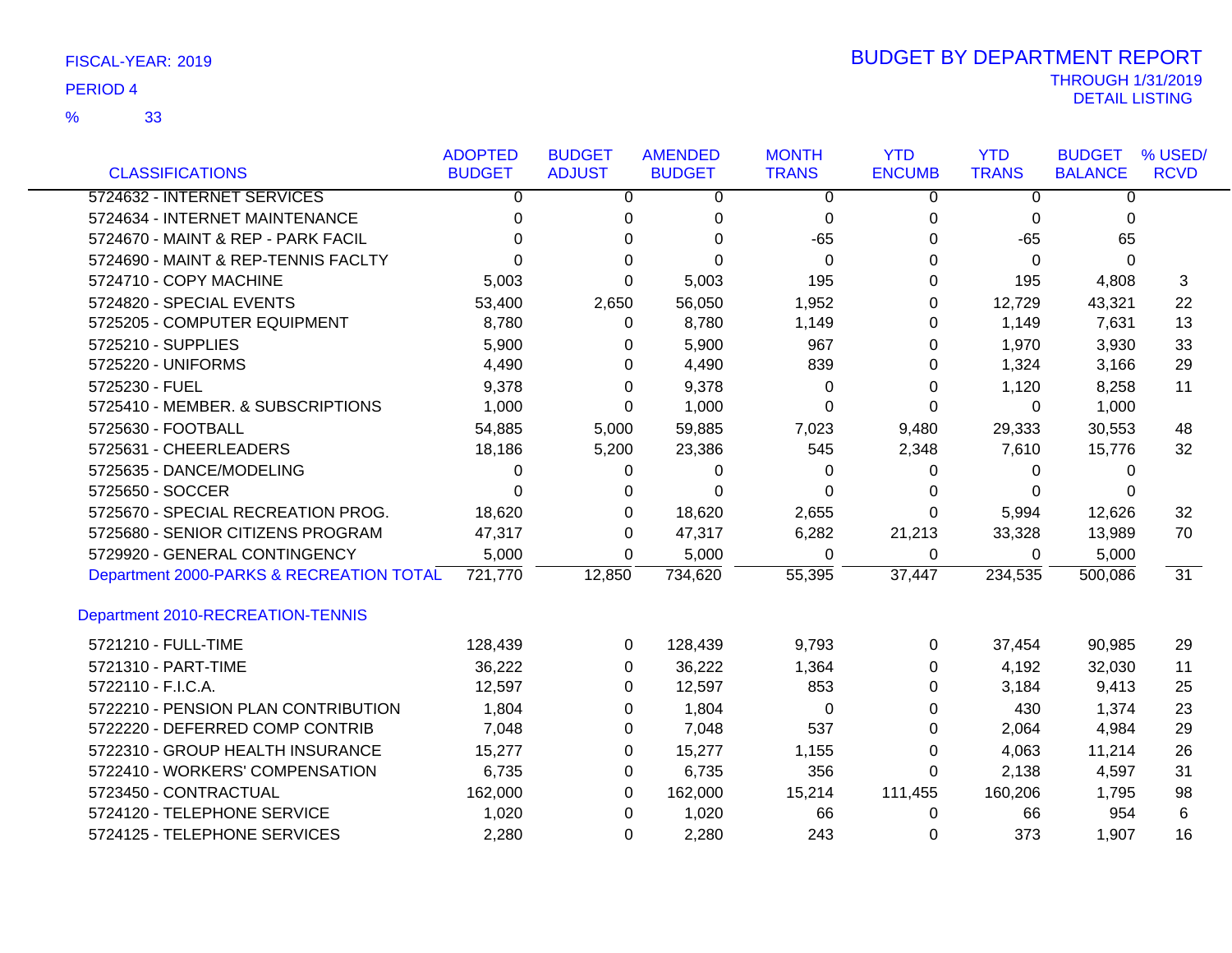33 %

|                                          | <b>ADOPTED</b> | <b>BUDGET</b>  | <b>AMENDED</b> | <b>MONTH</b>   | <b>YTD</b>    | <b>YTD</b>     | <b>BUDGET</b>  | % USED/         |
|------------------------------------------|----------------|----------------|----------------|----------------|---------------|----------------|----------------|-----------------|
| <b>CLASSIFICATIONS</b>                   | <b>BUDGET</b>  | <b>ADJUST</b>  | <b>BUDGET</b>  | <b>TRANS</b>   | <b>ENCUMB</b> | <b>TRANS</b>   | <b>BALANCE</b> | <b>RCVD</b>     |
| 5724632 - INTERNET SERVICES              | $\overline{0}$ | $\overline{0}$ | $\Omega$       | $\overline{0}$ | $\Omega$      | $\overline{0}$ | $\overline{0}$ |                 |
| 5724634 - INTERNET MAINTENANCE           | 0              | 0              | $\mathbf 0$    | 0              | 0             | 0              | 0              |                 |
| 5724670 - MAINT & REP - PARK FACIL       | 0              | 0              | 0              | $-65$          | 0             | $-65$          | 65             |                 |
| 5724690 - MAINT & REP-TENNIS FACLTY      | 0              | $\Omega$       | $\Omega$       | $\Omega$       | 0             | 0              | $\mathbf{0}$   |                 |
| 5724710 - COPY MACHINE                   | 5,003          | $\Omega$       | 5,003          | 195            | 0             | 195            | 4,808          | 3               |
| 5724820 - SPECIAL EVENTS                 | 53,400         | 2,650          | 56,050         | 1,952          | 0             | 12,729         | 43,321         | 22              |
| 5725205 - COMPUTER EQUIPMENT             | 8,780          | 0              | 8,780          | 1,149          | 0             | 1,149          | 7,631          | 13              |
| 5725210 - SUPPLIES                       | 5,900          | 0              | 5,900          | 967            | 0             | 1,970          | 3,930          | 33              |
| 5725220 - UNIFORMS                       | 4,490          | 0              | 4,490          | 839            | 0             | 1,324          | 3,166          | 29              |
| 5725230 - FUEL                           | 9,378          | $\Omega$       | 9,378          | 0              | 0             | 1,120          | 8,258          | 11              |
| 5725410 - MEMBER. & SUBSCRIPTIONS        | 1,000          | 0              | 1,000          | $\Omega$       | 0             | $\Omega$       | 1,000          |                 |
| 5725630 - FOOTBALL                       | 54,885         | 5,000          | 59,885         | 7,023          | 9,480         | 29,333         | 30,553         | 48              |
| 5725631 - CHEERLEADERS                   | 18,186         | 5,200          | 23,386         | 545            | 2,348         | 7,610          | 15,776         | 32              |
| 5725635 - DANCE/MODELING                 | 0              | 0              | 0              | 0              | 0             | 0              | 0              |                 |
| 5725650 - SOCCER                         | 0              | 0              | $\Omega$       | 0              | 0             | 0              | 0              |                 |
| 5725670 - SPECIAL RECREATION PROG.       | 18,620         | $\Omega$       | 18,620         | 2,655          | 0             | 5,994          | 12,626         | 32              |
| 5725680 - SENIOR CITIZENS PROGRAM        | 47,317         | 0              | 47,317         | 6,282          | 21,213        | 33,328         | 13,989         | 70              |
| 5729920 - GENERAL CONTINGENCY            | 5,000          | 0              | 5,000          | 0              | 0             | 0              | 5,000          |                 |
| Department 2000-PARKS & RECREATION TOTAL | 721,770        | 12,850         | 734,620        | 55,395         | 37,447        | 234,535        | 500,086        | $\overline{31}$ |
| Department 2010-RECREATION-TENNIS        |                |                |                |                |               |                |                |                 |
| 5721210 - FULL-TIME                      | 128,439        | 0              | 128,439        | 9,793          | 0             | 37,454         | 90,985         | 29              |
| 5721310 - PART-TIME                      | 36,222         | 0              | 36,222         | 1,364          | 0             | 4,192          | 32,030         | 11              |
| 5722110 - F.I.C.A.                       | 12,597         | 0              | 12,597         | 853            | 0             | 3,184          | 9,413          | 25              |
| 5722210 - PENSION PLAN CONTRIBUTION      | 1,804          | 0              | 1,804          | 0              | 0             | 430            | 1,374          | 23              |
| 5722220 - DEFERRED COMP CONTRIB          | 7,048          | 0              | 7,048          | 537            | 0             | 2,064          | 4,984          | 29              |
| 5722310 - GROUP HEALTH INSURANCE         | 15,277         | 0              | 15,277         | 1,155          | 0             | 4,063          | 11,214         | 26              |
| 5722410 - WORKERS' COMPENSATION          | 6,735          | 0              | 6,735          | 356            | 0             | 2,138          | 4,597          | 31              |
| 5723450 - CONTRACTUAL                    | 162,000        | $\Omega$       | 162,000        | 15,214         | 111,455       | 160,206        | 1,795          | 98              |
| 5724120 - TELEPHONE SERVICE              | 1,020          | 0              | 1,020          | 66             | 0             | 66             | 954            | 6               |
| 5724125 - TELEPHONE SERVICES             | 2,280          | $\Omega$       | 2,280          | 243            | 0             | 373            | 1,907          | 16              |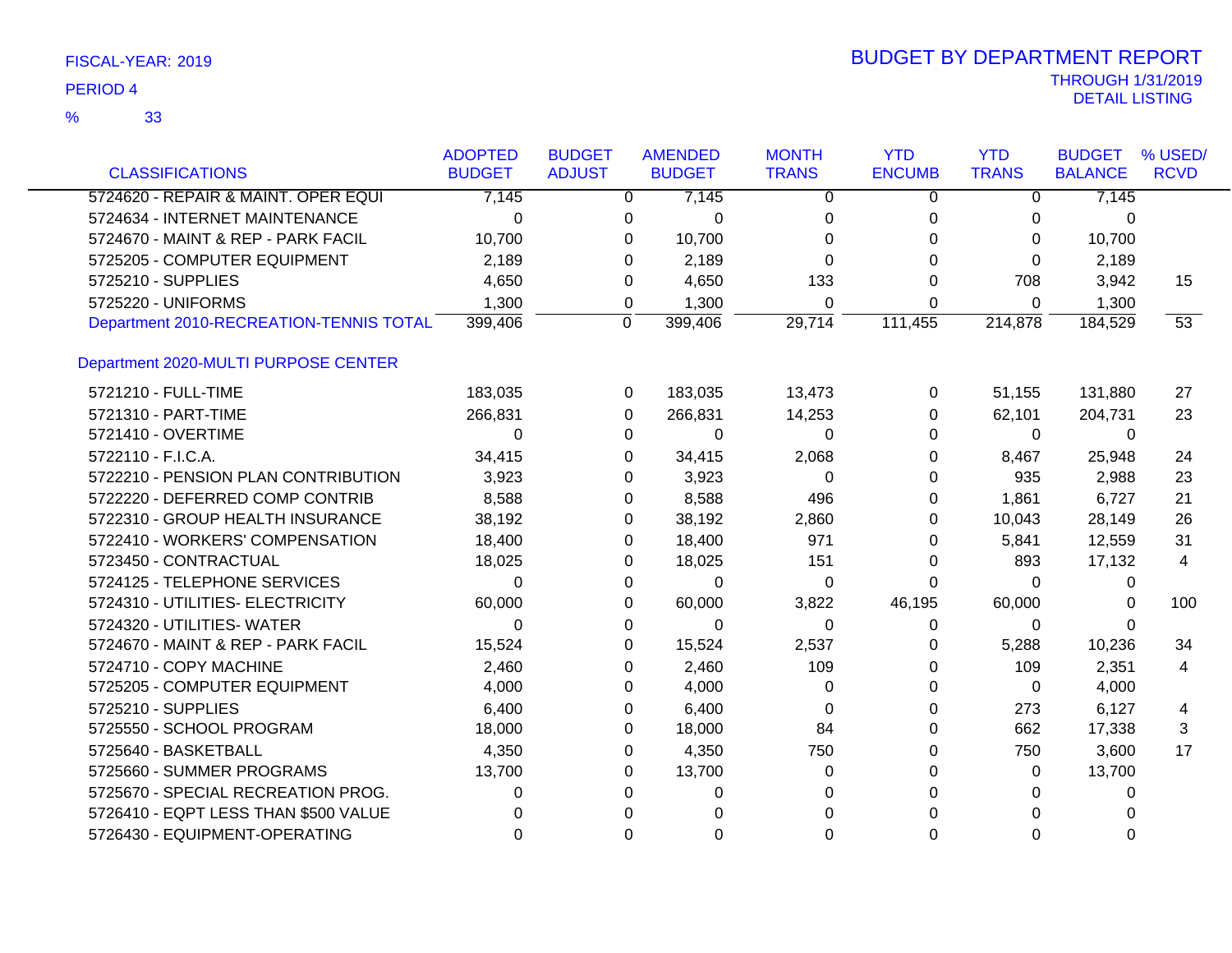| FISCAL-YEAR: 2019 |  |
|-------------------|--|
|-------------------|--|

|                                         | <b>ADOPTED</b> | <b>BUDGET</b>  | <b>AMENDED</b>       | <b>MONTH</b> | <b>YTD</b>    | <b>YTD</b>   | <b>BUDGET</b>  | % USED/        |
|-----------------------------------------|----------------|----------------|----------------------|--------------|---------------|--------------|----------------|----------------|
| <b>CLASSIFICATIONS</b>                  | <b>BUDGET</b>  | <b>ADJUST</b>  | <b>BUDGET</b>        | <b>TRANS</b> | <b>ENCUMB</b> | <b>TRANS</b> | <b>BALANCE</b> | <b>RCVD</b>    |
| 5724620 - REPAIR & MAINT. OPER EQUI     | 7,145          |                | 7,145<br>0           | 0            | 0             | 0            | 7,145          |                |
| 5724634 - INTERNET MAINTENANCE          | $\Omega$       | 0              | 0                    | 0            | 0             | 0            | 0              |                |
| 5724670 - MAINT & REP - PARK FACIL      | 10,700         | $\Omega$       | 10,700               | $\Omega$     | 0             | 0            | 10,700         |                |
| 5725205 - COMPUTER EQUIPMENT            | 2,189          | $\Omega$       | 2,189                | $\Omega$     | $\Omega$      | $\Omega$     | 2,189          |                |
| 5725210 - SUPPLIES                      | 4,650          | 0              | 4,650                | 133          | $\Omega$      | 708          | 3,942          | 15             |
| 5725220 - UNIFORMS                      | 1,300          | 0              | 1,300                | $\Omega$     | $\Omega$      | $\Omega$     | 1,300          |                |
| Department 2010-RECREATION-TENNIS TOTAL | 399,406        | $\overline{0}$ | 399,406              | 29,714       | 111,455       | 214,878      | 184,529        | 53             |
| Department 2020-MULTI PURPOSE CENTER    |                |                |                      |              |               |              |                |                |
| 5721210 - FULL-TIME                     | 183,035        |                | 183,035<br>0         | 13,473       | 0             | 51,155       | 131,880        | 27             |
| 5721310 - PART-TIME                     | 266,831        | 0              | 266,831              | 14,253       | 0             | 62,101       | 204,731        | 23             |
| 5721410 - OVERTIME                      | $\Omega$       | $\Omega$       | 0                    | $\Omega$     | 0             | $\Omega$     | $\mathbf{0}$   |                |
| 5722110 - F.I.C.A.                      | 34,415         |                | 0<br>34,415          | 2,068        | 0             | 8,467        | 25,948         | 24             |
| 5722210 - PENSION PLAN CONTRIBUTION     | 3,923          | $\Omega$       | 3,923                | $\Omega$     | 0             | 935          | 2,988          | 23             |
| 5722220 - DEFERRED COMP CONTRIB         | 8,588          | 0              | 8,588                | 496          | 0             | 1,861        | 6,727          | 21             |
| 5722310 - GROUP HEALTH INSURANCE        | 38,192         |                | 38,192<br>0          | 2,860        | 0             | 10,043       | 28,149         | 26             |
| 5722410 - WORKERS' COMPENSATION         | 18,400         |                | 0<br>18,400          | 971          | 0             | 5,841        | 12,559         | 31             |
| 5723450 - CONTRACTUAL                   | 18,025         | 0              | 18,025               | 151          | 0             | 893          | 17,132         | 4              |
| 5724125 - TELEPHONE SERVICES            | $\Omega$       | 0              | 0                    | 0            | 0             | $\Omega$     | 0              |                |
| 5724310 - UTILITIES- ELECTRICITY        | 60,000         | $\Omega$       | 60,000               | 3,822        | 46,195        | 60,000       | 0              | 100            |
| 5724320 - UTILITIES- WATER              | $\Omega$       |                | 0<br>0               | $\Omega$     | 0             | 0            | 0              |                |
| 5724670 - MAINT & REP - PARK FACIL      | 15,524         | $\Omega$       | 15,524               | 2,537        | 0             | 5,288        | 10,236         | 34             |
| 5724710 - COPY MACHINE                  | 2,460          | 0              | 2,460                | 109          | 0             | 109          | 2,351          | $\overline{4}$ |
| 5725205 - COMPUTER EQUIPMENT            | 4,000          | $\Omega$       | 4,000                | 0            | 0             | 0            | 4,000          |                |
| 5725210 - SUPPLIES                      | 6,400          | 0              | 6,400                | $\Omega$     | 0             | 273          | 6,127          | 4              |
| 5725550 - SCHOOL PROGRAM                | 18,000         | 0              | 18,000               | 84           | 0             | 662          | 17,338         | 3              |
| 5725640 - BASKETBALL                    | 4,350          | 0              | 4,350                | 750          | 0             | 750          | 3,600          | 17             |
| 5725660 - SUMMER PROGRAMS               | 13,700         | $\Omega$       | 13,700               | $\Omega$     | 0             | $\Omega$     | 13,700         |                |
| 5725670 - SPECIAL RECREATION PROG.      | 0              | $\Omega$       | 0                    | 0            | 0             | 0            | 0              |                |
| 5726410 - EQPT LESS THAN \$500 VALUE    | 0              |                | $\Omega$<br>$\Omega$ | $\Omega$     | $\Omega$      | $\Omega$     | 0              |                |
| 5726430 - EQUIPMENT-OPERATING           | $\Omega$       |                | $\Omega$<br>$\Omega$ | $\Omega$     | $\Omega$      | $\Omega$     | $\Omega$       |                |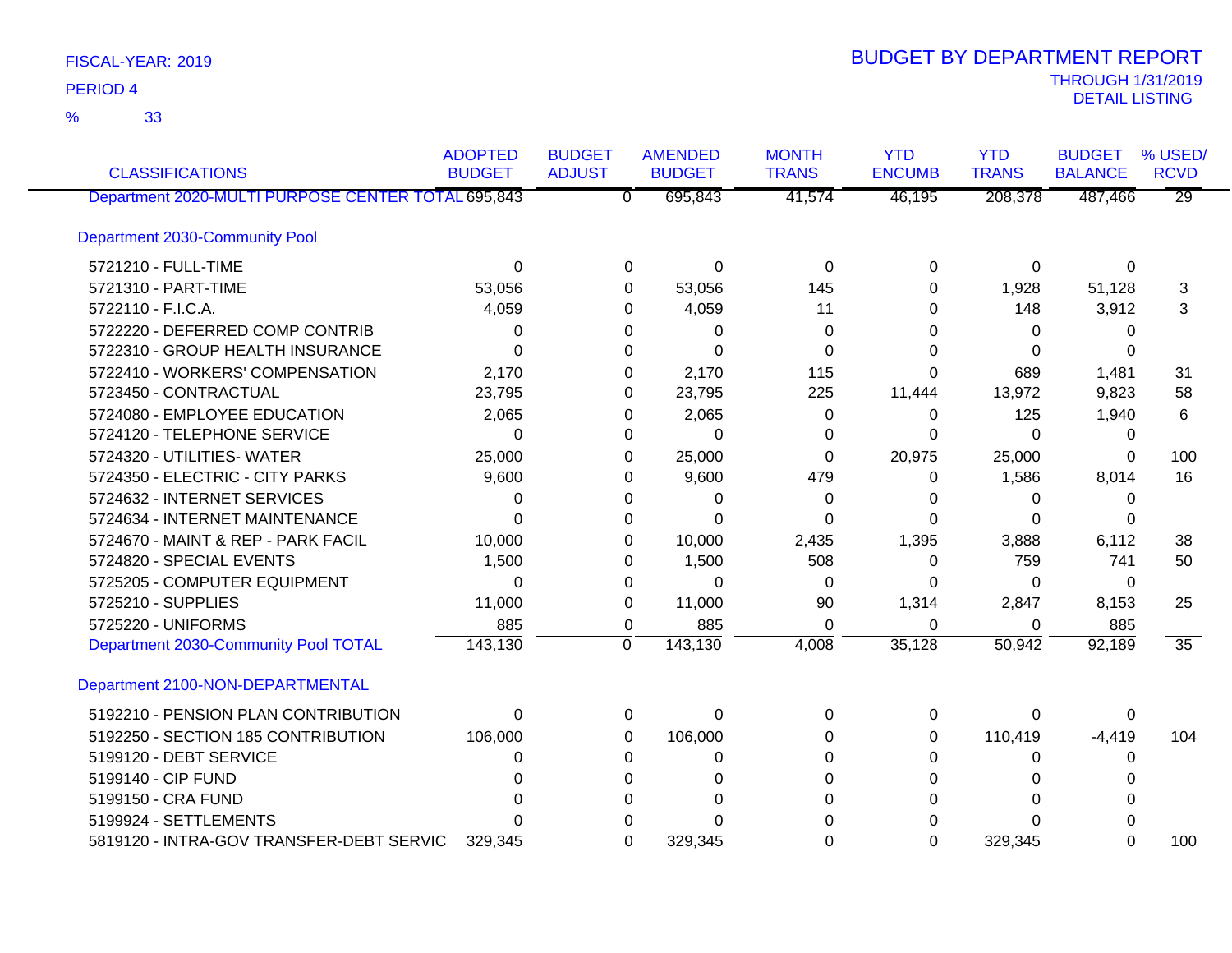33 %

| <b>CLASSIFICATIONS</b>                             | <b>ADOPTED</b><br><b>BUDGET</b> | <b>BUDGET</b><br><b>ADJUST</b> | <b>AMENDED</b><br><b>BUDGET</b> | <b>MONTH</b><br><b>TRANS</b> | <b>YTD</b><br><b>ENCUMB</b> | <b>YTD</b><br><b>TRANS</b> | <b>BUDGET</b><br><b>BALANCE</b> | % USED/<br><b>RCVD</b> |
|----------------------------------------------------|---------------------------------|--------------------------------|---------------------------------|------------------------------|-----------------------------|----------------------------|---------------------------------|------------------------|
| Department 2020-MULTI PURPOSE CENTER TOTAL 695,843 |                                 | $\overline{\mathfrak{o}}$      | 695,843                         | 41,574                       | 46,195                      | 208,378                    | 487,466                         | $\overline{29}$        |
| <b>Department 2030-Community Pool</b>              |                                 |                                |                                 |                              |                             |                            |                                 |                        |
| 5721210 - FULL-TIME                                | $\Omega$                        |                                | $\Omega$<br>0                   | 0                            | 0                           | 0                          | $\Omega$                        |                        |
| 5721310 - PART-TIME                                | 53,056                          |                                | 53,056<br>0                     | 145                          | 0                           | 1,928                      | 51,128                          | 3                      |
| 5722110 - F.I.C.A.                                 | 4,059                           |                                | 4,059<br>0                      | 11                           | 0                           | 148                        | 3,912                           | 3                      |
| 5722220 - DEFERRED COMP CONTRIB                    | 0                               |                                | 0<br>0                          | 0                            | 0                           | 0                          | 0                               |                        |
| 5722310 - GROUP HEALTH INSURANCE                   | 0                               |                                | $\Omega$<br>0                   | 0                            | 0                           | 0                          | 0                               |                        |
| 5722410 - WORKERS' COMPENSATION                    | 2,170                           |                                | 2,170<br>0                      | 115                          | 0                           | 689                        | 1,481                           | 31                     |
| 5723450 - CONTRACTUAL                              | 23,795                          |                                | 23,795<br>0                     | 225                          | 11,444                      | 13,972                     | 9,823                           | 58                     |
| 5724080 - EMPLOYEE EDUCATION                       | 2,065                           |                                | 2,065<br>0                      | 0                            | 0                           | 125                        | 1,940                           | 6                      |
| 5724120 - TELEPHONE SERVICE                        | $\Omega$                        |                                | $\Omega$<br>0                   | 0                            | $\Omega$                    | $\Omega$                   | 0                               |                        |
| 5724320 - UTILITIES- WATER                         | 25,000                          |                                | 25,000<br>0                     | 0                            | 20,975                      | 25,000                     | 0                               | 100                    |
| 5724350 - ELECTRIC - CITY PARKS                    | 9,600                           |                                | 9,600<br>0                      | 479                          | 0                           | 1,586                      | 8,014                           | 16                     |
| 5724632 - INTERNET SERVICES                        | 0                               |                                | 0<br>0                          | 0                            | 0                           | 0                          | 0                               |                        |
| 5724634 - INTERNET MAINTENANCE                     | $\Omega$                        |                                | $\Omega$<br>0                   | 0                            | 0                           | 0                          | 0                               |                        |
| 5724670 - MAINT & REP - PARK FACIL                 | 10,000                          |                                | 10,000<br>0                     | 2,435                        | 1,395                       | 3,888                      | 6,112                           | 38                     |
| 5724820 - SPECIAL EVENTS                           | 1,500                           |                                | 1,500<br>0                      | 508                          | 0                           | 759                        | 741                             | 50                     |
| 5725205 - COMPUTER EQUIPMENT                       | 0                               |                                | $\Omega$<br>0                   | $\Omega$                     | 0                           | 0                          | 0                               |                        |
| 5725210 - SUPPLIES                                 | 11,000                          |                                | 11,000<br>0                     | 90                           | 1,314                       | 2,847                      | 8,153                           | 25                     |
| 5725220 - UNIFORMS                                 | 885                             |                                | 885<br>0                        | $\Omega$                     | $\Omega$                    | 0                          | 885                             |                        |
| Department 2030-Community Pool TOTAL               | 143,130                         | $\mathbf 0$                    | 143,130                         | 4,008                        | 35,128                      | 50,942                     | 92,189                          | $\overline{35}$        |
| Department 2100-NON-DEPARTMENTAL                   |                                 |                                |                                 |                              |                             |                            |                                 |                        |
| 5192210 - PENSION PLAN CONTRIBUTION                | 0                               |                                | 0<br>0                          | 0                            | 0                           | 0                          | 0                               |                        |
| 5192250 - SECTION 185 CONTRIBUTION                 | 106,000                         |                                | 106,000<br>0                    | 0                            | 0                           | 110,419                    | $-4,419$                        | 104                    |
| 5199120 - DEBT SERVICE                             | 0                               |                                | 0<br>0                          | 0                            | 0                           | 0                          | 0                               |                        |
| 5199140 - CIP FUND                                 | 0                               |                                | 0<br>0                          | 0                            | 0                           | 0                          | 0                               |                        |
| 5199150 - CRA FUND                                 |                                 |                                | $\Omega$<br>0                   | $\Omega$                     | 0                           | $\Omega$                   | 0                               |                        |
| 5199924 - SETTLEMENTS                              | ∩                               |                                | $\Omega$<br>O                   | 0                            | O                           | $\Omega$                   | 0                               |                        |
| 5819120 - INTRA-GOV TRANSFER-DEBT SERVIC           | 329,345                         |                                | 329,345<br>$\Omega$             | 0                            | $\Omega$                    | 329,345                    | $\Omega$                        | 100                    |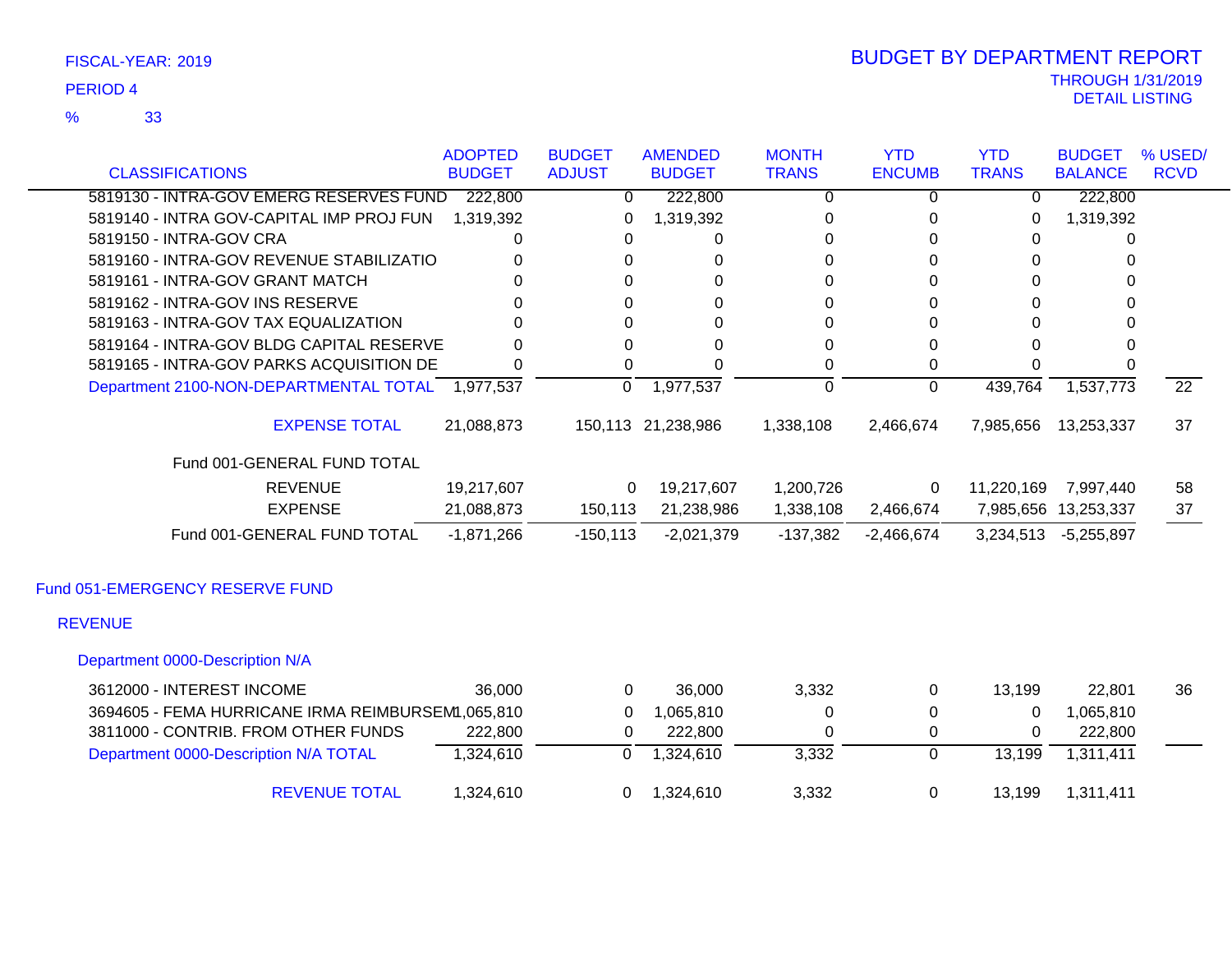33 %

| <b>CLASSIFICATIONS</b>                            | <b>ADOPTED</b><br><b>BUDGET</b> | <b>BUDGET</b><br><b>ADJUST</b> | <b>AMENDED</b><br><b>BUDGET</b> | <b>MONTH</b><br><b>TRANS</b> | <b>YTD</b><br><b>ENCUMB</b> | <b>YTD</b><br><b>TRANS</b> | <b>BUDGET</b><br><b>BALANCE</b> | % USED/<br><b>RCVD</b> |
|---------------------------------------------------|---------------------------------|--------------------------------|---------------------------------|------------------------------|-----------------------------|----------------------------|---------------------------------|------------------------|
| 5819130 - INTRA-GOV EMERG RESERVES FUND           | 222,800                         | $\Omega$                       | 222,800                         | $\Omega$                     | 0                           | $\mathbf 0$                | 222,800                         |                        |
| 5819140 - INTRA GOV-CAPITAL IMP PROJ FUN          | 1,319,392                       | 0                              | 1,319,392                       | 0                            | 0                           | 0                          | 1,319,392                       |                        |
| 5819150 - INTRA-GOV CRA                           | 0                               | 0                              | 0                               | 0                            | 0                           | 0                          | 0                               |                        |
| 5819160 - INTRA-GOV REVENUE STABILIZATIO          | $\Omega$                        | 0                              | 0                               | $\Omega$                     | 0                           | $\Omega$                   | $\Omega$                        |                        |
| 5819161 - INTRA-GOV GRANT MATCH                   | 0                               | 0                              | 0                               | $\Omega$                     | 0                           | $\Omega$                   | O                               |                        |
| 5819162 - INTRA-GOV INS RESERVE                   | 0                               | 0                              | $\Omega$                        | 0                            | $\Omega$                    | 0                          | 0                               |                        |
| 5819163 - INTRA-GOV TAX EQUALIZATION              | 0                               | 0                              | $\Omega$                        | $\Omega$                     | $\Omega$                    | 0                          | 0                               |                        |
| 5819164 - INTRA-GOV BLDG CAPITAL RESERVE          | 0                               | $\Omega$                       | 0                               | 0                            | 0                           | 0                          | 0                               |                        |
| 5819165 - INTRA-GOV PARKS ACQUISITION DE          | $\Omega$                        | $\Omega$                       | $\Omega$                        | 0                            | 0                           | 0                          | 0                               |                        |
| Department 2100-NON-DEPARTMENTAL TOTAL 1,977,537  |                                 | 0                              | 1,977,537                       | $\mathbf 0$                  | $\Omega$                    | 439,764                    | 1,537,773                       | $\overline{22}$        |
| <b>EXPENSE TOTAL</b>                              | 21,088,873                      |                                | 150,113 21,238,986              | 1,338,108                    | 2,466,674                   | 7,985,656                  | 13,253,337                      | 37                     |
| Fund 001-GENERAL FUND TOTAL                       |                                 |                                |                                 |                              |                             |                            |                                 |                        |
| <b>REVENUE</b>                                    | 19,217,607                      | $\Omega$                       | 19,217,607                      | 1,200,726                    | 0                           | 11,220,169                 | 7,997,440                       | 58                     |
| <b>EXPENSE</b>                                    | 21,088,873                      | 150,113                        | 21,238,986                      | 1,338,108                    | 2,466,674                   |                            | 7,985,656 13,253,337            | 37                     |
| Fund 001-GENERAL FUND TOTAL                       | $-1,871,266$                    | $-150, 113$                    | $-2,021,379$                    | $-137,382$                   | $-2,466,674$                | 3,234,513                  | $-5,255,897$                    |                        |
| Fund 051-EMERGENCY RESERVE FUND                   |                                 |                                |                                 |                              |                             |                            |                                 |                        |
| <b>REVENUE</b>                                    |                                 |                                |                                 |                              |                             |                            |                                 |                        |
| Department 0000-Description N/A                   |                                 |                                |                                 |                              |                             |                            |                                 |                        |
| 3612000 - INTEREST INCOME                         | 36,000                          | $\Omega$                       | 36,000                          | 3,332                        | 0                           | 13,199                     | 22,801                          | 36                     |
| 3694605 - FEMA HURRICANE IRMA REIMBURSEM, 065,810 |                                 | $\Omega$                       | 1,065,810                       | 0                            | 0                           | $\Omega$                   | 1,065,810                       |                        |
| 3811000 - CONTRIB. FROM OTHER FUNDS               | 222,800                         | $\Omega$                       | 222,800                         | $\Omega$                     | 0                           | 0                          | 222,800                         |                        |
| Department 0000-Description N/A TOTAL             | 1,324,610                       | $\overline{0}$                 | 1,324,610                       | 3,332                        | $\overline{0}$              | 13,199                     | 1,311,411                       |                        |

REVENUE TOTAL 1,324,610 0 1,324,610 3,332 0 13,199 1,311,411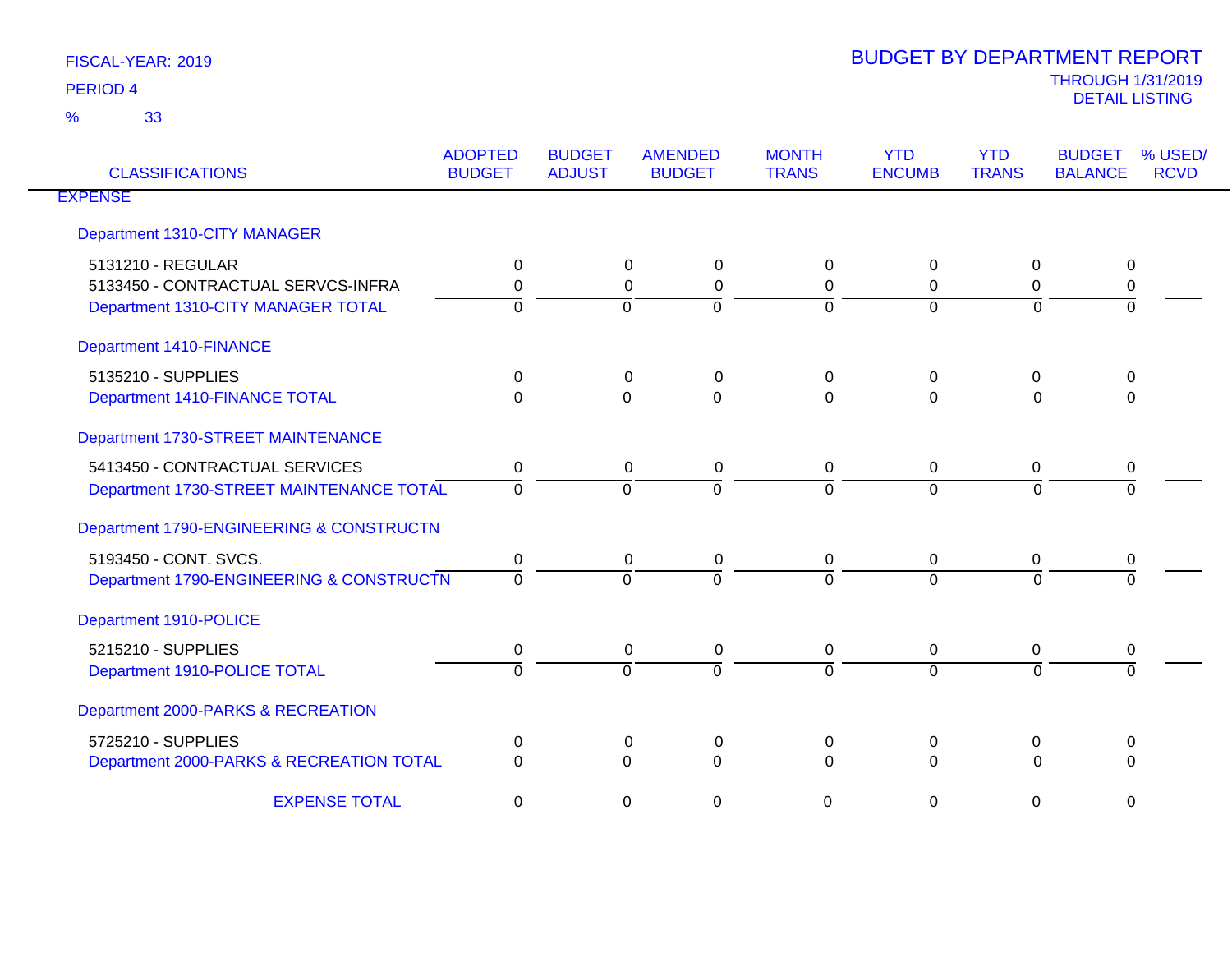| <b>CLASSIFICATIONS</b>                   | <b>ADOPTED</b><br><b>BUDGET</b> | <b>BUDGET</b><br><b>ADJUST</b> | <b>AMENDED</b><br><b>BUDGET</b> | <b>MONTH</b><br><b>TRANS</b> | <b>YTD</b><br><b>ENCUMB</b> | <b>YTD</b><br><b>TRANS</b> | % USED/<br><b>BUDGET</b><br><b>BALANCE</b><br><b>RCVD</b> |
|------------------------------------------|---------------------------------|--------------------------------|---------------------------------|------------------------------|-----------------------------|----------------------------|-----------------------------------------------------------|
| <b>EXPENSE</b>                           |                                 |                                |                                 |                              |                             |                            |                                                           |
| Department 1310-CITY MANAGER             |                                 |                                |                                 |                              |                             |                            |                                                           |
| 5131210 - REGULAR                        | 0                               |                                | 0<br>0                          | 0                            | 0                           | 0                          | 0                                                         |
| 5133450 - CONTRACTUAL SERVCS-INFRA       | $\Omega$                        |                                | $\mathbf 0$<br>$\mathbf 0$      | $\mathbf 0$                  | $\Omega$                    | $\Omega$                   | 0                                                         |
| Department 1310-CITY MANAGER TOTAL       | $\Omega$                        |                                | $\Omega$<br>$\Omega$            | $\Omega$                     | $\Omega$                    | $\Omega$                   | $\Omega$                                                  |
| <b>Department 1410-FINANCE</b>           |                                 |                                |                                 |                              |                             |                            |                                                           |
| 5135210 - SUPPLIES                       | 0                               |                                | 0<br>0                          | 0                            | 0                           | 0                          | 0                                                         |
| Department 1410-FINANCE TOTAL            | $\Omega$                        |                                | $\Omega$<br>$\Omega$            | $\overline{0}$               | $\Omega$                    | $\Omega$                   | $\Omega$                                                  |
| Department 1730-STREET MAINTENANCE       |                                 |                                |                                 |                              |                             |                            |                                                           |
| 5413450 - CONTRACTUAL SERVICES           | $\mathbf 0$                     |                                | 0<br>0                          | 0                            | $\mathbf 0$                 | 0                          | 0                                                         |
| Department 1730-STREET MAINTENANCE TOTAL | $\Omega$                        |                                | $\Omega$<br>$\Omega$            | $\overline{0}$               | $\Omega$                    | $\Omega$                   | $\Omega$                                                  |
| Department 1790-ENGINEERING & CONSTRUCTN |                                 |                                |                                 |                              |                             |                            |                                                           |
| 5193450 - CONT. SVCS.                    | 0                               |                                | $\mathbf 0$<br>$\mathbf 0$      | $\mathbf 0$                  | $\mathbf 0$                 | 0                          | 0                                                         |
| Department 1790-ENGINEERING & CONSTRUCTN | $\Omega$                        |                                | $\Omega$<br>$\Omega$            | $\Omega$                     | $\Omega$                    | $\Omega$                   |                                                           |
| Department 1910-POLICE                   |                                 |                                |                                 |                              |                             |                            |                                                           |
| 5215210 - SUPPLIES                       | 0                               |                                | 0<br>0                          | 0                            | 0                           | 0                          | 0                                                         |
| Department 1910-POLICE TOTAL             | $\Omega$                        |                                | $\Omega$<br>$\Omega$            | $\Omega$                     | $\Omega$                    | $\Omega$                   | $\Omega$                                                  |
| Department 2000-PARKS & RECREATION       |                                 |                                |                                 |                              |                             |                            |                                                           |
| 5725210 - SUPPLIES                       | 0                               |                                | 0<br>0                          | 0                            | 0                           | 0                          | 0                                                         |
| Department 2000-PARKS & RECREATION TOTAL | $\Omega$                        |                                | $\Omega$<br>$\Omega$            | $\mathbf 0$                  | $\Omega$                    | $\Omega$                   | $\Omega$                                                  |
| <b>EXPENSE TOTAL</b>                     | 0                               |                                | 0<br>0                          | 0                            | 0                           | 0                          | $\mathbf 0$                                               |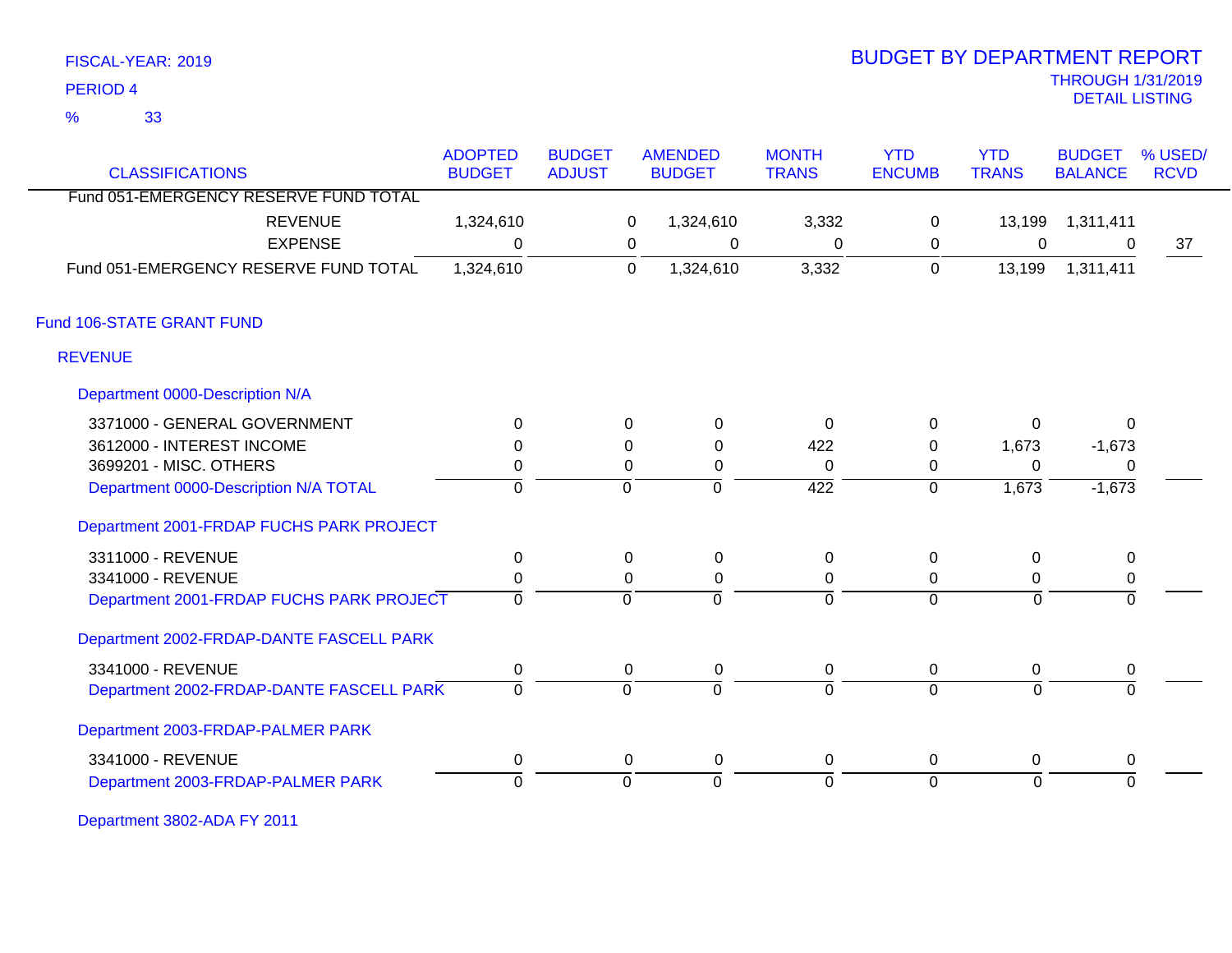| FISCAL-YEAR: 2019 |  |
|-------------------|--|
|-------------------|--|

# THROUGH 1/31/2019 DETAIL LISTING PERIOD <sup>4</sup> BUDGET BY DEPARTMENT REPORT

| <b>CLASSIFICATIONS</b>                   | <b>ADOPTED</b><br><b>BUDGET</b> | <b>BUDGET</b><br><b>ADJUST</b> |                | <b>AMENDED</b><br><b>BUDGET</b> | <b>MONTH</b><br><b>TRANS</b> | <b>YTD</b><br><b>ENCUMB</b> | <b>YTD</b><br><b>TRANS</b> | <b>BUDGET</b><br><b>BALANCE</b> | % USED/<br><b>RCVD</b> |
|------------------------------------------|---------------------------------|--------------------------------|----------------|---------------------------------|------------------------------|-----------------------------|----------------------------|---------------------------------|------------------------|
| Fund 051-EMERGENCY RESERVE FUND TOTAL    |                                 |                                |                |                                 |                              |                             |                            |                                 |                        |
| <b>REVENUE</b>                           | 1,324,610                       |                                | 0              | 1,324,610                       | 3,332                        | $\pmb{0}$                   | 13,199                     | 1,311,411                       |                        |
| <b>EXPENSE</b>                           | $\mathbf{0}$                    |                                | 0              | 0                               | $\mathbf{0}$                 | 0                           | 0                          | $\Omega$                        | 37                     |
| Fund 051-EMERGENCY RESERVE FUND TOTAL    | 1,324,610                       |                                | $\overline{0}$ | 1,324,610                       | 3,332                        | $\pmb{0}$                   | 13,199                     | 1,311,411                       |                        |
| Fund 106-STATE GRANT FUND                |                                 |                                |                |                                 |                              |                             |                            |                                 |                        |
| <b>REVENUE</b>                           |                                 |                                |                |                                 |                              |                             |                            |                                 |                        |
| Department 0000-Description N/A          |                                 |                                |                |                                 |                              |                             |                            |                                 |                        |
| 3371000 - GENERAL GOVERNMENT             | $\Omega$                        |                                | 0              | 0                               | $\Omega$                     | 0                           | $\Omega$                   | $\mathbf{0}$                    |                        |
| 3612000 - INTEREST INCOME                | $\Omega$                        |                                | $\Omega$       | 0                               | 422                          | $\Omega$                    | 1,673                      | $-1,673$                        |                        |
| 3699201 - MISC. OTHERS                   | 0                               |                                | 0              | 0                               | $\Omega$                     | 0                           | $\Omega$                   | 0                               |                        |
| Department 0000-Description N/A TOTAL    | $\mathbf 0$                     |                                | $\mathbf 0$    | $\mathbf 0$                     | $\overline{422}$             | $\overline{0}$              | 1,673                      | $-1,673$                        |                        |
| Department 2001-FRDAP FUCHS PARK PROJECT |                                 |                                |                |                                 |                              |                             |                            |                                 |                        |
| 3311000 - REVENUE                        | $\mathbf 0$                     |                                | 0              | $\mathbf 0$                     | $\mathbf 0$                  | $\pmb{0}$                   | 0                          | $\mathbf 0$                     |                        |
| 3341000 - REVENUE                        | 0                               |                                | 0              | 0                               | 0                            | 0                           | 0                          | $\mathbf 0$                     |                        |
| Department 2001-FRDAP FUCHS PARK PROJECT | $\mathbf 0$                     |                                | $\Omega$       | $\overline{0}$                  | $\overline{0}$               | $\overline{0}$              | $\Omega$                   | $\Omega$                        |                        |
| Department 2002-FRDAP-DANTE FASCELL PARK |                                 |                                |                |                                 |                              |                             |                            |                                 |                        |
| 3341000 - REVENUE                        | $\mathbf 0$                     |                                | 0              | 0                               | 0                            | 0                           | 0                          | 0                               |                        |
| Department 2002-FRDAP-DANTE FASCELL PARK | $\mathbf 0$                     |                                | $\mathbf 0$    | $\overline{0}$                  | $\Omega$                     | $\overline{0}$              | $\overline{0}$             | $\Omega$                        |                        |
| Department 2003-FRDAP-PALMER PARK        |                                 |                                |                |                                 |                              |                             |                            |                                 |                        |
| 3341000 - REVENUE                        | $\mathbf 0$                     |                                | 0              | $\pmb{0}$                       | 0                            | 0                           | 0                          | 0                               |                        |
| Department 2003-FRDAP-PALMER PARK        | $\mathbf{0}$                    |                                | $\Omega$       | $\overline{0}$                  | $\Omega$                     | $\overline{0}$              | $\Omega$                   | $\Omega$                        |                        |

Department 3802-ADA FY 2011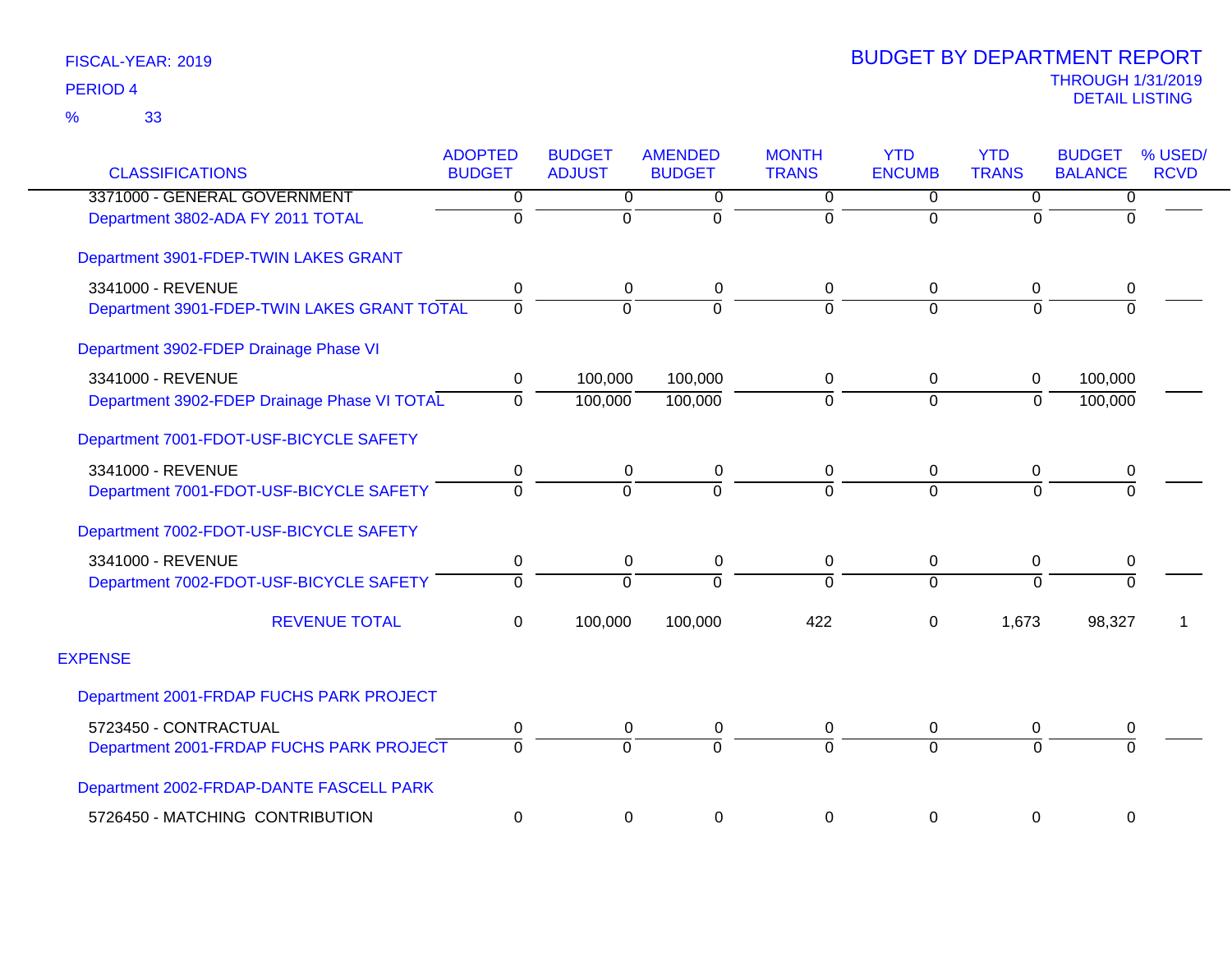| <b>CLASSIFICATIONS</b>                       | <b>ADOPTED</b><br><b>BUDGET</b> | <b>BUDGET</b><br><b>ADJUST</b> | <b>AMENDED</b><br><b>BUDGET</b> | <b>MONTH</b><br><b>TRANS</b> | <b>YTD</b><br><b>ENCUMB</b> | <b>YTD</b><br><b>TRANS</b> | <b>BUDGET</b><br><b>BALANCE</b> | % USED/<br><b>RCVD</b> |
|----------------------------------------------|---------------------------------|--------------------------------|---------------------------------|------------------------------|-----------------------------|----------------------------|---------------------------------|------------------------|
| 3371000 - GENERAL GOVERNMENT                 | 0                               | 0                              | 0                               | 0                            | $\mathbf 0$                 | 0                          | 0                               |                        |
|                                              | $\mathbf 0$                     | $\mathbf 0$                    | $\Omega$                        | 0                            | $\Omega$                    | $\Omega$                   | $\Omega$                        |                        |
| Department 3802-ADA FY 2011 TOTAL            |                                 |                                |                                 |                              |                             |                            |                                 |                        |
| Department 3901-FDEP-TWIN LAKES GRANT        |                                 |                                |                                 |                              |                             |                            |                                 |                        |
| 3341000 - REVENUE                            | 0                               | 0                              | 0                               | 0                            | $\mathbf 0$                 | 0                          | 0                               |                        |
| Department 3901-FDEP-TWIN LAKES GRANT TOTAL  | $\Omega$                        | $\Omega$                       | $\Omega$                        | $\Omega$                     | $\Omega$                    | $\Omega$                   | $\Omega$                        |                        |
| Department 3902-FDEP Drainage Phase VI       |                                 |                                |                                 |                              |                             |                            |                                 |                        |
| 3341000 - REVENUE                            | $\mathbf 0$                     | 100,000                        | 100,000                         | 0                            | $\mathbf 0$                 | $\mathbf 0$                | 100,000                         |                        |
| Department 3902-FDEP Drainage Phase VI TOTAL | $\Omega$                        | 100,000                        | 100,000                         | 0                            | $\mathbf 0$                 | $\Omega$                   | 100,000                         |                        |
| Department 7001-FDOT-USF-BICYCLE SAFETY      |                                 |                                |                                 |                              |                             |                            |                                 |                        |
| 3341000 - REVENUE                            | 0                               | 0                              | 0                               | 0                            | $\mathbf 0$                 | 0                          | 0                               |                        |
| Department 7001-FDOT-USF-BICYCLE SAFETY      | $\Omega$                        | $\Omega$                       | $\Omega$                        | $\overline{0}$               | $\Omega$                    | $\Omega$                   | $\Omega$                        |                        |
| Department 7002-FDOT-USF-BICYCLE SAFETY      |                                 |                                |                                 |                              |                             |                            |                                 |                        |
| 3341000 - REVENUE                            | $\pmb{0}$                       | 0                              | 0                               | 0                            | $\mathbf 0$                 | $\pmb{0}$                  | $\pmb{0}$                       |                        |
| Department 7002-FDOT-USF-BICYCLE SAFETY      | $\Omega$                        | $\Omega$                       | $\Omega$                        | $\Omega$                     | $\Omega$                    | $\overline{0}$             | $\Omega$                        |                        |
| <b>REVENUE TOTAL</b>                         | $\Omega$                        | 100,000                        | 100,000                         | 422                          | 0                           | 1,673                      | 98,327                          |                        |
| <b>EXPENSE</b>                               |                                 |                                |                                 |                              |                             |                            |                                 |                        |
| Department 2001-FRDAP FUCHS PARK PROJECT     |                                 |                                |                                 |                              |                             |                            |                                 |                        |
| 5723450 - CONTRACTUAL                        | 0                               | 0                              | 0                               | 0                            | $\mathbf 0$                 | 0                          | 0                               |                        |
| Department 2001-FRDAP FUCHS PARK PROJECT     | $\Omega$                        | $\Omega$                       | $\Omega$                        | $\overline{0}$               | $\Omega$                    | $\Omega$                   | $\Omega$                        |                        |
| Department 2002-FRDAP-DANTE FASCELL PARK     |                                 |                                |                                 |                              |                             |                            |                                 |                        |
| 5726450 - MATCHING CONTRIBUTION              | $\mathbf 0$                     | 0                              | 0                               | 0                            | $\mathbf 0$                 | $\pmb{0}$                  | $\boldsymbol{0}$                |                        |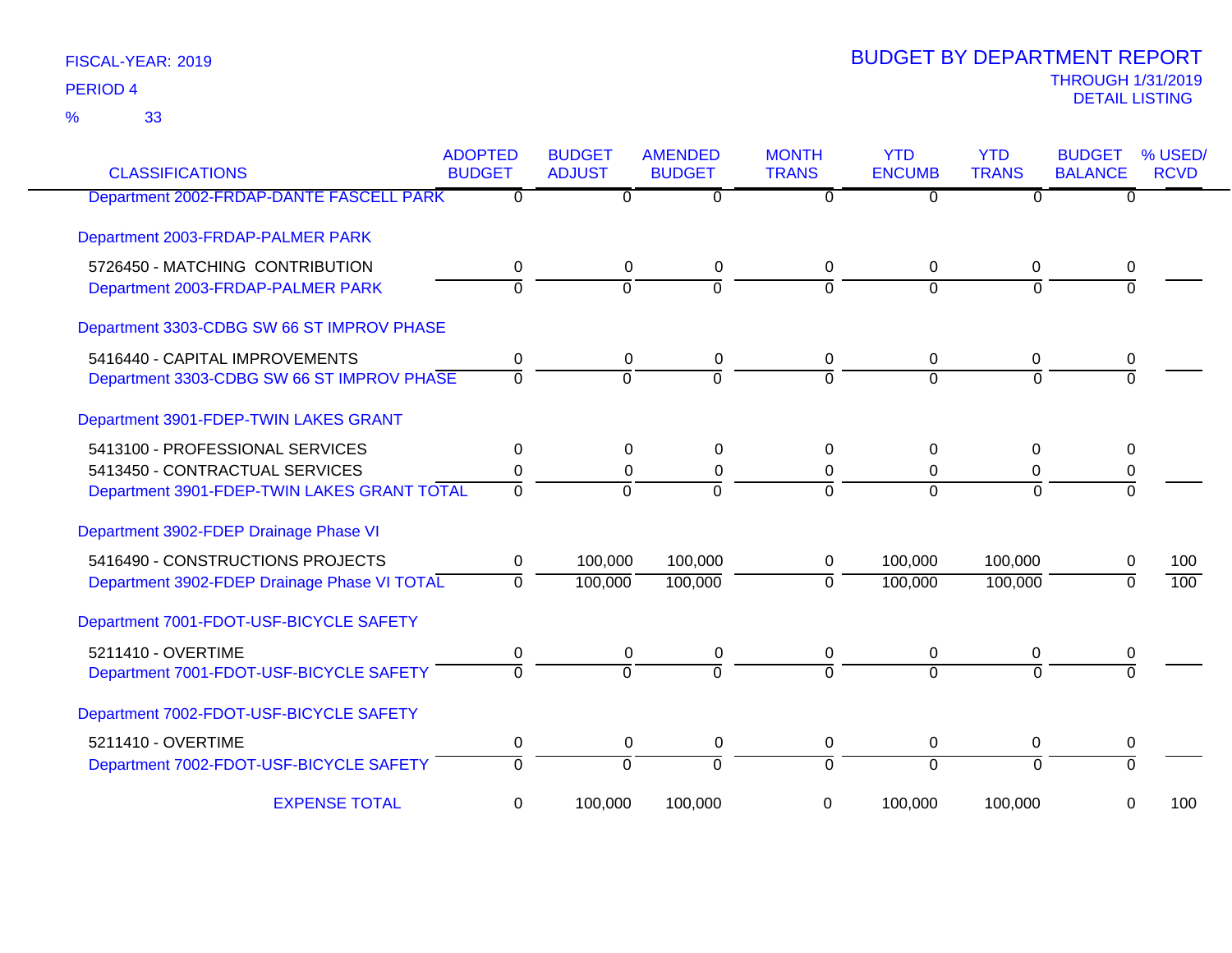33 %

| <b>CLASSIFICATIONS</b>                       | <b>ADOPTED</b><br><b>BUDGET</b> | <b>BUDGET</b><br><b>ADJUST</b> | <b>AMENDED</b><br><b>BUDGET</b> | <b>MONTH</b><br><b>TRANS</b> | <b>YTD</b><br><b>ENCUMB</b> | <b>YTD</b><br><b>TRANS</b> | <b>BUDGET</b><br><b>BALANCE</b> | % USED/<br><b>RCVD</b> |
|----------------------------------------------|---------------------------------|--------------------------------|---------------------------------|------------------------------|-----------------------------|----------------------------|---------------------------------|------------------------|
| Department 2002-FRDAP-DANTE FASCELL PARK     | 0                               | $\Omega$                       | $\overline{0}$                  | $\Omega$                     | $\Omega$                    | $\Omega$                   | $\Omega$                        |                        |
| Department 2003-FRDAP-PALMER PARK            |                                 |                                |                                 |                              |                             |                            |                                 |                        |
| 5726450 - MATCHING CONTRIBUTION              | $\mathbf 0$                     | $\mathbf 0$                    | 0                               | 0                            | 0                           | 0                          | 0                               |                        |
| Department 2003-FRDAP-PALMER PARK            | $\overline{0}$                  | $\mathbf 0$                    | $\overline{0}$                  | $\Omega$                     | $\Omega$                    | $\Omega$                   | $\Omega$                        |                        |
| Department 3303-CDBG SW 66 ST IMPROV PHASE   |                                 |                                |                                 |                              |                             |                            |                                 |                        |
| 5416440 - CAPITAL IMPROVEMENTS               | 0                               | 0                              | 0                               | 0                            | 0                           | 0                          | 0                               |                        |
| Department 3303-CDBG SW 66 ST IMPROV PHASE   | $\Omega$                        | $\Omega$                       | $\overline{0}$                  | $\overline{0}$               | $\Omega$                    | $\Omega$                   | $\Omega$                        |                        |
| Department 3901-FDEP-TWIN LAKES GRANT        |                                 |                                |                                 |                              |                             |                            |                                 |                        |
| 5413100 - PROFESSIONAL SERVICES              | 0                               | 0                              | $\Omega$                        | $\Omega$                     | $\Omega$                    | $\Omega$                   | $\Omega$                        |                        |
| 5413450 - CONTRACTUAL SERVICES               | 0                               | 0                              | $\mathbf 0$                     | 0                            | 0                           | 0                          | 0                               |                        |
| Department 3901-FDEP-TWIN LAKES GRANT TOTAL  | $\Omega$                        | $\Omega$                       | $\Omega$                        | $\Omega$                     | $\Omega$                    | $\Omega$                   | $\Omega$                        |                        |
| Department 3902-FDEP Drainage Phase VI       |                                 |                                |                                 |                              |                             |                            |                                 |                        |
| 5416490 - CONSTRUCTIONS PROJECTS             | 0                               | 100,000                        | 100,000                         | $\mathbf 0$                  | 100,000                     | 100,000                    | 0                               | 100                    |
| Department 3902-FDEP Drainage Phase VI TOTAL | $\Omega$                        | 100,000                        | 100,000                         | $\Omega$                     | 100,000                     | 100,000                    | $\Omega$                        | 100                    |
| Department 7001-FDOT-USF-BICYCLE SAFETY      |                                 |                                |                                 |                              |                             |                            |                                 |                        |
| 5211410 - OVERTIME                           | 0                               | 0                              | $\mathbf 0$                     | 0                            | 0                           | $\mathbf 0$                | 0                               |                        |
| Department 7001-FDOT-USF-BICYCLE SAFETY      | $\Omega$                        | $\Omega$                       | $\Omega$                        | $\Omega$                     | $\Omega$                    | $\Omega$                   | $\Omega$                        |                        |
| Department 7002-FDOT-USF-BICYCLE SAFETY      |                                 |                                |                                 |                              |                             |                            |                                 |                        |
| 5211410 - OVERTIME                           | 0                               | 0                              | 0                               | 0                            | 0                           | 0                          | 0                               |                        |
| Department 7002-FDOT-USF-BICYCLE SAFETY      | $\overline{0}$                  | $\overline{0}$                 | $\overline{0}$                  | $\overline{0}$               | $\overline{0}$              | $\Omega$                   | $\Omega$                        |                        |
| <b>EXPENSE TOTAL</b>                         | 0                               | 100,000                        | 100,000                         | 0                            | 100,000                     | 100,000                    | 0                               | 100                    |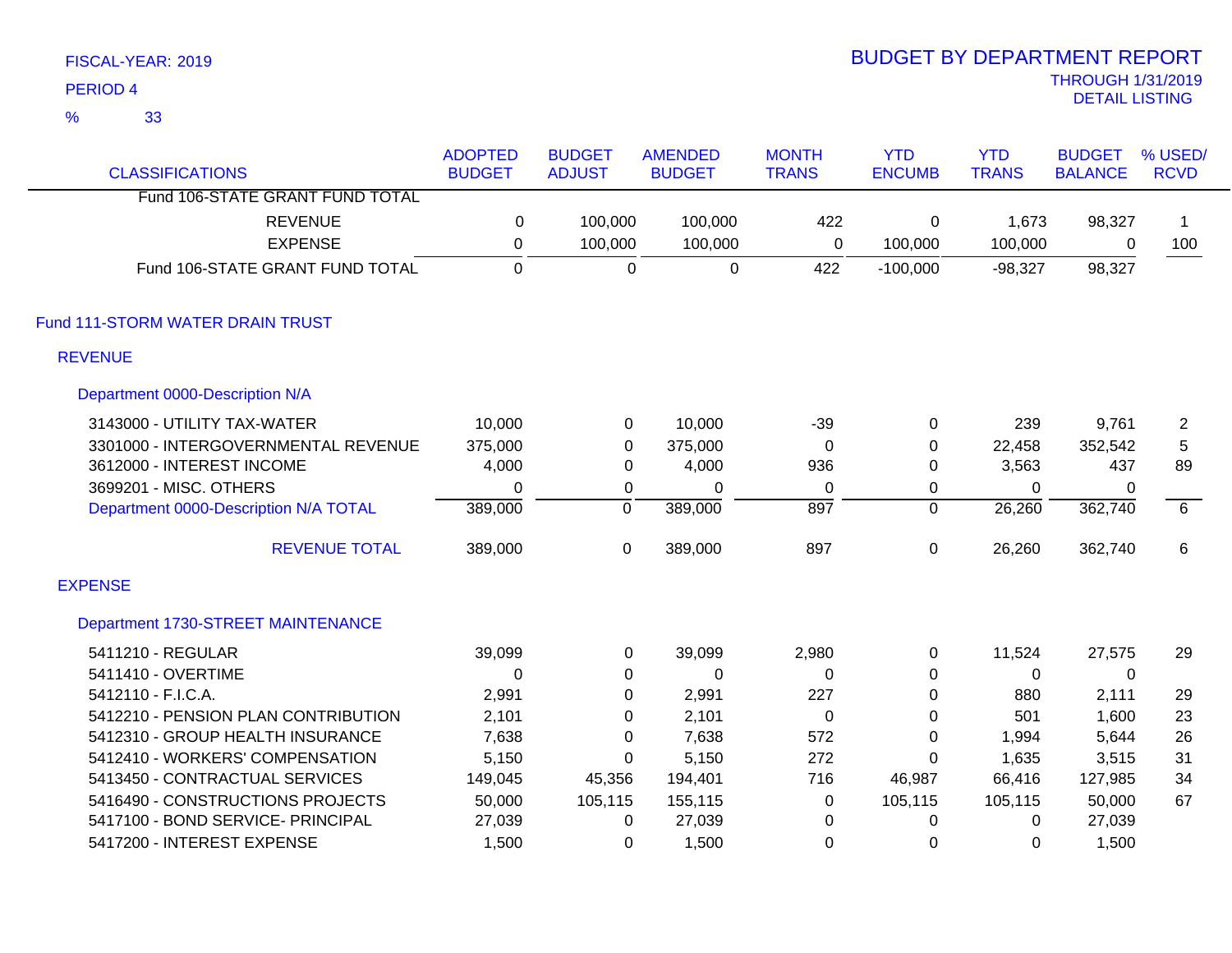|                | FISCAL-YEAR: 2019                     |                |                  |                |              | <b>BUDGET BY DEPARTMENT REPORT</b> |              |                          |                |
|----------------|---------------------------------------|----------------|------------------|----------------|--------------|------------------------------------|--------------|--------------------------|----------------|
|                | <b>PERIOD 4</b>                       |                |                  |                |              |                                    |              | <b>THROUGH 1/31/2019</b> |                |
| $\frac{9}{6}$  | 33                                    |                |                  |                |              |                                    |              | <b>DETAIL LISTING</b>    |                |
|                |                                       | <b>ADOPTED</b> | <b>BUDGET</b>    | <b>AMENDED</b> | <b>MONTH</b> | <b>YTD</b>                         | <b>YTD</b>   | <b>BUDGET</b>            | % USED/        |
|                | <b>CLASSIFICATIONS</b>                | <b>BUDGET</b>  | <b>ADJUST</b>    | <b>BUDGET</b>  | <b>TRANS</b> | <b>ENCUMB</b>                      | <b>TRANS</b> | <b>BALANCE</b>           | <b>RCVD</b>    |
|                | Fund 106-STATE GRANT FUND TOTAL       |                |                  |                |              |                                    |              |                          |                |
|                | <b>REVENUE</b>                        | 0              | 100,000          | 100,000        | 422          | 0                                  | 1,673        | 98,327                   | 1              |
|                | <b>EXPENSE</b>                        | 0              | 100,000          | 100,000        | $\mathbf 0$  | 100,000                            | 100,000      | 0                        | 100            |
|                | Fund 106-STATE GRANT FUND TOTAL       | $\overline{0}$ | $\Omega$         | $\mathbf 0$    | 422          | $-100,000$                         | $-98,327$    | 98,327                   |                |
|                | Fund 111-STORM WATER DRAIN TRUST      |                |                  |                |              |                                    |              |                          |                |
| <b>REVENUE</b> |                                       |                |                  |                |              |                                    |              |                          |                |
|                | Department 0000-Description N/A       |                |                  |                |              |                                    |              |                          |                |
|                | 3143000 - UTILITY TAX-WATER           | 10,000         | $\mathbf 0$      | 10,000         | $-39$        | $\mathbf 0$                        | 239          | 9,761                    | $\overline{c}$ |
|                | 3301000 - INTERGOVERNMENTAL REVENUE   | 375,000        | $\boldsymbol{0}$ | 375,000        | $\mathbf 0$  | $\mathbf 0$                        | 22,458       | 352,542                  | 5              |
|                | 3612000 - INTEREST INCOME             | 4,000          | $\boldsymbol{0}$ | 4,000          | 936          | $\pmb{0}$                          | 3,563        | 437                      | 89             |
|                | 3699201 - MISC. OTHERS                | 0              | $\pmb{0}$        | 0              | $\mathbf 0$  | 0                                  | $\mathbf 0$  | 0                        |                |
|                | Department 0000-Description N/A TOTAL | 389,000        | $\overline{0}$   | 389,000        | 897          | $\overline{0}$                     | 26,260       | 362,740                  | 6              |
|                | <b>REVENUE TOTAL</b>                  | 389,000        | $\boldsymbol{0}$ | 389,000        | 897          | 0                                  | 26,260       | 362,740                  | 6              |
| <b>EXPENSE</b> |                                       |                |                  |                |              |                                    |              |                          |                |
|                | Department 1730-STREET MAINTENANCE    |                |                  |                |              |                                    |              |                          |                |
|                | 5411210 - REGULAR                     | 39,099         | $\pmb{0}$        | 39,099         | 2,980        | 0                                  | 11,524       | 27,575                   | 29             |
|                | 5411410 - OVERTIME                    | $\mathbf 0$    | $\pmb{0}$        | 0              | $\mathbf 0$  | 0                                  | 0            | $\mathbf 0$              |                |
|                | 5412110 - F.I.C.A.                    | 2,991          | $\boldsymbol{0}$ | 2,991          | 227          | 0                                  | 880          | 2,111                    | 29             |
|                | 5412210 - PENSION PLAN CONTRIBUTION   | 2,101          | $\pmb{0}$        | 2,101          | $\mathbf 0$  | 0                                  | 501          | 1,600                    | 23             |
|                | 5412310 - GROUP HEALTH INSURANCE      | 7,638          | $\boldsymbol{0}$ | 7,638          | 572          | $\pmb{0}$                          | 1,994        | 5,644                    | 26             |
|                | 5412410 - WORKERS' COMPENSATION       | 5,150          | 0                | 5,150          | 272          | 0                                  | 1,635        | 3,515                    | 31             |
|                | 5413450 - CONTRACTUAL SERVICES        | 149,045        | 45,356           | 194,401        | 716          | 46,987                             | 66,416       | 127,985                  | 34             |
|                | 5416490 - CONSTRUCTIONS PROJECTS      | 50,000         | 105,115          | 155,115        | 0            | 105,115                            | 105,115      | 50,000                   | 67             |
|                | 5417100 - BOND SERVICE- PRINCIPAL     | 27,039         | 0                | 27,039         | 0            | $\Omega$                           | $\mathbf{0}$ | 27,039                   |                |

5417200 - INTEREST EXPENSE 1,500 0 1,500 0 0 0 1,500

BUDGET BY DEPARTMENT REPORT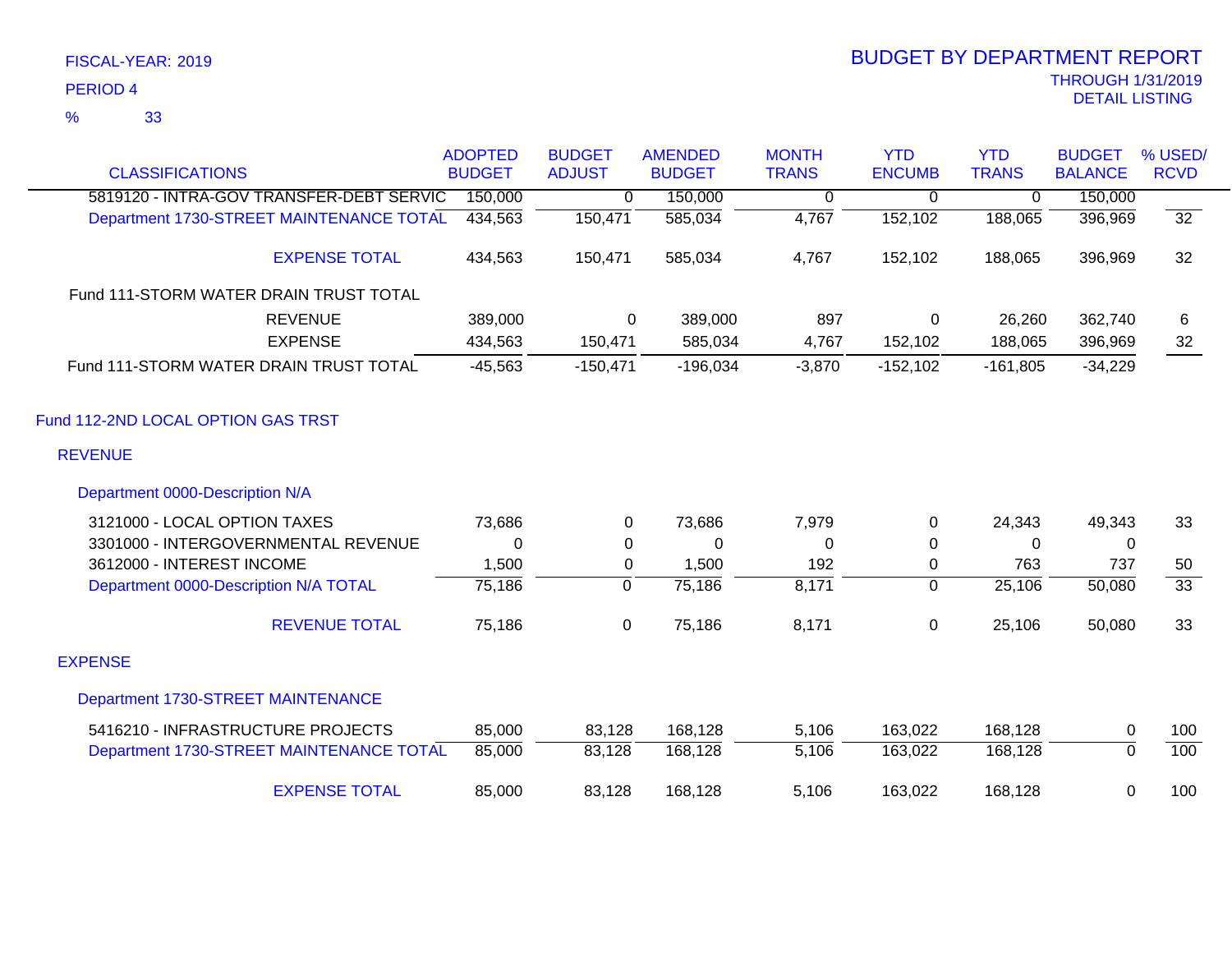### 33 %

| <b>CLASSIFICATIONS</b>                                              | <b>ADOPTED</b><br><b>BUDGET</b> | <b>BUDGET</b><br><b>ADJUST</b> | <b>AMENDED</b><br><b>BUDGET</b> | <b>MONTH</b><br><b>TRANS</b> | <b>YTD</b><br><b>ENCUMB</b> | <b>YTD</b><br><b>TRANS</b> | <b>BUDGET</b><br><b>BALANCE</b> | % USED/<br><b>RCVD</b> |
|---------------------------------------------------------------------|---------------------------------|--------------------------------|---------------------------------|------------------------------|-----------------------------|----------------------------|---------------------------------|------------------------|
| 5819120 - INTRA-GOV TRANSFER-DEBT SERVIC                            | 150,000                         | 0                              | 150,000                         | 0                            | 0                           | $\mathbf 0$                | 150,000                         |                        |
| Department 1730-STREET MAINTENANCE TOTAL                            | 434,563                         | 150,471                        | 585,034                         | 4,767                        | 152,102                     | 188,065                    | 396,969                         | $\overline{32}$        |
| <b>EXPENSE TOTAL</b>                                                | 434,563                         | 150,471                        | 585,034                         | 4,767                        | 152,102                     | 188,065                    | 396,969                         | 32                     |
| Fund 111-STORM WATER DRAIN TRUST TOTAL                              |                                 |                                |                                 |                              |                             |                            |                                 |                        |
| <b>REVENUE</b><br><b>EXPENSE</b>                                    | 389,000<br>434,563              | 0<br>150,471                   | 389,000<br>585,034              | 897<br>4,767                 | 0<br>152,102                | 26,260<br>188,065          | 362,740<br>396,969              | 6<br>32                |
| Fund 111-STORM WATER DRAIN TRUST TOTAL                              | $-45,563$                       | $-150,471$                     | $-196,034$                      | $-3,870$                     | $-152,102$                  | $-161,805$                 | $-34,229$                       |                        |
| Fund 112-2ND LOCAL OPTION GAS TRST<br><b>REVENUE</b>                |                                 |                                |                                 |                              |                             |                            |                                 |                        |
| Department 0000-Description N/A                                     |                                 |                                |                                 |                              |                             |                            |                                 |                        |
| 3121000 - LOCAL OPTION TAXES<br>3301000 - INTERGOVERNMENTAL REVENUE | 73,686<br>0                     | 0<br>0                         | 73,686<br>0                     | 7,979<br>0                   | 0<br>0                      | 24,343<br>0                | 49,343<br>0                     | 33                     |
| 3612000 - INTEREST INCOME                                           | 1,500                           | $\mathbf 0$                    | 1,500                           | 192                          | 0                           | 763                        | 737                             | 50                     |
| Department 0000-Description N/A TOTAL                               | 75,186                          | 0                              | 75,186                          | 8,171                        | 0                           | 25,106                     | 50,080                          | $\overline{33}$        |
| <b>REVENUE TOTAL</b>                                                | 75,186                          | 0                              | 75,186                          | 8,171                        | 0                           | 25,106                     | 50,080                          | 33                     |
| <b>EXPENSE</b>                                                      |                                 |                                |                                 |                              |                             |                            |                                 |                        |
| Department 1730-STREET MAINTENANCE                                  |                                 |                                |                                 |                              |                             |                            |                                 |                        |
| 5416210 - INFRASTRUCTURE PROJECTS                                   | 85,000                          | 83,128                         | 168,128                         | 5,106                        | 163,022                     | 168,128                    | 0                               | 100                    |
| Department 1730-STREET MAINTENANCE TOTAL                            | 85,000                          | 83,128                         | 168,128                         | 5,106                        | 163,022                     | 168,128                    | $\mathbf 0$                     | 100                    |
| <b>EXPENSE TOTAL</b>                                                | 85,000                          | 83,128                         | 168,128                         | 5,106                        | 163,022                     | 168,128                    | 0                               | 100                    |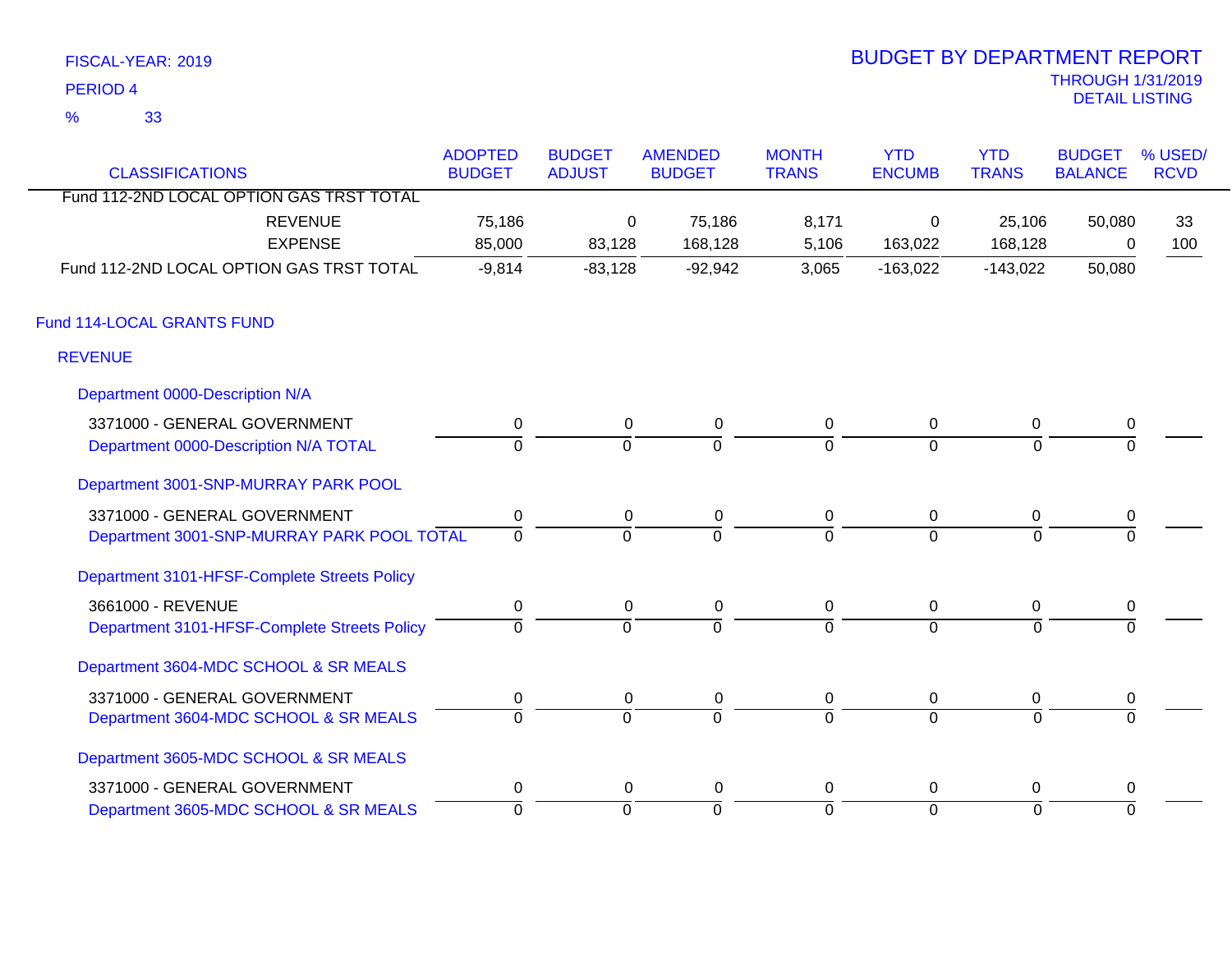| FISCAL-YEAR: 2019   | <b>BUDGET BY DEPARTMENT REPORT</b>         |
|---------------------|--------------------------------------------|
| PERIOD 4            | <b>THROUGH 1/31/2019</b><br>DETAIL LISTING |
| 33<br>$\frac{1}{2}$ |                                            |

# BUDGET BY DEPARTMENT REPORT

| <b>CLASSIFICATIONS</b>                       | <b>ADOPTED</b><br><b>BUDGET</b> | <b>BUDGET</b><br><b>ADJUST</b> | <b>AMENDED</b><br><b>BUDGET</b> | <b>MONTH</b><br><b>TRANS</b> | <b>YTD</b><br><b>ENCUMB</b> | <b>YTD</b><br><b>TRANS</b> | <b>BUDGET</b><br><b>BALANCE</b> | % USED/<br><b>RCVD</b> |
|----------------------------------------------|---------------------------------|--------------------------------|---------------------------------|------------------------------|-----------------------------|----------------------------|---------------------------------|------------------------|
| Fund 112-2ND LOCAL OPTION GAS TRST TOTAL     |                                 |                                |                                 |                              |                             |                            |                                 |                        |
| <b>REVENUE</b>                               | 75,186                          | 0                              | 75,186                          | 8,171                        | 0                           | 25,106                     | 50,080                          | 33                     |
| <b>EXPENSE</b>                               | 85,000                          | 83,128                         | 168,128                         | 5,106                        | 163,022                     | 168,128                    | 0                               | 100                    |
| Fund 112-2ND LOCAL OPTION GAS TRST TOTAL     | $-9,814$                        | $-83,128$                      | $-92,942$                       | 3,065                        | $-163,022$                  | $-143,022$                 | 50,080                          |                        |
| Fund 114-LOCAL GRANTS FUND                   |                                 |                                |                                 |                              |                             |                            |                                 |                        |
| <b>REVENUE</b>                               |                                 |                                |                                 |                              |                             |                            |                                 |                        |
| Department 0000-Description N/A              |                                 |                                |                                 |                              |                             |                            |                                 |                        |
| 3371000 - GENERAL GOVERNMENT                 | $\pmb{0}$                       | 0                              | 0                               | $\mathbf 0$                  | $\mathbf 0$                 | 0                          | $\pmb{0}$                       |                        |
| Department 0000-Description N/A TOTAL        | $\Omega$                        | $\Omega$                       | $\Omega$                        | $\Omega$                     | $\Omega$                    | $\Omega$                   |                                 |                        |
| Department 3001-SNP-MURRAY PARK POOL         |                                 |                                |                                 |                              |                             |                            |                                 |                        |
| 3371000 - GENERAL GOVERNMENT                 | $\pmb{0}$                       | 0                              | 0                               | $\mathbf 0$                  | $\mathbf 0$                 | $\mathbf 0$                | $\pmb{0}$                       |                        |
| Department 3001-SNP-MURRAY PARK POOL TOTAL   | $\overline{0}$                  | $\Omega$                       | $\Omega$                        | $\Omega$                     | $\Omega$                    | $\Omega$                   |                                 |                        |
| Department 3101-HFSF-Complete Streets Policy |                                 |                                |                                 |                              |                             |                            |                                 |                        |
| 3661000 - REVENUE                            | $\mathbf 0$                     | 0                              | 0                               | 0                            | $\overline{0}$              | $\mathbf 0$                | 0                               |                        |
| Department 3101-HFSF-Complete Streets Policy | $\Omega$                        | $\Omega$                       | $\Omega$                        | $\Omega$                     | $\Omega$                    | $\Omega$                   |                                 |                        |
| Department 3604-MDC SCHOOL & SR MEALS        |                                 |                                |                                 |                              |                             |                            |                                 |                        |
| 3371000 - GENERAL GOVERNMENT                 | 0                               | 0                              | 0                               | 0                            | $\mathbf 0$                 | 0                          | 0                               |                        |
| Department 3604-MDC SCHOOL & SR MEALS        | $\overline{0}$                  | $\overline{0}$                 | $\overline{0}$                  | $\overline{0}$               | $\overline{0}$              | $\Omega$                   | $\Omega$                        |                        |
| Department 3605-MDC SCHOOL & SR MEALS        |                                 |                                |                                 |                              |                             |                            |                                 |                        |
| 3371000 - GENERAL GOVERNMENT                 | $\mathbf 0$                     | 0                              | 0                               | 0                            | 0                           | 0                          | $\mathbf 0$                     |                        |
| Department 3605-MDC SCHOOL & SR MEALS        | $\overline{0}$                  | 0                              | $\overline{0}$                  | ō                            | $\mathbf 0$                 | $\Omega$                   | $\Omega$                        |                        |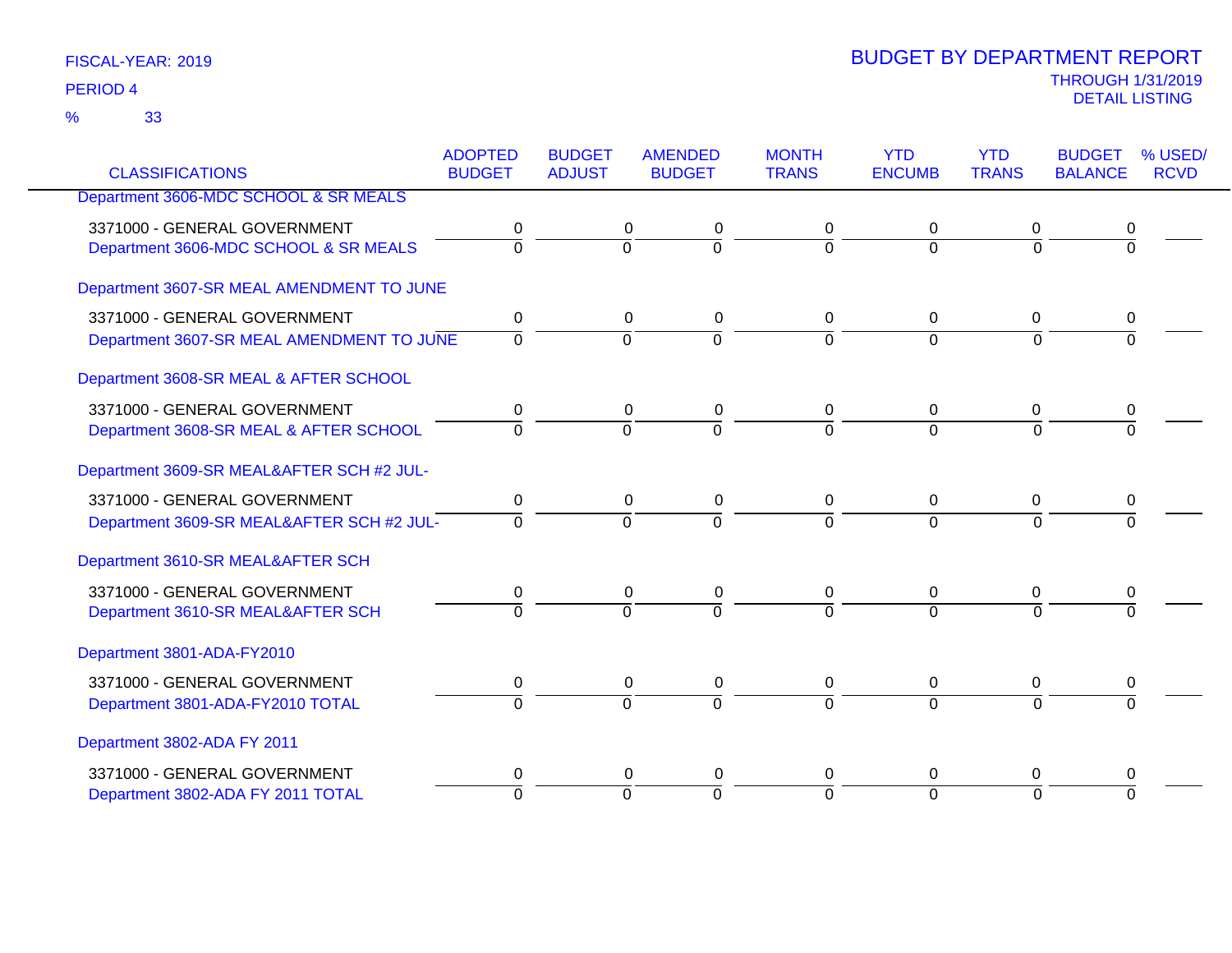|                                           | <b>ADOPTED</b><br><b>BUDGET</b> | <b>BUDGET</b>  | <b>AMENDED</b><br><b>BUDGET</b> | <b>MONTH</b><br><b>TRANS</b> | <b>YTD</b><br><b>ENCUMB</b> | <b>YTD</b><br><b>TRANS</b> | <b>BUDGET</b><br><b>BALANCE</b> | % USED/<br><b>RCVD</b> |
|-------------------------------------------|---------------------------------|----------------|---------------------------------|------------------------------|-----------------------------|----------------------------|---------------------------------|------------------------|
| <b>CLASSIFICATIONS</b>                    |                                 | <b>ADJUST</b>  |                                 |                              |                             |                            |                                 |                        |
| Department 3606-MDC SCHOOL & SR MEALS     |                                 |                |                                 |                              |                             |                            |                                 |                        |
| 3371000 - GENERAL GOVERNMENT              | 0                               | 0              | 0                               | 0                            | 0                           | 0                          | 0                               |                        |
| Department 3606-MDC SCHOOL & SR MEALS     | $\overline{0}$                  | $\overline{0}$ | $\overline{0}$                  | $\overline{0}$               | $\mathbf 0$                 | $\mathbf 0$                | 0                               |                        |
| Department 3607-SR MEAL AMENDMENT TO JUNE |                                 |                |                                 |                              |                             |                            |                                 |                        |
| 3371000 - GENERAL GOVERNMENT              | 0                               | $\mathbf 0$    | 0                               | 0                            | $\mathbf 0$                 | $\mathbf 0$                | 0                               |                        |
| Department 3607-SR MEAL AMENDMENT TO JUNE | $\mathbf 0$                     | $\overline{0}$ | $\overline{0}$                  | $\mathbf 0$                  | $\mathbf 0$                 | $\Omega$                   | $\Omega$                        |                        |
|                                           |                                 |                |                                 |                              |                             |                            |                                 |                        |
| Department 3608-SR MEAL & AFTER SCHOOL    |                                 |                |                                 |                              |                             |                            |                                 |                        |
| 3371000 - GENERAL GOVERNMENT              | 0                               | 0              | 0                               | 0                            | 0                           | 0                          | 0                               |                        |
| Department 3608-SR MEAL & AFTER SCHOOL    | $\overline{0}$                  | $\overline{0}$ | $\overline{0}$                  | $\overline{0}$               | $\overline{0}$              | $\overline{0}$             | $\overline{\Omega}$             |                        |
| Department 3609-SR MEAL&AFTER SCH #2 JUL- |                                 |                |                                 |                              |                             |                            |                                 |                        |
| 3371000 - GENERAL GOVERNMENT              | 0                               | 0              | 0                               | 0                            | 0                           | 0                          | 0                               |                        |
| Department 3609-SR MEAL&AFTER SCH #2 JUL- | $\Omega$                        | $\Omega$       | $\overline{0}$                  | $\Omega$                     | $\Omega$                    | $\Omega$                   | $\Omega$                        |                        |
| Department 3610-SR MEAL&AFTER SCH         |                                 |                |                                 |                              |                             |                            |                                 |                        |
| 3371000 - GENERAL GOVERNMENT              | 0                               | 0              | 0                               | 0                            | $\mathbf 0$                 | $\mathbf 0$                | 0                               |                        |
| Department 3610-SR MEAL&AFTER SCH         | $\Omega$                        | $\Omega$       | $\Omega$                        | $\Omega$                     | $\Omega$                    | $\Omega$                   | $\Omega$                        |                        |
| Department 3801-ADA-FY2010                |                                 |                |                                 |                              |                             |                            |                                 |                        |
| 3371000 - GENERAL GOVERNMENT              | 0                               | 0              | 0                               | 0                            | 0                           | 0                          | 0                               |                        |
| Department 3801-ADA-FY2010 TOTAL          | $\overline{0}$                  | $\overline{0}$ | $\overline{0}$                  | $\overline{0}$               | $\overline{0}$              | $\Omega$                   | $\overline{0}$                  |                        |
| Department 3802-ADA FY 2011               |                                 |                |                                 |                              |                             |                            |                                 |                        |
| 3371000 - GENERAL GOVERNMENT              | 0                               | 0              | 0                               | 0                            | 0                           | 0                          | 0                               |                        |
| Department 3802-ADA FY 2011 TOTAL         | $\Omega$                        | $\overline{0}$ | $\overline{0}$                  | $\overline{0}$               | $\Omega$                    | $\Omega$                   | $\Omega$                        |                        |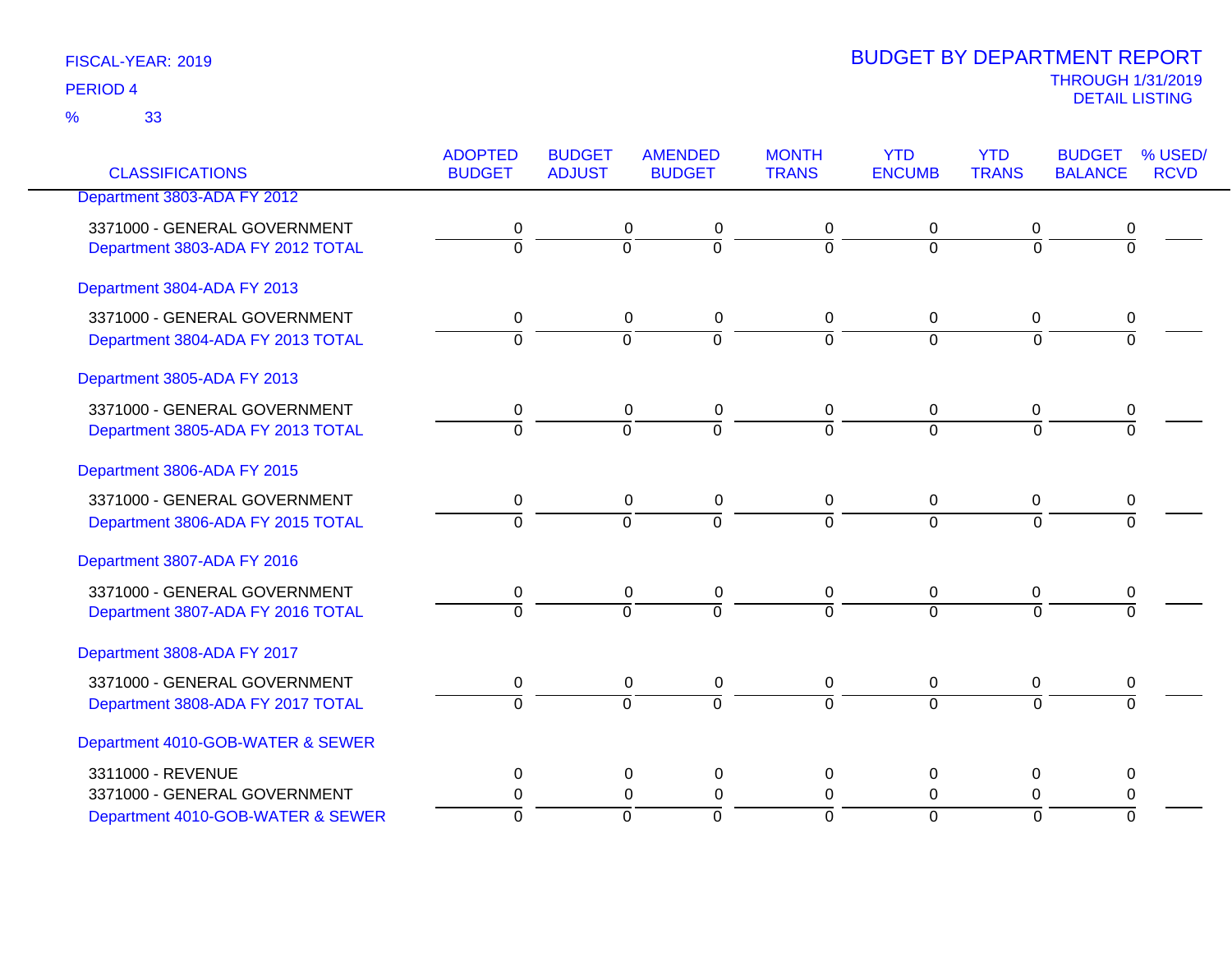33 %

| <b>CLASSIFICATIONS</b>                                                                 | <b>ADOPTED</b><br><b>BUDGET</b> | <b>BUDGET</b><br><b>ADJUST</b> | <b>AMENDED</b><br><b>BUDGET</b>                               | <b>MONTH</b><br><b>TRANS</b>       | <b>YTD</b><br><b>ENCUMB</b>             | <b>YTD</b><br><b>TRANS</b>      | <b>BUDGET</b><br><b>BALANCE</b> | % USED/<br><b>RCVD</b> |
|----------------------------------------------------------------------------------------|---------------------------------|--------------------------------|---------------------------------------------------------------|------------------------------------|-----------------------------------------|---------------------------------|---------------------------------|------------------------|
| Department 3803-ADA FY 2012                                                            |                                 |                                |                                                               |                                    |                                         |                                 |                                 |                        |
| 3371000 - GENERAL GOVERNMENT<br>Department 3803-ADA FY 2012 TOTAL                      | 0<br>$\overline{0}$             | $\overline{0}$                 | $\boldsymbol{0}$<br>0<br>$\overline{0}$                       | 0<br>$\overline{0}$                | 0<br>$\overline{0}$                     | 0<br>$\overline{0}$             | 0<br>$\overline{0}$             |                        |
| Department 3804-ADA FY 2013                                                            |                                 |                                |                                                               |                                    |                                         |                                 |                                 |                        |
| 3371000 - GENERAL GOVERNMENT<br>Department 3804-ADA FY 2013 TOTAL                      | 0<br>$\overline{0}$             | $\overline{0}$                 | 0<br>$\pmb{0}$<br>$\overline{0}$                              | 0<br>$\overline{0}$                | 0<br>$\overline{0}$                     | 0<br>$\overline{0}$             | 0<br>$\overline{0}$             |                        |
| Department 3805-ADA FY 2013                                                            |                                 |                                |                                                               |                                    |                                         |                                 |                                 |                        |
| 3371000 - GENERAL GOVERNMENT<br>Department 3805-ADA FY 2013 TOTAL                      | 0<br>$\overline{0}$             | $\overline{0}$                 | 0<br>0<br>$\overline{0}$                                      | 0<br>$\overline{0}$                | 0<br>$\overline{0}$                     | 0<br>$\Omega$                   | 0<br>$\overline{0}$             |                        |
| Department 3806-ADA FY 2015                                                            |                                 |                                |                                                               |                                    |                                         |                                 |                                 |                        |
| 3371000 - GENERAL GOVERNMENT<br>Department 3806-ADA FY 2015 TOTAL                      | 0<br>$\Omega$                   | $\overline{0}$                 | $\pmb{0}$<br>0<br>$\overline{0}$                              | 0<br>$\Omega$                      | 0<br>$\Omega$                           | $\mathbf 0$<br>$\Omega$         | 0<br>$\Omega$                   |                        |
| Department 3807-ADA FY 2016                                                            |                                 |                                |                                                               |                                    |                                         |                                 |                                 |                        |
| 3371000 - GENERAL GOVERNMENT<br>Department 3807-ADA FY 2016 TOTAL                      | 0<br>$\overline{0}$             | $\overline{0}$                 | $\boldsymbol{0}$<br>0<br>$\overline{0}$                       | 0<br>$\overline{0}$                | 0<br>$\overline{0}$                     | 0<br>$\overline{0}$             | 0<br>$\overline{0}$             |                        |
| Department 3808-ADA FY 2017                                                            |                                 |                                |                                                               |                                    |                                         |                                 |                                 |                        |
| 3371000 - GENERAL GOVERNMENT<br>Department 3808-ADA FY 2017 TOTAL                      | 0<br>$\overline{0}$             | $\overline{0}$                 | $\pmb{0}$<br>$\pmb{0}$<br>$\overline{0}$                      | 0<br>$\overline{0}$                | 0<br>$\overline{0}$                     | $\mathbf 0$<br>$\overline{0}$   | $\pmb{0}$<br>$\overline{0}$     |                        |
| Department 4010-GOB-WATER & SEWER                                                      |                                 |                                |                                                               |                                    |                                         |                                 |                                 |                        |
| 3311000 - REVENUE<br>3371000 - GENERAL GOVERNMENT<br>Department 4010-GOB-WATER & SEWER | 0<br>0<br>$\Omega$              | $\overline{0}$                 | $\mathbf 0$<br>0<br>$\Omega$<br>$\mathbf 0$<br>$\overline{0}$ | $\mathbf 0$<br>0<br>$\overline{0}$ | $\pmb{0}$<br>$\Omega$<br>$\overline{0}$ | 0<br>$\Omega$<br>$\overline{0}$ | 0<br>0<br>$\overline{0}$        |                        |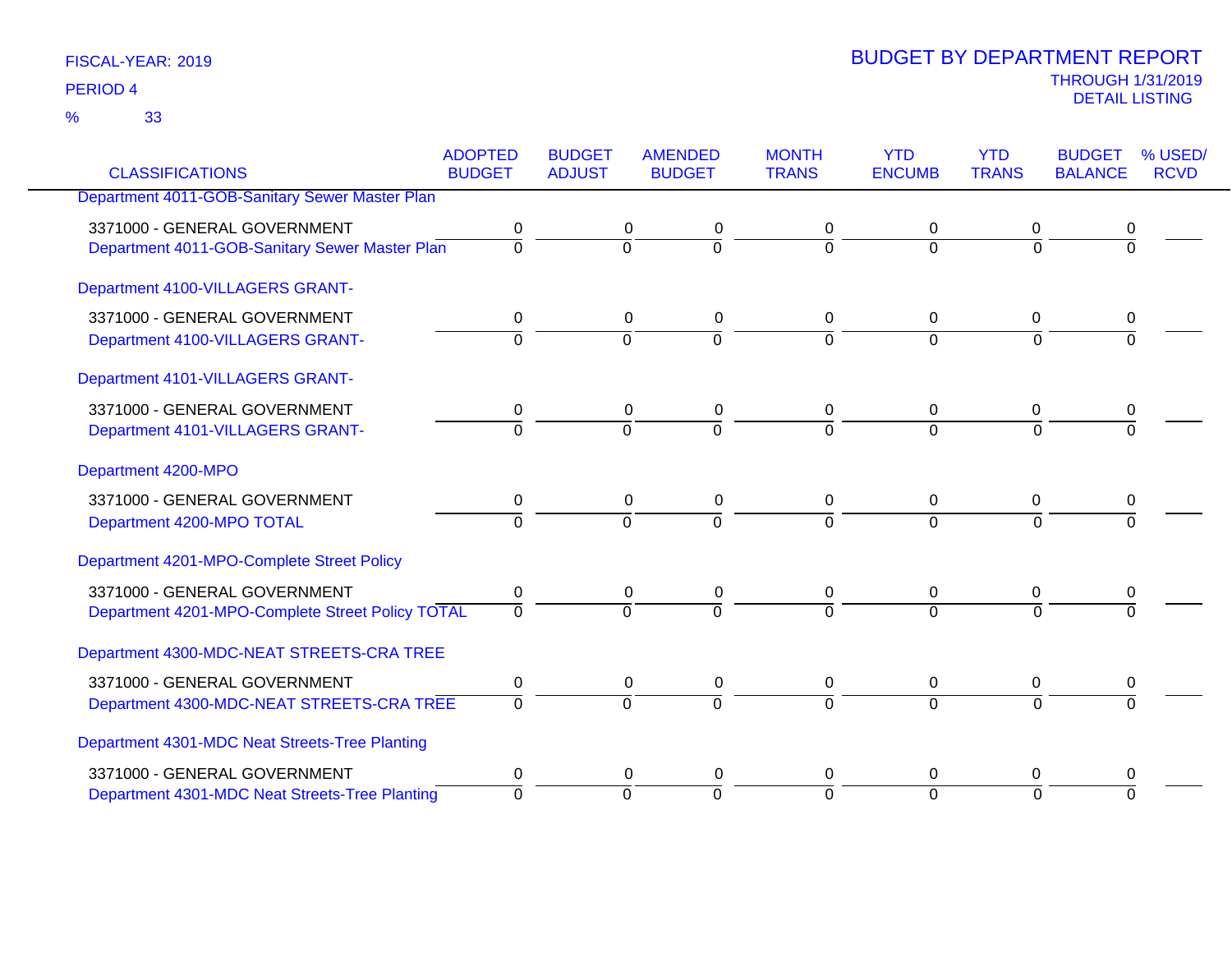33 %

|                                                  | <b>ADOPTED</b> | <b>BUDGET</b>    | <b>AMENDED</b> | <b>MONTH</b>   | <b>YTD</b>     | <b>YTD</b>     | <b>BUDGET</b>  | % USED/     |
|--------------------------------------------------|----------------|------------------|----------------|----------------|----------------|----------------|----------------|-------------|
| <b>CLASSIFICATIONS</b>                           | <b>BUDGET</b>  | <b>ADJUST</b>    | <b>BUDGET</b>  | <b>TRANS</b>   | <b>ENCUMB</b>  | <b>TRANS</b>   | <b>BALANCE</b> | <b>RCVD</b> |
| Department 4011-GOB-Sanitary Sewer Master Plan   |                |                  |                |                |                |                |                |             |
| 3371000 - GENERAL GOVERNMENT                     | 0              | 0                | 0              | 0              | 0              | 0              | 0              |             |
| Department 4011-GOB-Sanitary Sewer Master Plan   | $\overline{0}$ | $\overline{0}$   | ō              | $\Omega$       | $\overline{0}$ | $\Omega$       | $\Omega$       |             |
| Department 4100-VILLAGERS GRANT-                 |                |                  |                |                |                |                |                |             |
| 3371000 - GENERAL GOVERNMENT                     | 0              | 0                | 0              | 0              | 0              | 0              | 0              |             |
| Department 4100-VILLAGERS GRANT-                 | $\Omega$       | $\overline{0}$   | $\overline{0}$ | $\overline{0}$ | $\overline{0}$ | $\Omega$       | $\Omega$       |             |
| Department 4101-VILLAGERS GRANT-                 |                |                  |                |                |                |                |                |             |
| 3371000 - GENERAL GOVERNMENT                     | 0              | 0                | 0              | 0              | 0              | 0              | 0              |             |
| Department 4101-VILLAGERS GRANT-                 | $\Omega$       | $\Omega$         | $\overline{0}$ | $\overline{0}$ | $\Omega$       | $\Omega$       | $\Omega$       |             |
| Department 4200-MPO                              |                |                  |                |                |                |                |                |             |
| 3371000 - GENERAL GOVERNMENT                     | 0              | 0                | 0              | 0              | 0              | 0              | 0              |             |
| Department 4200-MPO TOTAL                        | $\overline{0}$ | $\Omega$         | $\overline{0}$ | $\Omega$       | $\overline{0}$ | $\Omega$       | $\Omega$       |             |
| Department 4201-MPO-Complete Street Policy       |                |                  |                |                |                |                |                |             |
| 3371000 - GENERAL GOVERNMENT                     | $\pmb{0}$      | $\mathbf 0$      | $\pmb{0}$      | 0              | $\pmb{0}$      | $\mathbf 0$    | 0              |             |
| Department 4201-MPO-Complete Street Policy TOTAL | $\Omega$       | $\Omega$         | $\overline{0}$ | $\Omega$       | $\Omega$       | $\Omega$       | $\Omega$       |             |
| Department 4300-MDC-NEAT STREETS-CRA TREE        |                |                  |                |                |                |                |                |             |
| 3371000 - GENERAL GOVERNMENT                     | 0              | $\boldsymbol{0}$ | $\pmb{0}$      | 0              | $\pmb{0}$      | $\overline{0}$ | 0              |             |
| Department 4300-MDC-NEAT STREETS-CRA TREE        | $\overline{0}$ | $\overline{0}$   | $\overline{0}$ | $\Omega$       | $\Omega$       | $\Omega$       | $\Omega$       |             |
| Department 4301-MDC Neat Streets-Tree Planting   |                |                  |                |                |                |                |                |             |
| 3371000 - GENERAL GOVERNMENT                     | 0              | 0                | 0              | 0              | 0              | 0              | 0              |             |
| Department 4301-MDC Neat Streets-Tree Planting   | $\mathbf{0}$   | $\Omega$         | $\overline{0}$ | $\overline{0}$ | $\Omega$       | $\Omega$       | $\Omega$       |             |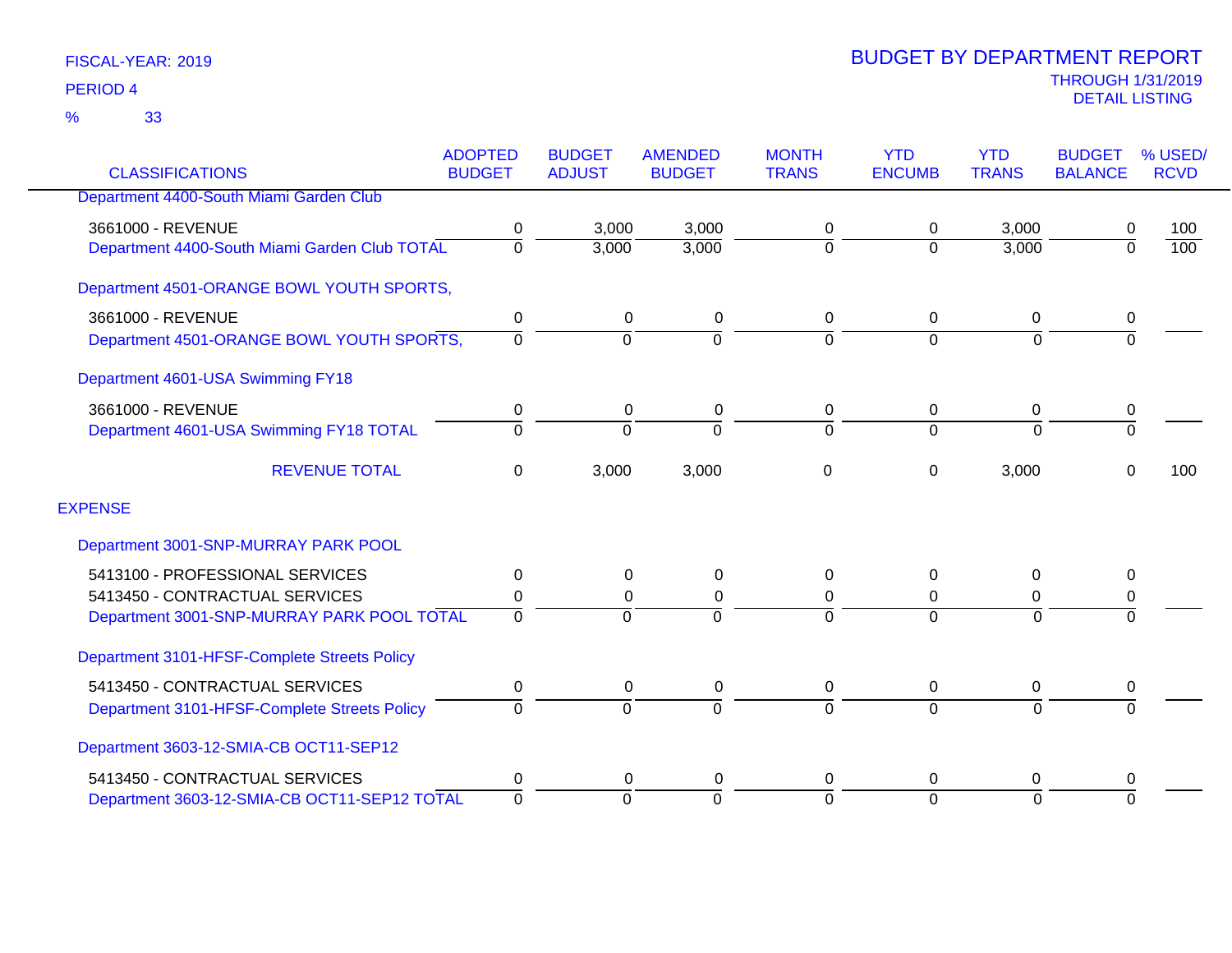|                                               | <b>ADOPTED</b><br><b>BUDGET</b> | <b>BUDGET</b><br><b>ADJUST</b> | <b>AMENDED</b> | <b>MONTH</b><br><b>TRANS</b> | <b>YTD</b><br><b>ENCUMB</b> | <b>YTD</b><br><b>TRANS</b> | <b>BUDGET</b><br><b>BALANCE</b> | % USED/<br><b>RCVD</b> |
|-----------------------------------------------|---------------------------------|--------------------------------|----------------|------------------------------|-----------------------------|----------------------------|---------------------------------|------------------------|
| <b>CLASSIFICATIONS</b>                        |                                 |                                | <b>BUDGET</b>  |                              |                             |                            |                                 |                        |
| Department 4400-South Miami Garden Club       |                                 |                                |                |                              |                             |                            |                                 |                        |
| 3661000 - REVENUE                             | 0                               | 3,000                          | 3,000          | 0                            | 0                           | 3,000                      | 0                               | 100                    |
| Department 4400-South Miami Garden Club TOTAL | $\mathbf 0$                     | 3,000                          | 3,000          | $\overline{0}$               | $\Omega$                    | 3,000                      | $\overline{0}$                  | 100                    |
| Department 4501-ORANGE BOWL YOUTH SPORTS,     |                                 |                                |                |                              |                             |                            |                                 |                        |
| 3661000 - REVENUE                             | 0                               | 0                              | 0              | 0                            | 0                           | 0                          | 0                               |                        |
| Department 4501-ORANGE BOWL YOUTH SPORTS,     | 0                               | $\overline{0}$                 | $\Omega$       | $\overline{0}$               | $\overline{0}$              | $\overline{0}$             | $\overline{0}$                  |                        |
| Department 4601-USA Swimming FY18             |                                 |                                |                |                              |                             |                            |                                 |                        |
| 3661000 - REVENUE                             | 0                               | 0                              | 0              | 0                            | 0                           | 0                          | 0                               |                        |
| Department 4601-USA Swimming FY18 TOTAL       | $\Omega$                        | $\Omega$                       | $\Omega$       | $\Omega$                     | $\Omega$                    | $\Omega$                   | $\overline{0}$                  |                        |
| <b>REVENUE TOTAL</b>                          | $\mathbf 0$                     | 3,000                          | 3,000          | 0                            | $\Omega$                    | 3,000                      | $\Omega$                        | 100                    |
| <b>EXPENSE</b>                                |                                 |                                |                |                              |                             |                            |                                 |                        |
| Department 3001-SNP-MURRAY PARK POOL          |                                 |                                |                |                              |                             |                            |                                 |                        |
| 5413100 - PROFESSIONAL SERVICES               | 0                               | 0                              | $\Omega$       | 0                            | $\Omega$                    | $\Omega$                   | 0                               |                        |
| 5413450 - CONTRACTUAL SERVICES                | 0                               | 0                              | 0              | 0                            | 0                           | 0                          | 0                               |                        |
| Department 3001-SNP-MURRAY PARK POOL TOTAL    | $\Omega$                        | $\Omega$                       |                | $\Omega$                     | $\Omega$                    | $\Omega$                   | $\Omega$                        |                        |
| Department 3101-HFSF-Complete Streets Policy  |                                 |                                |                |                              |                             |                            |                                 |                        |
| 5413450 - CONTRACTUAL SERVICES                | 0                               | 0                              | 0              | 0                            | 0                           | 0                          | 0                               |                        |
| Department 3101-HFSF-Complete Streets Policy  | $\Omega$                        | $\overline{0}$                 | $\Omega$       | $\overline{0}$               | $\Omega$                    | $\overline{0}$             | $\overline{0}$                  |                        |
| Department 3603-12-SMIA-CB OCT11-SEP12        |                                 |                                |                |                              |                             |                            |                                 |                        |
| 5413450 - CONTRACTUAL SERVICES                | 0                               | 0                              | 0              | 0                            | 0                           | 0                          | 0                               |                        |
| Department 3603-12-SMIA-CB OCT11-SEP12 TOTAL  | $\overline{0}$                  | $\overline{0}$                 | $\Omega$       | 0                            | $\Omega$                    | $\overline{0}$             | $\overline{0}$                  |                        |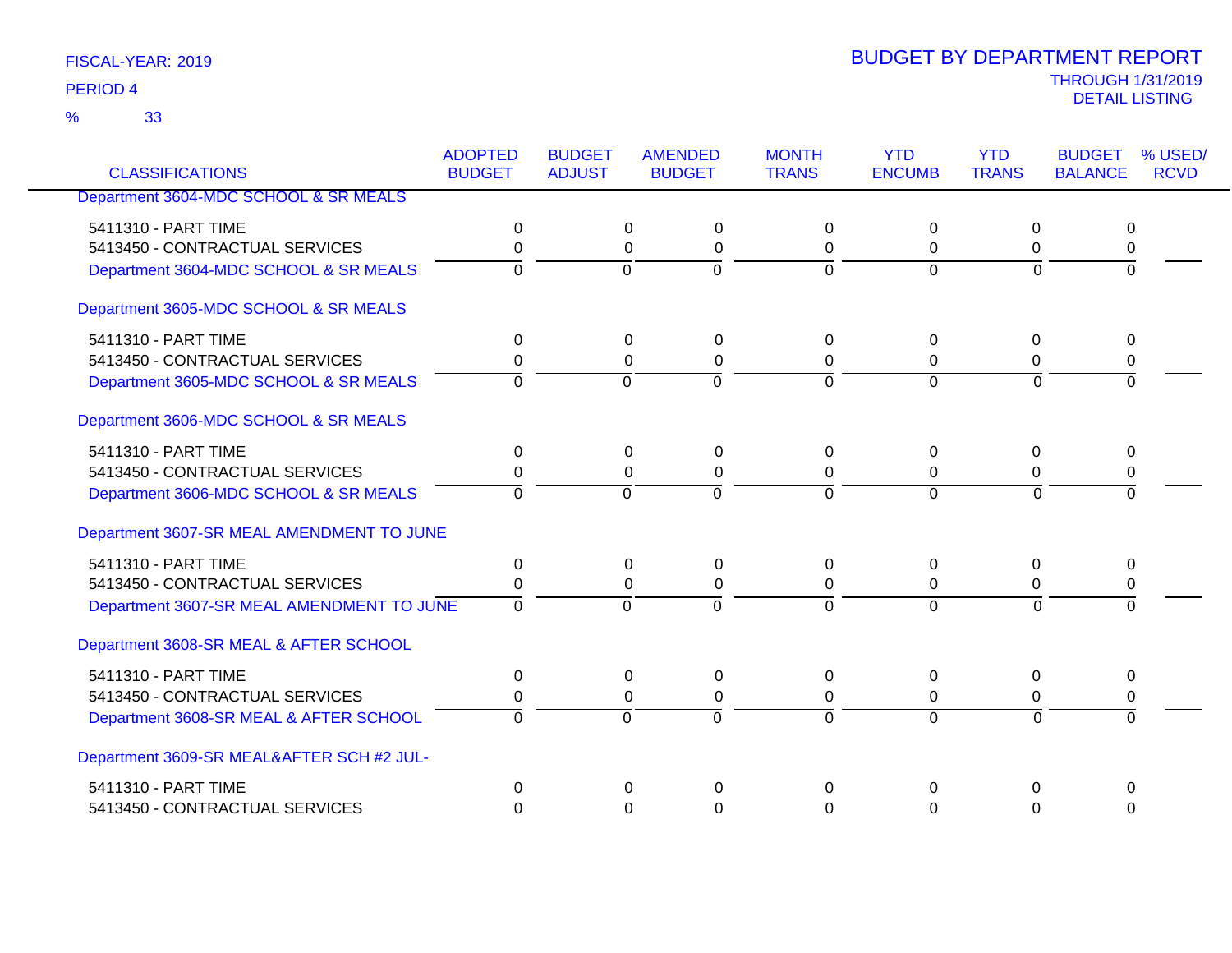33 %

| <b>CLASSIFICATIONS</b>                    | <b>ADOPTED</b><br><b>BUDGET</b> | <b>BUDGET</b><br><b>ADJUST</b> | <b>AMENDED</b><br><b>BUDGET</b> | <b>MONTH</b><br><b>TRANS</b> | <b>YTD</b><br><b>ENCUMB</b> | <b>YTD</b><br><b>TRANS</b> | <b>BUDGET</b><br><b>BALANCE</b> | % USED/<br><b>RCVD</b> |
|-------------------------------------------|---------------------------------|--------------------------------|---------------------------------|------------------------------|-----------------------------|----------------------------|---------------------------------|------------------------|
| Department 3604-MDC SCHOOL & SR MEALS     |                                 |                                |                                 |                              |                             |                            |                                 |                        |
|                                           |                                 |                                |                                 |                              |                             |                            |                                 |                        |
| 5411310 - PART TIME                       | 0                               | 0                              | 0                               | $\Omega$                     | $\Omega$                    | $\Omega$                   | 0                               |                        |
| 5413450 - CONTRACTUAL SERVICES            | 0                               |                                | $\mathbf 0$<br>0                | 0                            | 0                           | 0                          | 0                               |                        |
| Department 3604-MDC SCHOOL & SR MEALS     | $\Omega$                        | $\Omega$                       | $\Omega$                        | $\Omega$                     | $\Omega$                    | $\Omega$                   | $\Omega$                        |                        |
| Department 3605-MDC SCHOOL & SR MEALS     |                                 |                                |                                 |                              |                             |                            |                                 |                        |
| 5411310 - PART TIME                       | 0                               | 0                              | 0                               | $\Omega$                     | $\Omega$                    | 0                          | 0                               |                        |
| 5413450 - CONTRACTUAL SERVICES            | 0                               | 0                              | $\pmb{0}$                       | 0                            | 0                           | 0                          | 0                               |                        |
| Department 3605-MDC SCHOOL & SR MEALS     | $\Omega$                        | $\Omega$                       | $\Omega$                        | $\Omega$                     | $\overline{0}$              | $\Omega$                   | $\Omega$                        |                        |
| Department 3606-MDC SCHOOL & SR MEALS     |                                 |                                |                                 |                              |                             |                            |                                 |                        |
| 5411310 - PART TIME                       | 0                               | 0                              | 0                               | 0                            | $\Omega$                    | 0                          | 0                               |                        |
| 5413450 - CONTRACTUAL SERVICES            | 0                               |                                | $\Omega$<br>0                   | $\Omega$                     | $\Omega$                    | $\Omega$                   | 0                               |                        |
| Department 3606-MDC SCHOOL & SR MEALS     | $\Omega$                        | $\Omega$                       | $\Omega$                        | $\Omega$                     | $\Omega$                    | $\Omega$                   | $\Omega$                        |                        |
| Department 3607-SR MEAL AMENDMENT TO JUNE |                                 |                                |                                 |                              |                             |                            |                                 |                        |
| 5411310 - PART TIME                       | 0                               | 0                              | $\Omega$                        | 0                            | $\Omega$                    | $\Omega$                   | $\mathbf{0}$                    |                        |
| 5413450 - CONTRACTUAL SERVICES            | 0                               |                                | 0<br>0                          | 0                            | $\Omega$                    | 0                          | 0                               |                        |
| Department 3607-SR MEAL AMENDMENT TO JUNE | $\overline{0}$                  | $\overline{0}$                 | $\overline{0}$                  | $\Omega$                     | $\overline{0}$              | $\overline{0}$             | $\Omega$                        |                        |
| Department 3608-SR MEAL & AFTER SCHOOL    |                                 |                                |                                 |                              |                             |                            |                                 |                        |
| 5411310 - PART TIME                       | 0                               | 0                              | 0                               | 0                            | 0                           | 0                          | 0                               |                        |
| 5413450 - CONTRACTUAL SERVICES            | 0                               |                                | 0<br>0                          | 0                            | $\Omega$                    | 0                          | 0                               |                        |
| Department 3608-SR MEAL & AFTER SCHOOL    | $\Omega$                        | $\overline{0}$                 | $\overline{0}$                  | $\Omega$                     | $\overline{0}$              | $\Omega$                   | $\Omega$                        |                        |
| Department 3609-SR MEAL&AFTER SCH #2 JUL- |                                 |                                |                                 |                              |                             |                            |                                 |                        |
| 5411310 - PART TIME                       | 0                               | $\Omega$                       | $\Omega$                        | 0                            | $\Omega$                    | 0                          | 0                               |                        |
| 5413450 - CONTRACTUAL SERVICES            | $\Omega$                        | $\Omega$                       | $\Omega$                        | $\Omega$                     | $\Omega$                    | $\Omega$                   | $\Omega$                        |                        |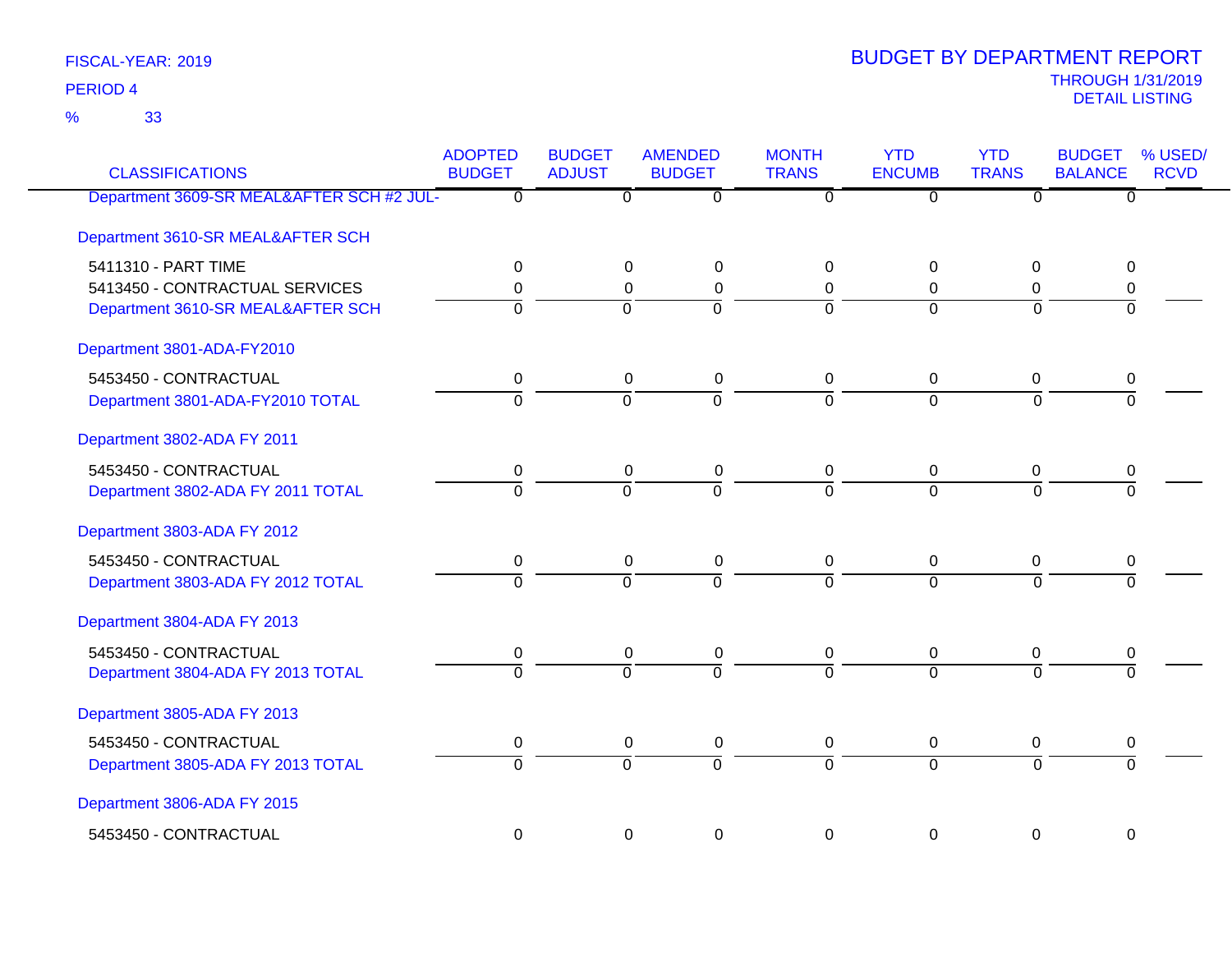33 %

| <b>CLASSIFICATIONS</b>                    | <b>ADOPTED</b><br><b>BUDGET</b> | <b>BUDGET</b><br><b>ADJUST</b> | <b>AMENDED</b><br><b>BUDGET</b> | <b>MONTH</b><br><b>TRANS</b> | <b>YTD</b><br><b>ENCUMB</b> | <b>YTD</b><br><b>TRANS</b> | <b>BUDGET</b><br><b>BALANCE</b> | % USED/<br><b>RCVD</b> |
|-------------------------------------------|---------------------------------|--------------------------------|---------------------------------|------------------------------|-----------------------------|----------------------------|---------------------------------|------------------------|
| Department 3609-SR MEAL&AFTER SCH #2 JUL- | $\overline{\mathfrak{o}}$       | $\overline{\mathfrak{o}}$      | $\overline{0}$                  | $\overline{0}$               | $\overline{0}$              | ᠊ᠦ                         | $\overline{0}$                  |                        |
| Department 3610-SR MEAL&AFTER SCH         |                                 |                                |                                 |                              |                             |                            |                                 |                        |
| 5411310 - PART TIME                       | 0                               | $\Omega$                       | $\mathbf 0$                     | $\Omega$                     | $\Omega$                    | $\Omega$                   | 0                               |                        |
| 5413450 - CONTRACTUAL SERVICES            | 0                               | 0                              | $\mathbf 0$                     | 0                            | 0                           | 0                          | 0                               |                        |
| Department 3610-SR MEAL&AFTER SCH         | ō                               | 0                              | $\overline{0}$                  | $\Omega$                     | $\Omega$                    | $\Omega$                   | $\overline{0}$                  |                        |
| Department 3801-ADA-FY2010                |                                 |                                |                                 |                              |                             |                            |                                 |                        |
| 5453450 - CONTRACTUAL                     | 0                               | 0                              | $\boldsymbol{0}$                | $\mathbf 0$                  | 0                           | 0                          | 0                               |                        |
| Department 3801-ADA-FY2010 TOTAL          | $\overline{0}$                  | $\overline{0}$                 | $\overline{0}$                  | $\overline{0}$               | $\overline{0}$              | $\overline{0}$             | $\overline{0}$                  |                        |
| Department 3802-ADA FY 2011               |                                 |                                |                                 |                              |                             |                            |                                 |                        |
| 5453450 - CONTRACTUAL                     | 0                               | 0                              | $\pmb{0}$                       | $\pmb{0}$                    | $\boldsymbol{0}$            | $\pmb{0}$                  | 0                               |                        |
| Department 3802-ADA FY 2011 TOTAL         | $\Omega$                        | $\Omega$                       | $\overline{0}$                  | $\Omega$                     | $\Omega$                    | $\Omega$                   | $\Omega$                        |                        |
| Department 3803-ADA FY 2012               |                                 |                                |                                 |                              |                             |                            |                                 |                        |
| 5453450 - CONTRACTUAL                     | 0                               | 0                              | $\pmb{0}$                       | 0                            | 0                           | 0                          | 0                               |                        |
| Department 3803-ADA FY 2012 TOTAL         | $\overline{0}$                  | $\Omega$                       | $\overline{0}$                  | $\Omega$                     | $\Omega$                    | $\Omega$                   | $\Omega$                        |                        |
| Department 3804-ADA FY 2013               |                                 |                                |                                 |                              |                             |                            |                                 |                        |
| 5453450 - CONTRACTUAL                     | 0                               | 0                              | $\boldsymbol{0}$                | 0                            | 0                           | 0                          | 0                               |                        |
| Department 3804-ADA FY 2013 TOTAL         | $\overline{0}$                  | $\overline{0}$                 | $\overline{0}$                  | $\overline{0}$               | $\overline{0}$              | $\overline{0}$             | $\overline{0}$                  |                        |
| Department 3805-ADA FY 2013               |                                 |                                |                                 |                              |                             |                            |                                 |                        |
| 5453450 - CONTRACTUAL                     | 0                               | 0                              | $\pmb{0}$                       | $\pmb{0}$                    | 0                           | $\pmb{0}$                  | 0                               |                        |
| Department 3805-ADA FY 2013 TOTAL         | $\overline{0}$                  | $\overline{0}$                 | $\overline{0}$                  | $\Omega$                     | $\overline{0}$              | $\Omega$                   | $\overline{0}$                  |                        |
| Department 3806-ADA FY 2015               |                                 |                                |                                 |                              |                             |                            |                                 |                        |
| 5453450 - CONTRACTUAL                     | $\Omega$                        | $\Omega$                       | $\mathbf 0$                     | 0                            | $\Omega$                    | 0                          | $\Omega$                        |                        |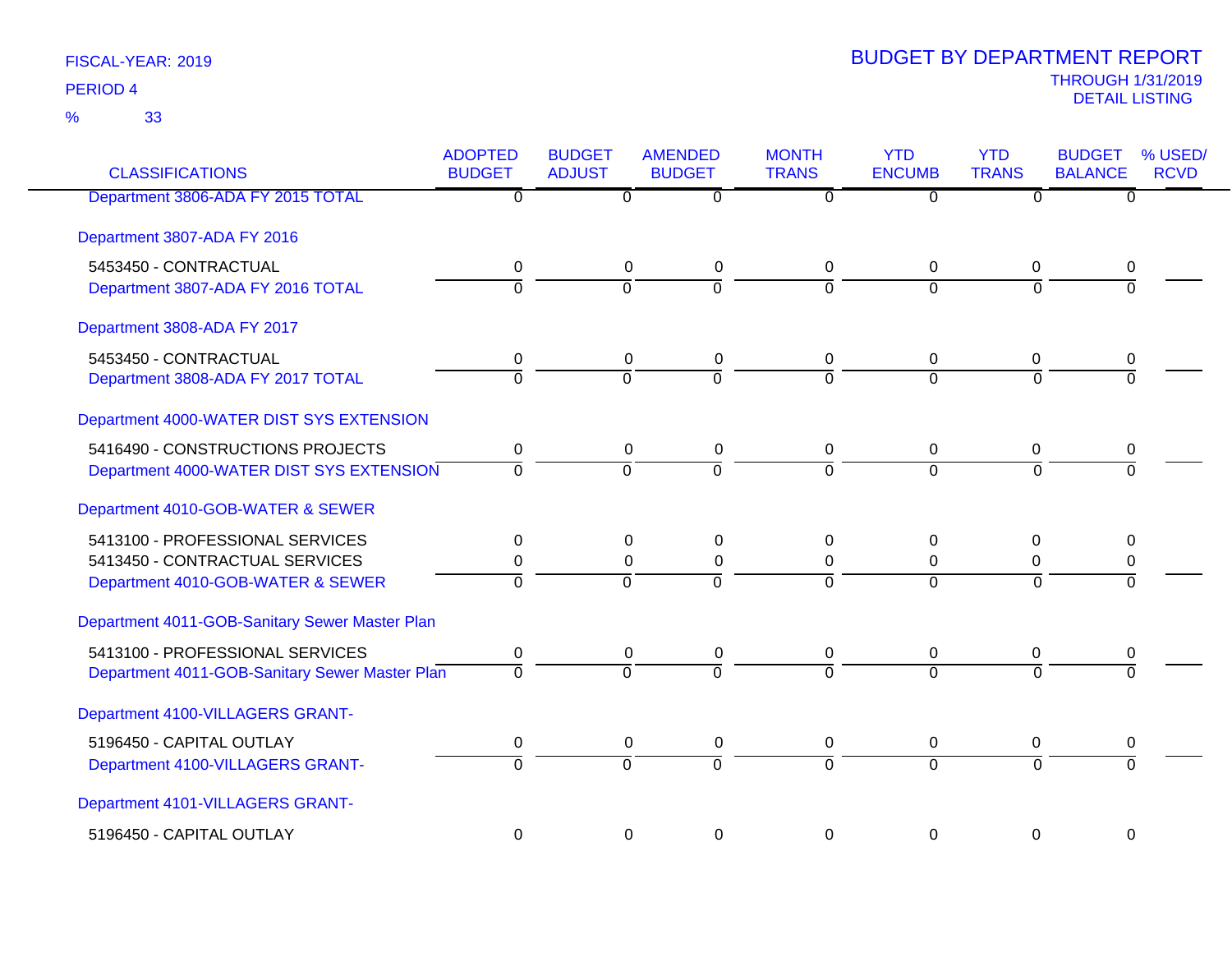33 %

| <b>CLASSIFICATIONS</b>                         | <b>ADOPTED</b><br><b>BUDGET</b> | <b>BUDGET</b><br><b>ADJUST</b> | <b>AMENDED</b><br><b>BUDGET</b> | <b>MONTH</b><br><b>TRANS</b> | <b>YTD</b><br><b>ENCUMB</b> | <b>YTD</b><br><b>TRANS</b> | <b>BUDGET</b><br><b>BALANCE</b> | % USED/<br><b>RCVD</b> |
|------------------------------------------------|---------------------------------|--------------------------------|---------------------------------|------------------------------|-----------------------------|----------------------------|---------------------------------|------------------------|
| Department 3806-ADA FY 2015 TOTAL              | $\overline{0}$                  | $\overline{0}$                 | $\overline{\mathfrak{o}}$       | $\overline{0}$               | $\overline{0}$              | $\overline{0}$             | $\overline{0}$                  |                        |
| Department 3807-ADA FY 2016                    |                                 |                                |                                 |                              |                             |                            |                                 |                        |
| 5453450 - CONTRACTUAL                          | 0                               | $\mathbf 0$                    | $\mathbf 0$                     | $\mathbf 0$                  | 0                           | 0                          | 0                               |                        |
| Department 3807-ADA FY 2016 TOTAL              | $\overline{0}$                  | $\overline{0}$                 | $\overline{0}$                  | $\Omega$                     | $\Omega$                    | $\overline{0}$             | $\overline{0}$                  |                        |
| Department 3808-ADA FY 2017                    |                                 |                                |                                 |                              |                             |                            |                                 |                        |
| 5453450 - CONTRACTUAL                          | 0                               | $\mathbf 0$                    | $\mathbf 0$                     | $\mathbf 0$                  | 0                           | 0                          | 0                               |                        |
| Department 3808-ADA FY 2017 TOTAL              | $\overline{0}$                  | $\Omega$                       | $\overline{0}$                  | $\Omega$                     | $\overline{0}$              | $\Omega$                   | $\Omega$                        |                        |
| Department 4000-WATER DIST SYS EXTENSION       |                                 |                                |                                 |                              |                             |                            |                                 |                        |
| 5416490 - CONSTRUCTIONS PROJECTS               | 0                               | $\mathbf 0$                    | $\mathbf 0$                     | $\mathbf 0$                  | $\mathbf 0$                 | $\overline{0}$             | 0                               |                        |
| Department 4000-WATER DIST SYS EXTENSION       | $\Omega$                        | $\overline{0}$                 | $\overline{0}$                  | $\Omega$                     | $\overline{0}$              | $\Omega$                   | 0                               |                        |
| Department 4010-GOB-WATER & SEWER              |                                 |                                |                                 |                              |                             |                            |                                 |                        |
| 5413100 - PROFESSIONAL SERVICES                | 0                               | 0                              | 0                               | $\Omega$                     | 0                           | 0                          | 0                               |                        |
| 5413450 - CONTRACTUAL SERVICES                 | 0                               | $\mathbf 0$                    | $\mathbf 0$                     | $\mathbf 0$                  | $\mathbf 0$                 | 0                          | 0                               |                        |
| Department 4010-GOB-WATER & SEWER              | $\overline{0}$                  | $\Omega$                       | $\overline{0}$                  | $\Omega$                     | $\Omega$                    | $\Omega$                   | $\overline{0}$                  |                        |
| Department 4011-GOB-Sanitary Sewer Master Plan |                                 |                                |                                 |                              |                             |                            |                                 |                        |
| 5413100 - PROFESSIONAL SERVICES                | 0                               | 0                              | $\mathbf 0$                     | $\mathbf 0$                  | 0                           | 0                          | 0                               |                        |
| Department 4011-GOB-Sanitary Sewer Master Plan | $\overline{0}$                  | $\overline{0}$                 | $\overline{0}$                  | $\overline{0}$               | $\overline{0}$              | $\overline{0}$             | $\overline{0}$                  |                        |
| Department 4100-VILLAGERS GRANT-               |                                 |                                |                                 |                              |                             |                            |                                 |                        |
| 5196450 - CAPITAL OUTLAY                       | 0                               | 0                              | $\mathbf 0$                     | $\mathbf 0$                  | $\pmb{0}$                   | 0                          | 0                               |                        |
| Department 4100-VILLAGERS GRANT-               | $\overline{0}$                  | $\Omega$                       | $\overline{0}$                  | $\overline{0}$               | $\overline{0}$              | $\Omega$                   | $\Omega$                        |                        |
| Department 4101-VILLAGERS GRANT-               |                                 |                                |                                 |                              |                             |                            |                                 |                        |
| 5196450 - CAPITAL OUTLAY                       | $\overline{0}$                  | $\mathbf 0$                    | $\mathbf 0$                     | $\Omega$                     | $\mathbf 0$                 | $\mathbf 0$                | $\mathbf 0$                     |                        |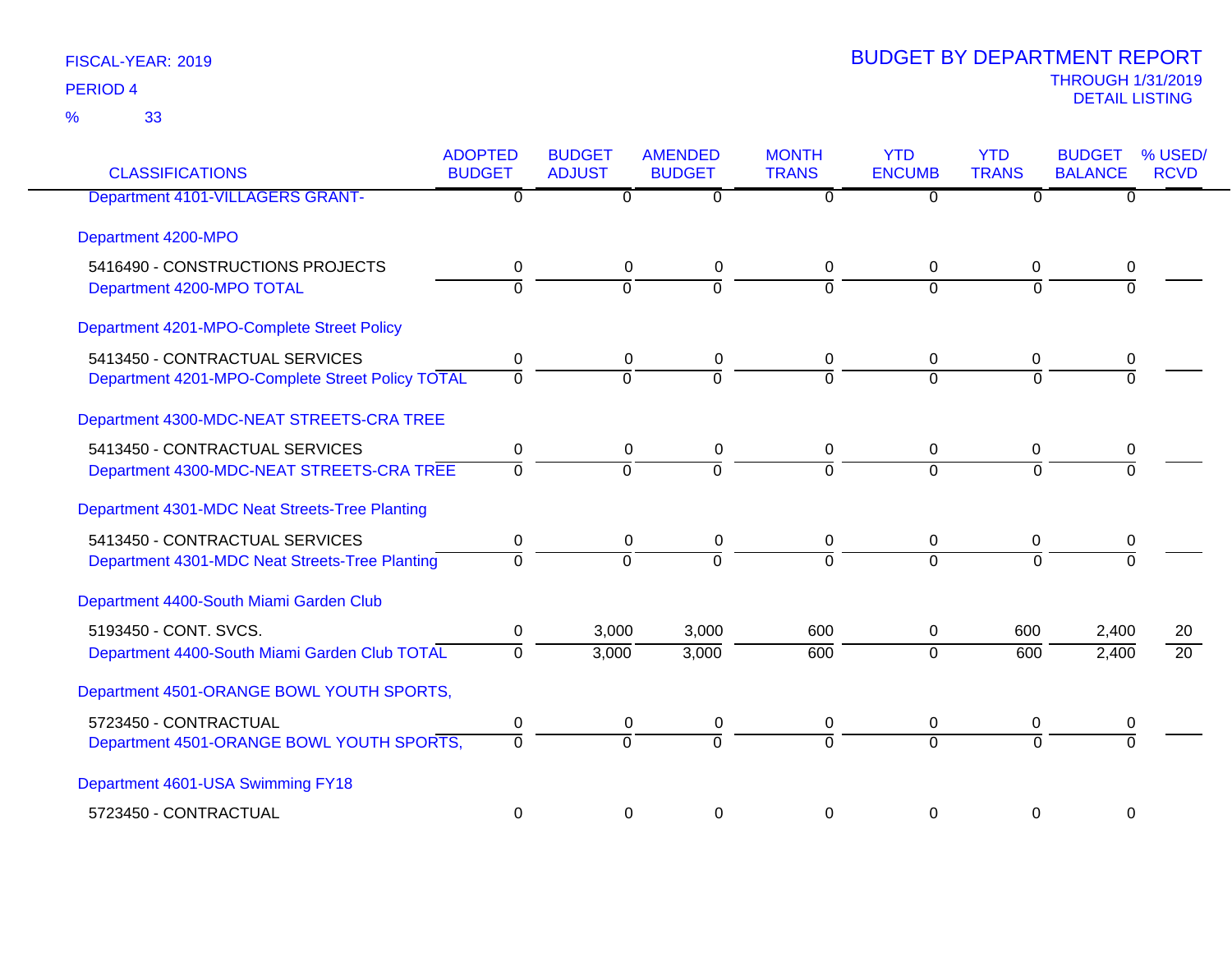| <b>CLASSIFICATIONS</b>                                                             | <b>ADOPTED</b><br><b>BUDGET</b> | <b>BUDGET</b><br><b>ADJUST</b>   | <b>AMENDED</b><br><b>BUDGET</b> | <b>MONTH</b><br><b>TRANS</b> | <b>YTD</b><br><b>ENCUMB</b> | <b>YTD</b><br><b>TRANS</b> | <b>BUDGET</b><br><b>BALANCE</b> | % USED/<br><b>RCVD</b> |
|------------------------------------------------------------------------------------|---------------------------------|----------------------------------|---------------------------------|------------------------------|-----------------------------|----------------------------|---------------------------------|------------------------|
| <b>Department 4101-VILLAGERS GRANT-</b>                                            | $\overline{0}$                  | $\overline{0}$                   | $\overline{0}$                  | $\overline{0}$               | $\overline{0}$              | $\overline{0}$             | $\overline{0}$                  |                        |
| Department 4200-MPO                                                                |                                 |                                  |                                 |                              |                             |                            |                                 |                        |
| 5416490 - CONSTRUCTIONS PROJECTS<br>Department 4200-MPO TOTAL                      | 0<br>$\Omega$                   | 0<br>$\Omega$                    | 0<br>$\Omega$                   | 0<br>$\Omega$                | 0<br>$\Omega$               | 0<br>$\Omega$              | 0<br>$\Omega$                   |                        |
| Department 4201-MPO-Complete Street Policy                                         |                                 |                                  |                                 |                              |                             |                            |                                 |                        |
| 5413450 - CONTRACTUAL SERVICES<br>Department 4201-MPO-Complete Street Policy TOTAL | 0<br>$\overline{0}$             | 0<br>$\overline{0}$              | 0<br>0                          | 0<br>$\Omega$                | 0<br>$\Omega$               | 0<br>$\Omega$              | 0<br>$\overline{0}$             |                        |
| Department 4300-MDC-NEAT STREETS-CRA TREE                                          |                                 |                                  |                                 |                              |                             |                            |                                 |                        |
| 5413450 - CONTRACTUAL SERVICES<br>Department 4300-MDC-NEAT STREETS-CRA TREE        | 0<br>$\mathbf 0$                | 0<br>$\overline{0}$              | 0<br>$\overline{0}$             | 0<br>$\overline{0}$          | 0<br>$\overline{0}$         | 0<br>$\Omega$              | 0<br>$\Omega$                   |                        |
| Department 4301-MDC Neat Streets-Tree Planting                                     |                                 |                                  |                                 |                              |                             |                            |                                 |                        |
| 5413450 - CONTRACTUAL SERVICES<br>Department 4301-MDC Neat Streets-Tree Planting   | 0<br>$\Omega$                   | $\pmb{0}$<br>$\overline{0}$      | $\pmb{0}$<br>$\Omega$           | 0<br>$\Omega$                | 0<br>$\Omega$               | 0<br>$\Omega$              | 0<br>$\Omega$                   |                        |
| Department 4400-South Miami Garden Club                                            |                                 |                                  |                                 |                              |                             |                            |                                 |                        |
| 5193450 - CONT. SVCS.<br>Department 4400-South Miami Garden Club TOTAL             | 0<br>$\Omega$                   | 3,000<br>3,000                   | 3,000<br>3,000                  | 600<br>600                   | 0<br>$\mathbf 0$            | 600<br>600                 | 2,400<br>2,400                  | 20<br>$\overline{20}$  |
| Department 4501-ORANGE BOWL YOUTH SPORTS,                                          |                                 |                                  |                                 |                              |                             |                            |                                 |                        |
| 5723450 - CONTRACTUAL<br>Department 4501-ORANGE BOWL YOUTH SPORTS,                 | 0<br>0                          | $\overline{0}$<br>$\overline{0}$ | 0<br>$\overline{0}$             | 0<br>$\overline{0}$          | 0<br>$\overline{0}$         | 0<br>$\overline{0}$        | 0<br>$\overline{0}$             |                        |
| Department 4601-USA Swimming FY18                                                  |                                 |                                  |                                 |                              |                             |                            |                                 |                        |
| 5723450 - CONTRACTUAL                                                              | 0                               | 0                                | 0                               | $\Omega$                     | $\Omega$                    | $\Omega$                   | 0                               |                        |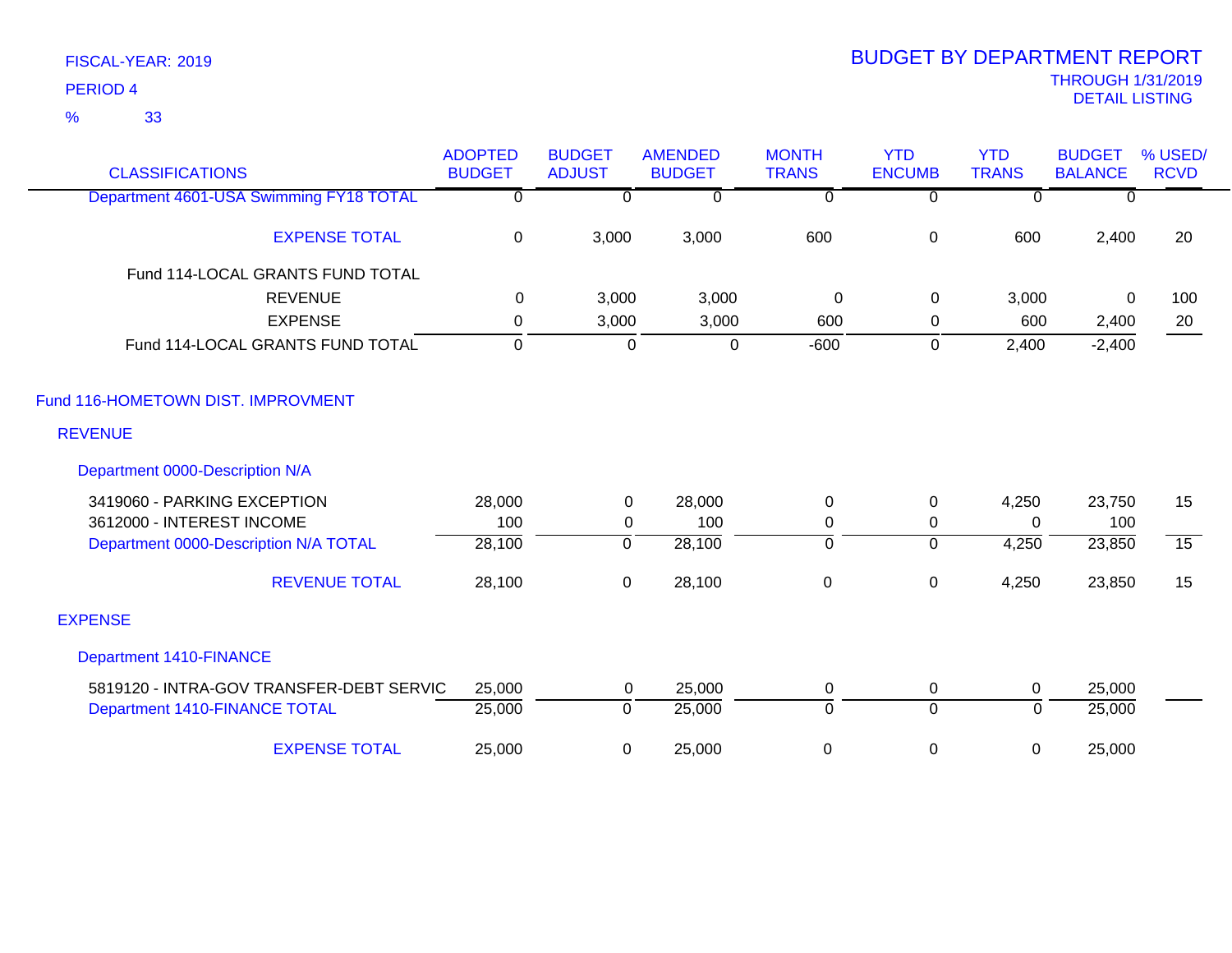33 %

| <b>CLASSIFICATIONS</b>                   | <b>ADOPTED</b><br><b>BUDGET</b> | <b>BUDGET</b><br><b>ADJUST</b> | <b>AMENDED</b><br><b>BUDGET</b> | <b>MONTH</b><br><b>TRANS</b> | <b>YTD</b><br><b>ENCUMB</b> | <b>YTD</b><br><b>TRANS</b> | <b>BUDGET</b><br><b>BALANCE</b> | % USED/<br><b>RCVD</b> |
|------------------------------------------|---------------------------------|--------------------------------|---------------------------------|------------------------------|-----------------------------|----------------------------|---------------------------------|------------------------|
| Department 4601-USA Swimming FY18 TOTAL  | $\overline{0}$                  | $\overline{0}$                 | $\overline{0}$                  | $\overline{\mathfrak{o}}$    | $\overline{0}$              | $\overline{0}$             | $\Omega$                        |                        |
| <b>EXPENSE TOTAL</b>                     | $\mathbf 0$                     | 3,000                          | 3,000                           | 600                          | $\pmb{0}$                   | 600                        | 2,400                           | 20                     |
| Fund 114-LOCAL GRANTS FUND TOTAL         |                                 |                                |                                 |                              |                             |                            |                                 |                        |
| <b>REVENUE</b>                           | 0                               | 3,000                          | 3,000                           | 0                            | $\mathbf 0$                 | 3,000                      | $\mathbf{0}$                    | 100                    |
| <b>EXPENSE</b>                           | 0                               | 3,000                          | 3,000                           | 600                          | 0                           | 600                        | 2,400                           | 20                     |
| Fund 114-LOCAL GRANTS FUND TOTAL         | $\Omega$                        | $\Omega$                       | $\mathbf 0$                     | $-600$                       | 0                           | 2,400                      | $-2,400$                        |                        |
| Fund 116-HOMETOWN DIST. IMPROVMENT       |                                 |                                |                                 |                              |                             |                            |                                 |                        |
| <b>REVENUE</b>                           |                                 |                                |                                 |                              |                             |                            |                                 |                        |
| Department 0000-Description N/A          |                                 |                                |                                 |                              |                             |                            |                                 |                        |
| 3419060 - PARKING EXCEPTION              | 28,000                          | 0                              | 28,000                          | $\mathbf 0$                  | $\mathbf 0$                 | 4,250                      | 23,750                          | 15                     |
| 3612000 - INTEREST INCOME                | 100                             | 0                              | 100                             | $\mathbf 0$                  | 0                           | $\Omega$                   | 100                             |                        |
| Department 0000-Description N/A TOTAL    | 28,100                          | $\overline{0}$                 | 28,100                          | 0                            | $\overline{0}$              | 4,250                      | 23,850                          | $\overline{15}$        |
| <b>REVENUE TOTAL</b>                     | 28,100                          | $\mathbf 0$                    | 28,100                          | $\boldsymbol{0}$             | $\pmb{0}$                   | 4,250                      | 23,850                          | 15                     |
| <b>EXPENSE</b>                           |                                 |                                |                                 |                              |                             |                            |                                 |                        |
| <b>Department 1410-FINANCE</b>           |                                 |                                |                                 |                              |                             |                            |                                 |                        |
| 5819120 - INTRA-GOV TRANSFER-DEBT SERVIC | 25,000                          | 0                              | 25,000                          | 0                            | 0                           | $\mathbf 0$                | 25,000                          |                        |
| Department 1410-FINANCE TOTAL            | 25,000                          | $\mathbf 0$                    | 25,000                          | $\mathbf 0$                  | $\overline{0}$              | $\Omega$                   | 25,000                          |                        |
| <b>EXPENSE TOTAL</b>                     | 25,000                          | 0                              | 25,000                          | $\boldsymbol{0}$             | 0                           | 0                          | 25,000                          |                        |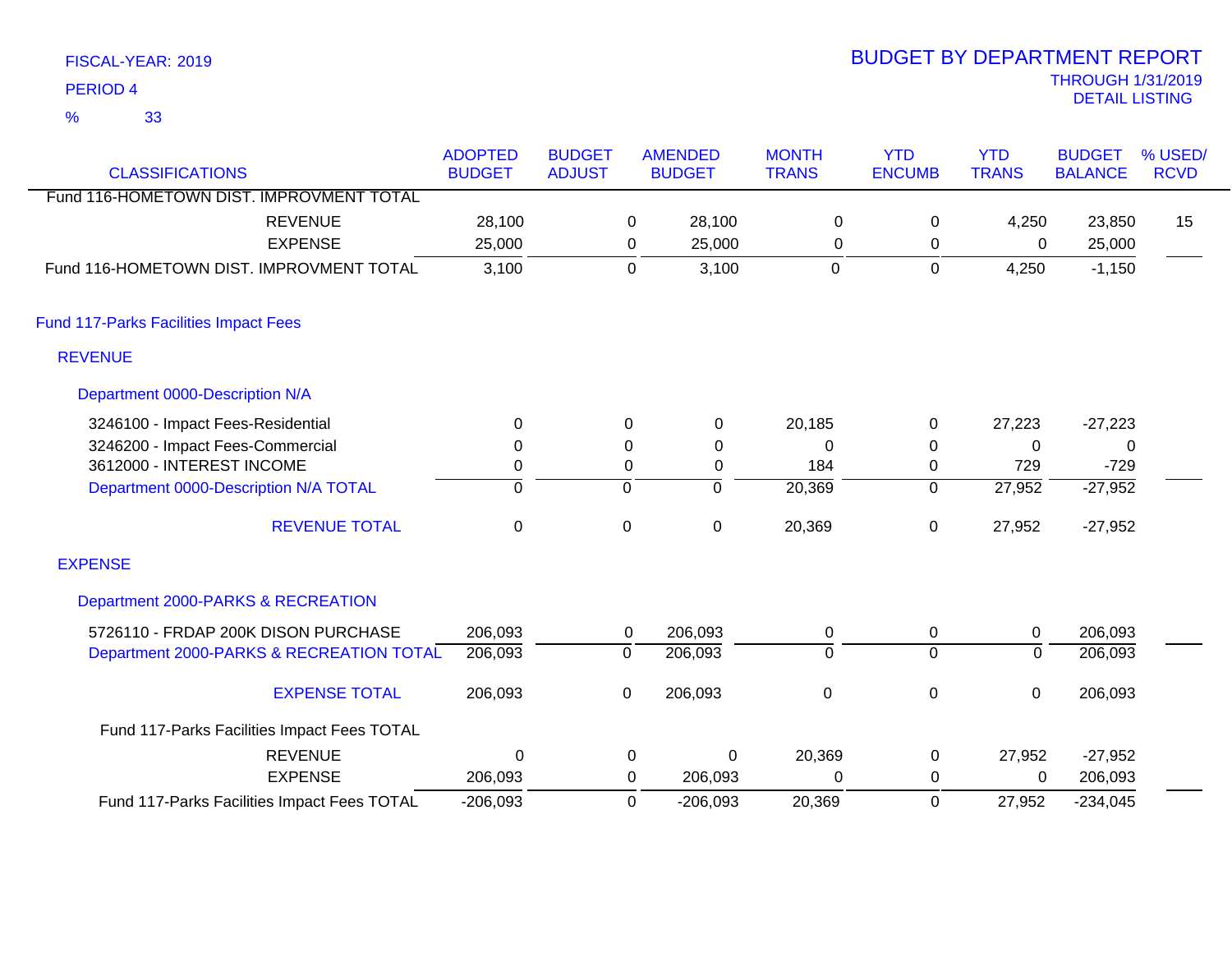| <b>PERIOD 4</b>                              |                                 |                                |                                 |                              |                             |                            | <b>THROUGH 1/31/2019</b><br><b>DETAIL LISTING</b> |                        |
|----------------------------------------------|---------------------------------|--------------------------------|---------------------------------|------------------------------|-----------------------------|----------------------------|---------------------------------------------------|------------------------|
| 33<br>$\frac{9}{6}$                          |                                 |                                |                                 |                              |                             |                            |                                                   |                        |
| <b>CLASSIFICATIONS</b>                       | <b>ADOPTED</b><br><b>BUDGET</b> | <b>BUDGET</b><br><b>ADJUST</b> | <b>AMENDED</b><br><b>BUDGET</b> | <b>MONTH</b><br><b>TRANS</b> | <b>YTD</b><br><b>ENCUMB</b> | <b>YTD</b><br><b>TRANS</b> | <b>BUDGET</b><br><b>BALANCE</b>                   | % USED/<br><b>RCVD</b> |
| Fund 116-HOMETOWN DIST. IMPROVMENT TOTAL     |                                 |                                |                                 |                              |                             |                            |                                                   |                        |
| <b>REVENUE</b>                               | 28,100                          | 0                              | 28,100                          | 0                            | 0                           | 4,250                      | 23,850                                            | 15                     |
| <b>EXPENSE</b>                               | 25,000                          | $\mathbf 0$                    | 25,000                          | 0                            | 0                           | $\mathbf{0}$               | 25,000                                            |                        |
| Fund 116-HOMETOWN DIST. IMPROVMENT TOTAL     | 3,100                           | $\mathbf 0$                    | 3,100                           | $\mathbf 0$                  | $\mathbf 0$                 | 4,250                      | $-1,150$                                          |                        |
| <b>Fund 117-Parks Facilities Impact Fees</b> |                                 |                                |                                 |                              |                             |                            |                                                   |                        |
| <b>REVENUE</b>                               |                                 |                                |                                 |                              |                             |                            |                                                   |                        |
| Department 0000-Description N/A              |                                 |                                |                                 |                              |                             |                            |                                                   |                        |
| 3246100 - Impact Fees-Residential            | $\mathbf 0$                     | $\Omega$                       | 0                               | 20,185                       | 0                           | 27,223                     | $-27,223$                                         |                        |
| 3246200 - Impact Fees-Commercial             | 0                               | 0                              | $\boldsymbol{0}$                | $\Omega$                     | 0                           | $\mathbf 0$                | 0                                                 |                        |
| 3612000 - INTEREST INCOME                    | 0                               | 0                              | 0                               | 184                          | 0                           | 729                        | $-729$                                            |                        |
| Department 0000-Description N/A TOTAL        | $\overline{\mathfrak{o}}$       | 0                              | $\overline{0}$                  | 20,369                       | $\overline{0}$              | 27,952                     | $-27,952$                                         |                        |
| <b>REVENUE TOTAL</b>                         | $\mathbf 0$                     | $\mathbf 0$                    | $\pmb{0}$                       | 20,369                       | 0                           | 27,952                     | $-27,952$                                         |                        |
| <b>EXPENSE</b>                               |                                 |                                |                                 |                              |                             |                            |                                                   |                        |
| Department 2000-PARKS & RECREATION           |                                 |                                |                                 |                              |                             |                            |                                                   |                        |
| 5726110 - FRDAP 200K DISON PURCHASE          | 206,093                         | 0                              | 206,093                         | $\mathbf 0$                  | 0                           | 0                          | 206,093                                           |                        |
| Department 2000-PARKS & RECREATION TOTAL     | 206,093                         | 0                              | 206,093                         | $\mathbf 0$                  | $\overline{0}$              | $\overline{0}$             | 206,093                                           |                        |
| <b>EXPENSE TOTAL</b>                         | 206,093                         | $\mathbf 0$                    | 206,093                         | $\mathsf 0$                  | 0                           | $\pmb{0}$                  | 206,093                                           |                        |
| Fund 117-Parks Facilities Impact Fees TOTAL  |                                 |                                |                                 |                              |                             |                            |                                                   |                        |
| <b>REVENUE</b>                               | 0                               | $\mathbf 0$                    | 0                               | 20,369                       | 0                           | 27,952                     | $-27,952$                                         |                        |
| <b>EXPENSE</b>                               | 206,093                         | 0                              | 206,093                         | 0                            | 0                           | 0                          | 206,093                                           |                        |

-206,093 20,369 0  $-206,093$  0  $-206,093$  20,369 0 27,952  $-234,045$ Fund 117-Parks Facilities Impact Fees TOTAL

# FISCAL-YEAR: 2019

# BUDGET BY DEPARTMENT REPORT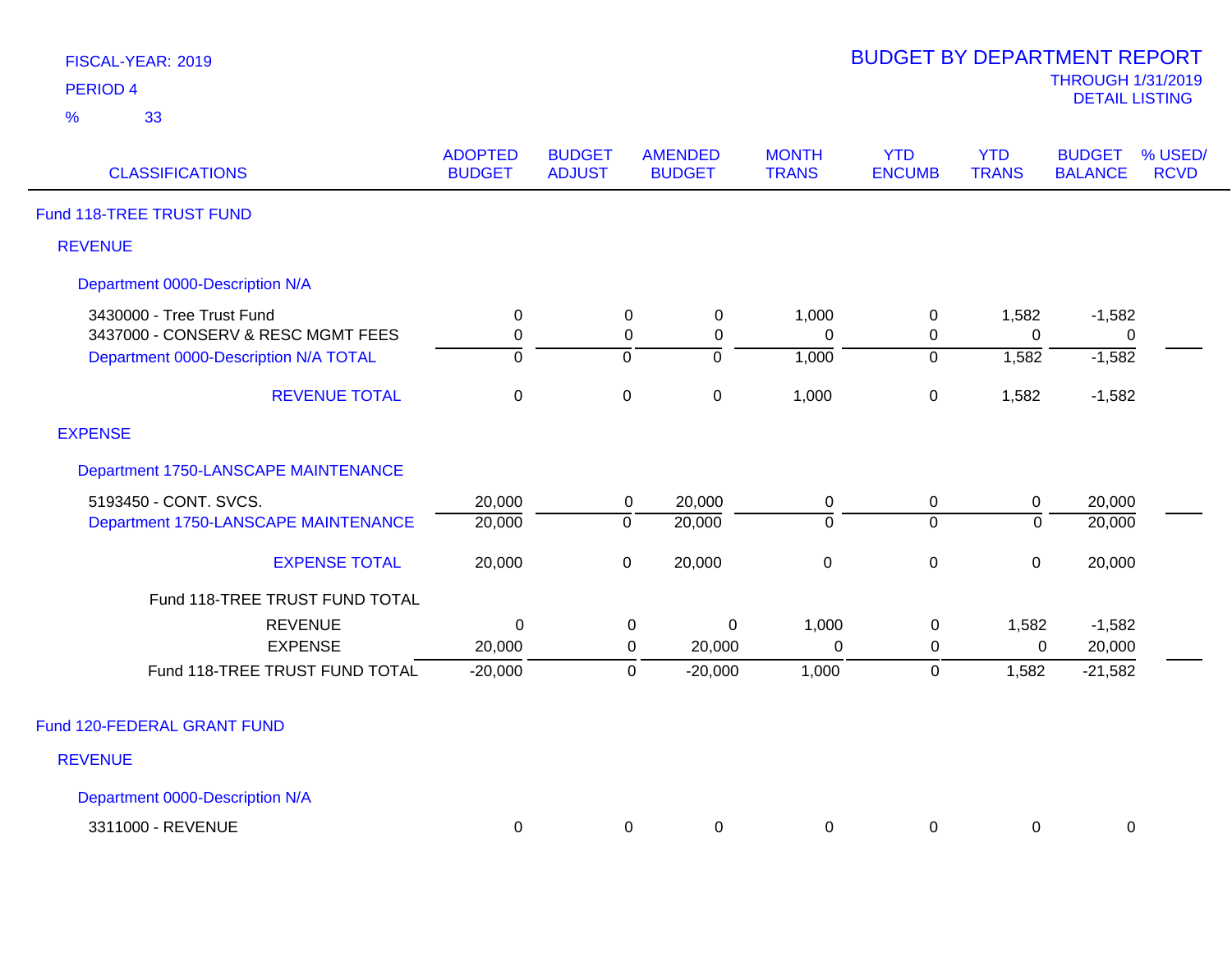| <b>FISCAL-YEAR: 201</b> |  |
|-------------------------|--|
| <b>DEDIAD</b> 4         |  |

| <b>CLASSIFICATIONS</b>                                          | <b>ADOPTED</b><br><b>BUDGET</b> | <b>BUDGET</b><br><b>ADJUST</b> |                  | <b>AMENDED</b><br><b>BUDGET</b> | <b>MONTH</b><br><b>TRANS</b> | <b>YTD</b><br><b>ENCUMB</b> | <b>YTD</b><br><b>TRANS</b> | <b>BUDGET</b><br><b>BALANCE</b> | % USED/<br><b>RCVD</b> |
|-----------------------------------------------------------------|---------------------------------|--------------------------------|------------------|---------------------------------|------------------------------|-----------------------------|----------------------------|---------------------------------|------------------------|
| Fund 118-TREE TRUST FUND                                        |                                 |                                |                  |                                 |                              |                             |                            |                                 |                        |
| <b>REVENUE</b>                                                  |                                 |                                |                  |                                 |                              |                             |                            |                                 |                        |
| Department 0000-Description N/A                                 |                                 |                                |                  |                                 |                              |                             |                            |                                 |                        |
| 3430000 - Tree Trust Fund<br>3437000 - CONSERV & RESC MGMT FEES | $\mathbf 0$<br>$\mathbf 0$      |                                | $\mathbf 0$<br>0 | $\pmb{0}$<br>0                  | 1,000<br>$\Omega$            | $\pmb{0}$<br>0              | 1,582<br>$\Omega$          | $-1,582$<br>0                   |                        |
| Department 0000-Description N/A TOTAL                           | $\overline{0}$                  |                                | $\overline{0}$   | $\overline{0}$                  | 1,000                        | $\overline{0}$              | 1,582                      | $-1,582$                        |                        |
| <b>REVENUE TOTAL</b>                                            | $\mathbf 0$                     |                                | $\pmb{0}$        | $\pmb{0}$                       | 1,000                        | $\pmb{0}$                   | 1,582                      | $-1,582$                        |                        |
| <b>EXPENSE</b>                                                  |                                 |                                |                  |                                 |                              |                             |                            |                                 |                        |
| Department 1750-LANSCAPE MAINTENANCE                            |                                 |                                |                  |                                 |                              |                             |                            |                                 |                        |
| 5193450 - CONT. SVCS.<br>Department 1750-LANSCAPE MAINTENANCE   | 20,000<br>20,000                |                                | 0<br>$\mathbf 0$ | 20,000<br>20,000                | 0<br>$\overline{0}$          | $\pmb{0}$<br>$\Omega$       | $\pmb{0}$<br>$\Omega$      | 20,000<br>20,000                |                        |
| <b>EXPENSE TOTAL</b>                                            | 20,000                          |                                | $\mathbf 0$      | 20,000                          | $\pmb{0}$                    | $\pmb{0}$                   | $\mathbf 0$                | 20,000                          |                        |
| Fund 118-TREE TRUST FUND TOTAL                                  |                                 |                                |                  |                                 |                              |                             |                            |                                 |                        |
| <b>REVENUE</b>                                                  | $\Omega$                        |                                | 0                | 0                               | 1,000                        | $\mathbf 0$                 | 1,582                      | $-1,582$                        |                        |
| <b>EXPENSE</b><br>Fund 118-TREE TRUST FUND TOTAL                | 20,000<br>$-20,000$             |                                | 0<br>0           | 20,000<br>$-20,000$             | $\mathbf 0$<br>1,000         | $\mathbf 0$<br>$\mathsf 0$  | $\mathbf 0$<br>1,582       | 20,000<br>$-21,582$             |                        |
| Fund 120-FEDERAL GRANT FUND                                     |                                 |                                |                  |                                 |                              |                             |                            |                                 |                        |
| <b>REVENUE</b>                                                  |                                 |                                |                  |                                 |                              |                             |                            |                                 |                        |
| Department 0000-Description N/A                                 |                                 |                                |                  |                                 |                              |                             |                            |                                 |                        |
| 3311000 - REVENUE                                               | $\mathbf 0$                     |                                | 0                | 0                               | 0                            | 0                           | 0                          | 0                               |                        |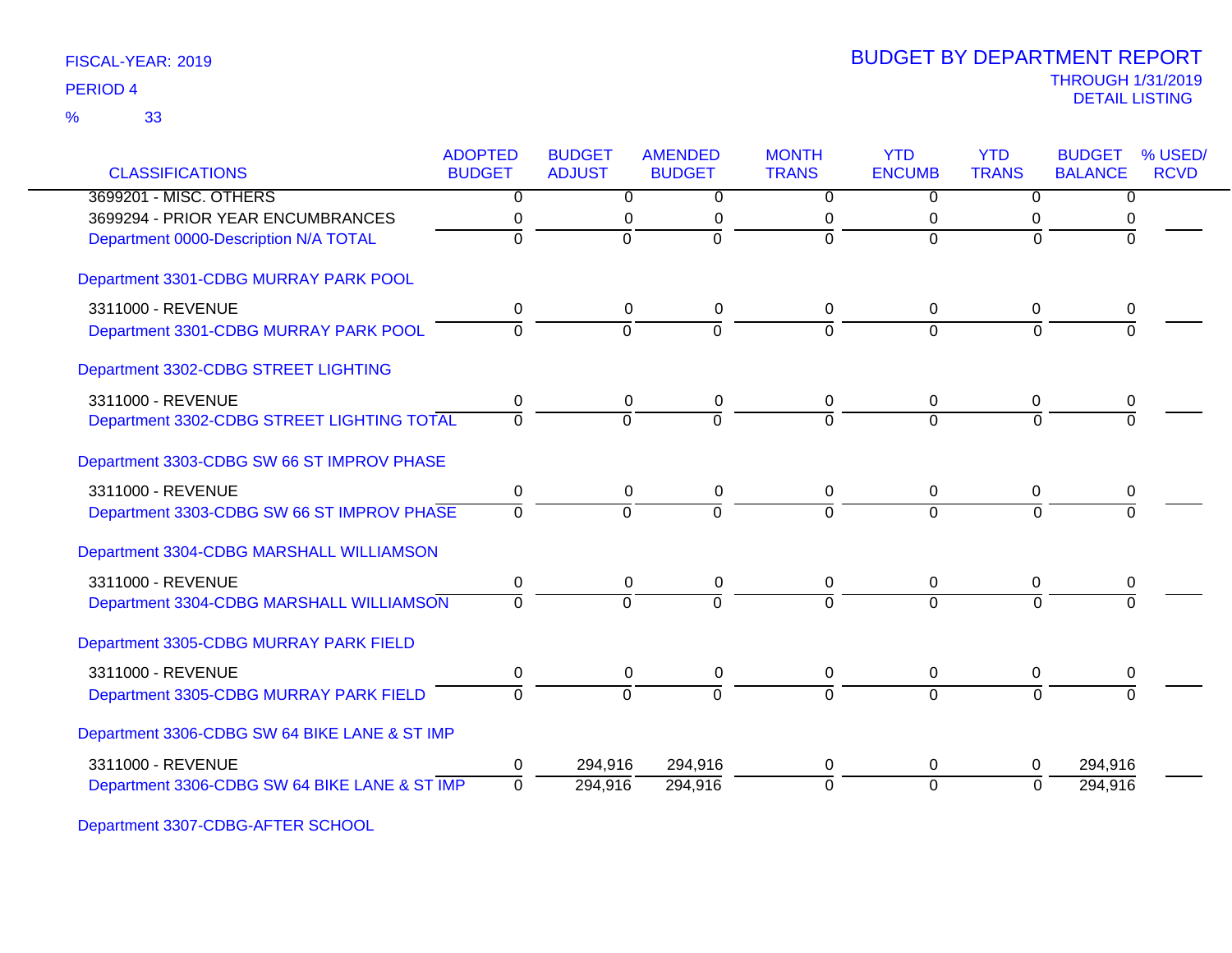|                                               | <b>ADOPTED</b> | <b>BUDGET</b>  | <b>AMENDED</b> | <b>MONTH</b>   | <b>YTD</b>     | <b>YTD</b>     | <b>BUDGET</b>  | % USED/     |
|-----------------------------------------------|----------------|----------------|----------------|----------------|----------------|----------------|----------------|-------------|
| <b>CLASSIFICATIONS</b>                        | <b>BUDGET</b>  | <b>ADJUST</b>  | <b>BUDGET</b>  | <b>TRANS</b>   | <b>ENCUMB</b>  | <b>TRANS</b>   | <b>BALANCE</b> | <b>RCVD</b> |
| 3699201 - MISC. OTHERS                        | 0              | $\overline{0}$ | 0              | $\overline{0}$ | 0              | $\overline{0}$ | 0              |             |
| 3699294 - PRIOR YEAR ENCUMBRANCES             | 0              | 0              | 0              | 0              | 0              | 0              | 0              |             |
| Department 0000-Description N/A TOTAL         | $\overline{0}$ | $\overline{0}$ | $\overline{0}$ | $\overline{0}$ | $\overline{0}$ | $\Omega$       | $\Omega$       |             |
| Department 3301-CDBG MURRAY PARK POOL         |                |                |                |                |                |                |                |             |
| 3311000 - REVENUE                             | 0              | 0              | 0              | 0              | 0              | 0              | 0              |             |
| Department 3301-CDBG MURRAY PARK POOL         | $\Omega$       | $\Omega$       | $\overline{0}$ | $\Omega$       | $\Omega$       | $\Omega$       |                |             |
| Department 3302-CDBG STREET LIGHTING          |                |                |                |                |                |                |                |             |
| 3311000 - REVENUE                             | 0              | 0              | 0              | 0              | 0              | 0              | 0              |             |
| Department 3302-CDBG STREET LIGHTING TOTAL    | $\Omega$       | $\Omega$       | $\overline{0}$ | $\overline{0}$ | $\Omega$       | $\Omega$       | $\Omega$       |             |
| Department 3303-CDBG SW 66 ST IMPROV PHASE    |                |                |                |                |                |                |                |             |
| 3311000 - REVENUE                             | 0              | $\pmb{0}$      | $\pmb{0}$      | 0              | $\mathbf 0$    | $\mathbf 0$    | 0              |             |
| Department 3303-CDBG SW 66 ST IMPROV PHASE    | $\Omega$       | $\Omega$       | $\Omega$       | $\Omega$       | $\Omega$       | $\Omega$       | $\Omega$       |             |
| Department 3304-CDBG MARSHALL WILLIAMSON      |                |                |                |                |                |                |                |             |
| 3311000 - REVENUE                             | 0              | 0              | 0              | 0              | 0              | 0              | 0              |             |
| Department 3304-CDBG MARSHALL WILLIAMSON      | $\overline{0}$ | $\Omega$       | $\Omega$       | $\Omega$       | $\Omega$       | $\Omega$       | $\Omega$       |             |
| Department 3305-CDBG MURRAY PARK FIELD        |                |                |                |                |                |                |                |             |
| 3311000 - REVENUE                             | 0              | 0              | 0              | 0              | 0              | 0              | 0              |             |
| Department 3305-CDBG MURRAY PARK FIELD        | $\overline{0}$ | $\overline{0}$ | $\overline{0}$ | $\overline{0}$ | $\Omega$       | $\overline{0}$ | $\Omega$       |             |
| Department 3306-CDBG SW 64 BIKE LANE & ST IMP |                |                |                |                |                |                |                |             |
| 3311000 - REVENUE                             | 0              | 294,916        | 294,916        | 0              | 0              | 0              | 294,916        |             |
| Department 3306-CDBG SW 64 BIKE LANE & ST IMP | $\Omega$       | 294,916        | 294,916        | $\overline{0}$ | $\overline{0}$ | $\Omega$       | 294,916        |             |

Department 3307-CDBG-AFTER SCHOOL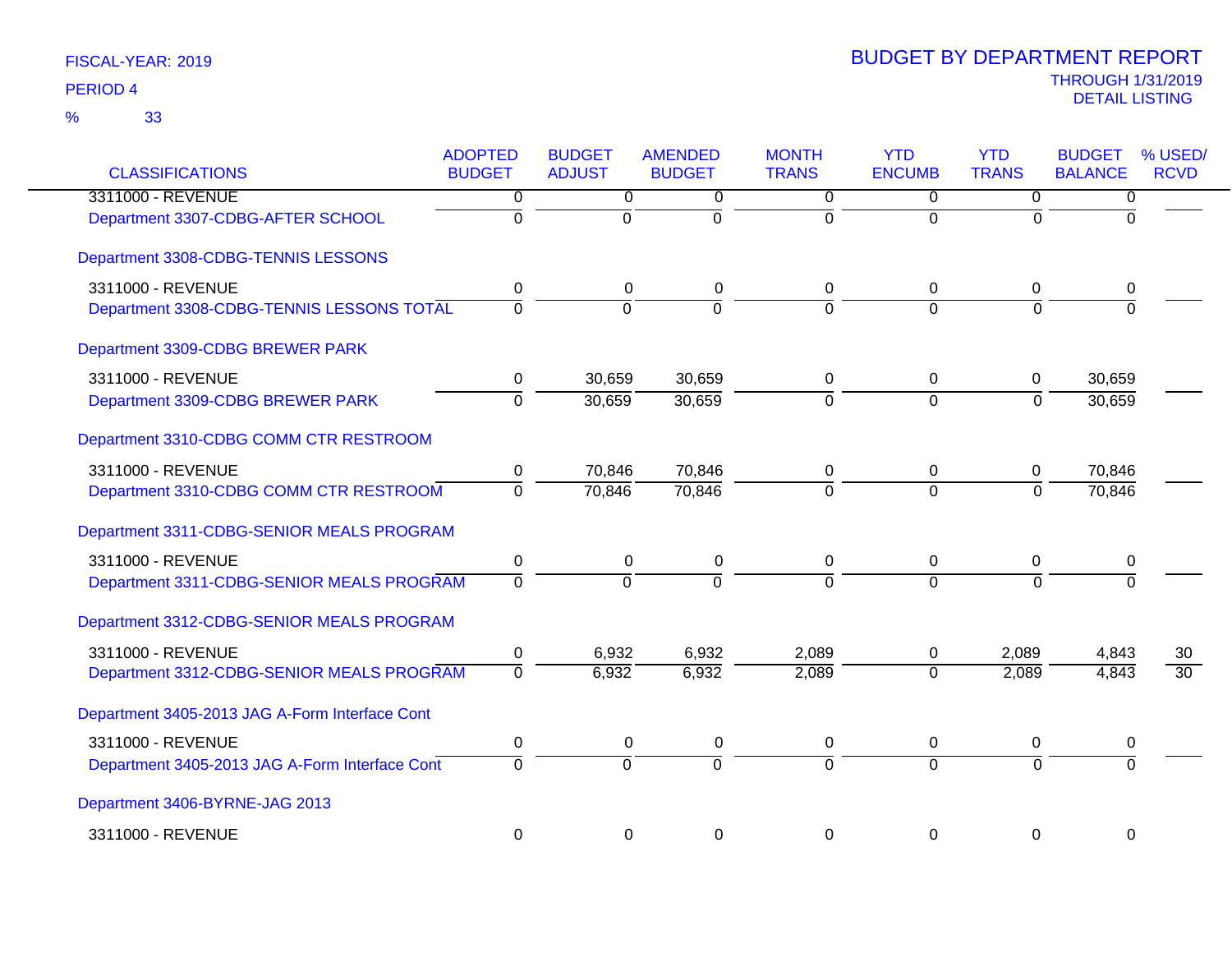| <b>CLASSIFICATIONS</b>                         | <b>ADOPTED</b><br><b>BUDGET</b> | <b>BUDGET</b><br><b>ADJUST</b> | <b>AMENDED</b><br><b>BUDGET</b> | <b>MONTH</b><br><b>TRANS</b> | <b>YTD</b><br><b>ENCUMB</b> | <b>YTD</b><br><b>TRANS</b> | <b>BUDGET</b><br><b>BALANCE</b> | % USED/<br><b>RCVD</b> |
|------------------------------------------------|---------------------------------|--------------------------------|---------------------------------|------------------------------|-----------------------------|----------------------------|---------------------------------|------------------------|
| 3311000 - REVENUE                              | $\overline{0}$                  | $\overline{0}$                 | 0                               | $\overline{0}$               | $\overline{0}$              | $\overline{0}$             | $\overline{0}$                  |                        |
| Department 3307-CDBG-AFTER SCHOOL              | $\overline{0}$                  | $\overline{0}$                 | $\overline{0}$                  | $\overline{0}$               | $\overline{0}$              | $\Omega$                   | $\Omega$                        |                        |
| Department 3308-CDBG-TENNIS LESSONS            |                                 |                                |                                 |                              |                             |                            |                                 |                        |
| 3311000 - REVENUE                              | 0                               | 0                              | 0                               | 0                            | 0                           | $\mathbf 0$                | 0                               |                        |
| Department 3308-CDBG-TENNIS LESSONS TOTAL      | $\overline{0}$                  | $\overline{0}$                 | $\overline{0}$                  | $\Omega$                     | $\Omega$                    | $\Omega$                   | $\overline{0}$                  |                        |
| Department 3309-CDBG BREWER PARK               |                                 |                                |                                 |                              |                             |                            |                                 |                        |
| 3311000 - REVENUE                              | 0                               | 30,659                         | 30,659                          | 0                            | $\mathbf 0$                 | $\mathbf 0$                | 30,659                          |                        |
| Department 3309-CDBG BREWER PARK               | $\overline{0}$                  | 30,659                         | 30,659                          | $\overline{0}$               | $\Omega$                    | $\overline{0}$             | 30,659                          |                        |
| Department 3310-CDBG COMM CTR RESTROOM         |                                 |                                |                                 |                              |                             |                            |                                 |                        |
| 3311000 - REVENUE                              | 0                               | 70,846                         | 70,846                          | 0                            | $\pmb{0}$                   | 0                          | 70,846                          |                        |
| Department 3310-CDBG COMM CTR RESTROOM         | $\mathbf 0$                     | 70,846                         | 70,846                          | $\overline{0}$               | $\overline{0}$              | $\Omega$                   | 70,846                          |                        |
| Department 3311-CDBG-SENIOR MEALS PROGRAM      |                                 |                                |                                 |                              |                             |                            |                                 |                        |
| 3311000 - REVENUE                              | $\pmb{0}$                       | $\pmb{0}$                      | $\pmb{0}$                       | $\pmb{0}$                    | $\mathbf 0$                 | $\mathbf 0$                | $\pmb{0}$                       |                        |
| Department 3311-CDBG-SENIOR MEALS PROGRAM      | $\overline{0}$                  | $\overline{0}$                 | $\Omega$                        | $\Omega$                     | $\overline{0}$              | $\Omega$                   | $\Omega$                        |                        |
| Department 3312-CDBG-SENIOR MEALS PROGRAM      |                                 |                                |                                 |                              |                             |                            |                                 |                        |
| 3311000 - REVENUE                              | $\mathbf 0$                     | 6,932                          | 6,932                           | 2,089                        | 0                           | 2,089                      | 4,843                           | 30                     |
| Department 3312-CDBG-SENIOR MEALS PROGRAM      | $\Omega$                        | 6,932                          | 6,932                           | 2,089                        | $\Omega$                    | 2,089                      | 4,843                           | 30                     |
| Department 3405-2013 JAG A-Form Interface Cont |                                 |                                |                                 |                              |                             |                            |                                 |                        |
| 3311000 - REVENUE                              | $\pmb{0}$                       | $\pmb{0}$                      | 0                               | 0                            | 0                           | 0                          | 0                               |                        |
| Department 3405-2013 JAG A-Form Interface Cont | $\overline{0}$                  | $\overline{0}$                 | $\overline{0}$                  | $\overline{0}$               | $\overline{0}$              | $\overline{0}$             | $\overline{0}$                  |                        |
| Department 3406-BYRNE-JAG 2013                 |                                 |                                |                                 |                              |                             |                            |                                 |                        |
| 3311000 - REVENUE                              | $\mathbf 0$                     | $\mathbf 0$                    | 0                               | $\mathbf 0$                  | 0                           | $\mathbf 0$                | $\mathbf 0$                     |                        |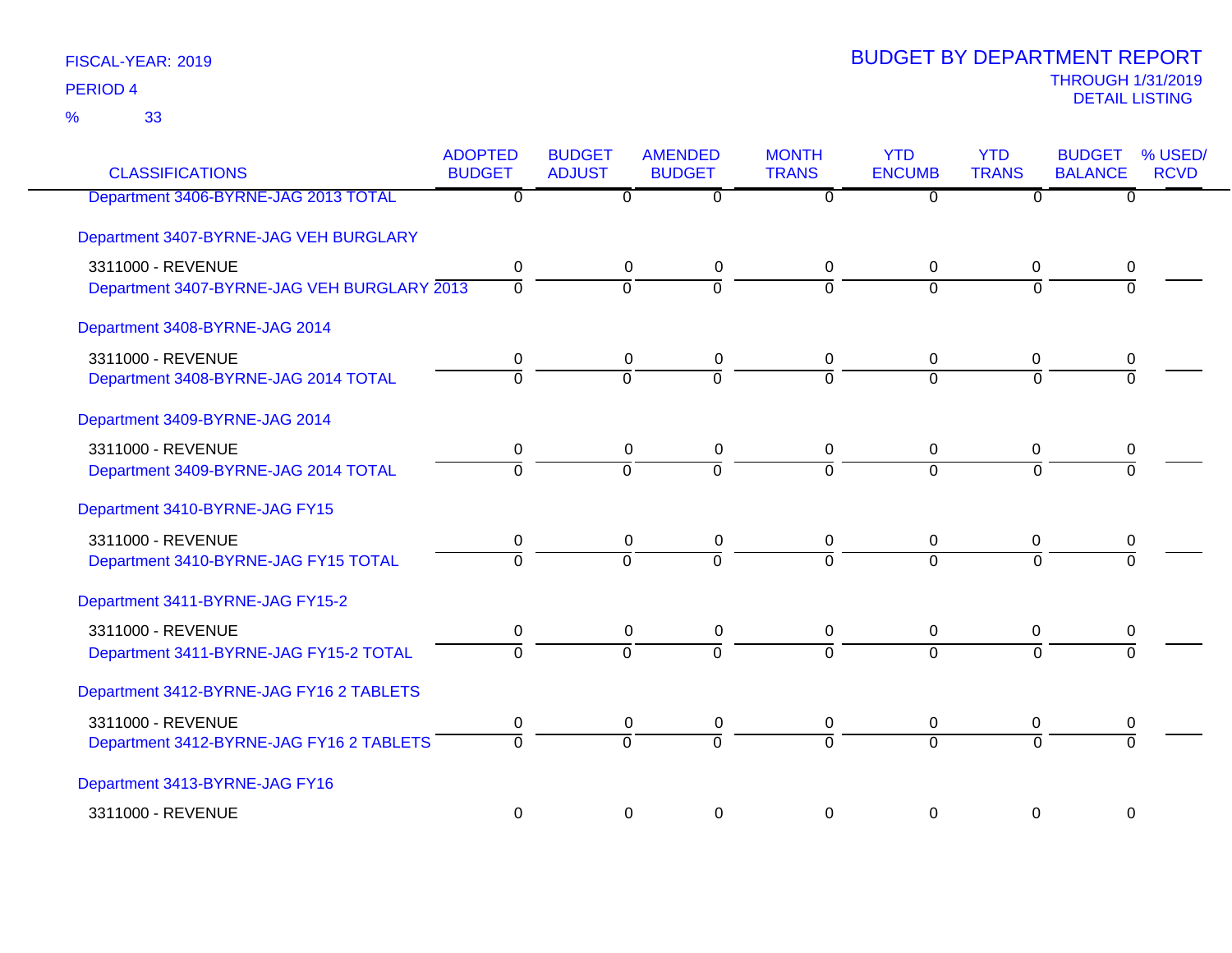| <b>CLASSIFICATIONS</b>                      | <b>ADOPTED</b><br><b>BUDGET</b> | <b>BUDGET</b><br><b>ADJUST</b> | <b>AMENDED</b><br><b>BUDGET</b> | <b>MONTH</b><br><b>TRANS</b> | <b>YTD</b><br><b>ENCUMB</b> | <b>YTD</b><br><b>TRANS</b> | <b>BUDGET</b><br><b>BALANCE</b> | % USED/<br><b>RCVD</b> |
|---------------------------------------------|---------------------------------|--------------------------------|---------------------------------|------------------------------|-----------------------------|----------------------------|---------------------------------|------------------------|
| Department 3406-BYRNE-JAG 2013 TOTAL        | $\overline{0}$                  | 0                              | $\overline{0}$                  | $\Omega$                     | $\overline{0}$              | $\mathbf{0}$               | $\overline{0}$                  |                        |
| Department 3407-BYRNE-JAG VEH BURGLARY      |                                 |                                |                                 |                              |                             |                            |                                 |                        |
| 3311000 - REVENUE                           | 0                               | $\mathbf 0$                    | $\pmb{0}$                       | 0                            | $\mathbf 0$                 | $\mathbf 0$                | 0                               |                        |
| Department 3407-BYRNE-JAG VEH BURGLARY 2013 | $\overline{0}$                  | $\overline{0}$                 | $\overline{0}$                  | $\overline{0}$               | $\overline{0}$              | $\Omega$                   | $\overline{0}$                  |                        |
| Department 3408-BYRNE-JAG 2014              |                                 |                                |                                 |                              |                             |                            |                                 |                        |
| 3311000 - REVENUE                           | 0                               | 0                              | $\pmb{0}$                       | $\mathbf 0$                  | 0                           | $\mathbf 0$                | 0                               |                        |
| Department 3408-BYRNE-JAG 2014 TOTAL        | $\overline{0}$                  | $\overline{0}$                 | ō                               | $\overline{0}$               | $\overline{0}$              | $\Omega$                   | $\Omega$                        |                        |
| Department 3409-BYRNE-JAG 2014              |                                 |                                |                                 |                              |                             |                            |                                 |                        |
| 3311000 - REVENUE                           | 0                               | $\mathbf 0$                    | $\pmb{0}$                       | 0                            | $\mathbf 0$                 | $\mathbf 0$                | $\mathbf 0$                     |                        |
| Department 3409-BYRNE-JAG 2014 TOTAL        | $\Omega$                        | $\overline{0}$                 | $\Omega$                        | $\Omega$                     | $\Omega$                    | $\Omega$                   | $\Omega$                        |                        |
| Department 3410-BYRNE-JAG FY15              |                                 |                                |                                 |                              |                             |                            |                                 |                        |
| 3311000 - REVENUE                           | 0                               | $\mathbf 0$                    | $\pmb{0}$                       | $\mathbf 0$                  | 0                           | 0                          | 0                               |                        |
| Department 3410-BYRNE-JAG FY15 TOTAL        | $\mathbf 0$                     | $\overline{0}$                 | $\overline{0}$                  | $\mathbf 0$                  | $\overline{0}$              | $\overline{0}$             | $\Omega$                        |                        |
| Department 3411-BYRNE-JAG FY15-2            |                                 |                                |                                 |                              |                             |                            |                                 |                        |
| 3311000 - REVENUE                           | $\pmb{0}$                       | $\pmb{0}$                      | $\pmb{0}$                       | $\mathsf 0$                  | $\pmb{0}$                   | $\mathbf 0$                | $\mathbf 0$                     |                        |
| Department 3411-BYRNE-JAG FY15-2 TOTAL      | $\overline{0}$                  | $\overline{0}$                 | $\overline{0}$                  | $\overline{0}$               | $\overline{0}$              | $\overline{0}$             | $\overline{0}$                  |                        |
| Department 3412-BYRNE-JAG FY16 2 TABLETS    |                                 |                                |                                 |                              |                             |                            |                                 |                        |
| 3311000 - REVENUE                           | $\pmb{0}$                       | $\overline{0}$                 | $\pmb{0}$                       | $\mathbf 0$                  | $\pmb{0}$                   | 0                          | 0                               |                        |
| Department 3412-BYRNE-JAG FY16 2 TABLETS    | $\overline{0}$                  | ō                              | $\overline{0}$                  | $\overline{0}$               | $\overline{0}$              | $\Omega$                   | 7                               |                        |
| Department 3413-BYRNE-JAG FY16              |                                 |                                |                                 |                              |                             |                            |                                 |                        |
| 3311000 - REVENUE                           | $\pmb{0}$                       | 0                              | $\pmb{0}$                       | $\mathbf 0$                  | 0                           | $\pmb{0}$                  | $\mathbf 0$                     |                        |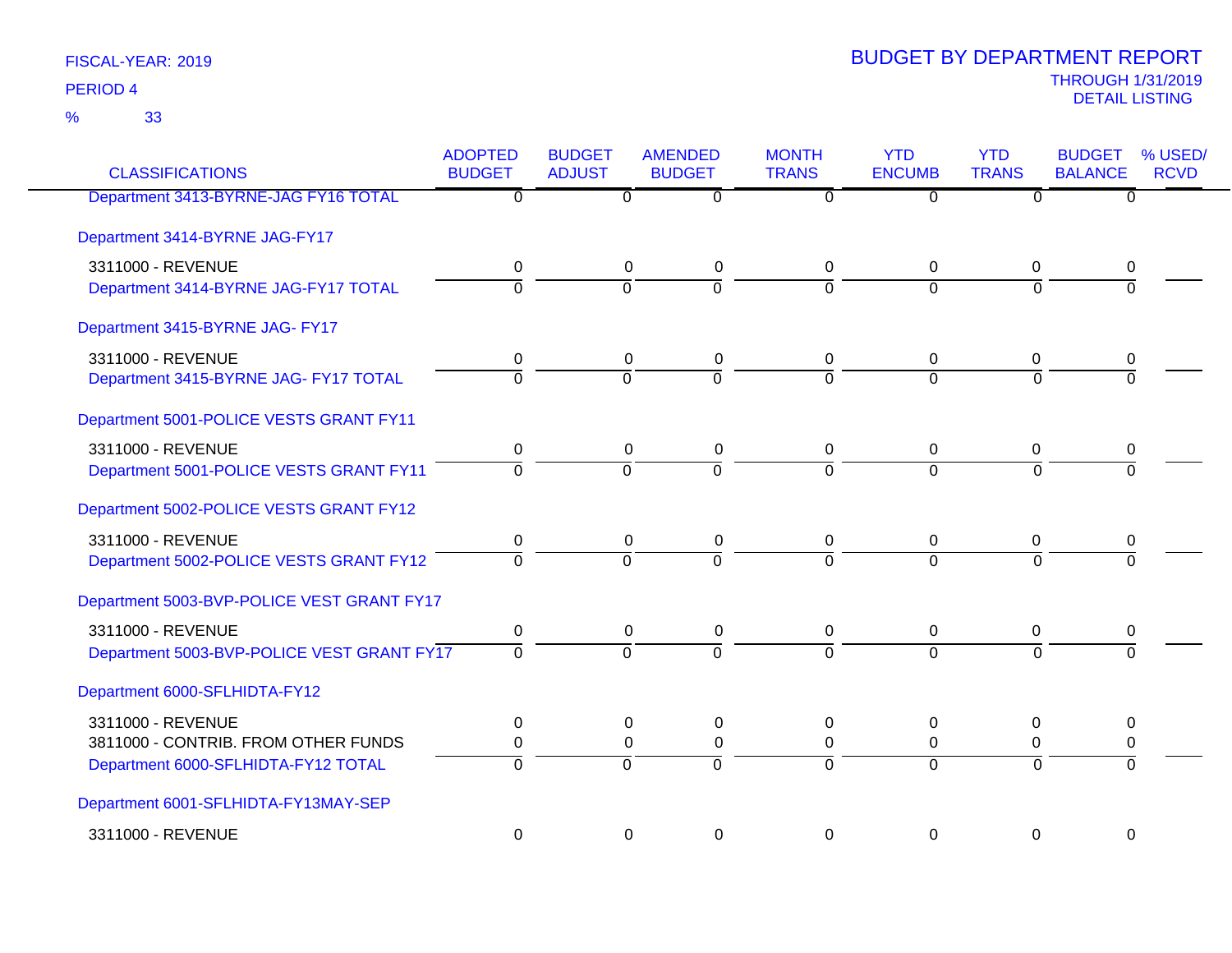33 %

| <b>CLASSIFICATIONS</b>                     | <b>ADOPTED</b><br><b>BUDGET</b> | <b>BUDGET</b><br><b>ADJUST</b> | <b>AMENDED</b><br><b>BUDGET</b> | <b>MONTH</b><br><b>TRANS</b> | <b>YTD</b><br><b>ENCUMB</b> | <b>YTD</b><br><b>TRANS</b> | <b>BUDGET</b><br><b>BALANCE</b> | % USED/<br><b>RCVD</b> |
|--------------------------------------------|---------------------------------|--------------------------------|---------------------------------|------------------------------|-----------------------------|----------------------------|---------------------------------|------------------------|
| Department 3413-BYRNE-JAG FY16 TOTAL       | $\overline{0}$                  | $\overline{\mathfrak{o}}$      | $\overline{0}$                  | $\overline{0}$               | $\overline{0}$              | $\overline{0}$             | $\overline{0}$                  |                        |
| Department 3414-BYRNE JAG-FY17             |                                 |                                |                                 |                              |                             |                            |                                 |                        |
| 3311000 - REVENUE                          | 0                               | 0                              | $\mathbf 0$                     | 0                            | 0                           | 0                          | 0                               |                        |
| Department 3414-BYRNE JAG-FY17 TOTAL       | $\Omega$                        | $\Omega$                       | $\overline{0}$                  | $\Omega$                     | $\Omega$                    | $\Omega$                   | $\Omega$                        |                        |
| Department 3415-BYRNE JAG- FY17            |                                 |                                |                                 |                              |                             |                            |                                 |                        |
| 3311000 - REVENUE                          | 0                               | 0                              | 0                               | 0                            | 0                           | 0                          | 0                               |                        |
| Department 3415-BYRNE JAG- FY17 TOTAL      | $\Omega$                        | $\Omega$                       | $\Omega$                        | $\Omega$                     | $\Omega$                    | $\Omega$                   | $\Omega$                        |                        |
| Department 5001-POLICE VESTS GRANT FY11    |                                 |                                |                                 |                              |                             |                            |                                 |                        |
| 3311000 - REVENUE                          | 0                               | $\mathbf 0$                    | $\pmb{0}$                       | $\mathbf 0$                  | $\mathbf 0$                 | $\mathbf 0$                | 0                               |                        |
| Department 5001-POLICE VESTS GRANT FY11    | $\Omega$                        | $\Omega$                       | $\overline{0}$                  | $\Omega$                     | $\Omega$                    | $\Omega$                   | $\Omega$                        |                        |
| Department 5002-POLICE VESTS GRANT FY12    |                                 |                                |                                 |                              |                             |                            |                                 |                        |
| 3311000 - REVENUE                          | $\mathbf 0$                     | 0                              | 0                               | $\mathbf 0$                  | $\mathbf 0$                 | 0                          | 0                               |                        |
| Department 5002-POLICE VESTS GRANT FY12    | ō                               | $\overline{0}$                 | $\overline{0}$                  | $\overline{0}$               | $\overline{0}$              | $\overline{0}$             | $\overline{0}$                  |                        |
| Department 5003-BVP-POLICE VEST GRANT FY17 |                                 |                                |                                 |                              |                             |                            |                                 |                        |
| 3311000 - REVENUE                          | $\pmb{0}$                       | $\pmb{0}$                      | 0                               | $\mathbf 0$                  | 0                           | 0                          | 0                               |                        |
| Department 5003-BVP-POLICE VEST GRANT FY17 | $\Omega$                        | $\overline{0}$                 | $\overline{0}$                  | $\Omega$                     | $\overline{0}$              | $\Omega$                   | $\Omega$                        |                        |
| Department 6000-SFLHIDTA-FY12              |                                 |                                |                                 |                              |                             |                            |                                 |                        |
| 3311000 - REVENUE                          | 0                               | 0                              | 0                               | 0                            | 0                           | 0                          | 0                               |                        |
| 3811000 - CONTRIB. FROM OTHER FUNDS        | 0                               | $\mathbf 0$                    | $\pmb{0}$                       | 0                            | 0                           | 0                          | 0                               |                        |
| Department 6000-SFLHIDTA-FY12 TOTAL        | $\Omega$                        | $\overline{0}$                 | $\Omega$                        | $\Omega$                     | $\Omega$                    | $\Omega$                   | $\overline{0}$                  |                        |
| Department 6001-SFLHIDTA-FY13MAY-SEP       |                                 |                                |                                 |                              |                             |                            |                                 |                        |
| 3311000 - REVENUE                          | 0                               | 0                              | $\mathbf 0$                     | $\mathbf 0$                  | $\Omega$                    | $\mathbf 0$                | $\mathbf 0$                     |                        |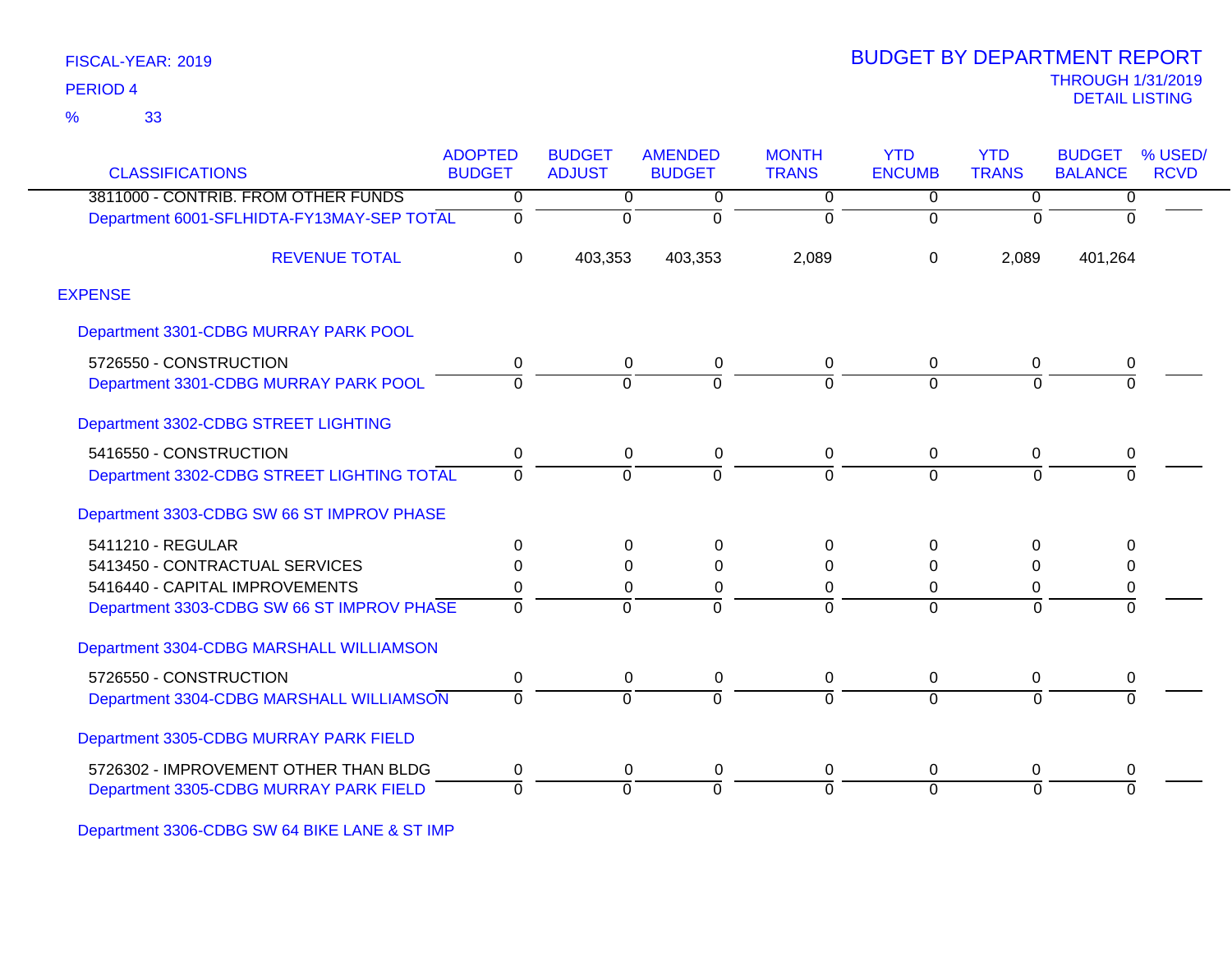33 %

|                                            | <b>ADOPTED</b> | <b>BUDGET</b>  | <b>AMENDED</b> | <b>MONTH</b>   | <b>YTD</b>     | <b>YTD</b>     | <b>BUDGET</b>  | % USED/     |
|--------------------------------------------|----------------|----------------|----------------|----------------|----------------|----------------|----------------|-------------|
| <b>CLASSIFICATIONS</b>                     | <b>BUDGET</b>  | <b>ADJUST</b>  | <b>BUDGET</b>  | <b>TRANS</b>   | <b>ENCUMB</b>  | <b>TRANS</b>   | <b>BALANCE</b> | <b>RCVD</b> |
| 3811000 - CONTRIB. FROM OTHER FUNDS        | $\overline{0}$ | $\overline{0}$ | 0              | $\overline{0}$ | $\overline{0}$ | $\overline{0}$ | $\overline{0}$ |             |
| Department 6001-SFLHIDTA-FY13MAY-SEP TOTAL | $\Omega$       | $\Omega$       | $\Omega$       | $\Omega$       | $\Omega$       | $\Omega$       | $\Omega$       |             |
| <b>REVENUE TOTAL</b>                       | $\Omega$       | 403,353        | 403,353        | 2,089          | $\Omega$       | 2,089          | 401,264        |             |
| <b>EXPENSE</b>                             |                |                |                |                |                |                |                |             |
| Department 3301-CDBG MURRAY PARK POOL      |                |                |                |                |                |                |                |             |
| 5726550 - CONSTRUCTION                     | 0              | 0              | 0              | 0              | $\mathbf{0}$   | 0              | 0              |             |
| Department 3301-CDBG MURRAY PARK POOL      | 0              | $\overline{0}$ | $\Omega$       | ō              | $\overline{0}$ | $\overline{0}$ | $\overline{0}$ |             |
| Department 3302-CDBG STREET LIGHTING       |                |                |                |                |                |                |                |             |
| 5416550 - CONSTRUCTION                     | 0              | $\mathbf 0$    | 0              | 0              | $\mathbf 0$    | $\mathbf 0$    | 0              |             |
| Department 3302-CDBG STREET LIGHTING TOTAL | $\Omega$       | $\Omega$       | $\Omega$       | $\Omega$       | $\Omega$       | $\Omega$       | $\Omega$       |             |
| Department 3303-CDBG SW 66 ST IMPROV PHASE |                |                |                |                |                |                |                |             |
| 5411210 - REGULAR                          | 0              | 0              | $\Omega$       | 0              | $\Omega$       | $\Omega$       | $\Omega$       |             |
| 5413450 - CONTRACTUAL SERVICES             | 0              | $\Omega$       | $\Omega$       | 0              | $\Omega$       | $\Omega$       | 0              |             |
| 5416440 - CAPITAL IMPROVEMENTS             | 0              | 0              | 0              | 0              | 0              | 0              | 0              |             |
| Department 3303-CDBG SW 66 ST IMPROV PHASE | $\Omega$       | $\Omega$       | $\Omega$       | ō              | $\Omega$       | $\overline{0}$ | $\overline{0}$ |             |
| Department 3304-CDBG MARSHALL WILLIAMSON   |                |                |                |                |                |                |                |             |
| 5726550 - CONSTRUCTION                     | 0              | 0              | 0              | 0              | 0              | 0              | 0              |             |
| Department 3304-CDBG MARSHALL WILLIAMSON   | $\Omega$       | $\Omega$       | $\Omega$       | 0              | $\Omega$       | $\Omega$       | $\overline{0}$ |             |
| Department 3305-CDBG MURRAY PARK FIELD     |                |                |                |                |                |                |                |             |
| 5726302 - IMPROVEMENT OTHER THAN BLDG      | 0              | 0              | 0              | 0              | 0              | 0              | 0              |             |
| Department 3305-CDBG MURRAY PARK FIELD     | 0              | $\Omega$       | O              | 0              | $\Omega$       | $\Omega$       | $\Omega$       |             |

Department 3306-CDBG SW 64 BIKE LANE & ST IMP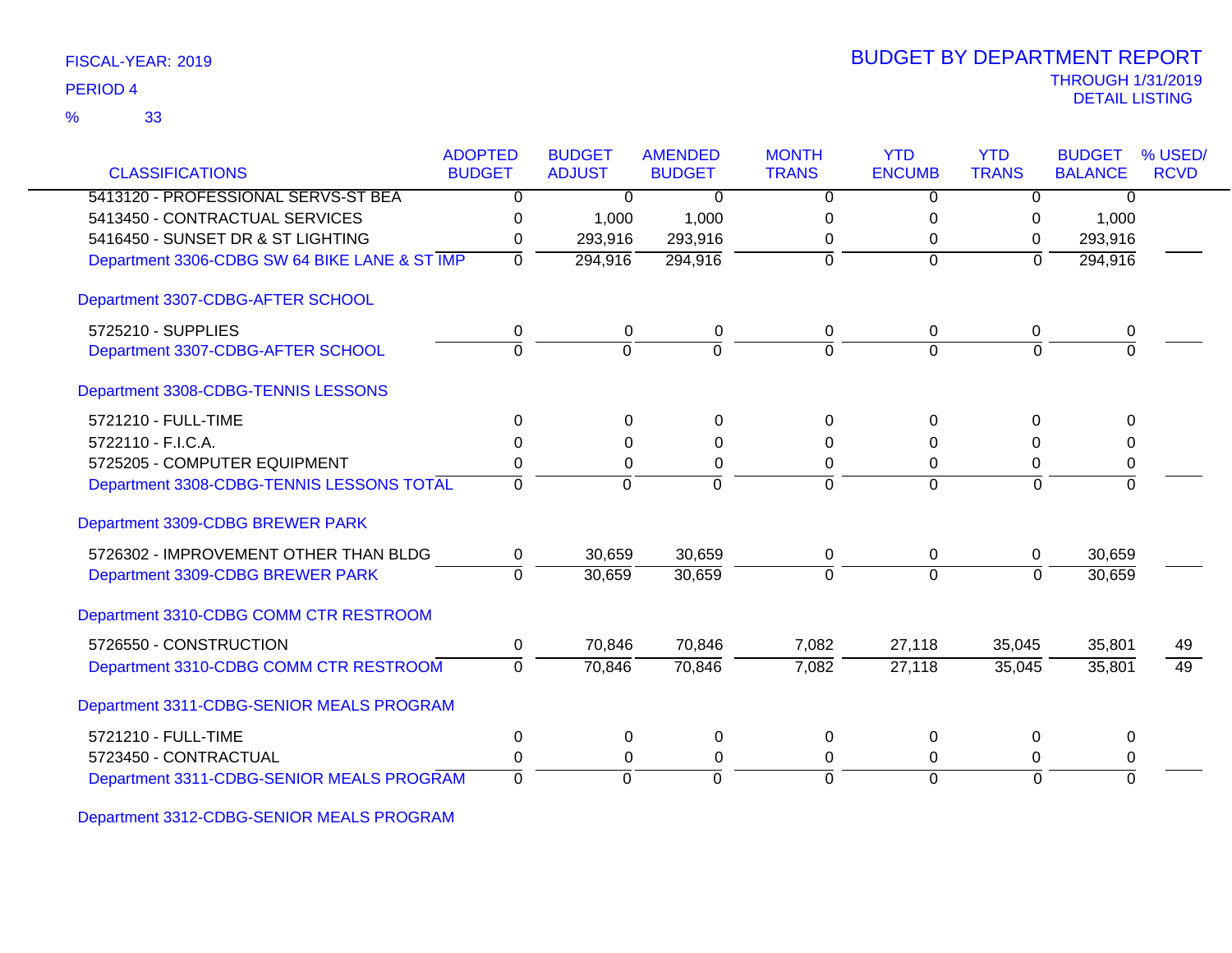| FISCAL-YEAR: 2019 |
|-------------------|
|-------------------|

| <b>CLASSIFICATIONS</b>                        | <b>ADOPTED</b><br><b>BUDGET</b> | <b>BUDGET</b><br><b>ADJUST</b> | <b>AMENDED</b><br><b>BUDGET</b> | <b>MONTH</b><br><b>TRANS</b> | <b>YTD</b><br><b>ENCUMB</b> | <b>YTD</b><br><b>TRANS</b> | <b>BUDGET</b><br><b>BALANCE</b> | % USED/<br><b>RCVD</b> |
|-----------------------------------------------|---------------------------------|--------------------------------|---------------------------------|------------------------------|-----------------------------|----------------------------|---------------------------------|------------------------|
| 5413120 - PROFESSIONAL SERVS-ST BEA           | $\overline{0}$                  | $\Omega$                       | $\Omega$                        | 0                            | $\Omega$                    | 0                          | $\Omega$                        |                        |
| 5413450 - CONTRACTUAL SERVICES                | 0                               | 1,000                          | 1,000                           | 0                            | 0                           |                            | 1,000                           |                        |
| 5416450 - SUNSET DR & ST LIGHTING             | 0                               | 293,916                        | 293,916                         | 0                            | 0                           | 0<br>0                     | 293,916                         |                        |
| Department 3306-CDBG SW 64 BIKE LANE & ST IMP | $\mathbf{0}$                    | 294,916                        | 294,916                         | $\overline{0}$               | $\mathbf 0$                 | $\overline{0}$             | 294,916                         |                        |
| Department 3307-CDBG-AFTER SCHOOL             |                                 |                                |                                 |                              |                             |                            |                                 |                        |
| 5725210 - SUPPLIES                            | 0                               | $\pmb{0}$                      | 0                               | 0                            | 0                           | 0                          | 0                               |                        |
| Department 3307-CDBG-AFTER SCHOOL             | $\overline{0}$                  | $\overline{0}$                 | ō                               | $\overline{0}$               | $\Omega$                    | $\Omega$                   | $\Omega$                        |                        |
| Department 3308-CDBG-TENNIS LESSONS           |                                 |                                |                                 |                              |                             |                            |                                 |                        |
| 5721210 - FULL-TIME                           | $\mathbf{0}$                    | $\Omega$                       | $\Omega$                        | 0                            | $\Omega$                    | 0                          | O                               |                        |
| 5722110 - F.I.C.A.                            | 0                               | 0                              | 0                               | 0                            | 0                           | 0                          |                                 |                        |
| 5725205 - COMPUTER EQUIPMENT                  | 0                               | 0                              | 0                               | $\Omega$                     | 0                           | 0                          | 0                               |                        |
| Department 3308-CDBG-TENNIS LESSONS TOTAL     | $\Omega$                        | $\mathbf 0$                    | $\Omega$                        | $\Omega$                     | $\Omega$                    | $\Omega$                   | $\Omega$                        |                        |
| Department 3309-CDBG BREWER PARK              |                                 |                                |                                 |                              |                             |                            |                                 |                        |
| 5726302 - IMPROVEMENT OTHER THAN BLDG         | 0                               | 30,659                         | 30,659                          | 0                            | 0                           | 0                          | 30,659                          |                        |
| Department 3309-CDBG BREWER PARK              | $\Omega$                        | 30,659                         | 30,659                          | $\Omega$                     | $\mathbf 0$                 | $\Omega$                   | 30,659                          |                        |
| Department 3310-CDBG COMM CTR RESTROOM        |                                 |                                |                                 |                              |                             |                            |                                 |                        |
| 5726550 - CONSTRUCTION                        | $\mathbf 0$                     | 70,846                         | 70,846                          | 7,082                        | 27,118                      | 35,045                     | 35,801                          | 49                     |
| Department 3310-CDBG COMM CTR RESTROOM        | $\Omega$                        | 70,846                         | 70,846                          | 7,082                        | 27,118                      | 35,045                     | 35,801                          | 49                     |
| Department 3311-CDBG-SENIOR MEALS PROGRAM     |                                 |                                |                                 |                              |                             |                            |                                 |                        |
| 5721210 - FULL-TIME                           | $\boldsymbol{0}$                | 0                              | $\pmb{0}$                       | 0                            | 0                           | 0                          | $\Omega$                        |                        |
| 5723450 - CONTRACTUAL                         | 0                               | 0                              | 0                               | $\Omega$                     | 0                           | 0                          | 0                               |                        |
| Department 3311-CDBG-SENIOR MEALS PROGRAM     | $\Omega$                        | $\Omega$                       | $\Omega$                        | $\Omega$                     | $\overline{0}$              | $\Omega$                   | $\Omega$                        |                        |

Department 3312-CDBG-SENIOR MEALS PROGRAM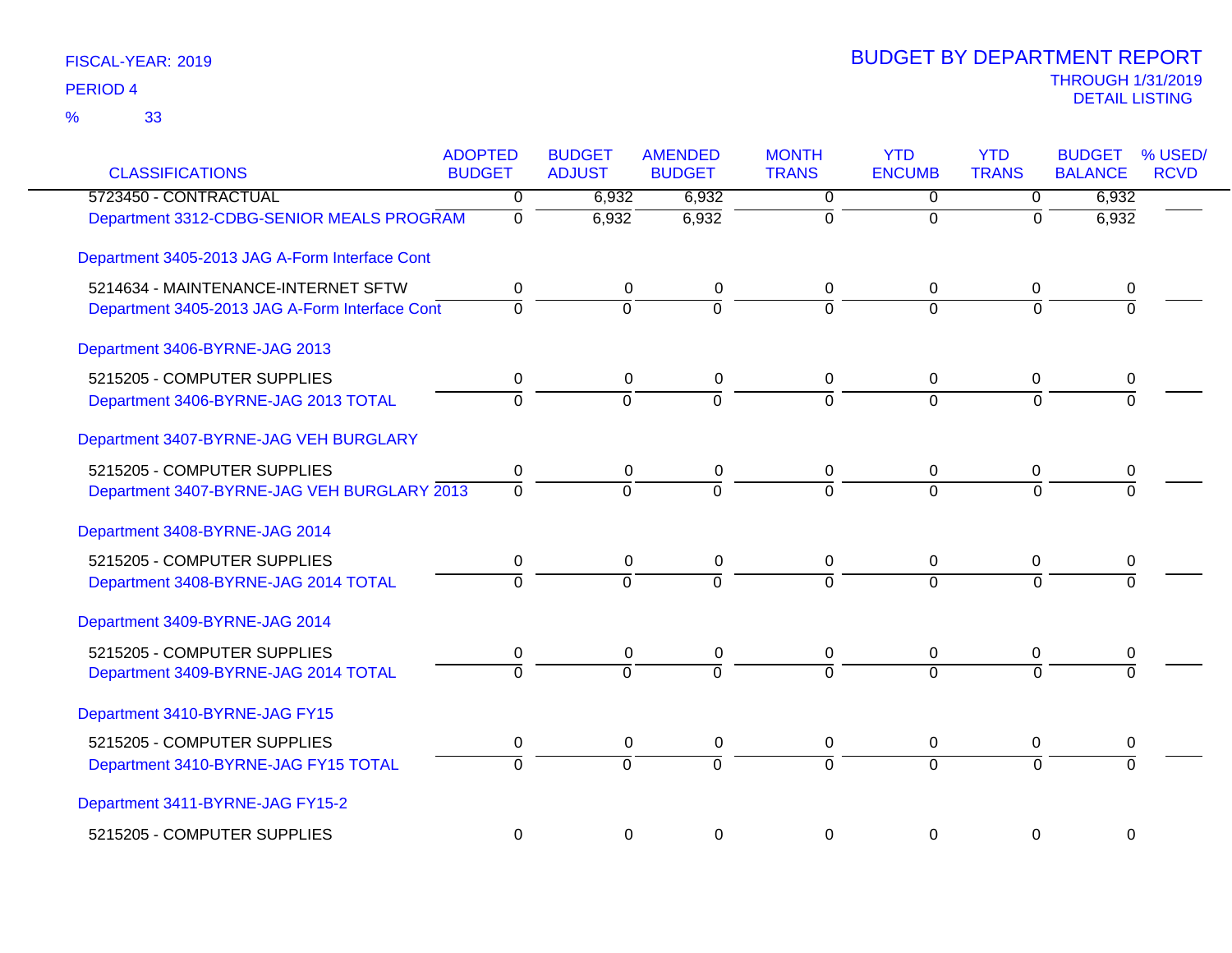| <b>CLASSIFICATIONS</b>                         | <b>ADOPTED</b><br><b>BUDGET</b> | <b>BUDGET</b><br><b>ADJUST</b> | <b>AMENDED</b><br><b>BUDGET</b> | <b>MONTH</b><br><b>TRANS</b> | <b>YTD</b><br><b>ENCUMB</b> | <b>YTD</b><br><b>TRANS</b> | <b>BUDGET</b><br><b>BALANCE</b> | % USED/<br><b>RCVD</b> |
|------------------------------------------------|---------------------------------|--------------------------------|---------------------------------|------------------------------|-----------------------------|----------------------------|---------------------------------|------------------------|
| 5723450 - CONTRACTUAL                          | 0                               | 6,932                          | 6,932                           | $\overline{0}$               | 0                           | $\overline{0}$             | 6,932                           |                        |
| Department 3312-CDBG-SENIOR MEALS PROGRAM      | $\overline{0}$                  | 6,932                          | 6,932                           | $\overline{0}$               | $\overline{0}$              | $\overline{0}$             | 6,932                           |                        |
| Department 3405-2013 JAG A-Form Interface Cont |                                 |                                |                                 |                              |                             |                            |                                 |                        |
| 5214634 - MAINTENANCE-INTERNET SFTW            | 0                               | 0                              | 0                               | 0                            | 0                           | 0                          | 0                               |                        |
| Department 3405-2013 JAG A-Form Interface Cont | $\Omega$                        | $\Omega$                       | $\Omega$                        | $\Omega$                     | $\Omega$                    | $\Omega$                   | $\Omega$                        |                        |
| Department 3406-BYRNE-JAG 2013                 |                                 |                                |                                 |                              |                             |                            |                                 |                        |
| 5215205 - COMPUTER SUPPLIES                    | 0                               | 0                              | $\pmb{0}$                       | $\mathbf 0$                  | 0                           | 0                          | 0                               |                        |
| Department 3406-BYRNE-JAG 2013 TOTAL           | $\overline{0}$                  | $\overline{0}$                 | $\overline{0}$                  | $\overline{0}$               | $\Omega$                    | $\Omega$                   | $\Omega$                        |                        |
| Department 3407-BYRNE-JAG VEH BURGLARY         |                                 |                                |                                 |                              |                             |                            |                                 |                        |
| 5215205 - COMPUTER SUPPLIES                    | $\boldsymbol{0}$                | $\mathbf 0$                    | $\pmb{0}$                       | $\pmb{0}$                    | $\mathbf 0$                 | $\mathbf 0$                | 0                               |                        |
| Department 3407-BYRNE-JAG VEH BURGLARY 2013    | $\Omega$                        | $\Omega$                       | $\Omega$                        | $\Omega$                     | $\Omega$                    | $\Omega$                   | $\Omega$                        |                        |
| Department 3408-BYRNE-JAG 2014                 |                                 |                                |                                 |                              |                             |                            |                                 |                        |
| 5215205 - COMPUTER SUPPLIES                    | $\pmb{0}$                       | $\mathbf 0$                    | $\pmb{0}$                       | $\mathbf 0$                  | $\pmb{0}$                   | 0                          | 0                               |                        |
| Department 3408-BYRNE-JAG 2014 TOTAL           | $\Omega$                        | $\Omega$                       | $\overline{0}$                  | $\Omega$                     | $\Omega$                    | $\Omega$                   | O                               |                        |
| Department 3409-BYRNE-JAG 2014                 |                                 |                                |                                 |                              |                             |                            |                                 |                        |
| 5215205 - COMPUTER SUPPLIES                    | 0                               | 0                              | $\pmb{0}$                       | 0                            | 0                           | 0                          | 0                               |                        |
| Department 3409-BYRNE-JAG 2014 TOTAL           | $\overline{0}$                  | $\overline{0}$                 | $\overline{0}$                  | ក                            | $\overline{0}$              | $\overline{0}$             | $\overline{0}$                  |                        |
| Department 3410-BYRNE-JAG FY15                 |                                 |                                |                                 |                              |                             |                            |                                 |                        |
| 5215205 - COMPUTER SUPPLIES                    | 0                               | $\mathbf 0$                    | $\pmb{0}$                       | $\mathbf 0$                  | $\pmb{0}$                   | 0                          | 0                               |                        |
| Department 3410-BYRNE-JAG FY15 TOTAL           | $\overline{0}$                  | $\overline{0}$                 | $\overline{0}$                  | $\overline{0}$               | $\Omega$                    | $\Omega$                   | $\Omega$                        |                        |
| Department 3411-BYRNE-JAG FY15-2               |                                 |                                |                                 |                              |                             |                            |                                 |                        |
| 5215205 - COMPUTER SUPPLIES                    | $\mathbf 0$                     | 0                              | $\mathbf 0$                     | $\mathbf 0$                  | 0                           | $\mathbf 0$                | $\mathbf 0$                     |                        |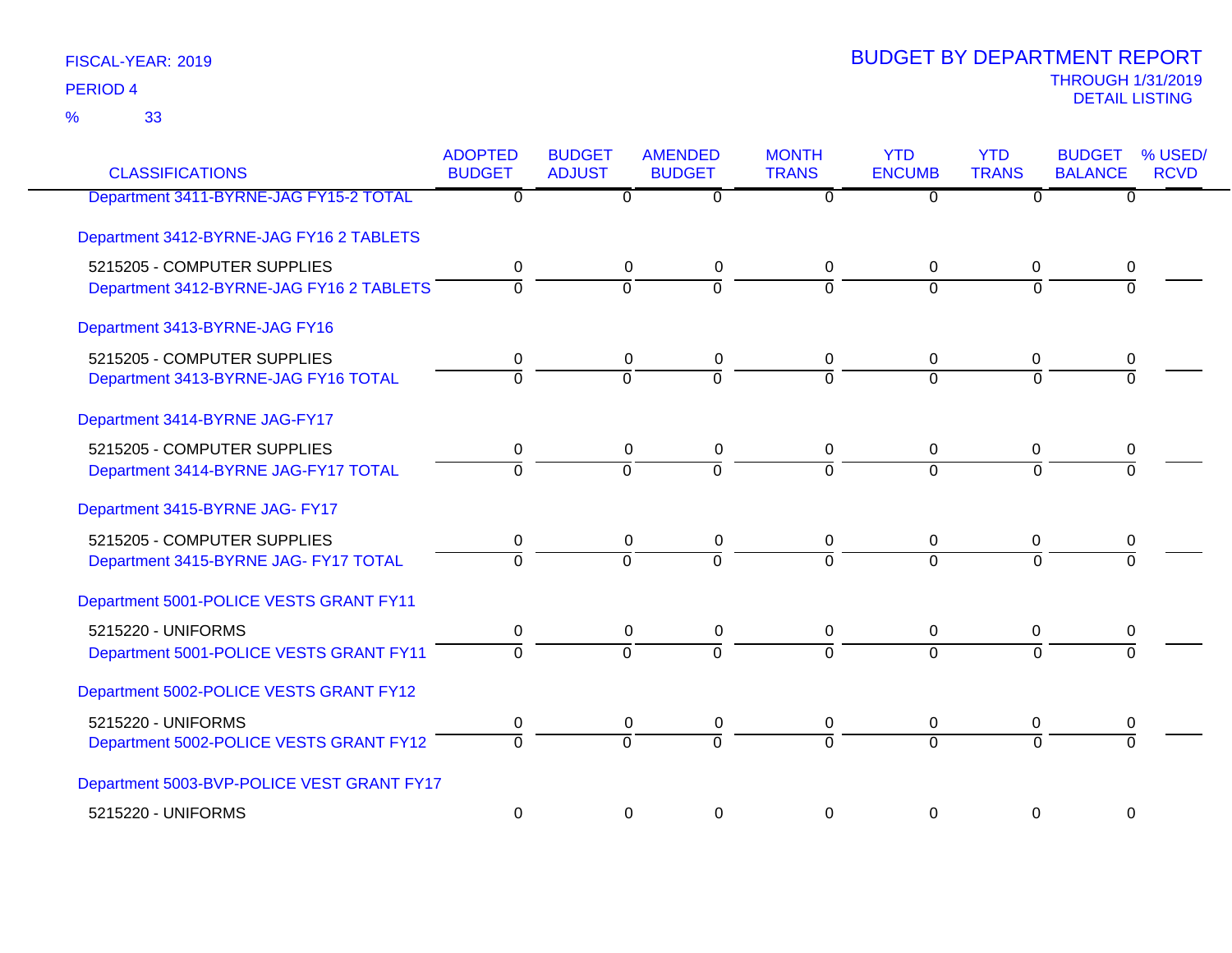33 %

| <b>CLASSIFICATIONS</b>                     | <b>ADOPTED</b><br><b>BUDGET</b> | <b>BUDGET</b><br><b>ADJUST</b> | <b>AMENDED</b><br><b>BUDGET</b> | <b>MONTH</b><br><b>TRANS</b> | <b>YTD</b><br><b>ENCUMB</b> | <b>YTD</b><br><b>TRANS</b> | <b>BUDGET</b><br><b>BALANCE</b> | % USED/<br><b>RCVD</b> |
|--------------------------------------------|---------------------------------|--------------------------------|---------------------------------|------------------------------|-----------------------------|----------------------------|---------------------------------|------------------------|
| Department 3411-BYRNE-JAG FY15-2 TOTAL     | $\overline{0}$                  | $\overline{0}$                 | $\overline{0}$                  | 0                            | 0                           | 0                          | $\overline{0}$                  |                        |
| Department 3412-BYRNE-JAG FY16 2 TABLETS   |                                 |                                |                                 |                              |                             |                            |                                 |                        |
| 5215205 - COMPUTER SUPPLIES                | 0                               | 0                              | 0                               | 0                            | 0                           | 0                          | 0                               |                        |
| Department 3412-BYRNE-JAG FY16 2 TABLETS   | $\overline{0}$                  | $\overline{0}$                 | ō                               | $\overline{0}$               | $\overline{0}$              | $\overline{0}$             | $\Omega$                        |                        |
| Department 3413-BYRNE-JAG FY16             |                                 |                                |                                 |                              |                             |                            |                                 |                        |
| 5215205 - COMPUTER SUPPLIES                | 0                               | 0                              | 0                               | 0                            | 0                           | 0                          | 0                               |                        |
| Department 3413-BYRNE-JAG FY16 TOTAL       | $\overline{0}$                  | $\overline{0}$                 | $\overline{0}$                  | $\Omega$                     | $\overline{0}$              | $\Omega$                   | $\Omega$                        |                        |
| Department 3414-BYRNE JAG-FY17             |                                 |                                |                                 |                              |                             |                            |                                 |                        |
| 5215205 - COMPUTER SUPPLIES                | 0                               | 0                              | 0                               | 0                            | $\mathbf 0$                 | 0                          | 0                               |                        |
| Department 3414-BYRNE JAG-FY17 TOTAL       | $\overline{0}$                  | $\overline{0}$                 | ō                               | $\overline{0}$               | $\Omega$                    | $\overline{0}$             | $\Omega$                        |                        |
| Department 3415-BYRNE JAG- FY17            |                                 |                                |                                 |                              |                             |                            |                                 |                        |
| 5215205 - COMPUTER SUPPLIES                | 0                               | 0                              | 0                               | 0                            | 0                           | 0                          | 0                               |                        |
| Department 3415-BYRNE JAG- FY17 TOTAL      | $\overline{0}$                  | $\overline{0}$                 | $\overline{0}$                  | $\overline{0}$               | $\Omega$                    | $\overline{0}$             | $\overline{0}$                  |                        |
| Department 5001-POLICE VESTS GRANT FY11    |                                 |                                |                                 |                              |                             |                            |                                 |                        |
| 5215220 - UNIFORMS                         | 0                               | 0                              | 0                               | 0                            | 0                           | 0                          | 0                               |                        |
| Department 5001-POLICE VESTS GRANT FY11    | $\overline{0}$                  | $\overline{0}$                 | $\overline{0}$                  | $\overline{0}$               | $\Omega$                    | $\overline{0}$             | $\overline{0}$                  |                        |
| Department 5002-POLICE VESTS GRANT FY12    |                                 |                                |                                 |                              |                             |                            |                                 |                        |
| 5215220 - UNIFORMS                         | 0                               | 0                              | 0                               | 0                            | 0                           | 0                          | 0                               |                        |
| Department 5002-POLICE VESTS GRANT FY12    | $\overline{0}$                  | $\overline{0}$                 | $\overline{0}$                  | $\overline{0}$               | $\overline{0}$              | $\overline{0}$             | $\overline{0}$                  |                        |
| Department 5003-BVP-POLICE VEST GRANT FY17 |                                 |                                |                                 |                              |                             |                            |                                 |                        |
| 5215220 - UNIFORMS                         | 0                               | $\mathbf 0$                    | 0                               | $\mathbf 0$                  | 0                           | $\Omega$                   | $\mathbf 0$                     |                        |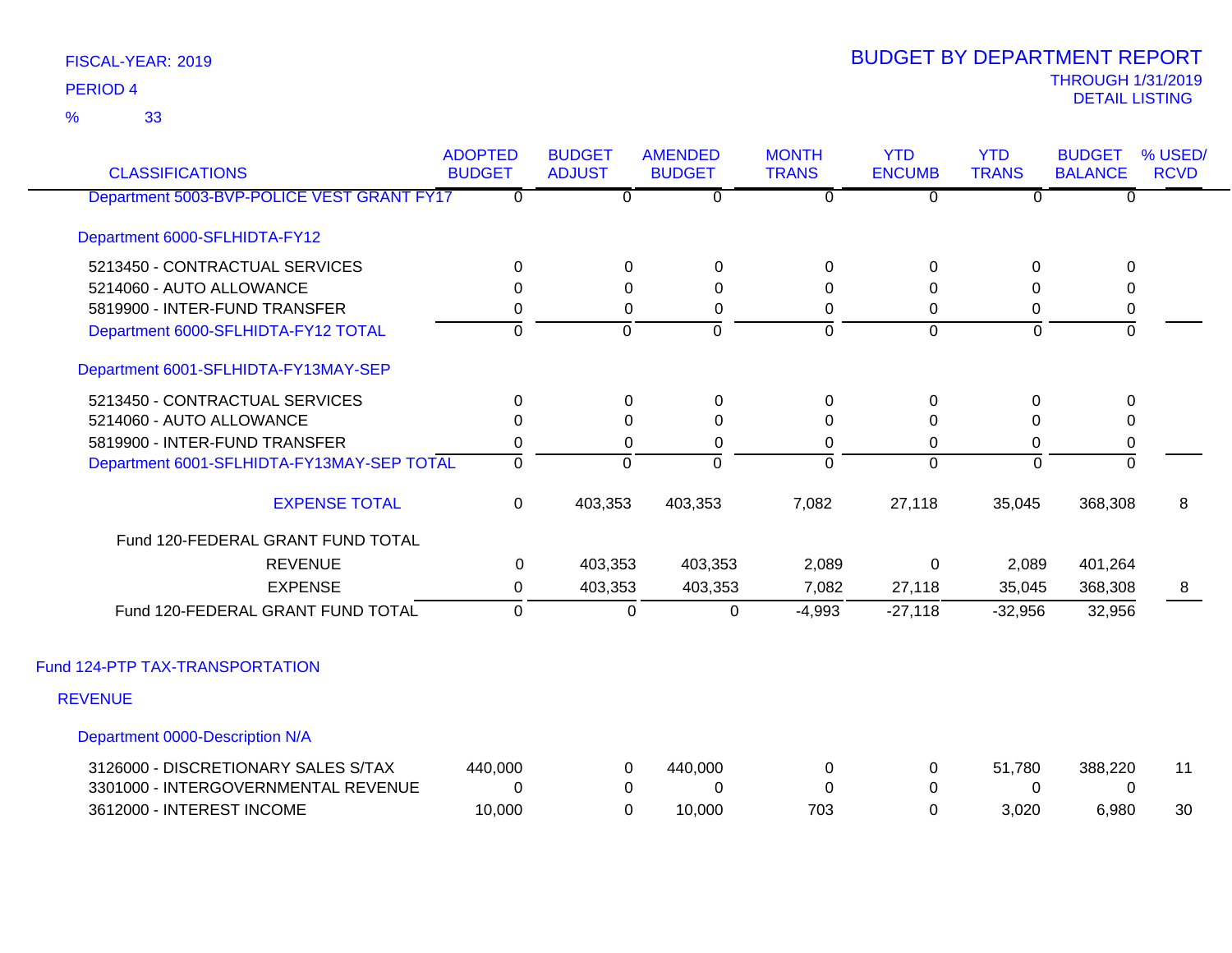33 %

| <b>CLASSIFICATIONS</b>                     | <b>ADOPTED</b><br><b>BUDGET</b> | <b>BUDGET</b><br><b>ADJUST</b> | <b>AMENDED</b><br><b>BUDGET</b> | <b>MONTH</b><br><b>TRANS</b> | <b>YTD</b><br><b>ENCUMB</b> | <b>YTD</b><br><b>TRANS</b> | <b>BUDGET</b><br><b>BALANCE</b> | % USED/<br><b>RCVD</b> |
|--------------------------------------------|---------------------------------|--------------------------------|---------------------------------|------------------------------|-----------------------------|----------------------------|---------------------------------|------------------------|
| Department 5003-BVP-POLICE VEST GRANT FY17 | $\overline{0}$                  | $\overline{0}$                 | $\overline{0}$                  | $\overline{0}$               | $\overline{0}$              | $\overline{0}$             | $\overline{0}$                  |                        |
| Department 6000-SFLHIDTA-FY12              |                                 |                                |                                 |                              |                             |                            |                                 |                        |
| 5213450 - CONTRACTUAL SERVICES             | 0                               | 0                              | 0                               | $\Omega$                     | 0                           | $\Omega$                   | 0                               |                        |
| 5214060 - AUTO ALLOWANCE                   | $\Omega$                        | $\Omega$                       | $\Omega$                        | 0                            | $\Omega$                    | $\Omega$                   | 0                               |                        |
| 5819900 - INTER-FUND TRANSFER              | 0                               | 0                              | 0                               | 0                            | 0                           | 0                          | $\pmb{0}$                       |                        |
| Department 6000-SFLHIDTA-FY12 TOTAL        | $\Omega$                        | $\Omega$                       | $\Omega$                        | $\overline{0}$               | $\Omega$                    | $\Omega$                   | $\mathbf 0$                     |                        |
| Department 6001-SFLHIDTA-FY13MAY-SEP       |                                 |                                |                                 |                              |                             |                            |                                 |                        |
| 5213450 - CONTRACTUAL SERVICES             | $\mathbf 0$                     | $\mathbf 0$                    | $\mathbf 0$                     | $\mathbf 0$                  | $\pmb{0}$                   | $\mathbf 0$                | $\mathsf 0$                     |                        |
| 5214060 - AUTO ALLOWANCE                   | $\Omega$                        | $\Omega$                       | $\Omega$                        | $\Omega$                     | 0                           | $\Omega$                   | 0                               |                        |
| 5819900 - INTER-FUND TRANSFER              | 0                               | 0                              | 0                               | 0                            | 0                           | 0                          | $\pmb{0}$                       |                        |
| Department 6001-SFLHIDTA-FY13MAY-SEP TOTAL | $\mathbf 0$                     | $\Omega$                       | $\overline{0}$                  | $\Omega$                     | $\Omega$                    | $\Omega$                   | 0                               |                        |
| <b>EXPENSE TOTAL</b>                       | $\mathbf 0$                     | 403,353                        | 403,353                         | 7,082                        | 27,118                      | 35,045                     | 368,308                         | 8                      |
| Fund 120-FEDERAL GRANT FUND TOTAL          |                                 |                                |                                 |                              |                             |                            |                                 |                        |
| <b>REVENUE</b>                             | 0                               | 403,353                        | 403,353                         | 2,089                        | $\mathbf 0$                 | 2,089                      | 401,264                         |                        |
| <b>EXPENSE</b>                             | 0                               | 403,353                        | 403,353                         | 7,082                        | 27,118                      | 35,045                     | 368,308                         | 8 <sup>8</sup>         |
| Fund 120-FEDERAL GRANT FUND TOTAL          | $\Omega$                        | 0                              | 0                               | $-4,993$                     | $-27,118$                   | $-32,956$                  | 32,956                          |                        |
| Fund 124-PTP TAX-TRANSPORTATION            |                                 |                                |                                 |                              |                             |                            |                                 |                        |
| <b>REVENUE</b>                             |                                 |                                |                                 |                              |                             |                            |                                 |                        |
| Department 0000-Description N/A            |                                 |                                |                                 |                              |                             |                            |                                 |                        |
| 3126000 - DISCRETIONARY SALES S/TAX        | 440,000                         | 0                              | 440,000                         | 0                            | 0                           | 51,780                     | 388,220                         | 11                     |
| 3301000 - INTERGOVERNMENTAL REVENUE        | $\Omega$                        | 0                              | $\Omega$                        | 0                            | 0                           | 0                          | 0                               |                        |
| 3612000 - INTEREST INCOME                  | 10,000                          | $\Omega$                       | 10,000                          | 703                          | $\mathbf 0$                 | 3,020                      | 6,980                           | 30                     |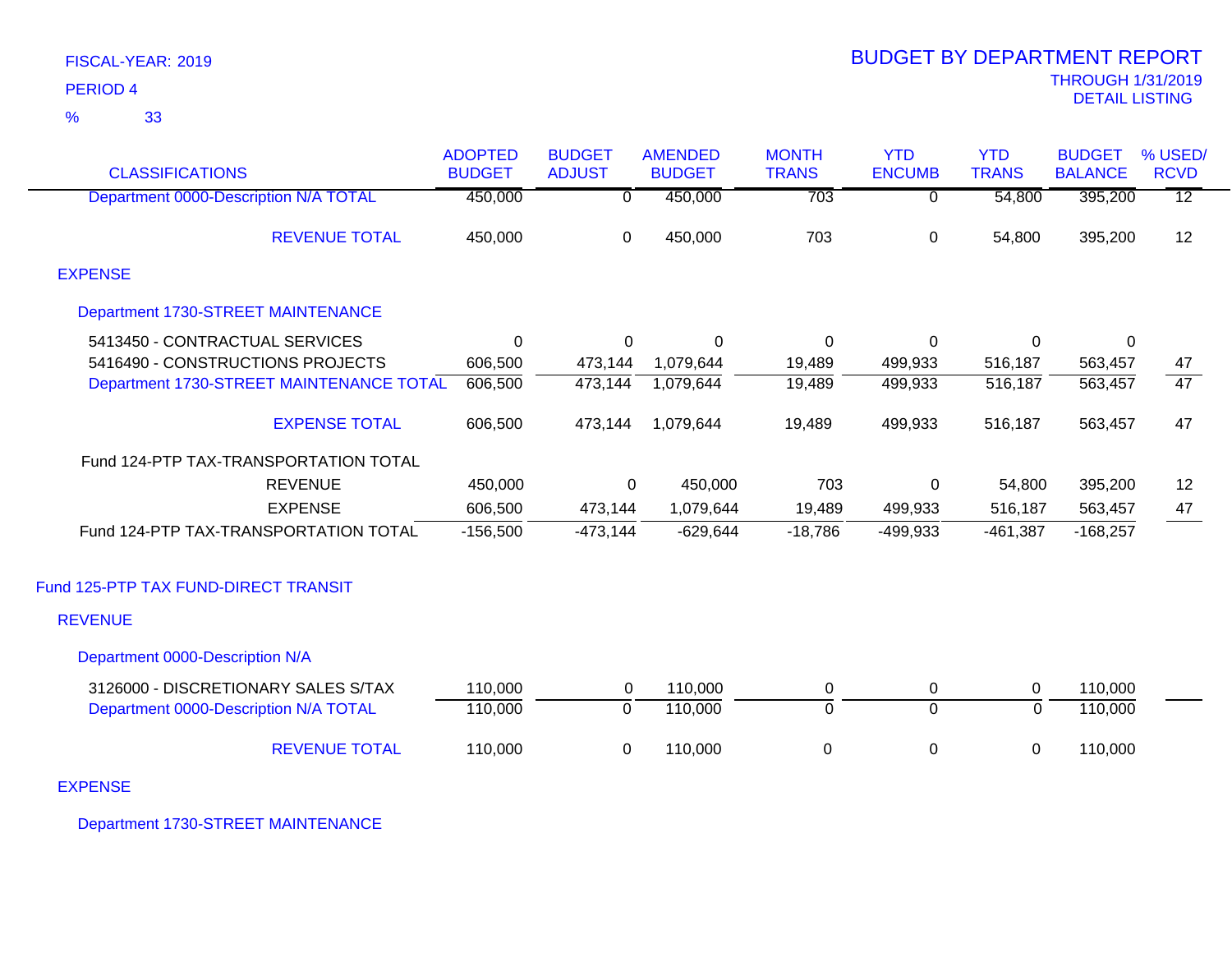| FISCAL-YEAR: 2019 |  |
|-------------------|--|
| <b>PERIOD 4</b>   |  |

|                                          | <b>ADOPTED</b> | <b>BUDGET</b>  | <b>AMENDED</b> | <b>MONTH</b>   | <b>YTD</b>     | <b>YTD</b>     | <b>BUDGET</b>  | % USED/         |
|------------------------------------------|----------------|----------------|----------------|----------------|----------------|----------------|----------------|-----------------|
| <b>CLASSIFICATIONS</b>                   | <b>BUDGET</b>  | <b>ADJUST</b>  | <b>BUDGET</b>  | <b>TRANS</b>   | <b>ENCUMB</b>  | <b>TRANS</b>   | <b>BALANCE</b> | <b>RCVD</b>     |
| Department 0000-Description N/A TOTAL    | 450,000        | 0              | 450,000        | 703            | 0              | 54,800         | 395,200        | $\overline{12}$ |
| <b>REVENUE TOTAL</b>                     | 450,000        | $\mathbf 0$    | 450,000        | 703            | $\overline{0}$ | 54,800         | 395,200        | 12              |
| <b>EXPENSE</b>                           |                |                |                |                |                |                |                |                 |
| Department 1730-STREET MAINTENANCE       |                |                |                |                |                |                |                |                 |
| 5413450 - CONTRACTUAL SERVICES           | $\Omega$       | 0              | 0              | 0              | 0              | 0              | 0              |                 |
| 5416490 - CONSTRUCTIONS PROJECTS         | 606,500        | 473,144        | 1,079,644      | 19,489         | 499,933        | 516,187        | 563,457        | 47              |
| Department 1730-STREET MAINTENANCE TOTAL | 606,500        | 473,144        | 1,079,644      | 19,489         | 499,933        | 516,187        | 563, 457       | $\overline{47}$ |
| <b>EXPENSE TOTAL</b>                     | 606,500        | 473,144        | 1,079,644      | 19,489         | 499,933        | 516,187        | 563,457        | 47              |
| Fund 124-PTP TAX-TRANSPORTATION TOTAL    |                |                |                |                |                |                |                |                 |
| <b>REVENUE</b>                           | 450,000        | 0              | 450,000        | 703            | 0              | 54,800         | 395,200        | 12              |
| <b>EXPENSE</b>                           | 606,500        | 473,144        | 1,079,644      | 19,489         | 499,933        | 516,187        | 563,457        | 47              |
| Fund 124-PTP TAX-TRANSPORTATION TOTAL    | $-156,500$     | $-473,144$     | $-629,644$     | $-18,786$      | $-499,933$     | $-461,387$     | $-168,257$     |                 |
| Fund 125-PTP TAX FUND-DIRECT TRANSIT     |                |                |                |                |                |                |                |                 |
| <b>REVENUE</b>                           |                |                |                |                |                |                |                |                 |
| Department 0000-Description N/A          |                |                |                |                |                |                |                |                 |
| 3126000 - DISCRETIONARY SALES S/TAX      | 110,000        | 0              | 110,000        | $\mathbf 0$    | 0              | $\pmb{0}$      | 110,000        |                 |
| Department 0000-Description N/A TOTAL    | 110,000        | $\overline{0}$ | 110,000        | $\overline{0}$ | $\overline{0}$ | $\overline{0}$ | 110,000        |                 |
| <b>REVENUE TOTAL</b>                     | 110,000        | $\mathbf 0$    | 110,000        | $\pmb{0}$      | 0              | 0              | 110,000        |                 |

EXPENSE

Department 1730-STREET MAINTENANCE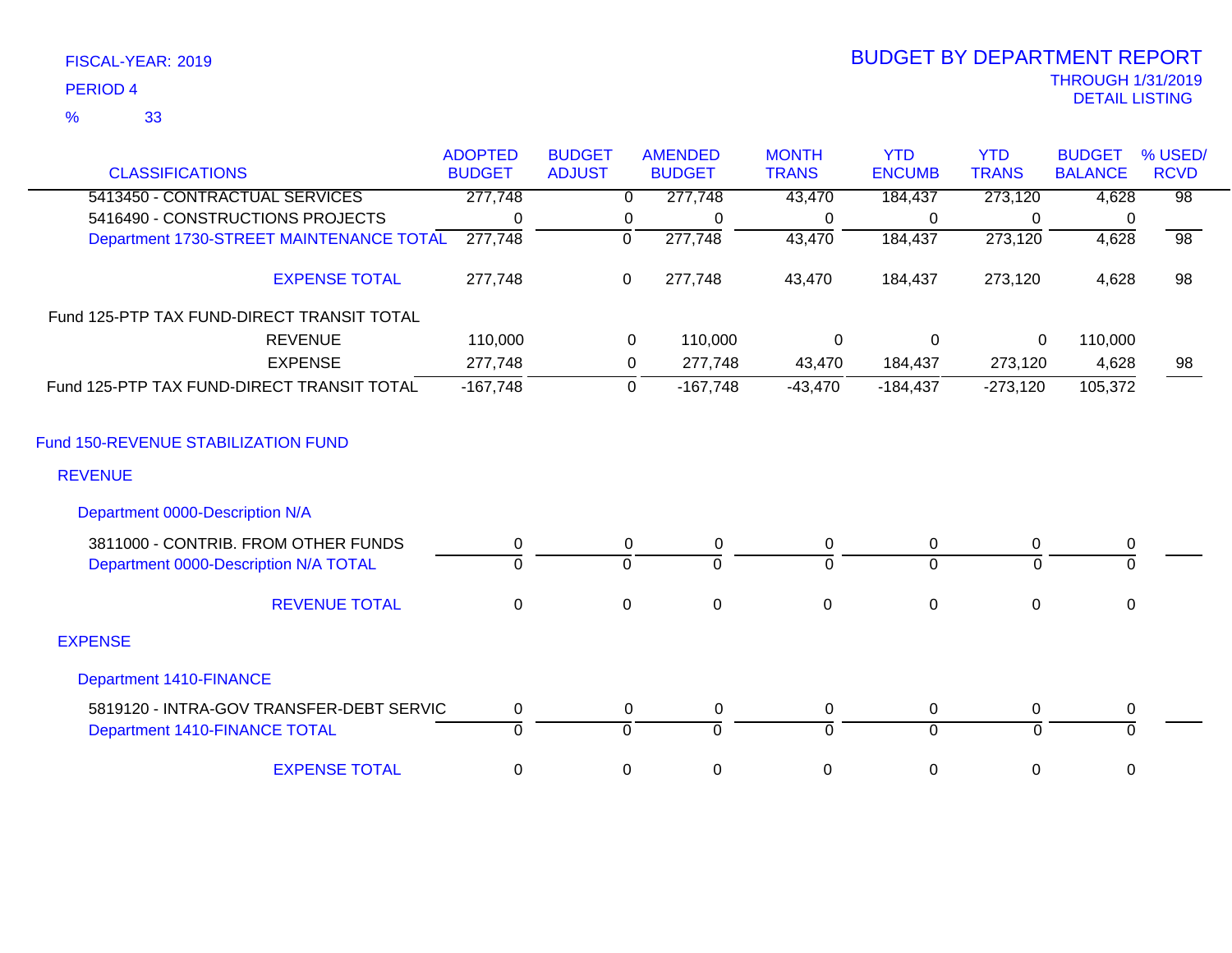| FISCAL-YEAR: 2019   |  |
|---------------------|--|
| PERIOD <sub>4</sub> |  |

# THROUGH 1/31/2019 DETAIL LISTING PERIOD <sup>4</sup> BUDGET BY DEPARTMENT REPORT

|                                            | <b>ADOPTED</b> | <b>BUDGET</b> |             | <b>AMENDED</b> | <b>MONTH</b> | <b>YTD</b>     | <b>YTD</b>   | <b>BUDGET</b>  | % USED/         |
|--------------------------------------------|----------------|---------------|-------------|----------------|--------------|----------------|--------------|----------------|-----------------|
| <b>CLASSIFICATIONS</b>                     | <b>BUDGET</b>  | <b>ADJUST</b> |             | <b>BUDGET</b>  | <b>TRANS</b> | <b>ENCUMB</b>  | <b>TRANS</b> | <b>BALANCE</b> | <b>RCVD</b>     |
| 5413450 - CONTRACTUAL SERVICES             | 277,748        |               | $\Omega$    | 277,748        | 43,470       | 184,437        | 273,120      | 4,628          | $\overline{98}$ |
| 5416490 - CONSTRUCTIONS PROJECTS           | $\Omega$       |               | 0           | 0              | 0            | 0              | $\Omega$     | 0              |                 |
| Department 1730-STREET MAINTENANCE TOTAL   | 277,748        |               | 0           | 277,748        | 43,470       | 184,437        | 273,120      | 4,628          | $\overline{98}$ |
| <b>EXPENSE TOTAL</b>                       | 277,748        |               | $\mathbf 0$ | 277,748        | 43,470       | 184,437        | 273,120      | 4,628          | 98              |
| Fund 125-PTP TAX FUND-DIRECT TRANSIT TOTAL |                |               |             |                |              |                |              |                |                 |
| <b>REVENUE</b>                             | 110,000        |               | 0           | 110,000        | 0            | $\mathbf 0$    | 0            | 110,000        |                 |
| <b>EXPENSE</b>                             | 277,748        |               | 0           | 277,748        | 43,470       | 184,437        | 273,120      | 4,628          | 98              |
| Fund 125-PTP TAX FUND-DIRECT TRANSIT TOTAL | $-167,748$     |               | $\mathbf 0$ | $-167,748$     | $-43,470$    | $-184,437$     | $-273,120$   | 105,372        |                 |
| Fund 150-REVENUE STABILIZATION FUND        |                |               |             |                |              |                |              |                |                 |
| <b>REVENUE</b>                             |                |               |             |                |              |                |              |                |                 |
| Department 0000-Description N/A            |                |               |             |                |              |                |              |                |                 |
| 3811000 - CONTRIB. FROM OTHER FUNDS        | 0              |               | 0           | 0              | 0            | 0              | $\mathbf 0$  | 0              |                 |
| Department 0000-Description N/A TOTAL      | $\Omega$       |               | $\Omega$    | $\Omega$       | $\Omega$     | $\Omega$       | $\Omega$     | $\mathbf 0$    |                 |
| <b>REVENUE TOTAL</b>                       | $\mathbf 0$    |               | $\mathbf 0$ | $\mathbf 0$    | $\mathbf 0$  | $\mathbf 0$    | $\mathbf 0$  | $\mathbf 0$    |                 |
| <b>EXPENSE</b>                             |                |               |             |                |              |                |              |                |                 |
| <b>Department 1410-FINANCE</b>             |                |               |             |                |              |                |              |                |                 |
| 5819120 - INTRA-GOV TRANSFER-DEBT SERVIC   | $\pmb{0}$      |               | 0           | $\pmb{0}$      | 0            | $\mathbf 0$    | $\mathbf 0$  | $\pmb{0}$      |                 |
| Department 1410-FINANCE TOTAL              | $\overline{0}$ |               | $\Omega$    | $\Omega$       | $\Omega$     | $\overline{0}$ | $\Omega$     | $\Omega$       |                 |
| <b>EXPENSE TOTAL</b>                       | 0              |               | 0           | $\mathbf 0$    | $\mathbf 0$  | $\mathbf 0$    | 0            | 0              |                 |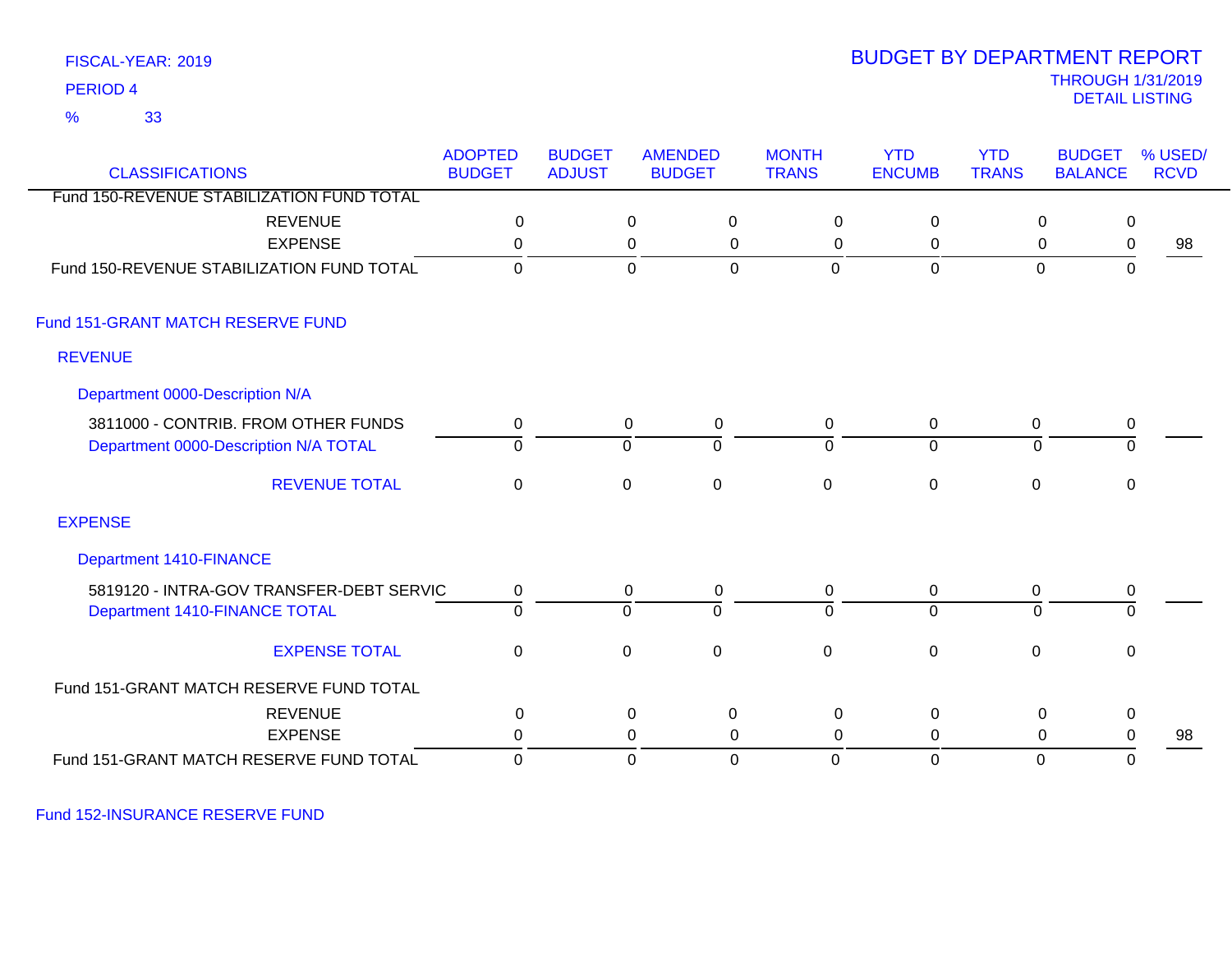33 %

### THROUGH 1/31/2019<br>DETAIL LISTING DETAIL LISTING PERIOD <sup>4</sup> BUDGET BY DEPARTMENT REPORT

| <b>CLASSIFICATIONS</b>                    | <b>ADOPTED</b><br><b>BUDGET</b> | <b>BUDGET</b><br><b>ADJUST</b> |             | <b>AMENDED</b><br><b>BUDGET</b> | <b>MONTH</b><br><b>TRANS</b> | <b>YTD</b><br><b>ENCUMB</b> | <b>YTD</b><br><b>TRANS</b> | <b>BUDGET</b><br><b>BALANCE</b> | % USED/<br><b>RCVD</b> |
|-------------------------------------------|---------------------------------|--------------------------------|-------------|---------------------------------|------------------------------|-----------------------------|----------------------------|---------------------------------|------------------------|
| Fund 150-REVENUE STABILIZATION FUND TOTAL |                                 |                                |             |                                 |                              |                             |                            |                                 |                        |
| <b>REVENUE</b>                            | $\boldsymbol{0}$                |                                | 0           | $\mathbf 0$                     | $\mathbf 0$                  | 0                           | 0                          | $\mathbf 0$                     |                        |
| <b>EXPENSE</b>                            | 0                               |                                | $\mathbf 0$ | $\mathbf 0$                     | $\mathbf 0$                  | 0                           | 0                          | $\mathbf 0$                     | 98                     |
| Fund 150-REVENUE STABILIZATION FUND TOTAL | $\mathbf 0$                     |                                | $\mathbf 0$ | $\mathbf 0$                     | $\mathbf{0}$                 | $\mathbf 0$                 | $\mathbf 0$                | $\mathbf 0$                     |                        |
| Fund 151-GRANT MATCH RESERVE FUND         |                                 |                                |             |                                 |                              |                             |                            |                                 |                        |
| <b>REVENUE</b>                            |                                 |                                |             |                                 |                              |                             |                            |                                 |                        |
| Department 0000-Description N/A           |                                 |                                |             |                                 |                              |                             |                            |                                 |                        |
| 3811000 - CONTRIB. FROM OTHER FUNDS       | 0                               |                                | 0           | 0                               | $\mathbf 0$                  | $\overline{0}$              | 0                          | $\mathbf 0$                     |                        |
| Department 0000-Description N/A TOTAL     | $\Omega$                        |                                | $\mathbf 0$ | ō                               | $\Omega$                     | $\overline{0}$              | $\Omega$                   | $\overline{0}$                  |                        |
| <b>REVENUE TOTAL</b>                      | 0                               |                                | $\mathbf 0$ | $\boldsymbol{0}$                | $\mathbf 0$                  | $\mathbf 0$                 | $\mathbf 0$                | $\mathbf 0$                     |                        |
| <b>EXPENSE</b>                            |                                 |                                |             |                                 |                              |                             |                            |                                 |                        |
| Department 1410-FINANCE                   |                                 |                                |             |                                 |                              |                             |                            |                                 |                        |
| 5819120 - INTRA-GOV TRANSFER-DEBT SERVIC  | 0                               |                                | 0           | 0                               | $\mathbf{0}$                 | $\mathbf 0$                 | 0                          | $\mathbf 0$                     |                        |
| Department 1410-FINANCE TOTAL             | $\overline{0}$                  |                                | $\mathbf 0$ | $\overline{0}$                  | $\overline{0}$               | $\overline{0}$              | 0                          | $\overline{0}$                  |                        |
| <b>EXPENSE TOTAL</b>                      | 0                               |                                | $\mathbf 0$ | $\mathbf 0$                     | $\mathbf 0$                  | $\mathbf 0$                 | $\mathbf 0$                | $\mathbf 0$                     |                        |
| Fund 151-GRANT MATCH RESERVE FUND TOTAL   |                                 |                                |             |                                 |                              |                             |                            |                                 |                        |
| <b>REVENUE</b>                            | $\pmb{0}$                       |                                | $\pmb{0}$   | $\pmb{0}$                       | $\mathbf 0$                  | $\pmb{0}$                   | $\pmb{0}$                  | $\pmb{0}$                       |                        |
| <b>EXPENSE</b>                            | $\Omega$                        |                                | 0           | $\mathbf{0}$                    | $\mathbf 0$                  | 0                           | 0                          | $\mathbf 0$                     | 98                     |
| Fund 151-GRANT MATCH RESERVE FUND TOTAL   | 0                               |                                | $\mathbf 0$ | $\mathbf 0$                     | 0                            | $\mathbf 0$                 | $\mathbf 0$                | 0                               |                        |

Fund 152-INSURANCE RESERVE FUND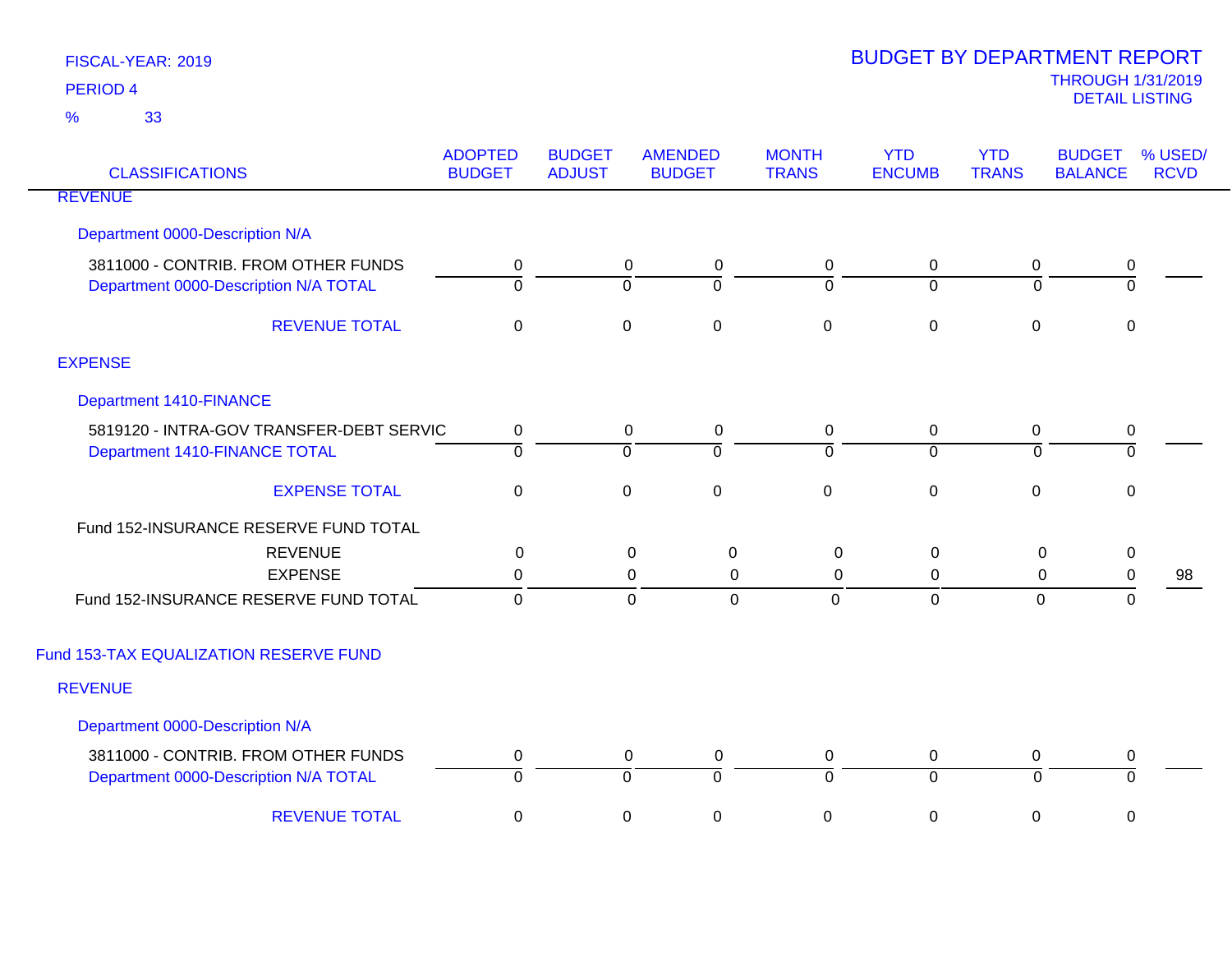| <b>CLASSIFICATIONS</b>                   | <b>ADOPTED</b><br><b>BUDGET</b> | <b>BUDGET</b><br><b>ADJUST</b> | <b>AMENDED</b><br><b>BUDGET</b> | <b>MONTH</b><br><b>TRANS</b> | <b>YTD</b><br><b>ENCUMB</b> | <b>YTD</b><br><b>TRANS</b> | <b>BUDGET</b><br><b>BALANCE</b> | % USED/<br><b>RCVD</b> |
|------------------------------------------|---------------------------------|--------------------------------|---------------------------------|------------------------------|-----------------------------|----------------------------|---------------------------------|------------------------|
| <b>REVENUE</b>                           |                                 |                                |                                 |                              |                             |                            |                                 |                        |
| Department 0000-Description N/A          |                                 |                                |                                 |                              |                             |                            |                                 |                        |
| 3811000 - CONTRIB. FROM OTHER FUNDS      | 0                               |                                | 0<br>0                          | 0                            | 0                           | 0                          | $\mathbf 0$                     |                        |
| Department 0000-Description N/A TOTAL    | $\overline{0}$                  | $\Omega$                       | $\Omega$                        | $\Omega$                     | $\Omega$                    | $\Omega$                   | $\overline{0}$                  |                        |
| <b>REVENUE TOTAL</b>                     | $\pmb{0}$                       | $\mathbf 0$                    | $\pmb{0}$                       | $\pmb{0}$                    | $\pmb{0}$                   | $\mathbf 0$                | $\mathbf 0$                     |                        |
| <b>EXPENSE</b>                           |                                 |                                |                                 |                              |                             |                            |                                 |                        |
| <b>Department 1410-FINANCE</b>           |                                 |                                |                                 |                              |                             |                            |                                 |                        |
| 5819120 - INTRA-GOV TRANSFER-DEBT SERVIC | 0                               |                                | 0<br>$\mathbf 0$                | $\mathbf 0$                  | 0                           | 0                          | $\mathbf 0$                     |                        |
| Department 1410-FINANCE TOTAL            | $\overline{0}$                  | $\overline{0}$                 | $\overline{0}$                  | $\overline{0}$               | $\overline{0}$              | $\overline{0}$             | $\overline{0}$                  |                        |
| <b>EXPENSE TOTAL</b>                     | $\boldsymbol{0}$                | $\mathbf 0$                    | $\mathsf 0$                     | $\pmb{0}$                    | $\pmb{0}$                   | $\mathbf 0$                | $\mathbf 0$                     |                        |
| Fund 152-INSURANCE RESERVE FUND TOTAL    |                                 |                                |                                 |                              |                             |                            |                                 |                        |
| <b>REVENUE</b>                           | 0                               |                                | 0<br>$\mathbf 0$                | $\mathbf 0$                  | $\mathbf 0$                 | $\mathbf 0$                | $\mathbf 0$                     |                        |
| <b>EXPENSE</b>                           | 0                               |                                | 0<br>0                          | 0                            | 0                           | 0                          | $\pmb{0}$                       | 98                     |
| Fund 152-INSURANCE RESERVE FUND TOTAL    | $\overline{0}$                  |                                | $\overline{0}$<br>$\mathbf 0$   | $\mathbf{0}$                 | $\mathbf 0$                 | 0                          | $\mathbf 0$                     |                        |
| Fund 153-TAX EQUALIZATION RESERVE FUND   |                                 |                                |                                 |                              |                             |                            |                                 |                        |
| <b>REVENUE</b>                           |                                 |                                |                                 |                              |                             |                            |                                 |                        |
| Department 0000-Description N/A          |                                 |                                |                                 |                              |                             |                            |                                 |                        |
| 3811000 - CONTRIB. FROM OTHER FUNDS      | 0                               |                                | 0<br>0                          | 0                            | 0                           | $\mathbf 0$                | $\mathbf 0$                     |                        |
| Department 0000-Description N/A TOTAL    | $\overline{0}$                  | $\overline{0}$                 | $\overline{0}$                  | $\overline{0}$               | $\overline{0}$              | $\Omega$                   | 0                               |                        |
| <b>REVENUE TOTAL</b>                     | 0                               | $\mathbf 0$                    | $\pmb{0}$                       | $\pmb{0}$                    | $\pmb{0}$                   | 0                          | 0                               |                        |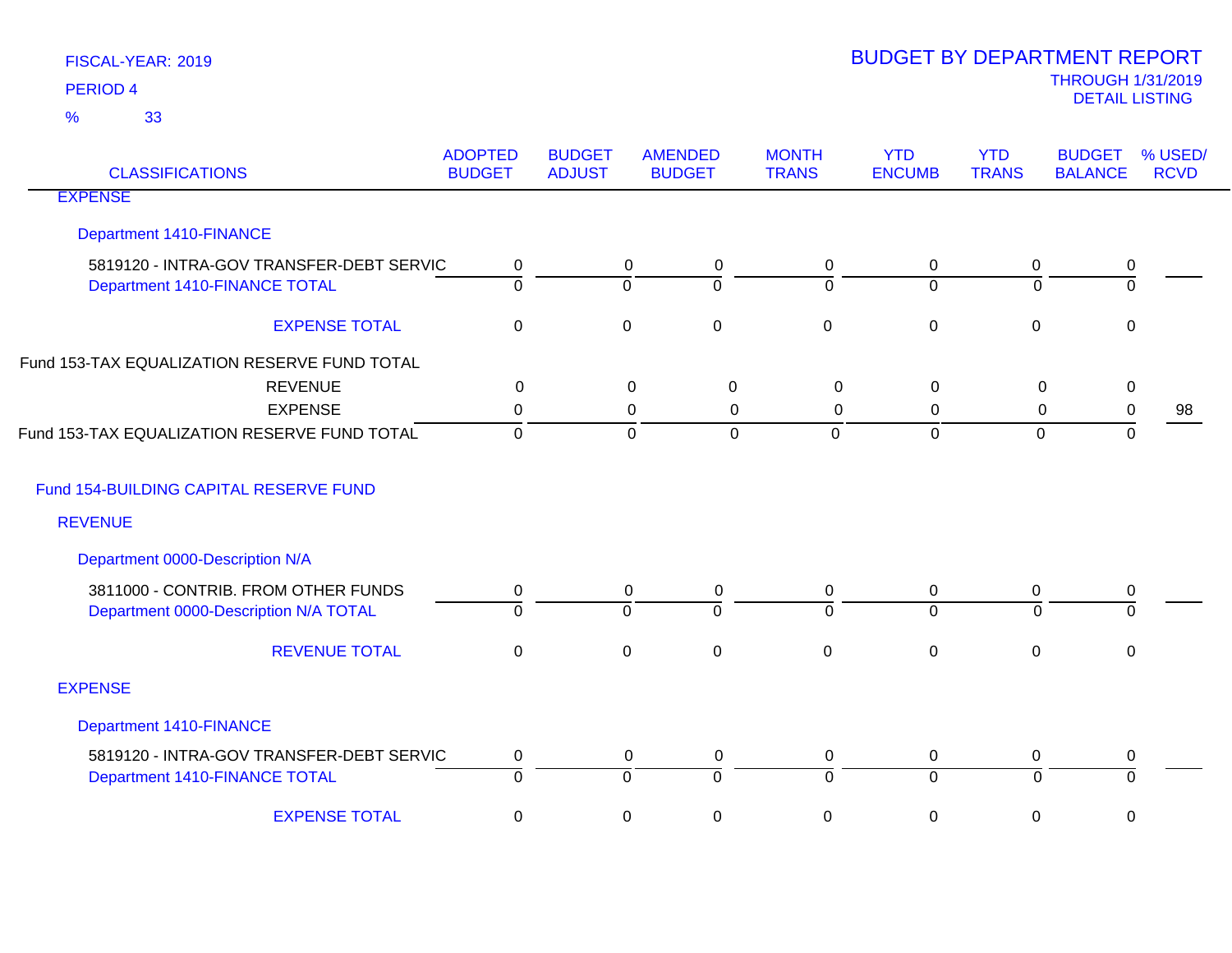| <b>CLASSIFICATIONS</b>                                                    | <b>ADOPTED</b><br><b>BUDGET</b> | <b>BUDGET</b><br><b>ADJUST</b> | <b>AMENDED</b><br><b>BUDGET</b>                   | <b>MONTH</b><br><b>TRANS</b> | <b>YTD</b><br><b>ENCUMB</b>   | <b>YTD</b><br><b>TRANS</b>  | <b>BUDGET</b><br><b>BALANCE</b> | % USED/<br><b>RCVD</b> |
|---------------------------------------------------------------------------|---------------------------------|--------------------------------|---------------------------------------------------|------------------------------|-------------------------------|-----------------------------|---------------------------------|------------------------|
| <b>EXPENSE</b>                                                            |                                 |                                |                                                   |                              |                               |                             |                                 |                        |
| <b>Department 1410-FINANCE</b>                                            |                                 |                                |                                                   |                              |                               |                             |                                 |                        |
| 5819120 - INTRA-GOV TRANSFER-DEBT SERVIC<br>Department 1410-FINANCE TOTAL | 0<br>$\overline{0}$             |                                | $\mathbf 0$<br>0<br>$\overline{0}$<br>$\mathbf 0$ | 0<br>0                       | $\mathbf 0$<br>$\overline{0}$ | $\pmb{0}$<br>$\overline{0}$ | 0<br>$\overline{0}$             |                        |
| <b>EXPENSE TOTAL</b>                                                      | $\mathbf 0$                     |                                | $\mathbf 0$<br>$\mathbf 0$                        | $\mathbf 0$                  | $\mathbf 0$                   | $\mathbf 0$                 | 0                               |                        |
| Fund 153-TAX EQUALIZATION RESERVE FUND TOTAL                              |                                 |                                |                                                   |                              |                               |                             |                                 |                        |
| <b>REVENUE</b>                                                            | 0                               |                                | $\pmb{0}$<br>$\mathbf 0$                          | $\mathbf 0$                  | $\mathbf 0$                   | $\mathbf 0$                 | $\pmb{0}$                       |                        |
| <b>EXPENSE</b>                                                            | 0                               |                                | 0<br>0                                            | $\Omega$                     | 0                             | 0                           | 0                               | 98                     |
| Fund 153-TAX EQUALIZATION RESERVE FUND TOTAL                              | $\mathbf 0$                     |                                | $\mathbf 0$<br>0                                  | $\mathbf 0$                  | $\mathbf 0$                   | $\mathbf 0$                 | 0                               |                        |
| Fund 154-BUILDING CAPITAL RESERVE FUND                                    |                                 |                                |                                                   |                              |                               |                             |                                 |                        |
| <b>REVENUE</b>                                                            |                                 |                                |                                                   |                              |                               |                             |                                 |                        |
| Department 0000-Description N/A                                           |                                 |                                |                                                   |                              |                               |                             |                                 |                        |
| 3811000 - CONTRIB. FROM OTHER FUNDS                                       | 0                               |                                | 0<br>0                                            | 0                            | $\mathbf 0$                   | $\mathbf 0$                 | 0                               |                        |
| Department 0000-Description N/A TOTAL                                     | $\overline{0}$                  |                                | $\overline{0}$<br>0                               | 0                            | $\overline{0}$                | $\overline{0}$              | $\overline{0}$                  |                        |
| <b>REVENUE TOTAL</b>                                                      | $\mathbf 0$                     |                                | $\mathbf 0$<br>$\pmb{0}$                          | $\mathsf 0$                  | $\mathbf 0$                   | $\pmb{0}$                   | 0                               |                        |
| <b>EXPENSE</b>                                                            |                                 |                                |                                                   |                              |                               |                             |                                 |                        |
| <b>Department 1410-FINANCE</b>                                            |                                 |                                |                                                   |                              |                               |                             |                                 |                        |
| 5819120 - INTRA-GOV TRANSFER-DEBT SERVIC                                  | 0                               |                                | $\mathbf 0$<br>0                                  | 0                            | $\mathbf 0$                   | $\mathbf 0$                 | 0                               |                        |
| Department 1410-FINANCE TOTAL                                             | $\overline{0}$                  |                                | $\overline{0}$<br>$\overline{0}$                  | $\overline{0}$               | $\overline{0}$                | ō                           | ō                               |                        |
| <b>EXPENSE TOTAL</b>                                                      | $\mathbf 0$                     |                                | $\mathbf 0$<br>0                                  | 0                            | $\mathbf 0$                   | 0                           | 0                               |                        |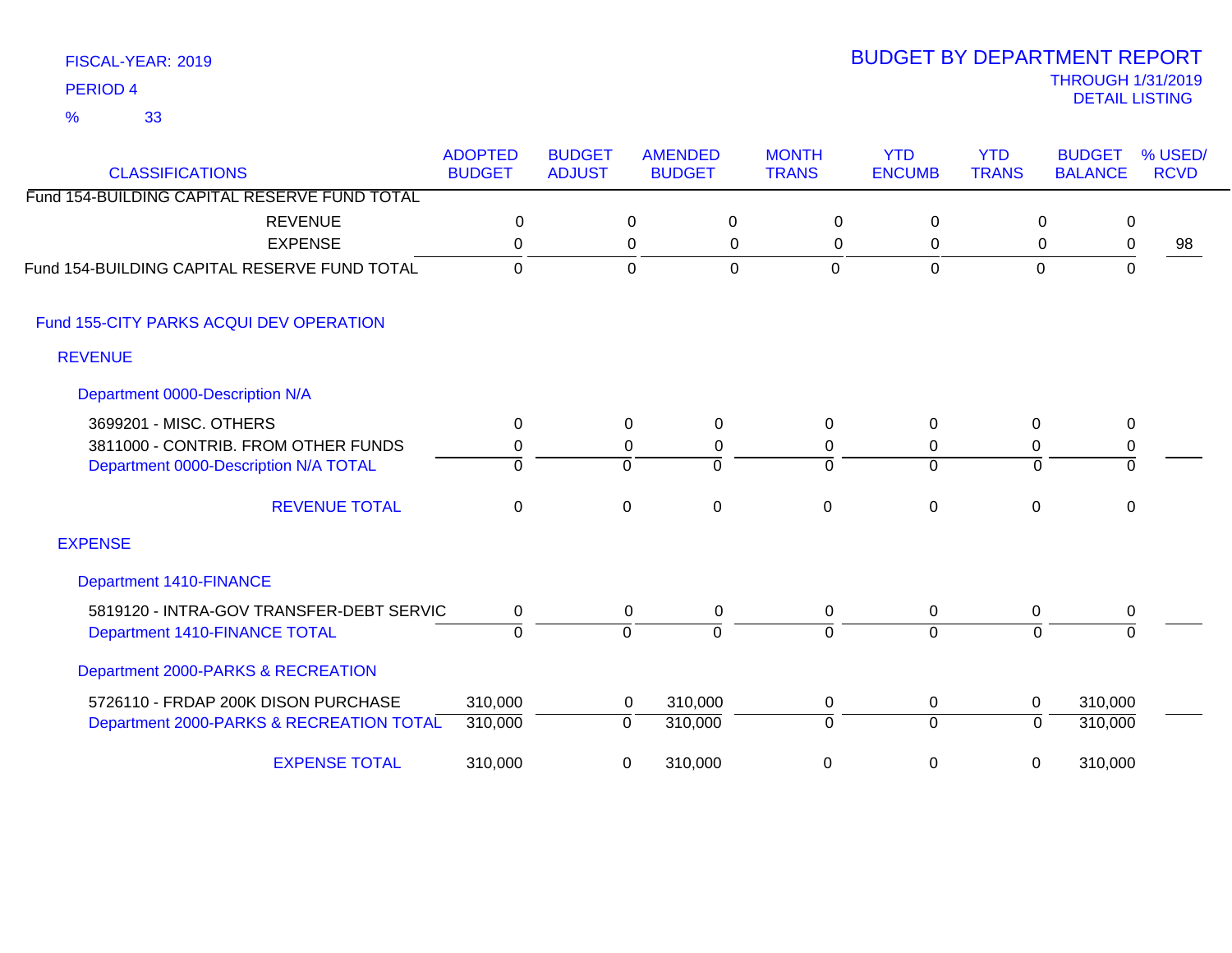| <b>CLASSIFICATIONS</b>                       | <b>ADOPTED</b><br><b>BUDGET</b> | <b>BUDGET</b><br><b>ADJUST</b> | <b>AMENDED</b><br><b>BUDGET</b> | <b>MONTH</b><br><b>TRANS</b> | <b>YTD</b><br><b>ENCUMB</b> | <b>YTD</b><br><b>TRANS</b> | <b>BUDGET</b><br><b>BALANCE</b> | % USED/<br><b>RCVD</b> |
|----------------------------------------------|---------------------------------|--------------------------------|---------------------------------|------------------------------|-----------------------------|----------------------------|---------------------------------|------------------------|
| Fund 154-BUILDING CAPITAL RESERVE FUND TOTAL |                                 |                                |                                 |                              |                             |                            |                                 |                        |
| <b>REVENUE</b>                               | 0                               |                                | 0<br>0                          | 0                            | 0                           | 0                          | 0                               |                        |
| <b>EXPENSE</b>                               | $\Omega$                        |                                | 0<br>0                          | 0                            | 0                           | 0                          | $\mathbf 0$                     | 98                     |
| Fund 154-BUILDING CAPITAL RESERVE FUND TOTAL | $\mathbf 0$                     |                                | $\mathbf 0$<br>$\mathbf 0$      | $\overline{0}$               | $\overline{0}$              | $\mathbf 0$                | $\mathbf 0$                     |                        |
| Fund 155-CITY PARKS ACQUI DEV OPERATION      |                                 |                                |                                 |                              |                             |                            |                                 |                        |
| <b>REVENUE</b>                               |                                 |                                |                                 |                              |                             |                            |                                 |                        |
| Department 0000-Description N/A              |                                 |                                |                                 |                              |                             |                            |                                 |                        |
| 3699201 - MISC. OTHERS                       | 0                               |                                | 0<br>0                          | $\Omega$                     | 0                           | 0                          | 0                               |                        |
| 3811000 - CONTRIB. FROM OTHER FUNDS          | 0                               |                                | 0<br>0                          | 0                            | 0                           | 0                          | $\pmb{0}$                       |                        |
| Department 0000-Description N/A TOTAL        | $\Omega$                        | $\Omega$                       | $\Omega$                        | $\Omega$                     | $\Omega$                    | $\Omega$                   | $\Omega$                        |                        |
| <b>REVENUE TOTAL</b>                         | 0                               | 0                              | $\mathbf 0$                     | $\overline{0}$               | $\mathbf 0$                 | $\mathbf{0}$               | 0                               |                        |
| <b>EXPENSE</b>                               |                                 |                                |                                 |                              |                             |                            |                                 |                        |
| <b>Department 1410-FINANCE</b>               |                                 |                                |                                 |                              |                             |                            |                                 |                        |
| 5819120 - INTRA-GOV TRANSFER-DEBT SERVIC     | 0                               |                                | 0<br>0                          | 0                            | 0                           | 0                          | 0                               |                        |
| Department 1410-FINANCE TOTAL                | $\overline{0}$                  | 0                              | $\Omega$                        | $\Omega$                     | $\overline{0}$              | $\Omega$                   | $\Omega$                        |                        |
| Department 2000-PARKS & RECREATION           |                                 |                                |                                 |                              |                             |                            |                                 |                        |
| 5726110 - FRDAP 200K DISON PURCHASE          | 310,000                         |                                | 310,000<br>0                    | 0                            | 0                           | 0                          | 310,000                         |                        |
| Department 2000-PARKS & RECREATION TOTAL     | 310,000                         | 0                              | 310,000                         | $\Omega$                     | $\overline{0}$              | $\Omega$                   | 310,000                         |                        |
| <b>EXPENSE TOTAL</b>                         | 310,000                         | 0                              | 310,000                         | 0                            | 0                           | 0                          | 310,000                         |                        |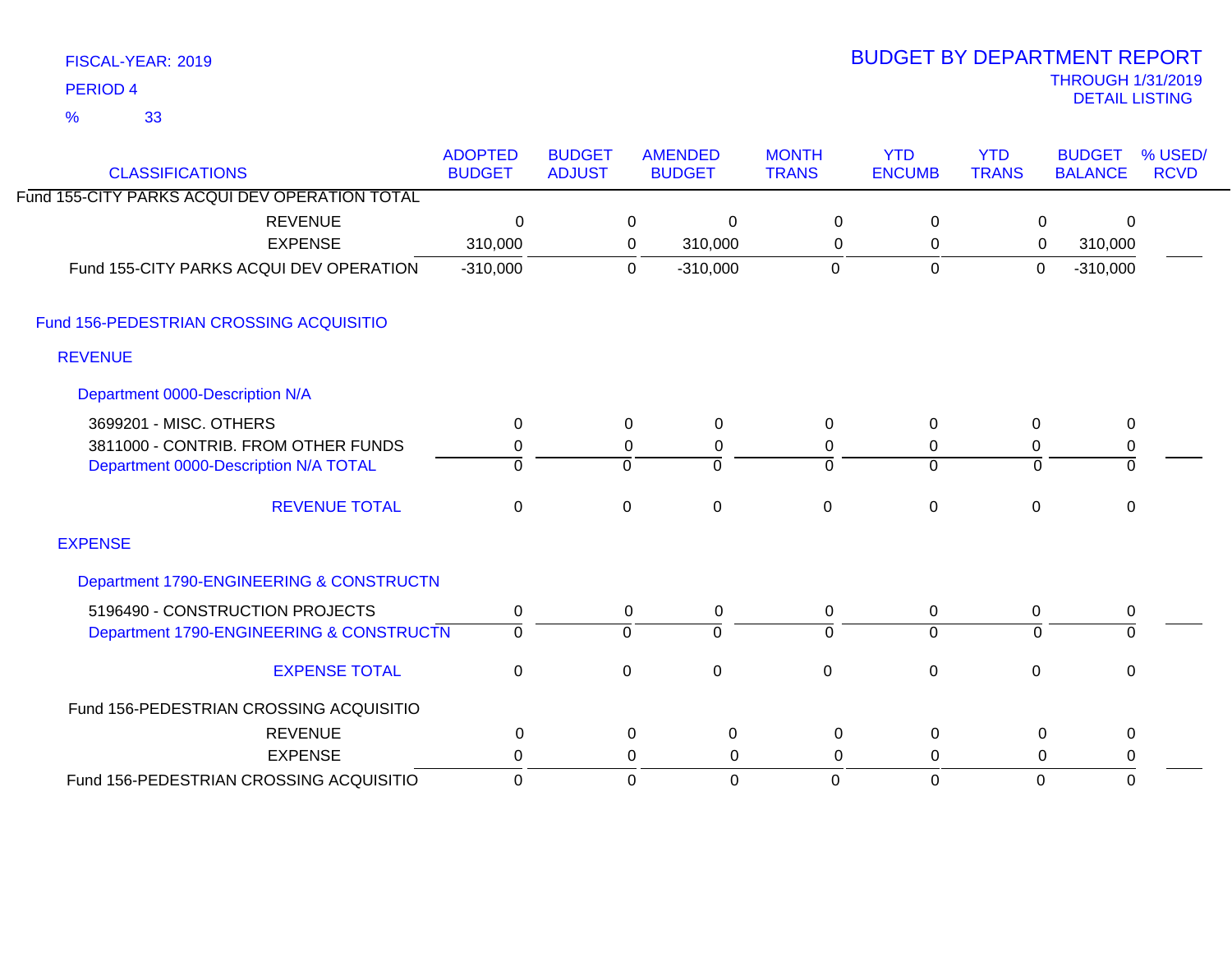| FISCAL-YEAR: 2019   |  |
|---------------------|--|
| PERIOD <sub>4</sub> |  |

# THROUGH 1/31/2019 DETAIL LISTING PERIOD <sup>4</sup> BUDGET BY DEPARTMENT REPORT

| <b>CLASSIFICATIONS</b>                        | <b>ADOPTED</b><br><b>BUDGET</b> | <b>BUDGET</b><br><b>ADJUST</b> |                | <b>AMENDED</b><br><b>BUDGET</b> | <b>MONTH</b><br><b>TRANS</b> | <b>YTD</b><br><b>ENCUMB</b> | <b>YTD</b><br><b>TRANS</b> | <b>BUDGET</b><br><b>BALANCE</b> | % USED/<br><b>RCVD</b> |
|-----------------------------------------------|---------------------------------|--------------------------------|----------------|---------------------------------|------------------------------|-----------------------------|----------------------------|---------------------------------|------------------------|
| Fund 155-CITY PARKS ACQUI DEV OPERATION TOTAL |                                 |                                |                |                                 |                              |                             |                            |                                 |                        |
| <b>REVENUE</b>                                | $\mathbf 0$                     |                                | 0              | $\mathbf{0}$                    | $\mathbf 0$                  | $\mathbf 0$                 | 0                          | 0                               |                        |
| <b>EXPENSE</b>                                | 310,000                         |                                | 0              | 310,000                         | $\mathbf 0$                  | $\mathbf 0$                 | 0                          | 310,000                         |                        |
| Fund 155-CITY PARKS ACQUI DEV OPERATION       | $-310,000$                      |                                | $\Omega$       | $-310,000$                      | $\mathbf 0$                  | $\mathbf 0$                 | $\mathbf 0$                | $-310,000$                      |                        |
| Fund 156-PEDESTRIAN CROSSING ACQUISITIO       |                                 |                                |                |                                 |                              |                             |                            |                                 |                        |
| <b>REVENUE</b>                                |                                 |                                |                |                                 |                              |                             |                            |                                 |                        |
| Department 0000-Description N/A               |                                 |                                |                |                                 |                              |                             |                            |                                 |                        |
| 3699201 - MISC. OTHERS                        | $\Omega$                        |                                | 0              | 0                               | 0                            | $\Omega$                    | 0                          | $\mathbf 0$                     |                        |
| 3811000 - CONTRIB. FROM OTHER FUNDS           | 0                               |                                | 0              | 0                               | 0                            | 0                           | 0                          | 0                               |                        |
| Department 0000-Description N/A TOTAL         | $\Omega$                        |                                | $\mathbf 0$    | $\Omega$                        | $\Omega$                     | $\Omega$                    | $\Omega$                   | 0                               |                        |
| <b>REVENUE TOTAL</b>                          | $\mathbf 0$                     |                                | $\mathbf 0$    | $\mathbf 0$                     | $\mathbf 0$                  | $\mathbf 0$                 | $\mathbf 0$                | 0                               |                        |
| <b>EXPENSE</b>                                |                                 |                                |                |                                 |                              |                             |                            |                                 |                        |
| Department 1790-ENGINEERING & CONSTRUCTN      |                                 |                                |                |                                 |                              |                             |                            |                                 |                        |
| 5196490 - CONSTRUCTION PROJECTS               | 0                               |                                | 0              | 0                               | 0                            | 0                           | 0                          | 0                               |                        |
| Department 1790-ENGINEERING & CONSTRUCTN      | $\mathbf 0$                     |                                | $\overline{0}$ | $\Omega$                        | $\Omega$                     | $\Omega$                    | $\Omega$                   | 0                               |                        |
| <b>EXPENSE TOTAL</b>                          | $\mathbf 0$                     |                                | $\mathbf 0$    | $\mathbf 0$                     | $\mathbf 0$                  | $\mathbf 0$                 | 0                          | $\pmb{0}$                       |                        |
| Fund 156-PEDESTRIAN CROSSING ACQUISITIO       |                                 |                                |                |                                 |                              |                             |                            |                                 |                        |
| <b>REVENUE</b>                                | 0                               |                                | 0              | $\mathbf 0$                     | 0                            | 0                           | 0                          | $\pmb{0}$                       |                        |
| <b>EXPENSE</b>                                | 0                               |                                | 0              | 0                               | 0                            | 0                           | $\Omega$                   | 0                               |                        |
| Fund 156-PEDESTRIAN CROSSING ACQUISITIO       | $\mathbf 0$                     |                                | $\Omega$       | $\mathbf 0$                     | $\Omega$                     | $\mathbf{0}$                | $\mathbf 0$                | $\Omega$                        |                        |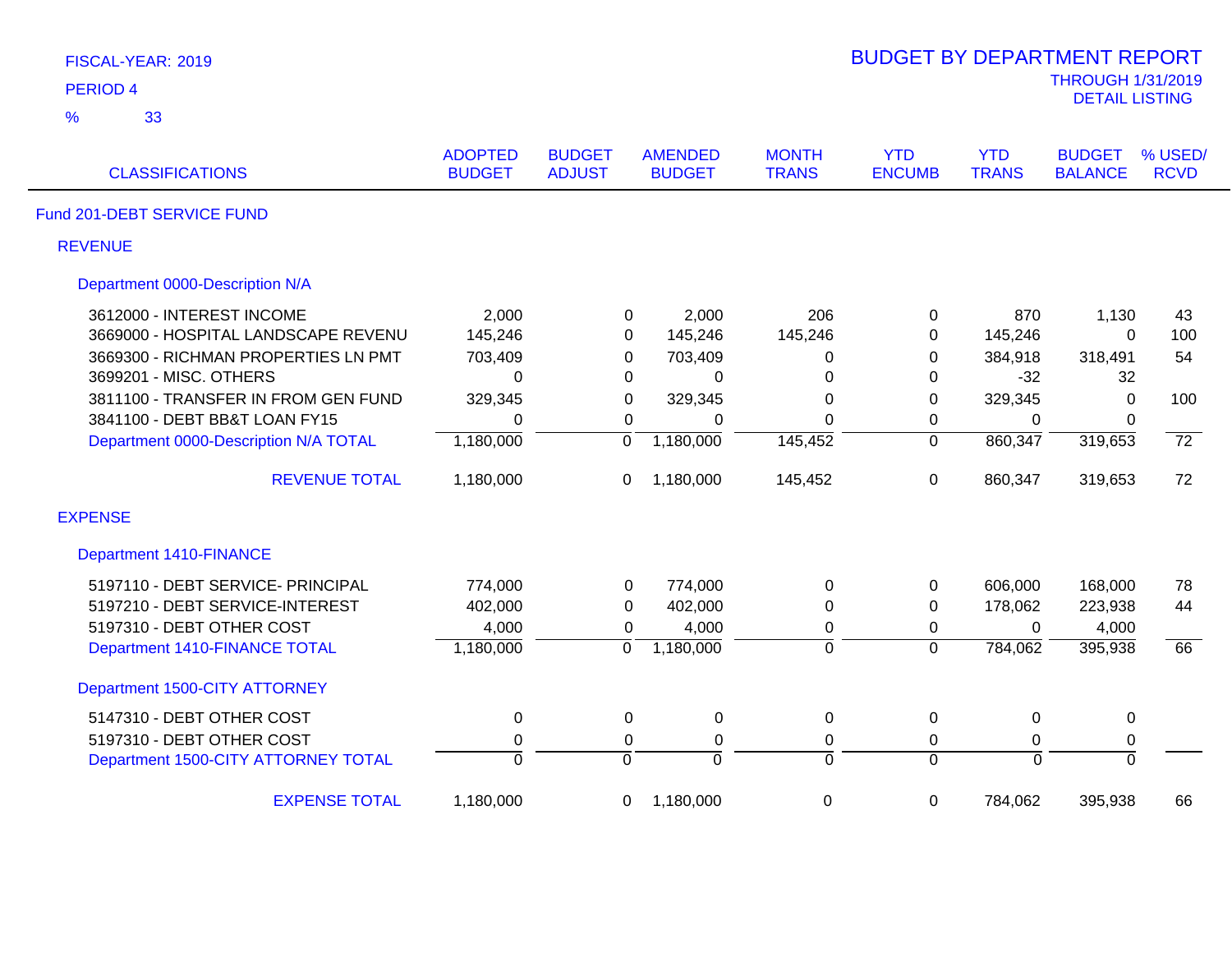| FISCAL-YEAR: 2019                     |                                 |                                |                                 |                              | <b>BUDGET BY DEPARTMENT REPORT</b> |                            |                                                   |                        |
|---------------------------------------|---------------------------------|--------------------------------|---------------------------------|------------------------------|------------------------------------|----------------------------|---------------------------------------------------|------------------------|
| <b>PERIOD 4</b>                       |                                 |                                |                                 |                              |                                    |                            | <b>THROUGH 1/31/2019</b><br><b>DETAIL LISTING</b> |                        |
| $\frac{9}{6}$<br>33                   |                                 |                                |                                 |                              |                                    |                            |                                                   |                        |
| <b>CLASSIFICATIONS</b>                | <b>ADOPTED</b><br><b>BUDGET</b> | <b>BUDGET</b><br><b>ADJUST</b> | <b>AMENDED</b><br><b>BUDGET</b> | <b>MONTH</b><br><b>TRANS</b> | <b>YTD</b><br><b>ENCUMB</b>        | <b>YTD</b><br><b>TRANS</b> | <b>BUDGET</b><br><b>BALANCE</b>                   | % USED/<br><b>RCVD</b> |
| Fund 201-DEBT SERVICE FUND            |                                 |                                |                                 |                              |                                    |                            |                                                   |                        |
| <b>REVENUE</b>                        |                                 |                                |                                 |                              |                                    |                            |                                                   |                        |
| Department 0000-Description N/A       |                                 |                                |                                 |                              |                                    |                            |                                                   |                        |
| 3612000 - INTEREST INCOME             | 2,000                           |                                | 2,000<br>0                      | 206                          | 0                                  | 870                        | 1,130                                             | 43                     |
| 3669000 - HOSPITAL LANDSCAPE REVENU   | 145,246                         |                                | 145,246<br>0                    | 145,246                      | 0                                  | 145,246                    | $\mathbf 0$                                       | 100                    |
| 3669300 - RICHMAN PROPERTIES LN PMT   | 703,409                         |                                | 703,409<br>0                    | 0                            | 0                                  | 384,918                    | 318,491                                           | 54                     |
| 3699201 - MISC. OTHERS                | $\mathbf 0$                     |                                | 0<br>0                          | 0                            | 0                                  | $-32$                      | 32                                                |                        |
| 3811100 - TRANSFER IN FROM GEN FUND   | 329,345                         |                                | 329,345<br>0                    | 0                            | 0                                  | 329,345                    | $\mathbf 0$                                       | 100                    |
| 3841100 - DEBT BB&T LOAN FY15         | $\mathbf 0$                     |                                | $\mathbf 0$<br>0                | $\Omega$                     | 0                                  | 0                          | 0                                                 |                        |
| Department 0000-Description N/A TOTAL | 1,180,000                       | $\overline{0}$                 | 1,180,000                       | 145,452                      | $\overline{0}$                     | 860,347                    | 319,653                                           | $\overline{72}$        |
| <b>REVENUE TOTAL</b>                  | 1,180,000                       | 0                              | 1,180,000                       | 145,452                      | 0                                  | 860,347                    | 319,653                                           | 72                     |
| <b>EXPENSE</b>                        |                                 |                                |                                 |                              |                                    |                            |                                                   |                        |
| <b>Department 1410-FINANCE</b>        |                                 |                                |                                 |                              |                                    |                            |                                                   |                        |
| 5197110 - DEBT SERVICE- PRINCIPAL     | 774,000                         |                                | 774,000<br>0                    | 0                            | $\mathbf 0$                        | 606,000                    | 168,000                                           | 78                     |
| 5197210 - DEBT SERVICE-INTEREST       | 402,000                         |                                | 0<br>402,000                    | 0                            | 0                                  | 178,062                    | 223,938                                           | 44                     |
| 5197310 - DEBT OTHER COST             | 4,000                           |                                | 4,000<br>0                      | 0                            | 0                                  | $\Omega$                   | 4,000                                             |                        |
| Department 1410-FINANCE TOTAL         | 1,180,000                       | $\overline{0}$                 | 1,180,000                       | $\overline{0}$               | $\overline{0}$                     | 784,062                    | 395,938                                           | 66                     |
| Department 1500-CITY ATTORNEY         |                                 |                                |                                 |                              |                                    |                            |                                                   |                        |
| 5147310 - DEBT OTHER COST             | $\pmb{0}$                       |                                | $\pmb{0}$<br>0                  | 0                            | $\pmb{0}$                          | $\mathbf 0$                | $\pmb{0}$                                         |                        |
| 5197310 - DEBT OTHER COST             | $\pmb{0}$                       |                                | $\pmb{0}$<br>0                  | $\boldsymbol{0}$             | $\boldsymbol{0}$                   | 0                          | 0                                                 |                        |
| Department 1500-CITY ATTORNEY TOTAL   | $\overline{0}$                  | ō                              | $\overline{0}$                  | $\overline{0}$               | $\overline{0}$                     | $\overline{0}$             | $\overline{0}$                                    |                        |
| <b>EXPENSE TOTAL</b>                  | 1,180,000                       | 0                              | 1,180,000                       | $\pmb{0}$                    | $\boldsymbol{0}$                   | 784,062                    | 395,938                                           | 66                     |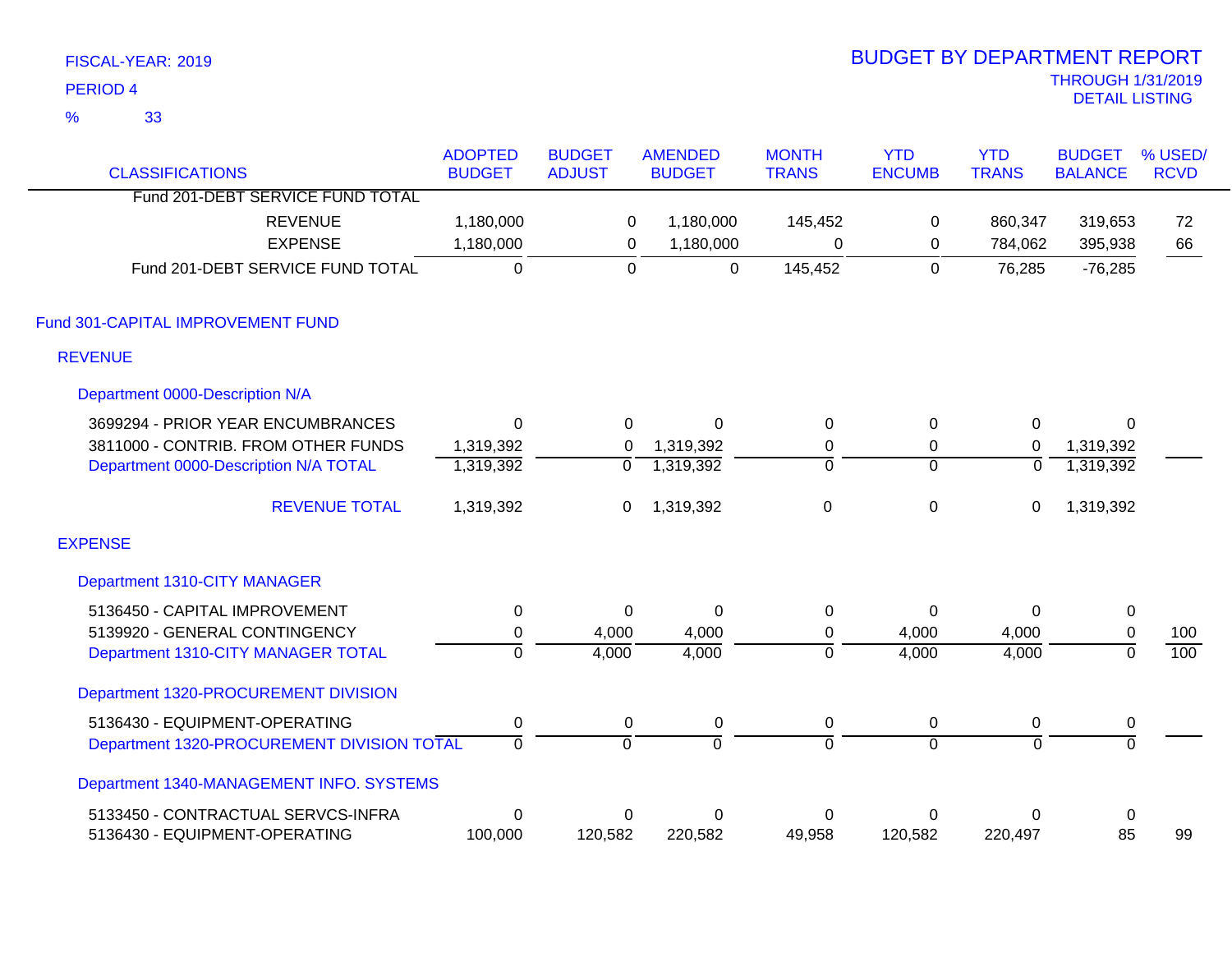|               | FISCAL-YEAR: 2019                          |                |                |                |                | <b>BUDGET BY DEPARTMENT REPORT</b> |                |                          |                  |
|---------------|--------------------------------------------|----------------|----------------|----------------|----------------|------------------------------------|----------------|--------------------------|------------------|
|               | <b>PERIOD 4</b>                            |                |                |                |                |                                    |                | <b>THROUGH 1/31/2019</b> |                  |
| $\frac{9}{6}$ | 33                                         |                |                |                |                |                                    |                | <b>DETAIL LISTING</b>    |                  |
|               |                                            | <b>ADOPTED</b> | <b>BUDGET</b>  | <b>AMENDED</b> | <b>MONTH</b>   | <b>YTD</b>                         | <b>YTD</b>     | <b>BUDGET</b>            | % USED/          |
|               | <b>CLASSIFICATIONS</b>                     | <b>BUDGET</b>  | <b>ADJUST</b>  | <b>BUDGET</b>  | <b>TRANS</b>   | <b>ENCUMB</b>                      | <b>TRANS</b>   | <b>BALANCE</b>           | <b>RCVD</b>      |
|               | Fund 201-DEBT SERVICE FUND TOTAL           |                |                |                |                |                                    |                |                          |                  |
|               | <b>REVENUE</b>                             | 1,180,000      | 0              | 1,180,000      | 145,452        | 0                                  | 860,347        | 319,653                  | 72               |
|               | <b>EXPENSE</b>                             | 1,180,000      | $\mathsf 0$    | 1,180,000      | $\mathbf 0$    | $\mathbf 0$                        | 784,062        | 395,938                  | 66               |
|               | Fund 201-DEBT SERVICE FUND TOTAL           | $\overline{0}$ | $\overline{0}$ | $\mathbf 0$    | 145,452        | $\overline{0}$                     | 76,285         | $-76,285$                |                  |
|               | Fund 301-CAPITAL IMPROVEMENT FUND          |                |                |                |                |                                    |                |                          |                  |
|               | <b>REVENUE</b>                             |                |                |                |                |                                    |                |                          |                  |
|               | Department 0000-Description N/A            |                |                |                |                |                                    |                |                          |                  |
|               | 3699294 - PRIOR YEAR ENCUMBRANCES          | $\mathbf 0$    | $\Omega$       | $\Omega$       | $\mathbf 0$    | 0                                  | 0              | $\Omega$                 |                  |
|               | 3811000 - CONTRIB. FROM OTHER FUNDS        | 1,319,392      | 0              | 1,319,392      | $\pmb{0}$      | 0                                  | $\mathbf 0$    | 1,319,392                |                  |
|               | Department 0000-Description N/A TOTAL      | 1,319,392      | 0              | 1,319,392      | $\overline{0}$ | $\Omega$                           | $\mathbf 0$    | 1,319,392                |                  |
|               | <b>REVENUE TOTAL</b>                       | 1,319,392      | 0              | 1,319,392      | $\pmb{0}$      | $\mathbf 0$                        | 0              | 1,319,392                |                  |
|               | <b>EXPENSE</b>                             |                |                |                |                |                                    |                |                          |                  |
|               | Department 1310-CITY MANAGER               |                |                |                |                |                                    |                |                          |                  |
|               | 5136450 - CAPITAL IMPROVEMENT              | $\pmb{0}$      | $\Omega$       | $\mathbf 0$    | $\pmb{0}$      | $\mathbf 0$                        | $\Omega$       | $\boldsymbol{0}$         |                  |
|               | 5139920 - GENERAL CONTINGENCY              | $\pmb{0}$      | 4,000          | 4,000          | $\pmb{0}$      | 4,000                              | 4,000          | $\pmb{0}$                | 100              |
|               | Department 1310-CITY MANAGER TOTAL         | $\overline{0}$ | 4,000          | 4,000          | $\overline{0}$ | 4,000                              | 4,000          | $\overline{0}$           | $\overline{100}$ |
|               | Department 1320-PROCUREMENT DIVISION       |                |                |                |                |                                    |                |                          |                  |
|               | 5136430 - EQUIPMENT-OPERATING              | $\pmb{0}$      | 0              | 0              | $\pmb{0}$      | 0                                  | $\pmb{0}$      | 0                        |                  |
|               | Department 1320-PROCUREMENT DIVISION TOTAL | 0              | $\overline{0}$ | 0              | 0              | $\overline{0}$                     | $\overline{0}$ | $\overline{0}$           |                  |
|               | Department 1340-MANAGEMENT INFO. SYSTEMS   |                |                |                |                |                                    |                |                          |                  |
|               | 5133450 - CONTRACTUAL SERVCS-INFRA         | $\mathbf 0$    | 0              | $\mathbf 0$    | 0              | 0                                  | 0              | $\pmb{0}$                |                  |
|               | 5136430 - EQUIPMENT-OPERATING              | 100,000        | 120,582        | 220,582        | 49,958         | 120,582                            | 220,497        | 85                       | 99               |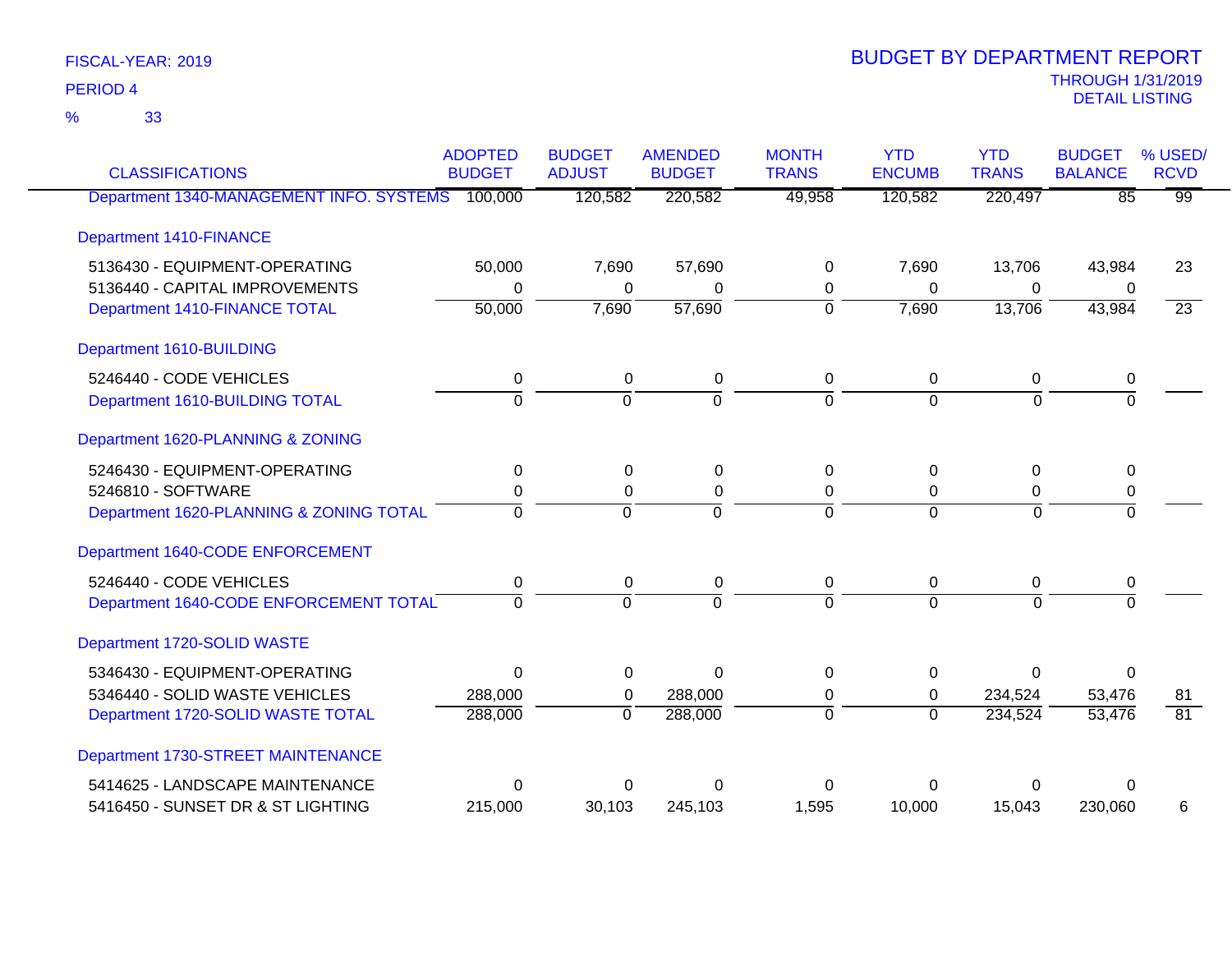33 %

| <b>CLASSIFICATIONS</b>                           | <b>ADOPTED</b><br><b>BUDGET</b> | <b>BUDGET</b><br><b>ADJUST</b> | <b>AMENDED</b><br><b>BUDGET</b> | <b>MONTH</b><br><b>TRANS</b> | <b>YTD</b><br><b>ENCUMB</b> | <b>YTD</b><br><b>TRANS</b> | <b>BUDGET</b><br><b>BALANCE</b> | % USED/<br><b>RCVD</b> |
|--------------------------------------------------|---------------------------------|--------------------------------|---------------------------------|------------------------------|-----------------------------|----------------------------|---------------------------------|------------------------|
| Department 1340-MANAGEMENT INFO. SYSTEMS 100,000 |                                 | 120,582                        | 220,582                         | 49,958                       | 120,582                     | 220,497                    | $\overline{85}$                 | $\overline{99}$        |
| <b>Department 1410-FINANCE</b>                   |                                 |                                |                                 |                              |                             |                            |                                 |                        |
| 5136430 - EQUIPMENT-OPERATING                    | 50,000                          | 7,690                          | 57,690                          | 0                            | 7,690                       | 13,706                     | 43,984                          | 23                     |
| 5136440 - CAPITAL IMPROVEMENTS                   | 0                               | 0                              | 0                               | 0                            | 0                           | 0                          | 0                               |                        |
| Department 1410-FINANCE TOTAL                    | 50,000                          | 7,690                          | 57,690                          | $\overline{0}$               | 7,690                       | 13,706                     | 43,984                          | $\overline{23}$        |
| Department 1610-BUILDING                         |                                 |                                |                                 |                              |                             |                            |                                 |                        |
| 5246440 - CODE VEHICLES                          | 0                               | 0                              | 0                               | 0                            | 0                           | 0                          | 0                               |                        |
| Department 1610-BUILDING TOTAL                   | $\overline{0}$                  | $\overline{0}$                 | $\overline{0}$                  | $\overline{0}$               | $\Omega$                    | $\Omega$                   | $\overline{0}$                  |                        |
| Department 1620-PLANNING & ZONING                |                                 |                                |                                 |                              |                             |                            |                                 |                        |
| 5246430 - EQUIPMENT-OPERATING                    | 0                               | $\Omega$                       | 0                               | 0                            | 0                           | 0                          | 0                               |                        |
| 5246810 - SOFTWARE                               | 0                               | 0                              | 0                               | 0                            | 0                           | 0                          | 0                               |                        |
| Department 1620-PLANNING & ZONING TOTAL          | $\Omega$                        | $\Omega$                       | $\Omega$                        | $\Omega$                     | $\Omega$                    | $\Omega$                   | $\Omega$                        |                        |
| Department 1640-CODE ENFORCEMENT                 |                                 |                                |                                 |                              |                             |                            |                                 |                        |
| 5246440 - CODE VEHICLES                          | 0                               | 0                              | 0                               | 0                            | 0                           | 0                          | 0                               |                        |
| Department 1640-CODE ENFORCEMENT TOTAL           | $\Omega$                        | $\Omega$                       | $\Omega$                        | $\Omega$                     | $\Omega$                    | $\Omega$                   | $\Omega$                        |                        |
| Department 1720-SOLID WASTE                      |                                 |                                |                                 |                              |                             |                            |                                 |                        |
| 5346430 - EQUIPMENT-OPERATING                    | $\Omega$                        | $\Omega$                       | $\Omega$                        | $\mathbf{0}$                 | $\Omega$                    | $\Omega$                   | $\Omega$                        |                        |
| 5346440 - SOLID WASTE VEHICLES                   | 288,000                         | 0                              | 288,000                         | 0                            | 0                           | 234,524                    | 53,476                          | 81                     |
| Department 1720-SOLID WASTE TOTAL                | 288,000                         | $\overline{0}$                 | 288,000                         | $\overline{0}$               | $\overline{0}$              | 234,524                    | 53,476                          | $\overline{81}$        |
| Department 1730-STREET MAINTENANCE               |                                 |                                |                                 |                              |                             |                            |                                 |                        |
| 5414625 - LANDSCAPE MAINTENANCE                  | $\Omega$                        | 0                              | 0                               | 0                            |                             | 0                          | $\Omega$                        |                        |
| 5416450 - SUNSET DR & ST LIGHTING                | 215,000                         | 30,103                         | 245,103                         | 1,595                        | 10,000                      | 15,043                     | 230,060                         | 6                      |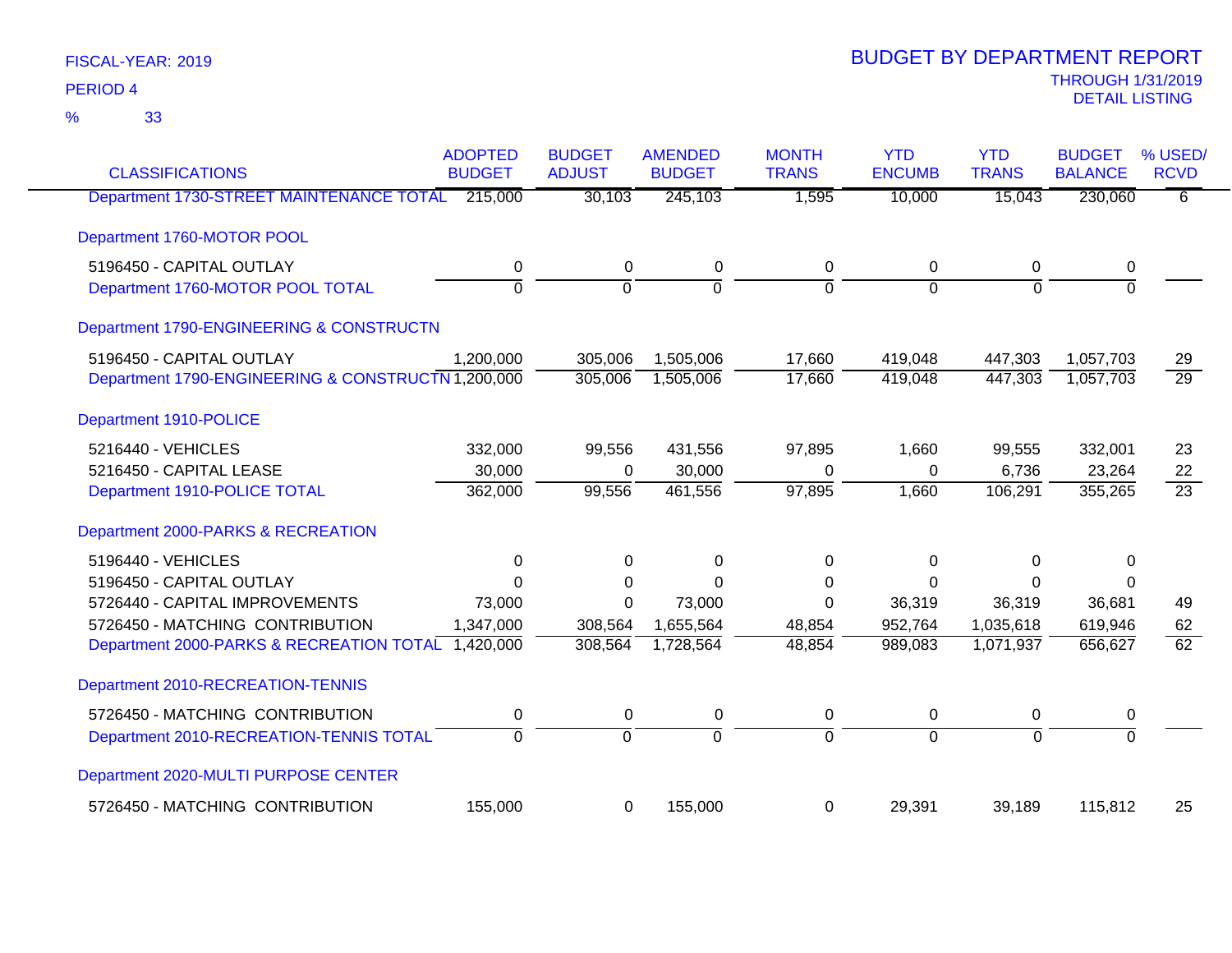| <b>CLASSIFICATIONS</b>                             | <b>ADOPTED</b><br><b>BUDGET</b> | <b>BUDGET</b><br><b>ADJUST</b> | <b>AMENDED</b><br><b>BUDGET</b> | <b>MONTH</b><br><b>TRANS</b> | <b>YTD</b><br><b>ENCUMB</b> | <b>YTD</b><br><b>TRANS</b> | <b>BUDGET</b><br><b>BALANCE</b> | % USED/<br><b>RCVD</b> |
|----------------------------------------------------|---------------------------------|--------------------------------|---------------------------------|------------------------------|-----------------------------|----------------------------|---------------------------------|------------------------|
| Department 1730-STREET MAINTENANCE TOTAL           | 215,000                         | 30,103                         | 245,103                         | 1,595                        | 10,000                      | 15,043                     | 230,060                         | 6                      |
| Department 1760-MOTOR POOL                         |                                 |                                |                                 |                              |                             |                            |                                 |                        |
| 5196450 - CAPITAL OUTLAY                           | 0                               | $\pmb{0}$                      | $\pmb{0}$                       | 0                            | 0                           | 0                          | 0                               |                        |
| Department 1760-MOTOR POOL TOTAL                   | $\overline{0}$                  | $\overline{0}$                 | $\overline{0}$                  | $\overline{0}$               | $\overline{0}$              | $\Omega$                   | $\overline{0}$                  |                        |
| Department 1790-ENGINEERING & CONSTRUCTN           |                                 |                                |                                 |                              |                             |                            |                                 |                        |
| 5196450 - CAPITAL OUTLAY                           | 1,200,000                       | 305,006                        | 1,505,006                       | 17,660                       | 419,048                     | 447,303                    | 1,057,703                       | 29                     |
| Department 1790-ENGINEERING & CONSTRUCTN 1,200,000 |                                 | 305,006                        | 1,505,006                       | 17,660                       | 419,048                     | 447,303                    | 1,057,703                       | $\overline{29}$        |
| Department 1910-POLICE                             |                                 |                                |                                 |                              |                             |                            |                                 |                        |
| 5216440 - VEHICLES                                 | 332,000                         | 99,556                         | 431,556                         | 97,895                       | 1,660                       | 99,555                     | 332,001                         | 23                     |
| 5216450 - CAPITAL LEASE                            | 30,000                          | $\Omega$                       | 30,000                          | $\Omega$                     | $\Omega$                    | 6,736                      | 23,264                          | 22                     |
| Department 1910-POLICE TOTAL                       | 362,000                         | 99,556                         | 461,556                         | 97,895                       | 1,660                       | 106,291                    | 355,265                         | $\overline{23}$        |
| Department 2000-PARKS & RECREATION                 |                                 |                                |                                 |                              |                             |                            |                                 |                        |
| 5196440 - VEHICLES                                 | 0                               | 0                              | 0                               | $\Omega$                     | 0                           | 0                          | $\Omega$                        |                        |
| 5196450 - CAPITAL OUTLAY                           | $\mathbf 0$                     | $\Omega$                       | $\Omega$                        | 0                            | 0                           | $\Omega$                   | 0                               |                        |
| 5726440 - CAPITAL IMPROVEMENTS                     | 73,000                          | $\Omega$                       | 73,000                          | $\Omega$                     | 36,319                      | 36,319                     | 36,681                          | 49                     |
| 5726450 - MATCHING CONTRIBUTION                    | 1,347,000                       | 308,564                        | 1,655,564                       | 48,854                       | 952,764                     | 1,035,618                  | 619,946                         | 62                     |
| Department 2000-PARKS & RECREATION TOTAL 1,420,000 |                                 | 308,564                        | 1,728,564                       | 48,854                       | 989,083                     | 1,071,937                  | 656,627                         | $\overline{62}$        |
| Department 2010-RECREATION-TENNIS                  |                                 |                                |                                 |                              |                             |                            |                                 |                        |
| 5726450 - MATCHING CONTRIBUTION                    | 0                               | $\pmb{0}$                      | 0                               | 0                            | 0                           | 0                          | 0                               |                        |
| Department 2010-RECREATION-TENNIS TOTAL            | $\overline{0}$                  | $\overline{0}$                 | $\overline{0}$                  | $\overline{0}$               | $\overline{0}$              | $\overline{0}$             | $\overline{0}$                  |                        |
| Department 2020-MULTI PURPOSE CENTER               |                                 |                                |                                 |                              |                             |                            |                                 |                        |
| 5726450 - MATCHING CONTRIBUTION                    | 155,000                         | $\mathbf 0$                    | 155,000                         | 0                            | 29,391                      | 39,189                     | 115,812                         | 25                     |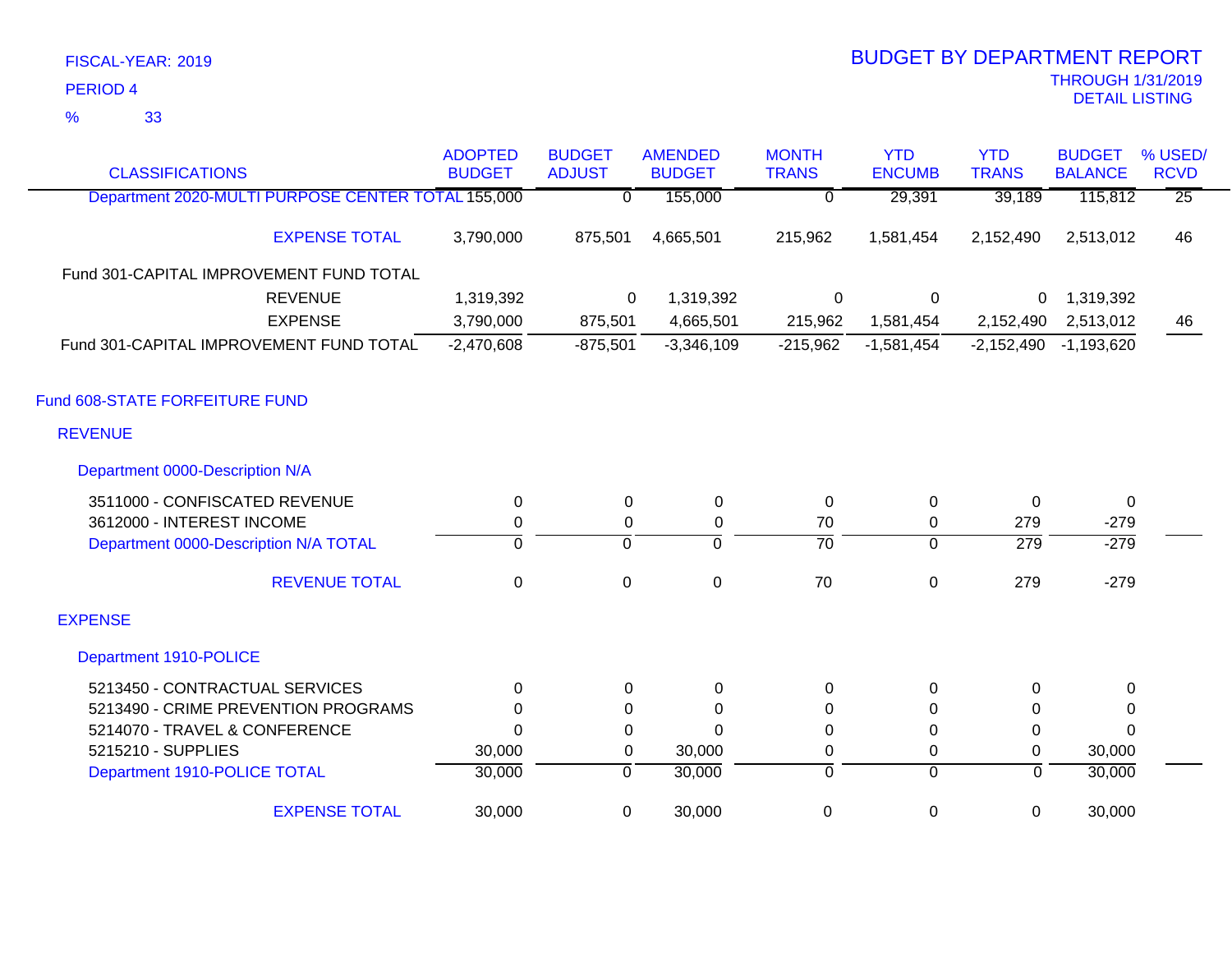33 %

| <b>CLASSIFICATIONS</b>                             | <b>ADOPTED</b><br><b>BUDGET</b> | <b>BUDGET</b><br><b>ADJUST</b> | <b>AMENDED</b><br><b>BUDGET</b> | <b>MONTH</b><br><b>TRANS</b> | <b>YTD</b><br><b>ENCUMB</b> | <b>YTD</b><br><b>TRANS</b> | <b>BUDGET</b><br><b>BALANCE</b> | % USED/<br><b>RCVD</b> |
|----------------------------------------------------|---------------------------------|--------------------------------|---------------------------------|------------------------------|-----------------------------|----------------------------|---------------------------------|------------------------|
| Department 2020-MULTI PURPOSE CENTER TOTAL 155,000 |                                 | $\overline{0}$                 | 155,000                         | $\overline{0}$               | 29,391                      | 39,189                     | 115,812                         | $\overline{25}$        |
| <b>EXPENSE TOTAL</b>                               | 3,790,000                       | 875,501                        | 4,665,501                       | 215,962                      | 1,581,454                   | 2,152,490                  | 2,513,012                       | 46                     |
| Fund 301-CAPITAL IMPROVEMENT FUND TOTAL            |                                 |                                |                                 |                              |                             |                            |                                 |                        |
| <b>REVENUE</b>                                     | 1,319,392                       | 0                              | 1,319,392                       | 0                            | 0                           | $\mathbf{0}$               | 1,319,392                       |                        |
| <b>EXPENSE</b>                                     | 3,790,000                       | 875,501                        | 4,665,501                       | 215,962                      | 1,581,454                   | 2,152,490                  | 2,513,012                       | 46                     |
| Fund 301-CAPITAL IMPROVEMENT FUND TOTAL            | $-2,470,608$                    | $-875,501$                     | $-3,346,109$                    | $-215,962$                   | $-1,581,454$                | $-2,152,490$               | $-1,193,620$                    |                        |
| Fund 608-STATE FORFEITURE FUND                     |                                 |                                |                                 |                              |                             |                            |                                 |                        |
| <b>REVENUE</b>                                     |                                 |                                |                                 |                              |                             |                            |                                 |                        |
| Department 0000-Description N/A                    |                                 |                                |                                 |                              |                             |                            |                                 |                        |
| 3511000 - CONFISCATED REVENUE                      | 0                               | 0                              | 0                               | 0                            | 0                           | $\Omega$                   | $\mathbf{0}$                    |                        |
| 3612000 - INTEREST INCOME                          | $\mathbf 0$                     | 0                              | 0                               | 70                           | $\boldsymbol{0}$            | 279                        | $-279$                          |                        |
| Department 0000-Description N/A TOTAL              | $\overline{0}$                  | $\mathbf 0$                    | $\mathbf 0$                     | $\overline{70}$              | $\overline{0}$              | $\overline{279}$           | $-279$                          |                        |
| <b>REVENUE TOTAL</b>                               | $\mathbf 0$                     | $\mathbf 0$                    | $\mathbf 0$                     | 70                           | $\mathbf 0$                 | 279                        | $-279$                          |                        |
| <b>EXPENSE</b>                                     |                                 |                                |                                 |                              |                             |                            |                                 |                        |
| Department 1910-POLICE                             |                                 |                                |                                 |                              |                             |                            |                                 |                        |
| 5213450 - CONTRACTUAL SERVICES                     | $\Omega$                        | $\Omega$                       | 0                               | 0                            | 0                           | $\Omega$                   | 0                               |                        |
| 5213490 - CRIME PREVENTION PROGRAMS                | $\Omega$                        | 0                              | $\Omega$                        | $\Omega$                     | $\Omega$                    | $\Omega$                   | 0                               |                        |
| 5214070 - TRAVEL & CONFERENCE                      | $\Omega$                        | 0                              | $\Omega$                        | 0                            | 0                           | 0                          | $\mathbf{0}$                    |                        |
| 5215210 - SUPPLIES                                 | 30,000                          | 0                              | 30,000                          | 0                            | 0                           | 0                          | 30,000                          |                        |
| Department 1910-POLICE TOTAL                       | 30,000                          | $\overline{0}$                 | 30,000                          | 0                            | $\overline{0}$              | $\overline{0}$             | 30,000                          |                        |
| <b>EXPENSE TOTAL</b>                               | 30,000                          | 0                              | 30,000                          | $\mathbf 0$                  | $\boldsymbol{0}$            | $\mathbf 0$                | 30,000                          |                        |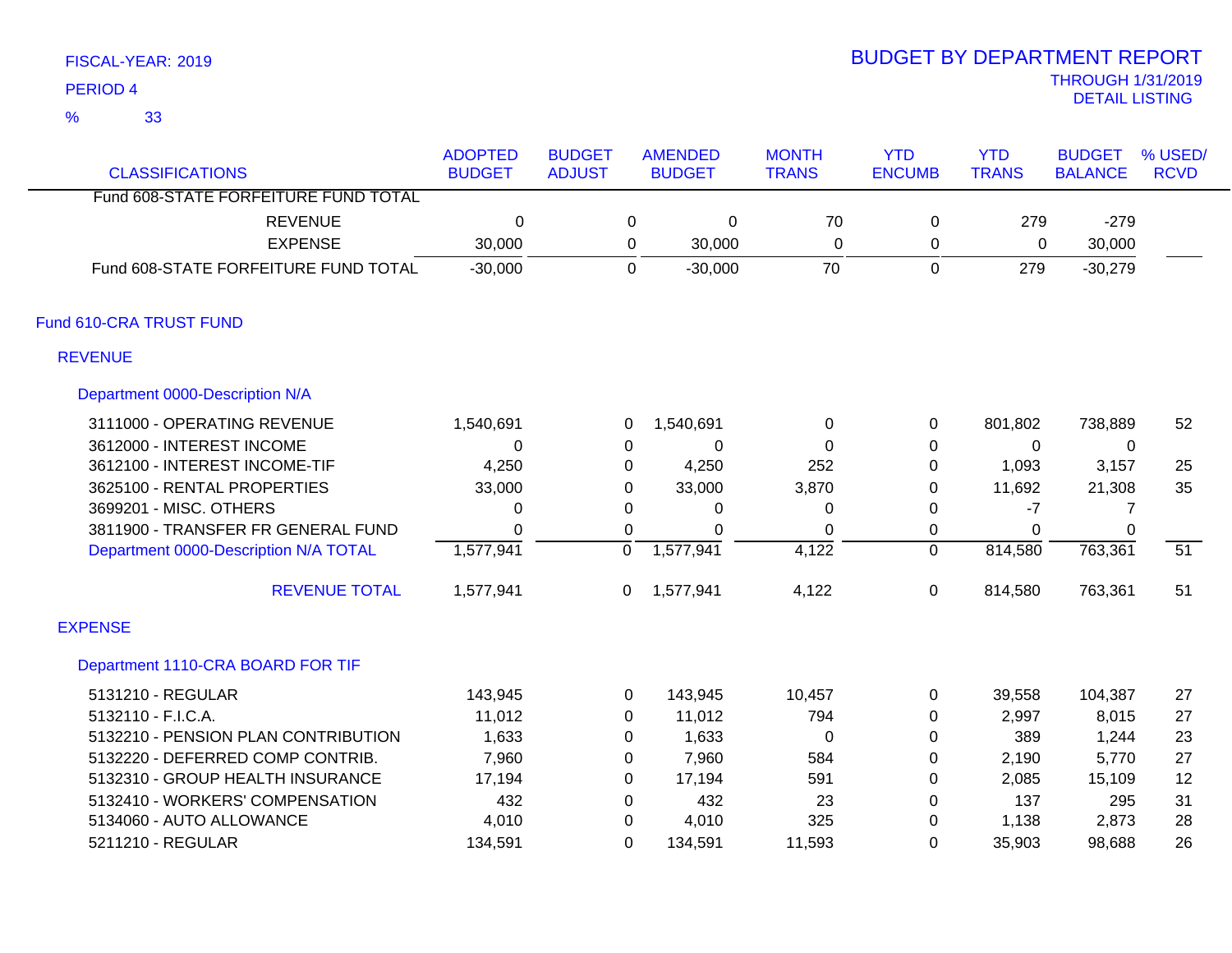33 %

| <b>CLASSIFICATIONS</b>                | <b>ADOPTED</b><br><b>BUDGET</b> | <b>BUDGET</b><br><b>ADJUST</b> |                | <b>AMENDED</b><br><b>BUDGET</b> | <b>MONTH</b><br><b>TRANS</b> | <b>YTD</b><br><b>ENCUMB</b> | <b>YTD</b><br><b>TRANS</b> | <b>BUDGET</b><br><b>BALANCE</b> | % USED/<br><b>RCVD</b> |
|---------------------------------------|---------------------------------|--------------------------------|----------------|---------------------------------|------------------------------|-----------------------------|----------------------------|---------------------------------|------------------------|
| Fund 608-STATE FORFEITURE FUND TOTAL  |                                 |                                |                |                                 |                              |                             |                            |                                 |                        |
| <b>REVENUE</b>                        | $\mathbf 0$                     |                                | 0              | $\pmb{0}$                       | 70                           | 0                           | 279                        | $-279$                          |                        |
| <b>EXPENSE</b>                        | 30,000                          |                                | 0              | 30,000                          | $\Omega$                     | 0                           | 0                          | 30,000                          |                        |
| Fund 608-STATE FORFEITURE FUND TOTAL  | $-30,000$                       |                                | $\Omega$       | $-30,000$                       | 70                           | $\mathbf 0$                 | 279                        | $-30,279$                       |                        |
| Fund 610-CRA TRUST FUND               |                                 |                                |                |                                 |                              |                             |                            |                                 |                        |
| <b>REVENUE</b>                        |                                 |                                |                |                                 |                              |                             |                            |                                 |                        |
| Department 0000-Description N/A       |                                 |                                |                |                                 |                              |                             |                            |                                 |                        |
| 3111000 - OPERATING REVENUE           | 1,540,691                       |                                | 0              | 1,540,691                       | 0                            | 0                           | 801,802                    | 738,889                         | 52                     |
| 3612000 - INTEREST INCOME             | 0                               |                                | 0              | $\mathbf 0$                     | 0                            | 0                           | 0                          | $\mathbf 0$                     |                        |
| 3612100 - INTEREST INCOME-TIF         | 4,250                           |                                | 0              | 4,250                           | 252                          | 0                           | 1,093                      | 3,157                           | 25                     |
| 3625100 - RENTAL PROPERTIES           | 33,000                          |                                | 0              | 33,000                          | 3,870                        | 0                           | 11,692                     | 21,308                          | 35                     |
| 3699201 - MISC. OTHERS                | 0                               |                                | 0              | 0                               | 0                            | 0                           | $-7$                       | 7                               |                        |
| 3811900 - TRANSFER FR GENERAL FUND    | $\Omega$                        |                                | $\Omega$       | $\mathbf 0$                     | $\Omega$                     | 0                           | $\Omega$                   | $\Omega$                        |                        |
| Department 0000-Description N/A TOTAL | 1,577,941                       |                                | 0              | 1,577,941                       | 4,122                        | $\mathbf{0}$                | 814,580                    | 763,361                         | 51                     |
| <b>REVENUE TOTAL</b>                  | 1,577,941                       |                                | 0              | 1,577,941                       | 4,122                        | 0                           | 814,580                    | 763,361                         | 51                     |
| <b>EXPENSE</b>                        |                                 |                                |                |                                 |                              |                             |                            |                                 |                        |
| Department 1110-CRA BOARD FOR TIF     |                                 |                                |                |                                 |                              |                             |                            |                                 |                        |
| 5131210 - REGULAR                     | 143,945                         |                                | 0              | 143,945                         | 10,457                       | 0                           | 39,558                     | 104,387                         | 27                     |
| 5132110 - F.I.C.A.                    | 11,012                          |                                | 0              | 11,012                          | 794                          | 0                           | 2,997                      | 8,015                           | 27                     |
| 5132210 - PENSION PLAN CONTRIBUTION   | 1,633                           |                                | 0              | 1,633                           | 0                            | 0                           | 389                        | 1,244                           | 23                     |
| 5132220 - DEFERRED COMP CONTRIB.      | 7,960                           |                                | 0              | 7,960                           | 584                          | 0                           | 2,190                      | 5,770                           | 27                     |
| 5132310 - GROUP HEALTH INSURANCE      | 17,194                          |                                | 0              | 17,194                          | 591                          | 0                           | 2,085                      | 15,109                          | 12                     |
| 5132410 - WORKERS' COMPENSATION       | 432                             |                                | 0              | 432                             | 23                           | 0                           | 137                        | 295                             | 31                     |
| 5134060 - AUTO ALLOWANCE              | 4,010                           |                                | 0              | 4,010                           | 325                          | 0                           | 1,138                      | 2,873                           | 28                     |
| 5211210 - REGULAR                     | 134,591                         |                                | $\overline{0}$ | 134,591                         | 11,593                       | $\overline{0}$              | 35,903                     | 98,688                          | 26                     |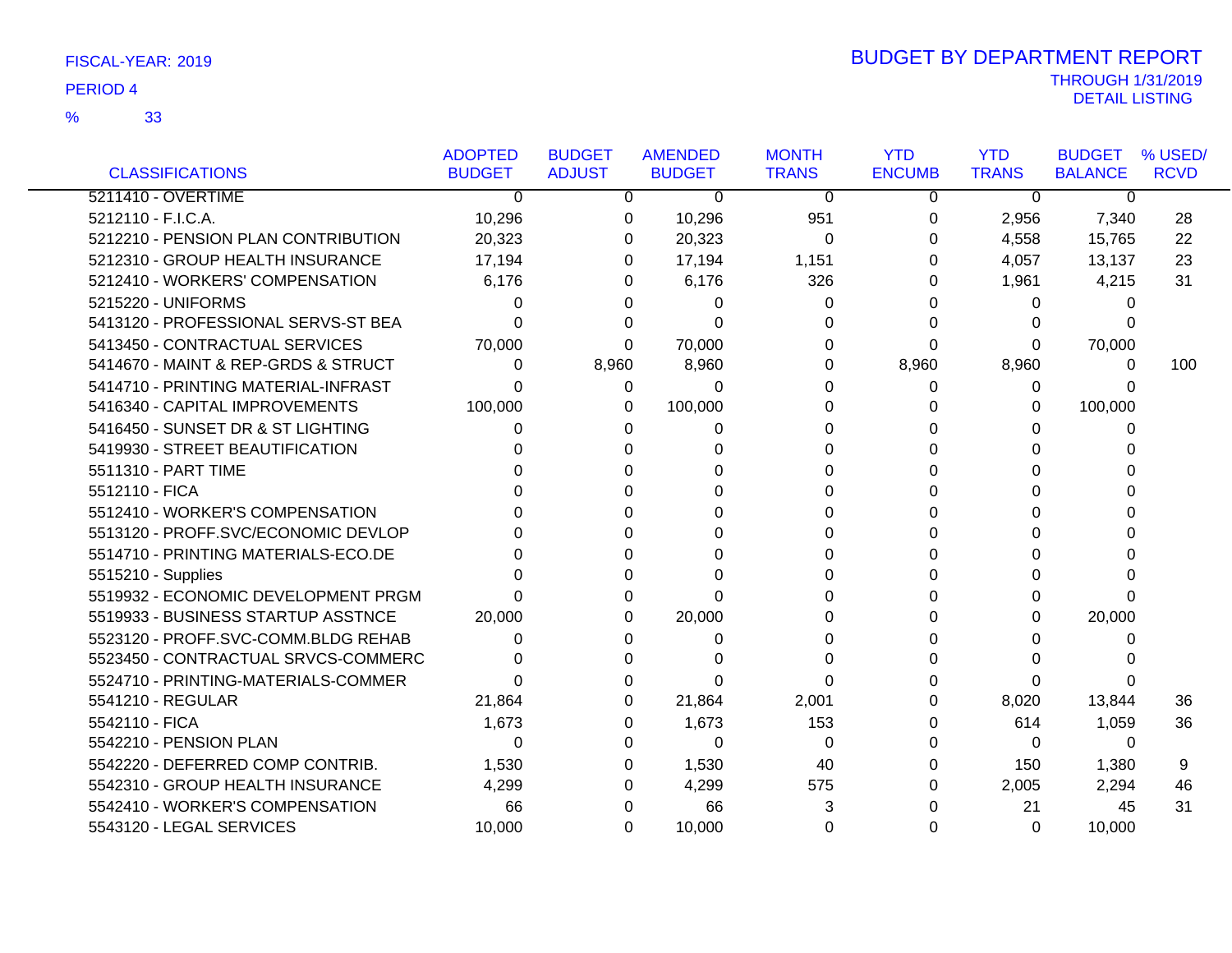|                                     | <b>ADOPTED</b> | <b>BUDGET</b> | <b>AMENDED</b> | <b>MONTH</b> | <b>YTD</b>    | <b>YTD</b>   | <b>BUDGET</b>  | % USED/     |
|-------------------------------------|----------------|---------------|----------------|--------------|---------------|--------------|----------------|-------------|
| <b>CLASSIFICATIONS</b>              | <b>BUDGET</b>  | <b>ADJUST</b> | <b>BUDGET</b>  | <b>TRANS</b> | <b>ENCUMB</b> | <b>TRANS</b> | <b>BALANCE</b> | <b>RCVD</b> |
| 5211410 - OVERTIME                  | $\Omega$       | 0             | 0              | $\Omega$     | 0             | $\Omega$     | 0              |             |
| 5212110 - F.I.C.A.                  | 10,296         | 0             | 10,296         | 951          | 0             | 2,956        | 7,340          | 28          |
| 5212210 - PENSION PLAN CONTRIBUTION | 20,323         | 0             | 20,323         | $\Omega$     | $\Omega$      | 4,558        | 15,765         | 22          |
| 5212310 - GROUP HEALTH INSURANCE    | 17,194         | 0             | 17,194         | 1,151        | 0             | 4,057        | 13,137         | 23          |
| 5212410 - WORKERS' COMPENSATION     | 6,176          | 0             | 6,176          | 326          | 0             | 1,961        | 4,215          | 31          |
| 5215220 - UNIFORMS                  | 0              | 0             | 0              | 0            | 0             | 0            | 0              |             |
| 5413120 - PROFESSIONAL SERVS-ST BEA | O              | 0             | 0              | 0            | 0             | 0            | 0              |             |
| 5413450 - CONTRACTUAL SERVICES      | 70,000         | 0             | 70,000         | 0            | $\Omega$      | 0            | 70,000         |             |
| 5414670 - MAINT & REP-GRDS & STRUCT | 0              | 8,960         | 8,960          | 0            | 8,960         | 8,960        | 0              | 100         |
| 5414710 - PRINTING MATERIAL-INFRAST | O              | 0             | $\Omega$       | 0            | $\Omega$      | 0            | 0              |             |
| 5416340 - CAPITAL IMPROVEMENTS      | 100,000        | 0             | 100,000        | 0            | 0             | 0            | 100,000        |             |
| 5416450 - SUNSET DR & ST LIGHTING   | 0              | 0             | 0              | 0            | 0             | 0            | 0              |             |
| 5419930 - STREET BEAUTIFICATION     |                | 0             |                | 0            | 0             | 0            | 0              |             |
| 5511310 - PART TIME                 |                | <sup>0</sup>  | 0              | 0            | 0             | 0            | 0              |             |
| 5512110 - FICA                      |                | n             | O              | 0            | 0             | 0            | 0              |             |
| 5512410 - WORKER'S COMPENSATION     |                |               |                | 0            | 0             | 0            | 0              |             |
| 5513120 - PROFF.SVC/ECONOMIC DEVLOP |                |               |                | 0            | 0             | 0            |                |             |
| 5514710 - PRINTING MATERIALS-ECO.DE |                |               |                | 0            | 0             | 0            | 0              |             |
| 5515210 - Supplies                  |                | O             | O              | 0            | $\Omega$      | 0            | 0              |             |
| 5519932 - ECONOMIC DEVELOPMENT PRGM |                | 0             | 0              | 0            | 0             | 0            | 0              |             |
| 5519933 - BUSINESS STARTUP ASSTNCE  | 20,000         | 0             | 20,000         | 0            | 0             | 0            | 20,000         |             |
| 5523120 - PROFF.SVC-COMM.BLDG REHAB | 0              | 0             | 0              | 0            | 0             | 0            | 0              |             |
| 5523450 - CONTRACTUAL SRVCS-COMMERC |                | O             |                | ∩            | 0             | 0            |                |             |
| 5524710 - PRINTING-MATERIALS-COMMER | 0              | O             | O              | 0            | 0             | 0            | 0              |             |
| 5541210 - REGULAR                   | 21,864         | 0             | 21,864         | 2,001        | 0             | 8,020        | 13,844         | 36          |
| 5542110 - FICA                      | 1,673          | 0             | 1,673          | 153          | 0             | 614          | 1,059          | 36          |
| 5542210 - PENSION PLAN              | 0              | 0             | 0              | 0            | $\Omega$      | $\Omega$     | $\Omega$       |             |
| 5542220 - DEFERRED COMP CONTRIB.    | 1,530          | 0             | 1,530          | 40           | 0             | 150          | 1,380          | 9           |
| 5542310 - GROUP HEALTH INSURANCE    | 4,299          | 0             | 4,299          | 575          | 0             | 2,005        | 2,294          | 46          |
| 5542410 - WORKER'S COMPENSATION     | 66             | 0             | 66             | 3            | 0             | 21           | 45             | 31          |
| 5543120 - LEGAL SERVICES            | 10,000         | 0             | 10,000         | 0            | 0             | 0            | 10,000         |             |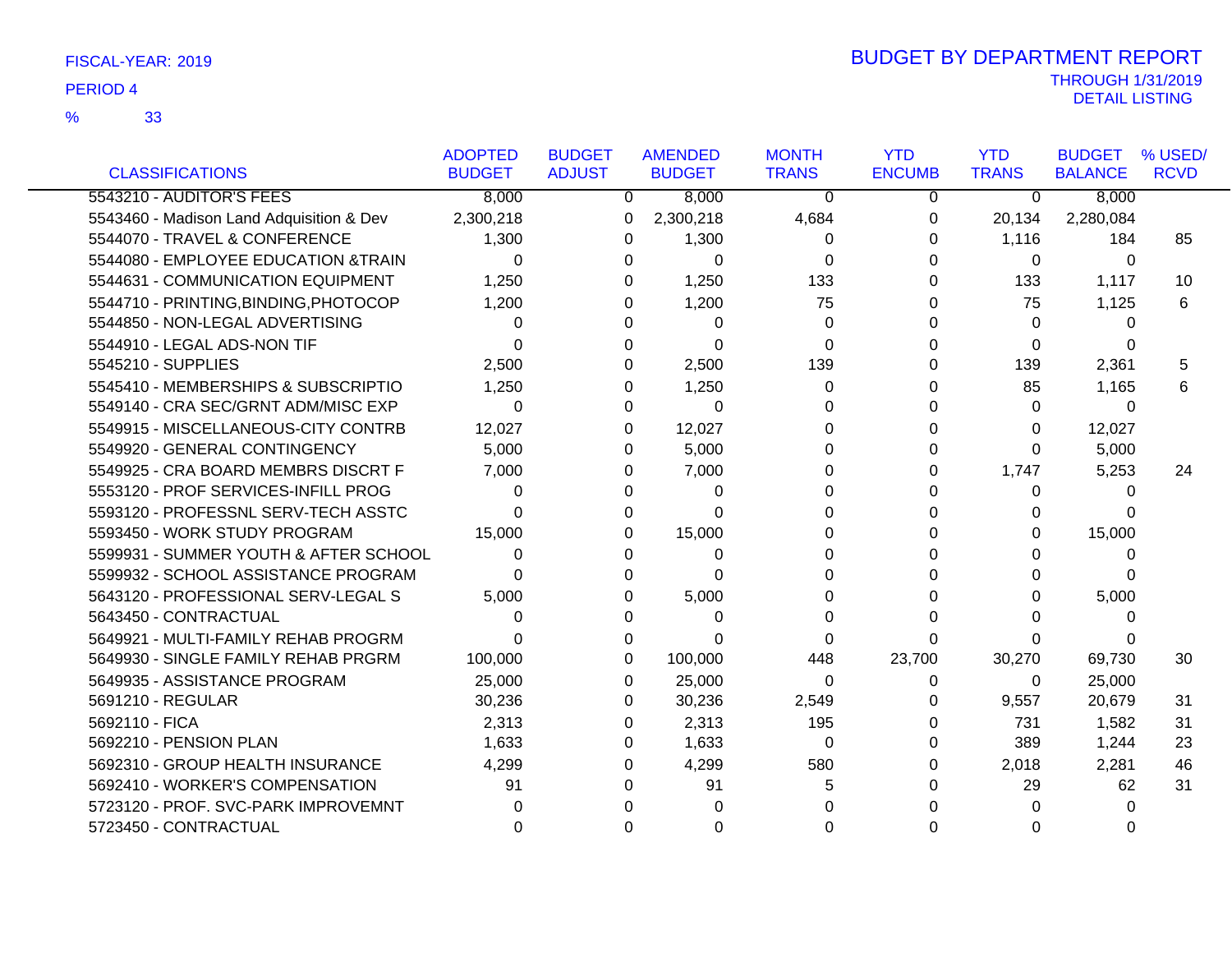|                                          | <b>ADOPTED</b> | <b>BUDGET</b>  | <b>AMENDED</b> | <b>MONTH</b> | <b>YTD</b>    | <b>YTD</b>   | <b>BUDGET</b>  | % USED/     |
|------------------------------------------|----------------|----------------|----------------|--------------|---------------|--------------|----------------|-------------|
| <b>CLASSIFICATIONS</b>                   | <b>BUDGET</b>  | <b>ADJUST</b>  | <b>BUDGET</b>  | <b>TRANS</b> | <b>ENCUMB</b> | <b>TRANS</b> | <b>BALANCE</b> | <b>RCVD</b> |
| 5543210 - AUDITOR'S FEES                 | 8,000          | $\overline{0}$ | 8,000          | $\mathbf{0}$ | 0             | 0            | 8,000          |             |
| 5543460 - Madison Land Adquisition & Dev | 2,300,218      | 0              | 2,300,218      | 4,684        | 0             | 20,134       | 2,280,084      |             |
| 5544070 - TRAVEL & CONFERENCE            | 1,300          | 0              | 1,300          | 0            | 0             | 1,116        | 184            | 85          |
| 5544080 - EMPLOYEE EDUCATION & TRAIN     | 0              | 0              | 0              | 0            | 0             | 0            | 0              |             |
| 5544631 - COMMUNICATION EQUIPMENT        | 1,250          | $\Omega$       | 1,250          | 133          | $\Omega$      | 133          | 1,117          | 10          |
| 5544710 - PRINTING, BINDING, PHOTOCOP    | 1,200          | 0              | 1,200          | 75           | 0             | 75           | 1,125          | 6           |
| 5544850 - NON-LEGAL ADVERTISING          | 0              | 0              | 0              | 0            | 0             | 0            | 0              |             |
| 5544910 - LEGAL ADS-NON TIF              | $\Omega$       | 0              | $\Omega$       | $\Omega$     | $\Omega$      | 0            |                |             |
| 5545210 - SUPPLIES                       | 2,500          | 0              | 2,500          | 139          | 0             | 139          | 2,361          | 5           |
| 5545410 - MEMBERSHIPS & SUBSCRIPTIO      | 1,250          | 0              | 1,250          | $\Omega$     | 0             | 85           | 1,165          | 6           |
| 5549140 - CRA SEC/GRNT ADM/MISC EXP      | $\Omega$       | $\Omega$       | $\Omega$       | 0            | 0             | $\Omega$     | 0              |             |
| 5549915 - MISCELLANEOUS-CITY CONTRB      | 12,027         | $\Omega$       | 12,027         | 0            | 0             | 0            | 12,027         |             |
| 5549920 - GENERAL CONTINGENCY            | 5,000          | 0              | 5,000          | 0            | 0             | 0            | 5,000          |             |
| 5549925 - CRA BOARD MEMBRS DISCRT F      | 7,000          | 0              | 7,000          | 0            | 0             | 1,747        | 5,253          | 24          |
| 5553120 - PROF SERVICES-INFILL PROG      | 0              | 0              | $\Omega$       | 0            | 0             | 0            | 0              |             |
| 5593120 - PROFESSNL SERV-TECH ASSTC      | 0              | 0              | 0              | 0            | 0             | 0            | 0              |             |
| 5593450 - WORK STUDY PROGRAM             | 15,000         | 0              | 15,000         | 0            | 0             | 0            | 15,000         |             |
| 5599931 - SUMMER YOUTH & AFTER SCHOOL    | $\Omega$       | 0              | $\Omega$       | 0            | 0             | 0            | 0              |             |
| 5599932 - SCHOOL ASSISTANCE PROGRAM      | 0              | 0              | 0              | 0            | 0             | 0            | 0              |             |
| 5643120 - PROFESSIONAL SERV-LEGAL S      | 5,000          | $\Omega$       | 5,000          | 0            | 0             | 0            | 5,000          |             |
| 5643450 - CONTRACTUAL                    | 0              | 0              | $\Omega$       | 0            | 0             | 0            | 0              |             |
| 5649921 - MULTI-FAMILY REHAB PROGRM      | 0              | 0              | $\Omega$       | 0            | 0             | 0            |                |             |
| 5649930 - SINGLE FAMILY REHAB PRGRM      | 100,000        | $\Omega$       | 100,000        | 448          | 23,700        | 30,270       | 69,730         | 30          |
| 5649935 - ASSISTANCE PROGRAM             | 25,000         | 0              | 25,000         | $\Omega$     | 0             | 0            | 25,000         |             |
| 5691210 - REGULAR                        | 30,236         | 0              | 30,236         | 2,549        | 0             | 9,557        | 20,679         | 31          |
| 5692110 - FICA                           | 2,313          | $\Omega$       | 2,313          | 195          | 0             | 731          | 1,582          | 31          |
| 5692210 - PENSION PLAN                   | 1,633          | $\Omega$       | 1,633          | 0            | 0             | 389          | 1,244          | 23          |
| 5692310 - GROUP HEALTH INSURANCE         | 4,299          | 0              | 4,299          | 580          | 0             | 2,018        | 2,281          | 46          |
| 5692410 - WORKER'S COMPENSATION          | 91             | 0              | 91             | 5            | 0             | 29           | 62             | 31          |
| 5723120 - PROF. SVC-PARK IMPROVEMNT      | 0              |                |                | 0            |               | 0            | 0              |             |
| 5723450 - CONTRACTUAL                    | 0              | 0              | 0              | 0            | 0             | 0            |                |             |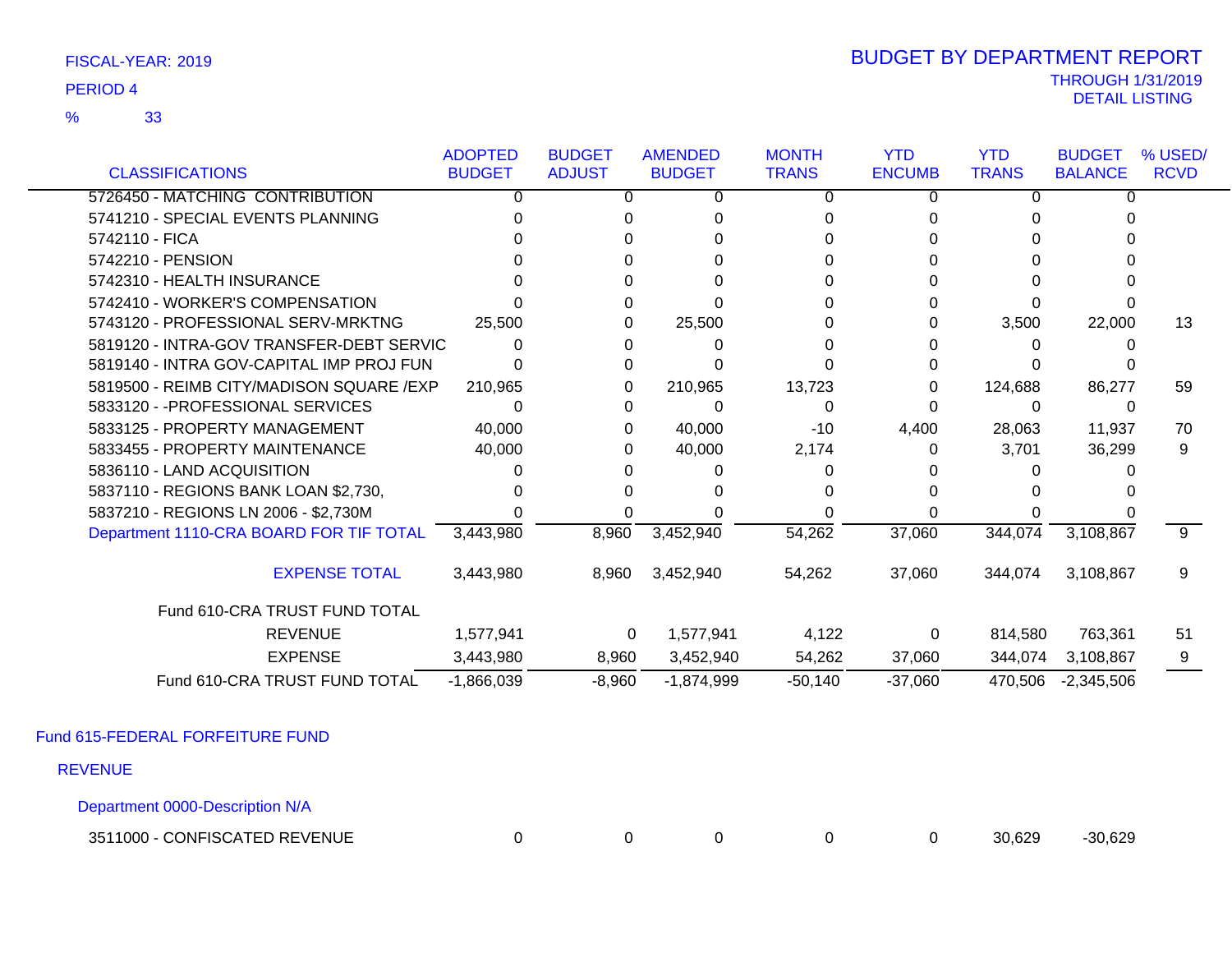33 %

### THROUGH 1/31/2019<br>DETAIL LISTING DETAIL LISTING PERIOD <sup>4</sup> BUDGET BY DEPARTMENT REPORT

|                                          | <b>ADOPTED</b> | <b>BUDGET</b> | <b>AMENDED</b> | <b>MONTH</b> | <b>YTD</b>    | <b>YTD</b>   | <b>BUDGET</b>  | % USED/     |
|------------------------------------------|----------------|---------------|----------------|--------------|---------------|--------------|----------------|-------------|
| <b>CLASSIFICATIONS</b>                   | <b>BUDGET</b>  | <b>ADJUST</b> | <b>BUDGET</b>  | <b>TRANS</b> | <b>ENCUMB</b> | <b>TRANS</b> | <b>BALANCE</b> | <b>RCVD</b> |
| 5726450 - MATCHING CONTRIBUTION          | <sup>n</sup>   | 0             | 0              | 0            |               | O            | 0              |             |
| 5741210 - SPECIAL EVENTS PLANNING        |                |               |                |              |               |              |                |             |
| 5742110 - FICA                           |                |               |                |              |               |              |                |             |
| 5742210 - PENSION                        |                |               |                |              |               |              |                |             |
| 5742310 - HEALTH INSURANCE               |                |               |                |              |               |              |                |             |
| 5742410 - WORKER'S COMPENSATION          |                |               |                |              |               |              |                |             |
| 5743120 - PROFESSIONAL SERV-MRKTNG       | 25,500         | 0             | 25,500         |              |               | 3,500        | 22,000         | 13          |
| 5819120 - INTRA-GOV TRANSFER-DEBT SERVIC |                |               |                |              |               |              |                |             |
| 5819140 - INTRA GOV-CAPITAL IMP PROJ FUN |                |               |                |              |               |              |                |             |
| 5819500 - REIMB CITY/MADISON SQUARE /EXP | 210,965        | 0             | 210,965        | 13,723       |               | 124,688      | 86,277         | 59          |
| 5833120 - - PROFESSIONAL SERVICES        |                | 0             | 0              |              |               | 0            |                |             |
| 5833125 - PROPERTY MANAGEMENT            | 40,000         | 0             | 40,000         | $-10$        | 4,400         | 28,063       | 11,937         | 70          |
| 5833455 - PROPERTY MAINTENANCE           | 40,000         | 0             | 40,000         | 2,174        | 0             | 3,701        | 36,299         | 9           |
| 5836110 - LAND ACQUISITION               |                |               |                |              |               |              |                |             |
| 5837110 - REGIONS BANK LOAN \$2,730,     |                |               |                |              |               |              |                |             |
| 5837210 - REGIONS LN 2006 - \$2,730M     |                |               |                |              |               |              |                |             |
| Department 1110-CRA BOARD FOR TIF TOTAL  | 3,443,980      | 8,960         | 3,452,940      | 54,262       | 37,060        | 344,074      | 3,108,867      | 9           |
| <b>EXPENSE TOTAL</b>                     | 3,443,980      | 8,960         | 3,452,940      | 54,262       | 37,060        | 344,074      | 3,108,867      | 9           |
| Fund 610-CRA TRUST FUND TOTAL            |                |               |                |              |               |              |                |             |
| <b>REVENUE</b>                           | 1,577,941      | $\mathbf 0$   | 1,577,941      | 4,122        | 0             | 814,580      | 763,361        | 51          |
| <b>EXPENSE</b>                           | 3,443,980      | 8,960         | 3,452,940      | 54,262       | 37,060        | 344,074      | 3,108,867      |             |
| Fund 610-CRA TRUST FUND TOTAL            | $-1,866,039$   | $-8,960$      | $-1,874,999$   | $-50,140$    | $-37,060$     | 470,506      | $-2,345,506$   |             |

Fund 615-FEDERAL FORFEITURE FUND

REVENUE

Department 0000-Description N/A

3511000 - CONFISCATED REVENUE 0 0 0 0 0 30,629 -30,629